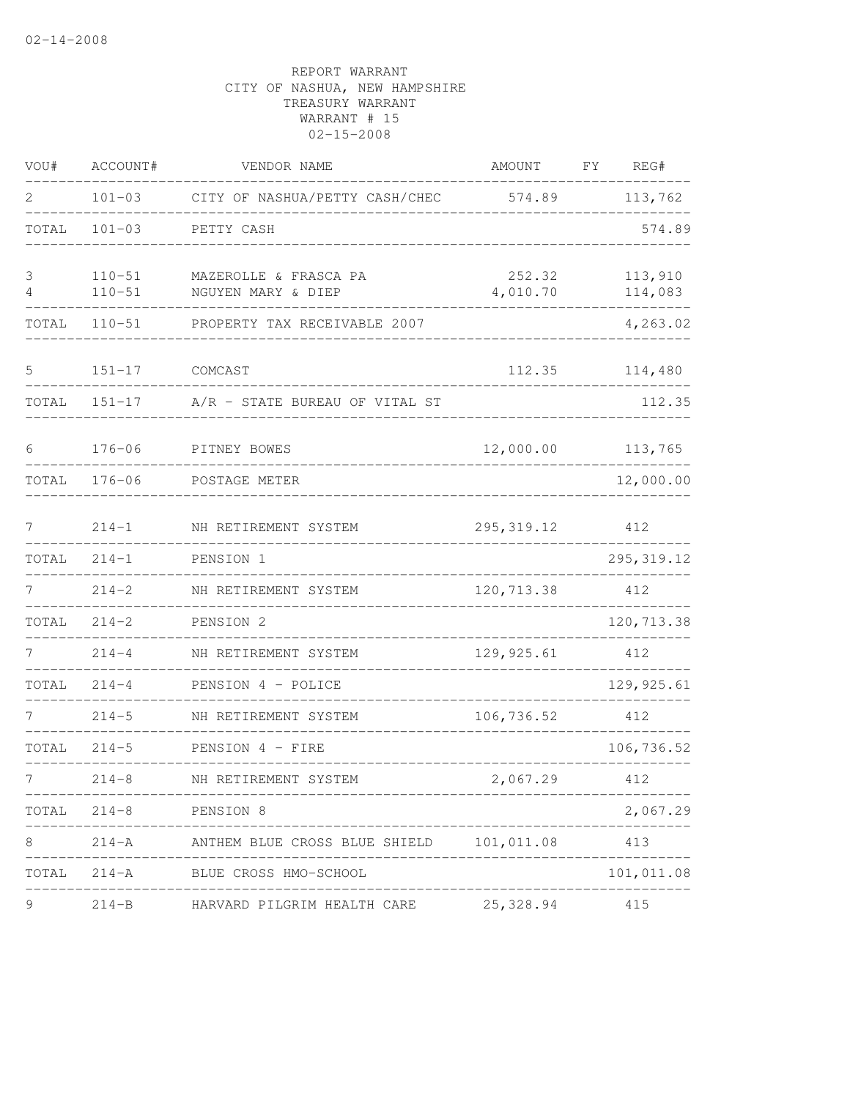| VOU#   | ACCOUNT#                 | VENDOR NAME                                                 | AMOUNT             | FY<br>REG#         |
|--------|--------------------------|-------------------------------------------------------------|--------------------|--------------------|
| 2      | $101 - 03$               | CITY OF NASHUA/PETTY CASH/CHEC 574.89                       |                    | 113,762            |
| TOTAL  | $101 - 03$               | PETTY CASH                                                  |                    | 574.89             |
| 3<br>4 | $110 - 51$<br>$110 - 51$ | MAZEROLLE & FRASCA PA<br>NGUYEN MARY & DIEP                 | 252.32<br>4,010.70 | 113,910<br>114,083 |
| TOTAL  | $110 - 51$               | PROPERTY TAX RECEIVABLE 2007                                |                    | 4,263.02           |
| 5      | $151 - 17$               | COMCAST                                                     | 112.35             | 114,480            |
| TOTAL  | $151 - 17$               | A/R - STATE BUREAU OF VITAL ST                              |                    | 112.35             |
| 6      | $176 - 06$               | PITNEY BOWES                                                | 12,000.00          | 113,765            |
| TOTAL  | $176 - 06$               | POSTAGE METER                                               |                    | 12,000.00          |
| 7      | $214 - 1$                | NH RETIREMENT SYSTEM                                        | 295, 319.12        | 412                |
| TOTAL  | $214 - 1$                | PENSION 1                                                   |                    | 295, 319.12        |
| 7      | $214 - 2$                | NH RETIREMENT SYSTEM                                        | 120,713.38         | 412                |
| TOTAL  | $214 - 2$                | PENSION 2                                                   |                    | 120,713.38         |
|        | $214 - 4$                | NH RETIREMENT SYSTEM                                        | 129, 925.61        | 412                |
| TOTAL  | $214 - 4$                | PENSION 4 - POLICE                                          |                    | 129, 925.61        |
|        | $214 - 5$                | NH RETIREMENT SYSTEM                                        | 106,736.52         | 412                |
| TOTAL  | $214 - 5$                | PENSION 4 - FIRE                                            |                    | 106,736.52         |
| 7      | $214 - 8$                | NH RETIREMENT SYSTEM                                        | 2,067.29           | 412                |
|        |                          | TOTAL 214-8 PENSION 8<br>__________________________________ |                    | 2,067.29           |
| 8      |                          | 214-A ANTHEM BLUE CROSS BLUE SHIELD 101,011.08 413          |                    |                    |
|        |                          | TOTAL 214-A BLUE CROSS HMO-SCHOOL                           |                    | 101,011.08         |
| 9      |                          | 214-B HARVARD PILGRIM HEALTH CARE 25,328.94                 |                    | 415                |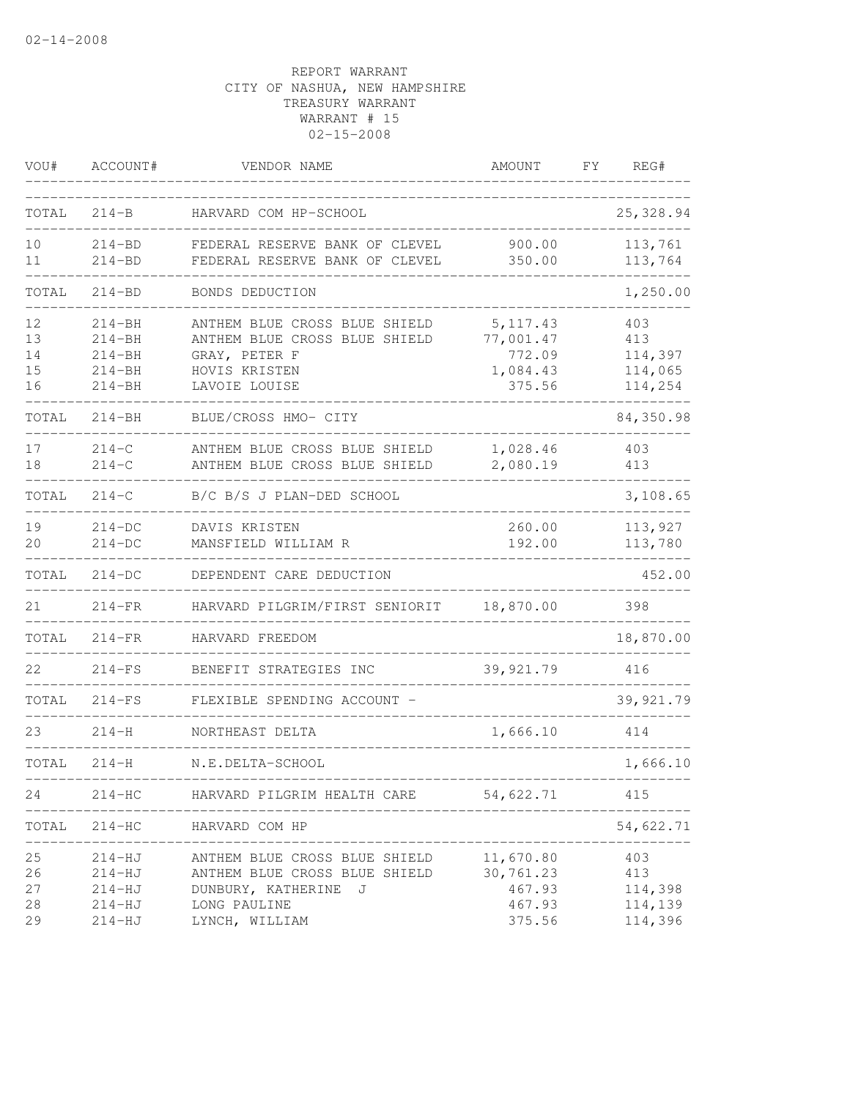| VOU#                       | ACCOUNT#                                                           | VENDOR NAME                                                                                                                 | AMOUNT                                                 | FΥ | REG#                                        |
|----------------------------|--------------------------------------------------------------------|-----------------------------------------------------------------------------------------------------------------------------|--------------------------------------------------------|----|---------------------------------------------|
| TOTAL                      | $214 - B$                                                          | HARVARD COM HP-SCHOOL                                                                                                       |                                                        |    | 25, 328.94                                  |
| 10<br>11                   | $214 - BD$<br>$214 - BD$                                           | FEDERAL RESERVE BANK OF CLEVEL<br>FEDERAL RESERVE BANK OF CLEVEL                                                            | 900.00<br>350.00                                       |    | 113,761<br>113,764                          |
| TOTAL                      | $214 - BD$                                                         | BONDS DEDUCTION                                                                                                             |                                                        |    | 1,250.00                                    |
| 12<br>13<br>14<br>15<br>16 | $214 - BH$<br>$214 - BH$<br>$214 - BH$<br>$214 - BH$<br>$214 - BH$ | ANTHEM BLUE CROSS BLUE SHIELD<br>ANTHEM BLUE CROSS BLUE SHIELD<br>GRAY, PETER F<br>HOVIS KRISTEN<br>LAVOIE LOUISE           | 5, 117.43<br>77,001.47<br>772.09<br>1,084.43<br>375.56 |    | 403<br>413<br>114,397<br>114,065<br>114,254 |
| TOTAL                      | $214 - BH$                                                         | BLUE/CROSS HMO- CITY                                                                                                        |                                                        |    | 84,350.98                                   |
| 17<br>18                   | $214 - C$<br>$214 - C$                                             | ANTHEM BLUE CROSS BLUE SHIELD<br>ANTHEM BLUE CROSS BLUE SHIELD                                                              | 1,028.46<br>2,080.19                                   |    | 403<br>413                                  |
| TOTAL                      | $214 - C$                                                          | B/C B/S J PLAN-DED SCHOOL                                                                                                   |                                                        |    | 3,108.65                                    |
| 19<br>20                   | $214-DC$<br>$214-DC$                                               | DAVIS KRISTEN<br>MANSFIELD WILLIAM R                                                                                        | 260.00<br>192.00                                       |    | 113,927<br>113,780                          |
| TOTAL                      | $214-DC$                                                           | DEPENDENT CARE DEDUCTION                                                                                                    |                                                        |    | 452.00                                      |
| 21                         | $214-FR$                                                           | HARVARD PILGRIM/FIRST SENIORIT                                                                                              | 18,870.00                                              |    | 398                                         |
| TOTAL                      | $214-FR$                                                           | HARVARD FREEDOM                                                                                                             |                                                        |    | 18,870.00                                   |
| 22                         | $214-FS$                                                           | BENEFIT STRATEGIES INC                                                                                                      | 39, 921.79                                             |    | 416                                         |
| TOTAL                      | $214-FS$                                                           | FLEXIBLE SPENDING ACCOUNT -                                                                                                 |                                                        |    | 39,921.79                                   |
| 23                         | $214 - H$                                                          | NORTHEAST DELTA                                                                                                             | 1,666.10                                               |    | 414                                         |
| TOTAL                      | $214 - H$                                                          | N.E.DELTA-SCHOOL                                                                                                            |                                                        |    | 1,666.10                                    |
| 24                         | $214-HC$                                                           | HARVARD PILGRIM HEALTH CARE                                                                                                 | 54,622.71                                              |    | 415                                         |
| TOTAL                      | $214 - HC$                                                         | HARVARD COM HP                                                                                                              |                                                        |    | 54,622.71                                   |
| 25<br>26<br>27<br>28<br>29 | 214-HJ<br>$214 - HJ$<br>$214-HJ$<br>$214-HJ$<br>$214 - HJ$         | ANTHEM BLUE CROSS BLUE SHIELD<br>ANTHEM BLUE CROSS BLUE SHIELD<br>DUNBURY, KATHERINE<br>J<br>LONG PAULINE<br>LYNCH, WILLIAM | 11,670.80<br>30,761.23<br>467.93<br>467.93<br>375.56   |    | 403<br>413<br>114,398<br>114,139<br>114,396 |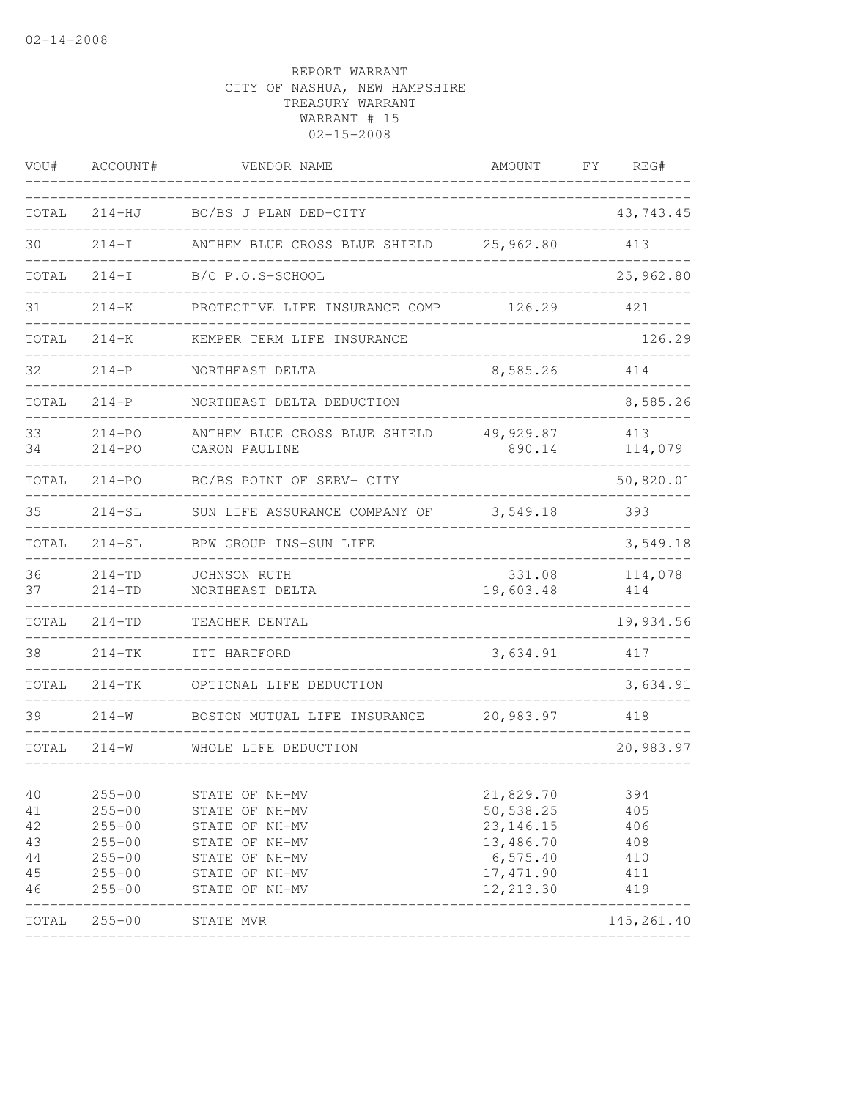| VOU#                                   | ACCOUNT#                                                                                       | VENDOR NAME                                                                                                                | AMOUNT                                                                                      | FΥ | REG#                                          |
|----------------------------------------|------------------------------------------------------------------------------------------------|----------------------------------------------------------------------------------------------------------------------------|---------------------------------------------------------------------------------------------|----|-----------------------------------------------|
| TOTAL                                  | $214 - HJ$                                                                                     | BC/BS J PLAN DED-CITY                                                                                                      |                                                                                             |    | 43,743.45                                     |
| 30                                     | $214 - I$                                                                                      | ANTHEM BLUE CROSS BLUE SHIELD                                                                                              | 25,962.80                                                                                   |    | 413                                           |
| TOTAL                                  | $214-I$                                                                                        | B/C P.O.S-SCHOOL                                                                                                           |                                                                                             |    | 25,962.80                                     |
| 31                                     | $214 - K$                                                                                      | PROTECTIVE LIFE INSURANCE COMP                                                                                             | 126.29                                                                                      |    | 421                                           |
| TOTAL                                  | $214 - K$                                                                                      | KEMPER TERM LIFE INSURANCE                                                                                                 |                                                                                             |    | 126.29                                        |
| 32                                     | $214 - P$                                                                                      | NORTHEAST DELTA                                                                                                            | 8,585.26                                                                                    |    | 414                                           |
| TOTAL                                  | $214-P$                                                                                        | NORTHEAST DELTA DEDUCTION                                                                                                  |                                                                                             |    | 8,585.26                                      |
| 33<br>34                               | $214 - PO$<br>$214 - PQ$                                                                       | ANTHEM BLUE CROSS BLUE SHIELD<br>CARON PAULINE                                                                             | 49,929.87<br>890.14                                                                         |    | 413<br>114,079                                |
| TOTAL                                  | $214 - PQ$                                                                                     | BC/BS POINT OF SERV- CITY                                                                                                  |                                                                                             |    | 50,820.01                                     |
| 35                                     | $214-SL$                                                                                       | SUN LIFE ASSURANCE COMPANY OF                                                                                              | 3,549.18                                                                                    |    | 393                                           |
| TOTAL                                  | $214 - SL$                                                                                     | BPW GROUP INS-SUN LIFE                                                                                                     |                                                                                             |    | 3,549.18                                      |
| 36<br>37                               | $214 - TD$<br>$214 - TD$                                                                       | JOHNSON RUTH<br>NORTHEAST DELTA                                                                                            | 331.08<br>19,603.48                                                                         |    | 114,078<br>414                                |
| TOTAL                                  | $214 - TD$                                                                                     | TEACHER DENTAL                                                                                                             |                                                                                             |    | 19,934.56                                     |
| 38                                     | $214-TK$                                                                                       | ITT HARTFORD                                                                                                               | 3,634.91                                                                                    |    | 417                                           |
| TOTAL                                  | $214-TK$                                                                                       | OPTIONAL LIFE DEDUCTION                                                                                                    |                                                                                             |    | 3,634.91                                      |
| 39                                     | $214 - W$                                                                                      | BOSTON MUTUAL LIFE INSURANCE                                                                                               | 20,983.97                                                                                   |    | 418                                           |
| TOTAL                                  | $214 - W$                                                                                      | WHOLE LIFE DEDUCTION                                                                                                       |                                                                                             |    | 20,983.97                                     |
| 40<br>41<br>42<br>43<br>44<br>45<br>46 | $255 - 00$<br>$255 - 00$<br>$255 - 00$<br>$255 - 00$<br>$255 - 00$<br>$255 - 00$<br>$255 - 00$ | STATE OF NH-MV<br>STATE OF NH-MV<br>STATE OF NH-MV<br>STATE OF NH-MV<br>STATE OF NH-MV<br>STATE OF NH-MV<br>STATE OF NH-MV | 21,829.70<br>50,538.25<br>23, 146. 15<br>13,486.70<br>6, 575.40<br>17, 471.90<br>12, 213.30 |    | 394<br>405<br>406<br>408<br>410<br>411<br>419 |
| TOTAL                                  | $255 - 00$                                                                                     | STATE MVR                                                                                                                  |                                                                                             |    | 145, 261.40                                   |
|                                        |                                                                                                |                                                                                                                            |                                                                                             |    |                                               |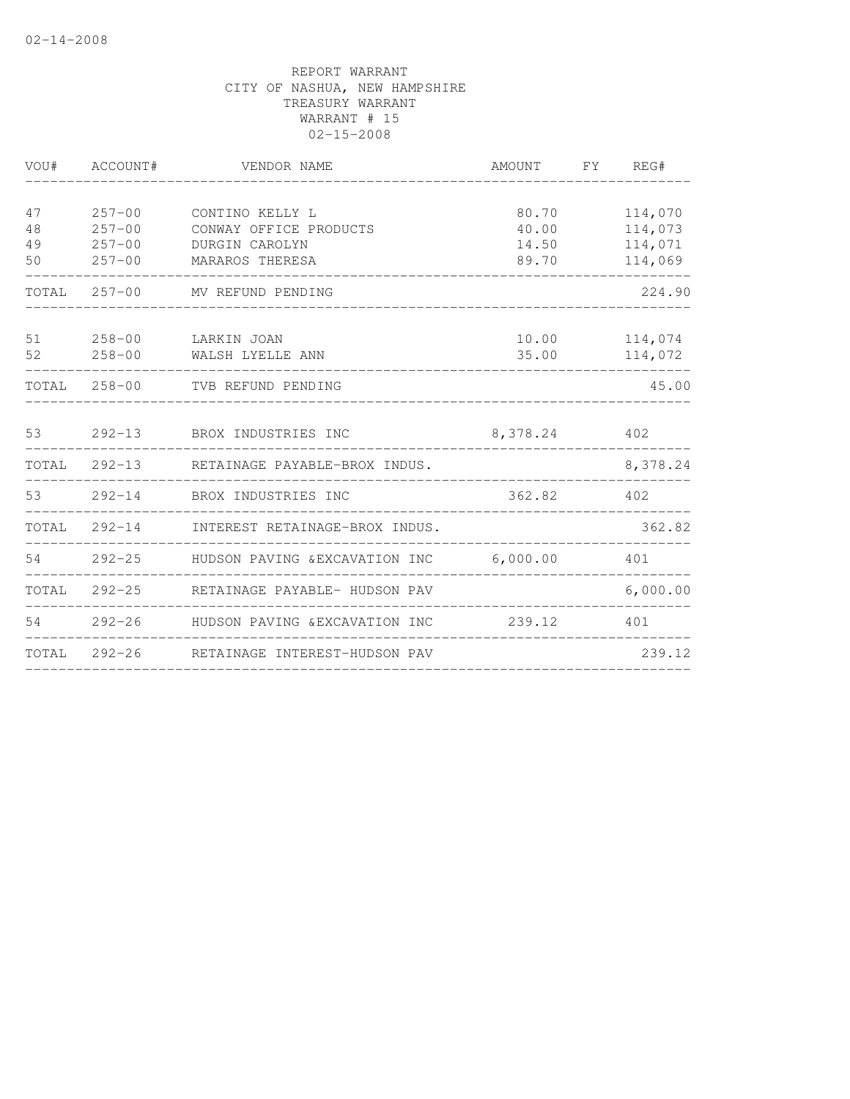|    | VOU# ACCOUNT# | VENDOR NAME                                                 | AMOUNT FY REG# |          |
|----|---------------|-------------------------------------------------------------|----------------|----------|
|    |               |                                                             |                |          |
| 47 | $257 - 00$    | CONTINO KELLY L                                             | 80.70          | 114,070  |
| 48 | $257 - 00$    | CONWAY OFFICE PRODUCTS                                      | 40.00          | 114,073  |
| 49 | $257 - 00$    | DURGIN CAROLYN                                              | 14.50          | 114,071  |
| 50 | $257 - 00$    | MARAROS THERESA                                             | 89.70          | 114,069  |
|    |               | TOTAL 257-00 MV REFUND PENDING                              |                | 224.90   |
| 51 |               | 258-00 LARKIN JOAN                                          | 10.00          | 114,074  |
|    |               | 52 258-00 WALSH LYELLE ANN                                  | 35.00          | 114,072  |
|    |               | TOTAL 258-00 TVB REFUND PENDING                             |                | 45.00    |
|    |               | 53 292-13 BROX INDUSTRIES INC                               | 8,378.24 402   |          |
|    |               | TOTAL 292-13 RETAINAGE PAYABLE-BROX INDUS.                  |                | 8,378.24 |
|    |               | 53 292-14 BROX INDUSTRIES INC                               | 362.82 402     |          |
|    | TOTAL 292-14  | INTEREST RETAINAGE-BROX INDUS.                              |                | 362.82   |
|    |               | 54 292-25 HUDSON PAVING & EXCAVATION INC 6,000.00           |                | 401      |
|    |               | TOTAL 292-25 RETAINAGE PAYABLE- HUDSON PAV                  |                | 6,000.00 |
|    |               | 54   292-26   HUDSON PAVING & EXCAVATION INC   239.12   401 |                |          |
|    |               | TOTAL 292-26 RETAINAGE INTEREST-HUDSON PAV                  |                | 239.12   |
|    |               |                                                             |                |          |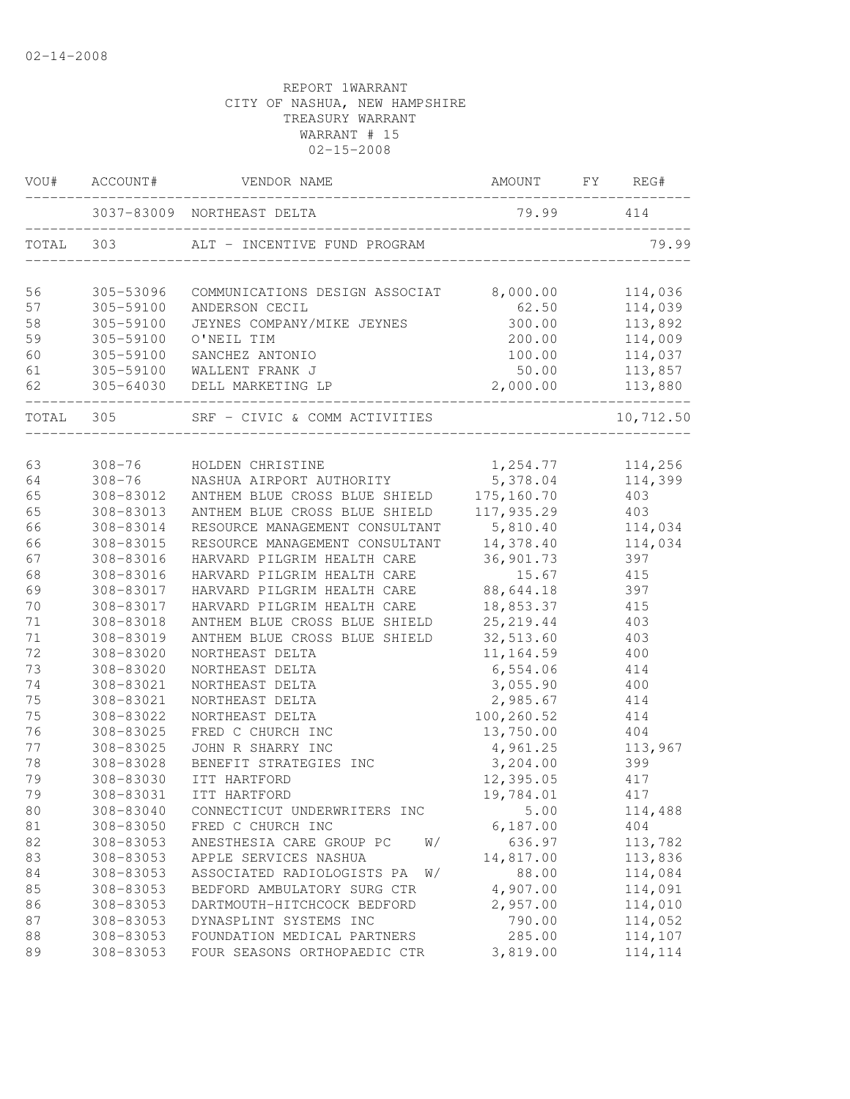|           | VOU# ACCOUNT#          | VENDOR NAME                                                     | AMOUNT                 | FY<br>REG# |
|-----------|------------------------|-----------------------------------------------------------------|------------------------|------------|
|           |                        | 3037-83009 NORTHEAST DELTA<br>_________________________________ | 79.99                  | 414        |
| TOTAL     | 303                    | ALT - INCENTIVE FUND PROGRAM                                    |                        | 79.99      |
| 56        | 305-53096              | COMMUNICATIONS DESIGN ASSOCIAT 8,000.00                         |                        | 114,036    |
| 57        | 305-59100              | ANDERSON CECIL                                                  | 62.50                  | 114,039    |
| 58        | 305-59100              | JEYNES COMPANY/MIKE JEYNES                                      | 300.00                 | 113,892    |
| 59        | 305-59100              | O'NEIL TIM                                                      | 200.00                 | 114,009    |
| 60        | 305-59100              | SANCHEZ ANTONIO                                                 | 100.00                 | 114,037    |
| 61        | 305-59100              | WALLENT FRANK J                                                 | 50.00                  | 113,857    |
| 62        |                        | 305-64030 DELL MARKETING LP                                     | 2,000.00               | 113,880    |
| TOTAL 305 |                        | SRF - CIVIC & COMM ACTIVITIES                                   |                        | 10,712.50  |
|           |                        |                                                                 |                        |            |
| 63        | $308 - 76$             | 308-76 HOLDEN CHRISTINE                                         | 1,254.77               | 114,256    |
| 64        | 308-83012              | NASHUA AIRPORT AUTHORITY<br>ANTHEM BLUE CROSS BLUE SHIELD       | 5,378.04<br>175,160.70 | 114,399    |
| 65<br>65  | 308-83013              | ANTHEM BLUE CROSS BLUE SHIELD                                   | 117,935.29             | 403        |
| 66        |                        | RESOURCE MANAGEMENT CONSULTANT 5,810.40                         |                        | 403        |
| 66        | 308-83014              |                                                                 |                        | 114,034    |
|           | 308-83015              | RESOURCE MANAGEMENT CONSULTANT                                  | 14,378.40              | 114,034    |
| 67<br>68  | 308-83016<br>308-83016 | HARVARD PILGRIM HEALTH CARE<br>HARVARD PILGRIM HEALTH CARE      | 36,901.73<br>15.67     | 397<br>415 |
| 69        | 308-83017              | HARVARD PILGRIM HEALTH CARE                                     | 88,644.18              | 397        |
| 70        | 308-83017              | HARVARD PILGRIM HEALTH CARE                                     | 18,853.37              | 415        |
| 71        | 308-83018              | ANTHEM BLUE CROSS BLUE SHIELD                                   | 25, 219.44             | 403        |
| 71        | 308-83019              | ANTHEM BLUE CROSS BLUE SHIELD                                   | 32,513.60              | 403        |
| 72        | 308-83020              | NORTHEAST DELTA                                                 | 11,164.59              | 400        |
| 73        | 308-83020              | NORTHEAST DELTA                                                 | 6,554.06               | 414        |
| 74        | 308-83021              | NORTHEAST DELTA                                                 | 3,055.90               | 400        |
| 75        | 308-83021              | NORTHEAST DELTA                                                 | 2,985.67               | 414        |
| 75        | 308-83022              | NORTHEAST DELTA                                                 | 100,260.52             | 414        |
| 76        | 308-83025              | FRED C CHURCH INC                                               | 13,750.00              | 404        |
| 77        | 308-83025              | JOHN R SHARRY INC                                               | 4,961.25               | 113,967    |
| 78        | 308-83028              | BENEFIT STRATEGIES INC                                          | 3,204.00               | 399        |
| 79        | 308-83030              | ITT HARTFORD                                                    | 12,395.05              | 417        |
| 79        | 308-83031              | ITT HARTFORD                                                    | 19,784.01              | 417        |
| 80        | 308-83040              | CONNECTICUT UNDERWRITERS INC                                    | 5.00                   | 114,488    |
| 81        | 308-83050              | FRED C CHURCH INC                                               | 6,187.00               | 404        |
| 82        | 308-83053              | ANESTHESIA CARE GROUP PC<br>W/                                  | 636.97                 | 113,782    |
| 83        | 308-83053              | APPLE SERVICES NASHUA                                           | 14,817.00              | 113,836    |
| 84        | 308-83053              | ASSOCIATED RADIOLOGISTS PA<br>W/                                | 88.00                  | 114,084    |
| 85        | 308-83053              | BEDFORD AMBULATORY SURG CTR                                     | 4,907.00               | 114,091    |
| 86        | 308-83053              | DARTMOUTH-HITCHCOCK BEDFORD                                     | 2,957.00               | 114,010    |
| 87        | 308-83053              | DYNASPLINT SYSTEMS INC                                          | 790.00                 | 114,052    |
| 88        | 308-83053              | FOUNDATION MEDICAL PARTNERS                                     | 285.00                 | 114,107    |
| 89        | 308-83053              | FOUR SEASONS ORTHOPAEDIC CTR                                    | 3,819.00               | 114,114    |
|           |                        |                                                                 |                        |            |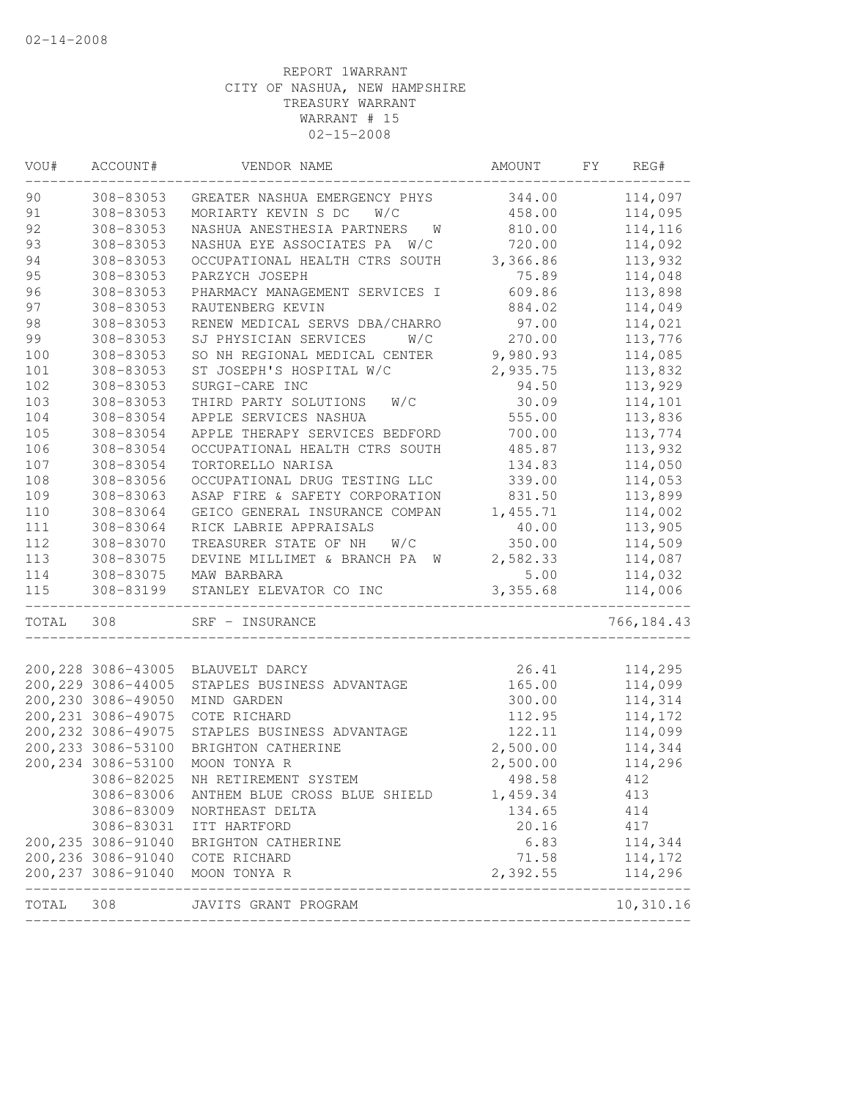| VOU#  | ACCOUNT#            | VENDOR NAME                                      | AMOUNT   | FΥ | REG#       |
|-------|---------------------|--------------------------------------------------|----------|----|------------|
| 90    | 308-83053           | GREATER NASHUA EMERGENCY PHYS                    | 344.00   |    | 114,097    |
| 91    | 308-83053           | MORIARTY KEVIN S DC<br>W/C                       | 458.00   |    | 114,095    |
| 92    | 308-83053           | NASHUA ANESTHESIA PARTNERS<br>W                  | 810.00   |    | 114,116    |
| 93    | 308-83053           | NASHUA EYE ASSOCIATES PA W/C                     | 720.00   |    | 114,092    |
| 94    | 308-83053           | OCCUPATIONAL HEALTH CTRS SOUTH                   | 3,366.86 |    | 113,932    |
| 95    | 308-83053           | PARZYCH JOSEPH                                   | 75.89    |    | 114,048    |
| 96    | 308-83053           | PHARMACY MANAGEMENT SERVICES I                   | 609.86   |    | 113,898    |
| 97    | 308-83053           | RAUTENBERG KEVIN                                 | 884.02   |    | 114,049    |
| 98    | 308-83053           | RENEW MEDICAL SERVS DBA/CHARRO                   | 97.00    |    | 114,021    |
| 99    | 308-83053           | SJ PHYSICIAN SERVICES<br>W/C                     | 270.00   |    | 113,776    |
| 100   | 308-83053           | SO NH REGIONAL MEDICAL CENTER                    | 9,980.93 |    | 114,085    |
| 101   | 308-83053           | ST JOSEPH'S HOSPITAL W/C                         | 2,935.75 |    | 113,832    |
| 102   | 308-83053           | SURGI-CARE INC                                   | 94.50    |    | 113,929    |
| 103   | 308-83053           | THIRD PARTY SOLUTIONS<br>W/C                     | 30.09    |    | 114,101    |
| 104   | 308-83054           | APPLE SERVICES NASHUA                            | 555.00   |    | 113,836    |
| 105   | 308-83054           | APPLE THERAPY SERVICES BEDFORD                   | 700.00   |    | 113,774    |
| 106   | 308-83054           | OCCUPATIONAL HEALTH CTRS SOUTH                   | 485.87   |    | 113,932    |
| 107   | 308-83054           | TORTORELLO NARISA                                | 134.83   |    | 114,050    |
| 108   | 308-83056           | OCCUPATIONAL DRUG TESTING LLC                    | 339.00   |    | 114,053    |
| 109   | 308-83063           | ASAP FIRE & SAFETY CORPORATION                   | 831.50   |    | 113,899    |
| 110   | 308-83064           | GEICO GENERAL INSURANCE COMPAN                   | 1,455.71 |    | 114,002    |
| 111   | 308-83064           | RICK LABRIE APPRAISALS                           | 40.00    |    | 113,905    |
| 112   | 308-83070           | TREASURER STATE OF NH<br>W/C                     | 350.00   |    | 114,509    |
| 113   | 308-83075           | DEVINE MILLIMET & BRANCH PA<br>W                 | 2,582.33 |    | 114,087    |
| 114   | 308-83075           | MAW BARBARA                                      | 5.00     |    | 114,032    |
| 115   | 308-83199           | STANLEY ELEVATOR CO INC                          | 3,355.68 |    | 114,006    |
| TOTAL | 308                 | SRF - INSURANCE                                  |          |    | 766,184.43 |
|       | 200, 228 3086-43005 | BLAUVELT DARCY                                   | 26.41    |    | 114,295    |
|       | 200, 229 3086-44005 | STAPLES BUSINESS ADVANTAGE                       | 165.00   |    | 114,099    |
|       | 200,230 3086-49050  | MIND GARDEN                                      | 300.00   |    | 114,314    |
|       | 200, 231 3086-49075 | COTE RICHARD                                     | 112.95   |    | 114,172    |
|       | 200, 232 3086-49075 | STAPLES BUSINESS ADVANTAGE                       | 122.11   |    | 114,099    |
|       | 200, 233 3086-53100 | BRIGHTON CATHERINE                               | 2,500.00 |    | 114,344    |
|       | 200, 234 3086-53100 | MOON TONYA R                                     | 2,500.00 |    | 114,296    |
|       | 3086-82025          | NH RETIREMENT SYSTEM                             | 498.58   |    | 412        |
|       | 3086-83006          |                                                  | 1,459.34 |    |            |
|       | 3086-83009          | ANTHEM BLUE CROSS BLUE SHIELD<br>NORTHEAST DELTA | 134.65   |    | 413<br>414 |
|       | 3086-83031          | ITT HARTFORD                                     |          |    | 417        |
|       |                     |                                                  | 20.16    |    | 114,344    |
|       |                     | 200, 235 3086-91040 BRIGHTON CATHERINE           | 6.83     |    |            |
|       |                     | 200,236 3086-91040 COTE RICHARD                  | 71.58    |    | 114,172    |
|       |                     | 200,237 3086-91040 MOON TONYA R<br>_____________ | 2,392.55 |    | 114,296    |
| TOTAL | 308                 | JAVITS GRANT PROGRAM                             |          |    | 10,310.16  |
|       |                     |                                                  |          |    |            |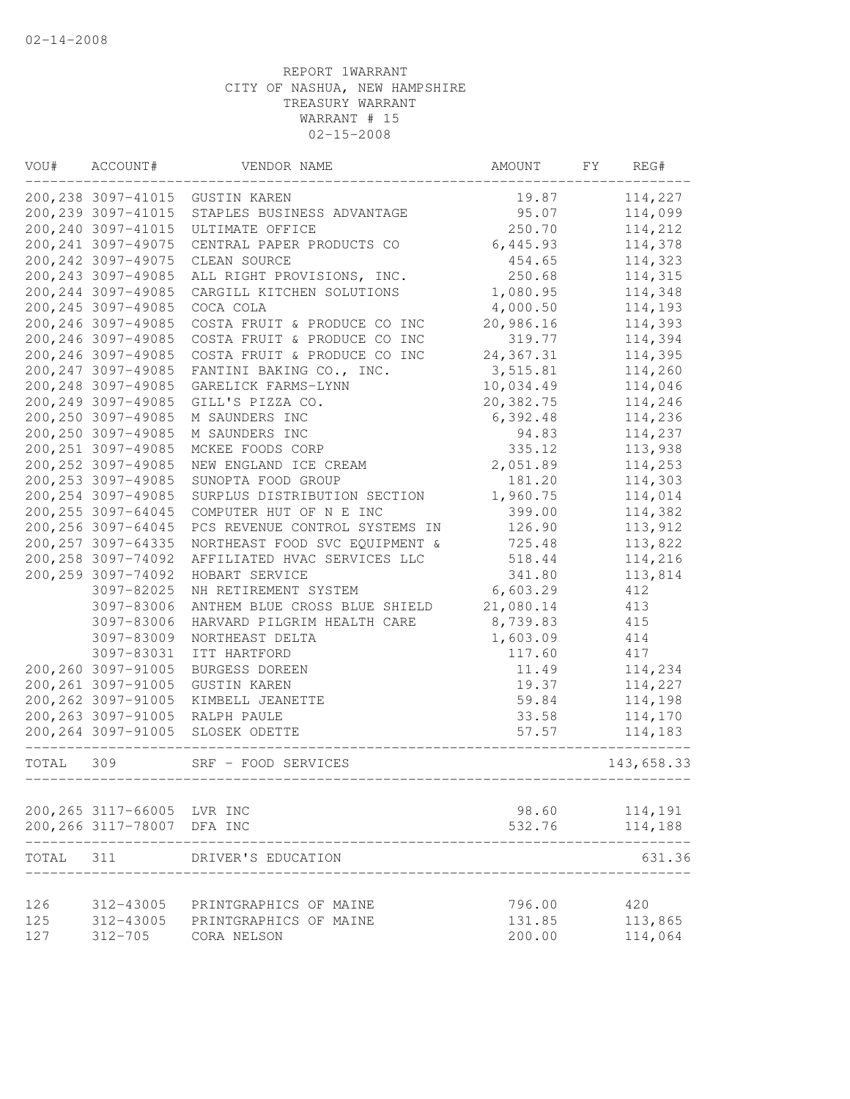| VOU#  | ACCOUNT#                                  | VENDOR NAME                    | AMOUNT          | FΥ | REG#               |
|-------|-------------------------------------------|--------------------------------|-----------------|----|--------------------|
|       | 200, 238 3097-41015                       | <b>GUSTIN KAREN</b>            | 19.87           |    | 114,227            |
|       | 200, 239 3097-41015                       | STAPLES BUSINESS ADVANTAGE     | 95.07           |    | 114,099            |
|       | 200, 240 3097-41015                       | ULTIMATE OFFICE                | 250.70          |    | 114,212            |
|       | 200, 241 3097-49075                       | CENTRAL PAPER PRODUCTS CO      | 6,445.93        |    | 114,378            |
|       | 200, 242 3097-49075                       | CLEAN SOURCE                   | 454.65          |    | 114,323            |
|       | 200, 243 3097-49085                       | ALL RIGHT PROVISIONS, INC.     | 250.68          |    | 114,315            |
|       | 200, 244 3097-49085                       | CARGILL KITCHEN SOLUTIONS      | 1,080.95        |    | 114,348            |
|       | 200, 245 3097-49085                       | COCA COLA                      | 4,000.50        |    | 114,193            |
|       | 200, 246 3097-49085                       | COSTA FRUIT & PRODUCE CO INC   | 20,986.16       |    | 114,393            |
|       | 200, 246 3097-49085                       | COSTA FRUIT & PRODUCE CO INC   | 319.77          |    | 114,394            |
|       | 200, 246 3097-49085                       | COSTA FRUIT & PRODUCE CO INC   | 24,367.31       |    | 114,395            |
|       | 200, 247 3097-49085                       | FANTINI BAKING CO., INC.       | 3,515.81        |    | 114,260            |
|       | 200, 248 3097-49085                       | GARELICK FARMS-LYNN            | 10,034.49       |    | 114,046            |
|       | 200, 249 3097-49085                       | GILL'S PIZZA CO.               | 20,382.75       |    | 114,246            |
|       | 200, 250 3097-49085                       | M SAUNDERS INC                 | 6,392.48        |    | 114,236            |
|       | 200, 250 3097-49085                       | M SAUNDERS INC                 | 94.83           |    | 114,237            |
|       | 200, 251 3097-49085                       | MCKEE FOODS CORP               | 335.12          |    | 113,938            |
|       | 200, 252 3097-49085                       | NEW ENGLAND ICE CREAM          | 2,051.89        |    | 114,253            |
|       | 200, 253 3097-49085                       | SUNOPTA FOOD GROUP             | 181.20          |    | 114,303            |
|       | 200, 254 3097-49085                       | SURPLUS DISTRIBUTION SECTION   | 1,960.75        |    | 114,014            |
|       | 200, 255 3097-64045                       | COMPUTER HUT OF N E INC        | 399.00          |    | 114,382            |
|       | 200, 256 3097-64045                       | PCS REVENUE CONTROL SYSTEMS IN | 126.90          |    | 113,912            |
|       | 200, 257 3097-64335                       | NORTHEAST FOOD SVC EQUIPMENT & | 725.48          |    | 113,822            |
|       | 200, 258 3097-74092                       | AFFILIATED HVAC SERVICES LLC   | 518.44          |    | 114,216            |
|       | 200, 259 3097-74092                       | HOBART SERVICE                 | 341.80          |    | 113,814            |
|       | 3097-82025                                | NH RETIREMENT SYSTEM           | 6,603.29        |    | 412                |
|       | 3097-83006                                | ANTHEM BLUE CROSS BLUE SHIELD  | 21,080.14       |    | 413                |
|       | 3097-83006                                | HARVARD PILGRIM HEALTH CARE    | 8,739.83        |    | 415                |
|       | 3097-83009                                | NORTHEAST DELTA                | 1,603.09        |    | 414                |
|       | 3097-83031                                | ITT HARTFORD                   | 117.60          |    | 417                |
|       | 200,260 3097-91005                        | BURGESS DOREEN                 | 11.49           |    | 114,234            |
|       | 200, 261 3097-91005                       | <b>GUSTIN KAREN</b>            | 19.37           |    | 114,227            |
|       | 200, 262 3097-91005                       | KIMBELL JEANETTE               | 59.84           |    | 114,198            |
|       | 200, 263 3097-91005                       | RALPH PAULE                    | 33.58           |    | 114,170            |
|       | 200, 264 3097-91005                       | SLOSEK ODETTE                  | 57.57           |    | 114,183            |
| TOTAL | 309                                       | SRF - FOOD SERVICES            |                 |    | 143,658.33         |
|       |                                           |                                |                 |    |                    |
|       | 200, 265 3117-66005<br>200,266 3117-78007 | LVR INC<br>DFA INC             | 98.60<br>532.76 |    | 114,191<br>114,188 |
|       |                                           |                                |                 |    |                    |
| TOTAL | 311                                       | DRIVER'S EDUCATION             |                 |    | 631.36             |
| 126   | 312-43005                                 | PRINTGRAPHICS OF MAINE         | 796.00          |    | 420                |
| 125   | 312-43005                                 | PRINTGRAPHICS OF MAINE         | 131.85          |    | 113,865            |
| 127   | $312 - 705$                               | CORA NELSON                    | 200.00          |    | 114,064            |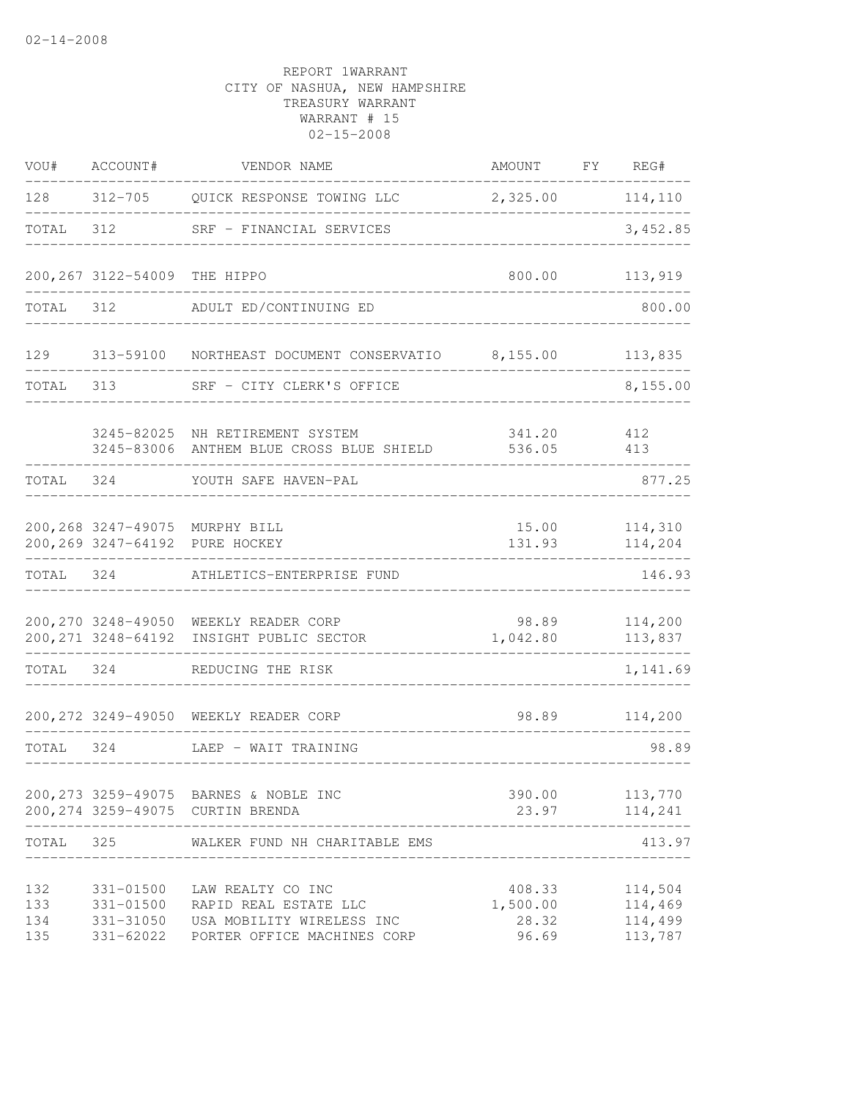| VOU#                     | ACCOUNT#                                         | VENDOR NAME                                                                                            | AMOUNT FY REG#                       |                                          |
|--------------------------|--------------------------------------------------|--------------------------------------------------------------------------------------------------------|--------------------------------------|------------------------------------------|
| 128                      |                                                  | 312-705 QUICK RESPONSE TOWING LLC 2,325.00 114,110                                                     |                                      |                                          |
| TOTAL                    | 312                                              | SRF - FINANCIAL SERVICES                                                                               |                                      | 3,452.85                                 |
|                          | 200,267 3122-54009 THE HIPPO                     |                                                                                                        | 800.00                               | 113,919                                  |
| TOTAL                    | 312                                              | ADULT ED/CONTINUING ED                                                                                 |                                      | 800.00                                   |
|                          |                                                  | 129 313-59100 NORTHEAST DOCUMENT CONSERVATIO 8,155.00                                                  |                                      | 113,835                                  |
| TOTAL                    | 313                                              | SRF - CITY CLERK'S OFFICE                                                                              |                                      | 8,155.00                                 |
|                          | 3245-82025                                       | NH RETIREMENT SYSTEM<br>3245-83006 ANTHEM BLUE CROSS BLUE SHIELD                                       | 341.20<br>536.05                     | 412<br>413                               |
| TOTAL                    |                                                  | 324 YOUTH SAFE HAVEN-PAL                                                                               |                                      | 877.25                                   |
|                          |                                                  | 200,268 3247-49075 MURPHY BILL<br>200,269 3247-64192 PURE HOCKEY                                       | 15.00<br>131.93                      | 114,310<br>114,204                       |
| TOTAL 324                |                                                  | ATHLETICS-ENTERPRISE FUND                                                                              |                                      | 146.93                                   |
|                          |                                                  | 200, 270 3248-49050 WEEKLY READER CORP<br>200, 271 3248-64192 INSIGHT PUBLIC SECTOR                    | 98.89<br>1,042.80                    | 114,200<br>113,837                       |
| TOTAL 324                |                                                  | REDUCING THE RISK                                                                                      |                                      | 1,141.69                                 |
|                          |                                                  | 200, 272 3249-49050 WEEKLY READER CORP                                                                 |                                      | 98.89 114,200                            |
| TOTAL 324                |                                                  | LAEP - WAIT TRAINING                                                                                   |                                      | 98.89                                    |
|                          |                                                  | 200, 273 3259-49075 BARNES & NOBLE INC<br>200, 274 3259-49075 CURTIN BRENDA                            | 390.00<br>23.97                      | 113,770<br>114,241                       |
| TOTAL                    | 325                                              | WALKER FUND NH CHARITABLE EMS                                                                          |                                      | 413.97                                   |
| 132<br>133<br>134<br>135 | 331-01500<br>331-01500<br>331-31050<br>331-62022 | LAW REALTY CO INC<br>RAPID REAL ESTATE LLC<br>USA MOBILITY WIRELESS INC<br>PORTER OFFICE MACHINES CORP | 408.33<br>1,500.00<br>28.32<br>96.69 | 114,504<br>114,469<br>114,499<br>113,787 |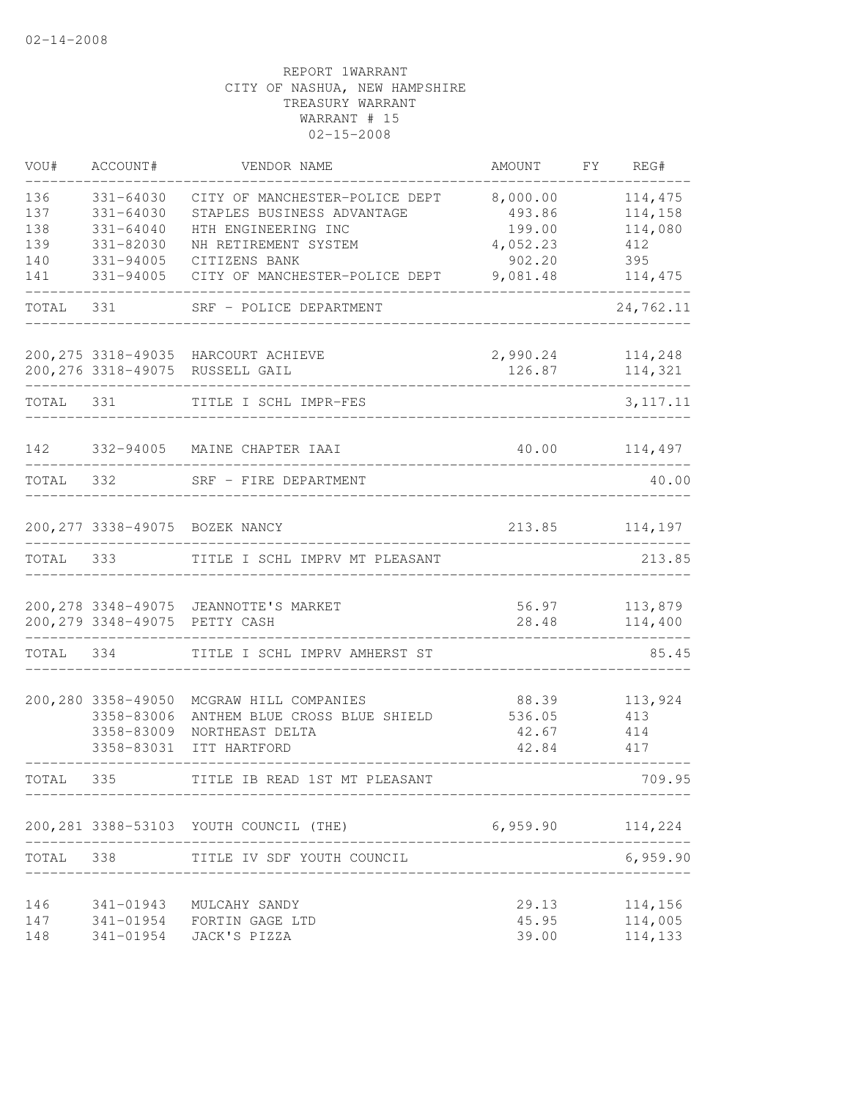| VOU#              | ACCOUNT#                                                     | VENDOR NAME                                                                               | AMOUNT                            | FY | REG#                          |
|-------------------|--------------------------------------------------------------|-------------------------------------------------------------------------------------------|-----------------------------------|----|-------------------------------|
| 136<br>137<br>138 | $331 - 64030$<br>$331 - 64030$<br>$331 - 64040$              | CITY OF MANCHESTER-POLICE DEPT<br>STAPLES BUSINESS ADVANTAGE<br>HTH ENGINEERING INC       | 8,000.00<br>493.86<br>199.00      |    | 114,475<br>114,158<br>114,080 |
| 139<br>140        | 331-82030<br>331-94005                                       | NH RETIREMENT SYSTEM<br>CITIZENS BANK                                                     | 4,052.23<br>902.20                |    | 412<br>395                    |
| 141               | 331-94005                                                    | CITY OF MANCHESTER-POLICE DEPT                                                            | 9,081.48                          |    | 114,475                       |
| TOTAL             | 331                                                          | SRF - POLICE DEPARTMENT                                                                   |                                   |    | 24,762.11                     |
|                   |                                                              | 200, 275 3318-49035 HARCOURT ACHIEVE<br>200,276 3318-49075 RUSSELL GAIL                   | 2,990.24<br>126.87                |    | 114,248<br>114,321            |
| TOTAL             | 331                                                          | TITLE I SCHL IMPR-FES                                                                     |                                   |    | 3, 117. 11                    |
| 142               |                                                              | 332-94005 MAINE CHAPTER IAAI                                                              | 40.00                             |    | 114,497                       |
| TOTAL             | 332                                                          | SRF - FIRE DEPARTMENT                                                                     |                                   |    | 40.00                         |
|                   |                                                              | 200, 277 3338-49075 BOZEK NANCY                                                           | 213.85                            |    | 114,197                       |
| TOTAL             | 333                                                          | TITLE I SCHL IMPRV MT PLEASANT                                                            |                                   |    | 213.85                        |
|                   |                                                              | 200, 278 3348-49075 JEANNOTTE'S MARKET<br>200,279 3348-49075 PETTY CASH                   | 56.97<br>28.48                    |    | 113,879<br>114,400            |
| TOTAL             | 334                                                          | TITLE I SCHL IMPRV AMHERST ST                                                             |                                   |    | 85.45                         |
|                   | 200,280 3358-49050<br>3358-83006<br>3358-83009<br>3358-83031 | MCGRAW HILL COMPANIES<br>ANTHEM BLUE CROSS BLUE SHIELD<br>NORTHEAST DELTA<br>ITT HARTFORD | 88.39<br>536.05<br>42.67<br>42.84 |    | 113,924<br>413<br>414<br>417  |
| TOTAL             | 335                                                          | TITLE IB READ 1ST MT PLEASANT                                                             |                                   |    | 709.95                        |
|                   |                                                              | 200, 281 3388-53103 YOUTH COUNCIL (THE)                                                   | 6,959.90                          |    | 114,224                       |
| TOTAL 338         |                                                              | TITLE IV SDF YOUTH COUNCIL                                                                | _____________________________     |    | 6,959.90                      |
| 146<br>147<br>148 | 341-01943<br>341-01954                                       | MULCAHY SANDY<br>341-01954 FORTIN GAGE LTD<br>JACK'S PIZZA                                | 29.13<br>45.95<br>39.00           |    | 114,156<br>114,005<br>114,133 |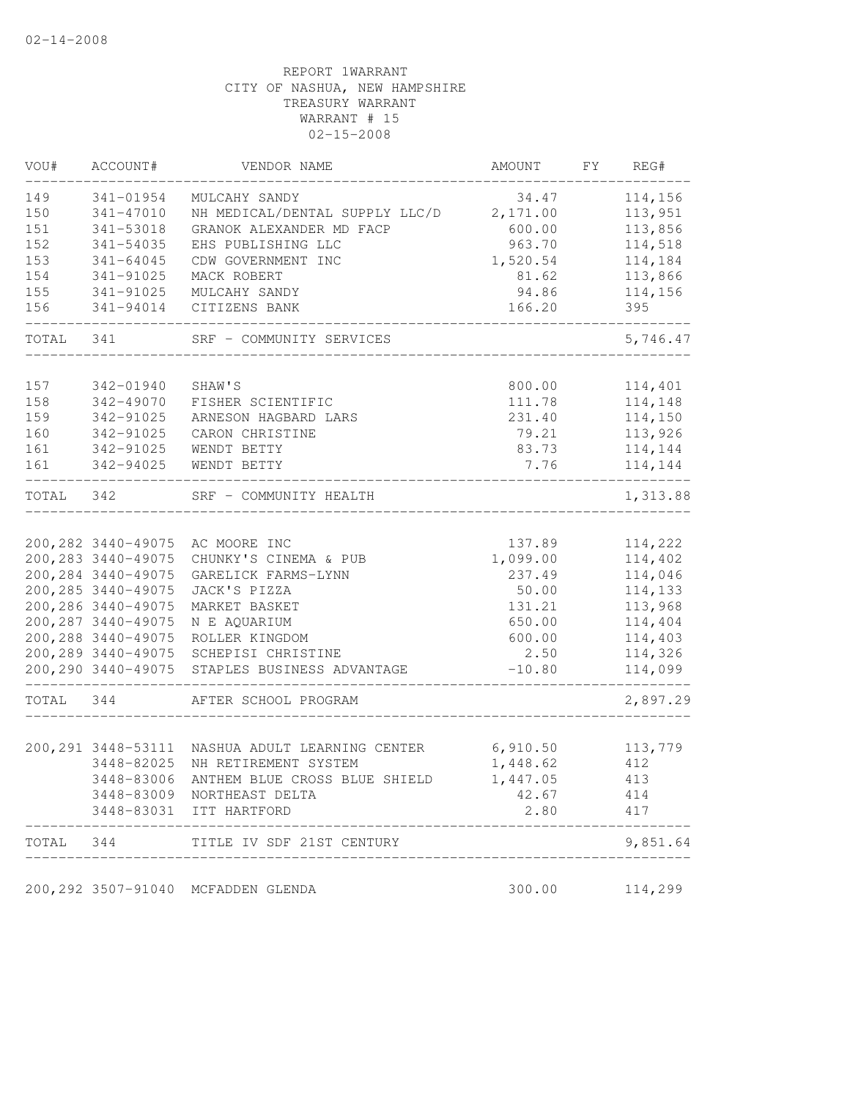| VOU#      | ACCOUNT#               | VENDOR NAME                                      | AMOUNT   | FY. | REG#     |
|-----------|------------------------|--------------------------------------------------|----------|-----|----------|
| 149       | 341-01954              | MULCAHY SANDY                                    | 34.47    |     | 114,156  |
| 150       | $341 - 47010$          | NH MEDICAL/DENTAL SUPPLY LLC/D                   | 2,171.00 |     | 113,951  |
| 151       | 341-53018              | GRANOK ALEXANDER MD FACP                         | 600.00   |     | 113,856  |
| 152       | 341-54035              | EHS PUBLISHING LLC                               | 963.70   |     | 114,518  |
| 153       | $341 - 64045$          | CDW GOVERNMENT INC                               | 1,520.54 |     | 114,184  |
| 154       | 341-91025              | MACK ROBERT                                      | 81.62    |     | 113,866  |
| 155       | 341-91025              | MULCAHY SANDY                                    | 94.86    |     | 114,156  |
| 156       | 341-94014              | CITIZENS BANK                                    | 166.20   |     | 395      |
| TOTAL     | 341                    | SRF - COMMUNITY SERVICES                         |          |     | 5,746.47 |
| 157       |                        | SHAW'S                                           |          |     |          |
| 158       | 342-01940<br>342-49070 |                                                  | 800.00   |     | 114,401  |
|           |                        | FISHER SCIENTIFIC                                | 111.78   |     | 114,148  |
| 159       | 342-91025              | ARNESON HAGBARD LARS                             | 231.40   |     | 114,150  |
| 160       | 342-91025              | CARON CHRISTINE                                  | 79.21    |     | 113,926  |
| 161       | 342-91025              | WENDT BETTY                                      | 83.73    |     | 114,144  |
| 161       | 342-94025              | WENDT BETTY                                      | 7.76     |     | 114,144  |
| TOTAL     | 342                    | SRF - COMMUNITY HEALTH                           |          |     | 1,313.88 |
|           |                        |                                                  |          |     |          |
|           | 200,282 3440-49075     | AC MOORE INC                                     | 137.89   |     | 114,222  |
|           | 200, 283 3440-49075    | CHUNKY'S CINEMA & PUB                            | 1,099.00 |     | 114,402  |
|           | 200, 284 3440-49075    | GARELICK FARMS-LYNN                              | 237.49   |     | 114,046  |
|           | 200, 285 3440-49075    | JACK'S PIZZA                                     | 50.00    |     | 114,133  |
|           | 200, 286 3440-49075    | MARKET BASKET                                    | 131.21   |     | 113,968  |
|           | 200, 287 3440-49075    | N E AQUARIUM                                     | 650.00   |     | 114,404  |
|           | 200,288 3440-49075     | ROLLER KINGDOM                                   | 600.00   |     | 114,403  |
|           | 200, 289 3440-49075    | SCHEPISI CHRISTINE                               | 2.50     |     | 114,326  |
|           | 200, 290 3440-49075    | STAPLES BUSINESS ADVANTAGE                       | $-10.80$ |     | 114,099  |
| TOTAL     | 344                    | AFTER SCHOOL PROGRAM                             |          |     | 2,897.29 |
|           |                        |                                                  |          |     |          |
|           |                        | 200, 291 3448-53111 NASHUA ADULT LEARNING CENTER | 6,910.50 |     | 113,779  |
|           | 3448-82025             | NH RETIREMENT SYSTEM                             | 1,448.62 |     | 412      |
|           | 3448-83006             | ANTHEM BLUE CROSS BLUE SHIELD                    | 1,447.05 |     | 413      |
|           |                        | 3448-83009 NORTHEAST DELTA                       | 42.67    |     | 414      |
|           |                        | 3448-83031 ITT HARTFORD                          | 2.80     |     | 417      |
| TOTAL 344 |                        | TITLE IV SDF 21ST CENTURY                        |          |     | 9,851.64 |
|           |                        |                                                  |          |     |          |
|           |                        | 200,292 3507-91040 MCFADDEN GLENDA               | 300.00   |     | 114,299  |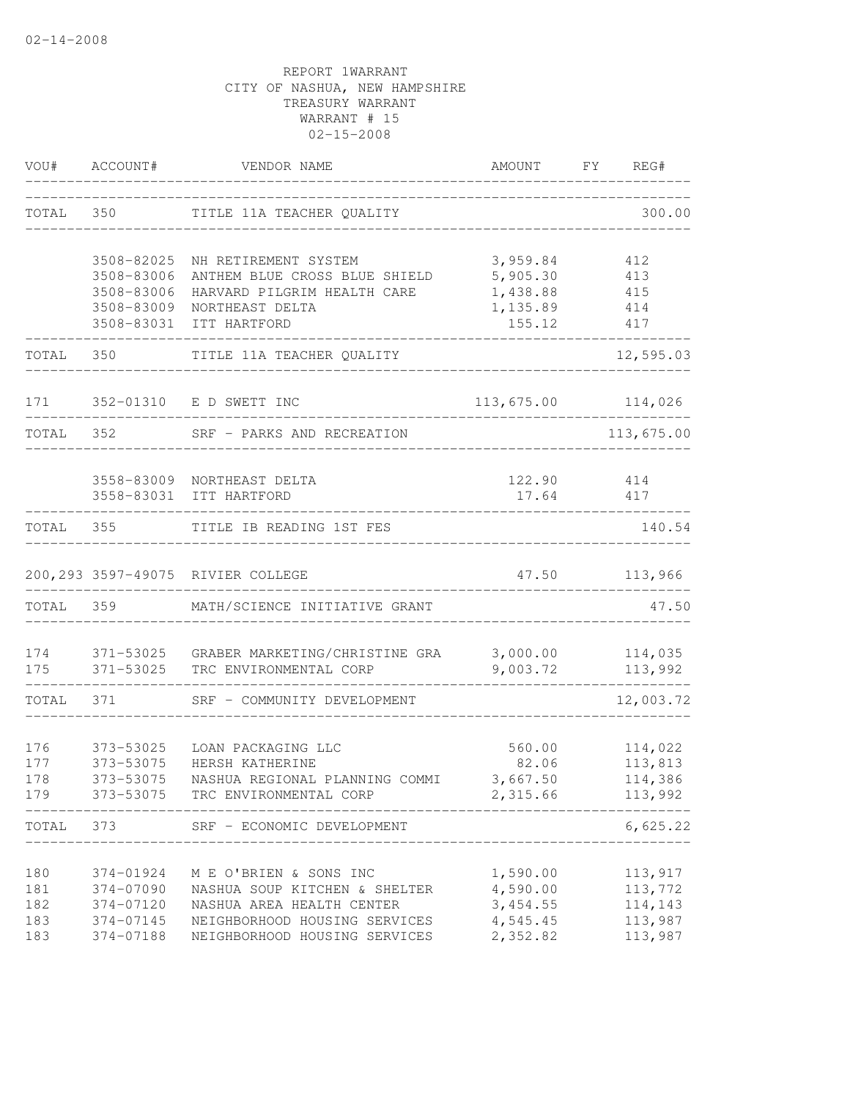| VOU#       | ACCOUNT#               | VENDOR NAME                                                       |                                      | AMOUNT FY REG#     |
|------------|------------------------|-------------------------------------------------------------------|--------------------------------------|--------------------|
| TOTAL      |                        | TITLE 11A TEACHER QUALITY                                         | ____________________________         | 300.00             |
|            | 3508-82025             | NH RETIREMENT SYSTEM                                              | 3,959.84                             | 412                |
|            | 3508-83006             | ANTHEM BLUE CROSS BLUE SHIELD                                     | 5,905.30                             | 413                |
|            | 3508-83006             | HARVARD PILGRIM HEALTH CARE                                       | 1,438.88                             | 415                |
|            | 3508-83009             | NORTHEAST DELTA                                                   | 1,135.89                             | 414                |
|            | 3508-83031             | ITT HARTFORD                                                      | 155.12                               | 417                |
| TOTAL 350  |                        | TITLE 11A TEACHER QUALITY                                         |                                      | 12,595.03          |
|            |                        | 171 352-01310 E D SWETT INC                                       |                                      | 113,675.00 114,026 |
| TOTAL 352  |                        | SRF - PARKS AND RECREATION                                        |                                      | 113,675.00         |
|            |                        |                                                                   |                                      |                    |
|            |                        | 3558-83009 NORTHEAST DELTA                                        |                                      | 122.90 414         |
|            |                        | 3558-83031 ITT HARTFORD                                           | 17.64<br>--------------------------- | 417                |
| TOTAL 355  |                        | TITLE IB READING 1ST FES                                          |                                      | 140.54             |
|            |                        | 200, 293 3597-49075 RIVIER COLLEGE                                |                                      | 47.50 113,966      |
| TOTAL 359  |                        | MATH/SCIENCE INITIATIVE GRANT                                     |                                      | 47.50              |
| 174<br>175 | 371-53025<br>371-53025 | GRABER MARKETING/CHRISTINE GRA 3,000.00<br>TRC ENVIRONMENTAL CORP | 9,003.72                             | 114,035<br>113,992 |
| TOTAL      | 371                    | SRF - COMMUNITY DEVELOPMENT                                       |                                      | 12,003.72          |
|            |                        |                                                                   |                                      |                    |
| 176        | 373-53025              | LOAN PACKAGING LLC                                                | 560.00                               | 114,022            |
| 177        | 373-53075              | HERSH KATHERINE                                                   | 82.06                                | 113,813            |
| 178        | 373-53075              | NASHUA REGIONAL PLANNING COMMI                                    | 3,667.50                             | 114,386            |
| 179        | 373-53075              | TRC ENVIRONMENTAL CORP                                            | 2,315.66<br>_____________            | 113,992            |
| TOTAL      | 373                    | SRF - ECONOMIC DEVELOPMENT                                        |                                      | 6,625.22           |
| 180        | 374-01924              | M E O'BRIEN & SONS INC                                            | 1,590.00                             | 113,917            |
| 181        | 374-07090              | NASHUA SOUP KITCHEN & SHELTER                                     | 4,590.00                             | 113,772            |
| 182        | 374-07120              | NASHUA AREA HEALTH CENTER                                         | 3,454.55                             | 114,143            |
| 183        | 374-07145              | NEIGHBORHOOD HOUSING SERVICES                                     | 4,545.45                             | 113,987            |
| 183        | 374-07188              | NEIGHBORHOOD HOUSING SERVICES                                     | 2,352.82                             | 113,987            |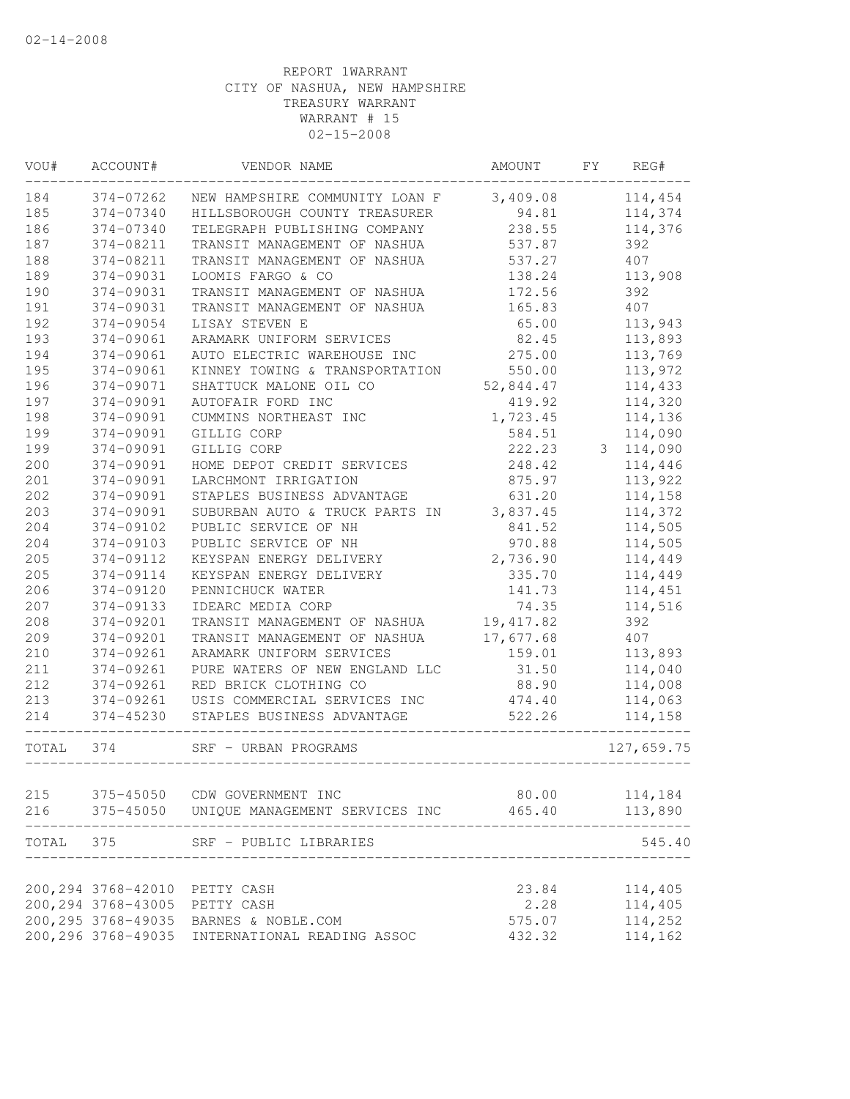| VOU#  | ACCOUNT#            | VENDOR NAME                                       | AMOUNT     | FY | REG#       |
|-------|---------------------|---------------------------------------------------|------------|----|------------|
| 184   | 374-07262           | NEW HAMPSHIRE COMMUNITY LOAN F                    | 3,409.08   |    | 114,454    |
| 185   | 374-07340           | HILLSBOROUGH COUNTY TREASURER                     | 94.81      |    | 114,374    |
| 186   | 374-07340           | TELEGRAPH PUBLISHING COMPANY                      | 238.55     |    | 114,376    |
| 187   | 374-08211           | TRANSIT MANAGEMENT OF NASHUA                      | 537.87     |    | 392        |
| 188   | 374-08211           | TRANSIT MANAGEMENT OF NASHUA                      | 537.27     |    | 407        |
| 189   | 374-09031           | LOOMIS FARGO & CO                                 | 138.24     |    | 113,908    |
| 190   | 374-09031           | TRANSIT MANAGEMENT OF NASHUA                      | 172.56     |    | 392        |
| 191   | 374-09031           | TRANSIT MANAGEMENT OF NASHUA                      | 165.83     |    | 407        |
| 192   | 374-09054           | LISAY STEVEN E                                    | 65.00      |    | 113,943    |
| 193   | 374-09061           | ARAMARK UNIFORM SERVICES                          | 82.45      |    | 113,893    |
| 194   | 374-09061           | AUTO ELECTRIC WAREHOUSE INC                       | 275.00     |    | 113,769    |
| 195   | 374-09061           | KINNEY TOWING & TRANSPORTATION                    | 550.00     |    | 113,972    |
| 196   | 374-09071           | SHATTUCK MALONE OIL CO                            | 52,844.47  |    | 114,433    |
| 197   | 374-09091           | AUTOFAIR FORD INC                                 | 419.92     |    | 114,320    |
| 198   | 374-09091           | CUMMINS NORTHEAST INC                             | 1,723.45   |    | 114,136    |
| 199   | 374-09091           | GILLIG CORP                                       | 584.51     |    | 114,090    |
| 199   | 374-09091           | GILLIG CORP                                       | 222.23     | 3  | 114,090    |
| 200   | 374-09091           | HOME DEPOT CREDIT SERVICES                        | 248.42     |    | 114,446    |
| 201   | 374-09091           | LARCHMONT IRRIGATION                              | 875.97     |    | 113,922    |
| 202   | 374-09091           | STAPLES BUSINESS ADVANTAGE                        | 631.20     |    | 114,158    |
| 203   | 374-09091           | SUBURBAN AUTO & TRUCK PARTS IN                    | 3,837.45   |    | 114,372    |
| 204   | 374-09102           | PUBLIC SERVICE OF NH                              | 841.52     |    | 114,505    |
| 204   | 374-09103           | PUBLIC SERVICE OF NH                              | 970.88     |    | 114,505    |
| 205   | 374-09112           | KEYSPAN ENERGY DELIVERY                           | 2,736.90   |    | 114,449    |
| 205   | 374-09114           | KEYSPAN ENERGY DELIVERY                           | 335.70     |    | 114,449    |
| 206   | 374-09120           | PENNICHUCK WATER                                  | 141.73     |    | 114,451    |
| 207   | 374-09133           | IDEARC MEDIA CORP                                 | 74.35      |    | 114,516    |
| 208   | 374-09201           | TRANSIT MANAGEMENT OF NASHUA                      | 19, 417.82 |    | 392        |
| 209   | 374-09201           | TRANSIT MANAGEMENT OF NASHUA                      | 17,677.68  |    | 407        |
| 210   | 374-09261           | ARAMARK UNIFORM SERVICES                          | 159.01     |    | 113,893    |
| 211   | 374-09261           | PURE WATERS OF NEW ENGLAND LLC                    | 31.50      |    | 114,040    |
| 212   | 374-09261           | RED BRICK CLOTHING CO                             | 88.90      |    | 114,008    |
| 213   | 374-09261           | USIS COMMERCIAL SERVICES INC                      | 474.40     |    | 114,063    |
| 214   | 374-45230           | STAPLES BUSINESS ADVANTAGE                        | 522.26     |    | 114,158    |
| TOTAL | 374                 | SRF - URBAN PROGRAMS                              |            |    | 127,659.75 |
|       |                     |                                                   |            |    |            |
| 215   | 375-45050           | CDW GOVERNMENT INC                                | 80.00      |    | 114,184    |
| 216   | 375-45050           | UNIQUE MANAGEMENT SERVICES INC                    | 465.40     |    | 113,890    |
| TOTAL | 375                 | SRF - PUBLIC LIBRARIES                            |            |    | 545.40     |
|       |                     |                                                   |            |    |            |
|       | 200, 294 3768-42010 | PETTY CASH                                        | 23.84      |    | 114,405    |
|       | 200, 294 3768-43005 | PETTY CASH                                        | 2.28       |    | 114,405    |
|       | 200, 295 3768-49035 | BARNES & NOBLE.COM<br>INTERNATIONAL READING ASSOC | 575.07     |    | 114,252    |
|       | 200,296 3768-49035  |                                                   | 432.32     |    | 114,162    |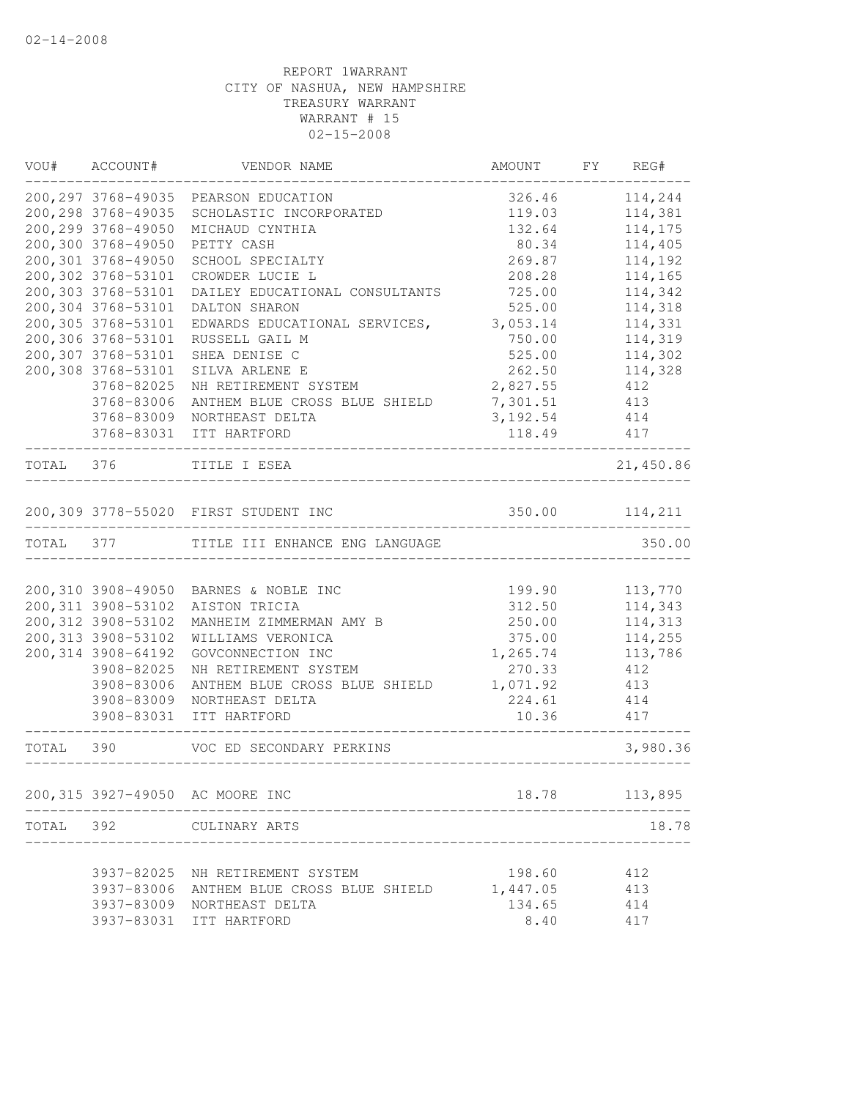| VOU#      | ACCOUNT#            | VENDOR NAME                              | AMOUNT           | FY | REG#               |
|-----------|---------------------|------------------------------------------|------------------|----|--------------------|
|           |                     | 200, 297 3768-49035 PEARSON EDUCATION    | 326.46           |    | 114,244            |
|           | 200, 298 3768-49035 | SCHOLASTIC INCORPORATED                  | 119.03           |    | 114,381            |
|           | 200, 299 3768-49050 | MICHAUD CYNTHIA                          | 132.64           |    | 114,175            |
|           | 200,300 3768-49050  | PETTY CASH                               | 80.34            |    | 114,405            |
|           | 200,301 3768-49050  | SCHOOL SPECIALTY                         | 269.87           |    | 114,192            |
|           | 200,302 3768-53101  | CROWDER LUCIE L                          | 208.28           |    | 114,165            |
|           | 200,303 3768-53101  | DAILEY EDUCATIONAL CONSULTANTS           | 725.00           |    | 114,342            |
|           | 200,304 3768-53101  | DALTON SHARON                            | 525.00           |    | 114,318            |
|           | 200,305 3768-53101  | EDWARDS EDUCATIONAL SERVICES,            | 3,053.14         |    | 114,331            |
|           | 200,306 3768-53101  | RUSSELL GAIL M                           | 750.00           |    | 114,319            |
|           | 200,307 3768-53101  | SHEA DENISE C                            | 525.00           |    | 114,302            |
|           | 200,308 3768-53101  | SILVA ARLENE E                           | 262.50           |    | 114,328            |
|           | 3768-82025          | NH RETIREMENT SYSTEM                     | 2,827.55         |    | 412                |
|           | 3768-83006          | ANTHEM BLUE CROSS BLUE SHIELD            | 7,301.51         |    | 413                |
|           | 3768-83009          | NORTHEAST DELTA                          | 3,192.54         |    | 414                |
|           | 3768-83031          | ITT HARTFORD                             | 118.49           |    | 417                |
| TOTAL     | 376                 | TITLE I ESEA                             |                  |    | 21,450.86          |
|           |                     |                                          |                  |    |                    |
|           |                     | 200,309 3778-55020 FIRST STUDENT INC     | 350.00           |    | 114,211            |
| TOTAL 377 |                     | TITLE III ENHANCE ENG LANGUAGE           |                  |    | 350.00             |
|           |                     |                                          |                  |    |                    |
|           | 200, 311 3908-53102 | 200,310 3908-49050 BARNES & NOBLE INC    | 199.90           |    | 113,770<br>114,343 |
|           | 200, 312 3908-53102 | AISTON TRICIA<br>MANHEIM ZIMMERMAN AMY B | 312.50<br>250.00 |    | 114,313            |
|           | 200, 313 3908-53102 | WILLIAMS VERONICA                        | 375.00           |    | 114,255            |
|           | 200,314 3908-64192  | GOVCONNECTION INC                        | 1,265.74         |    | 113,786            |
|           | 3908-82025          | NH RETIREMENT SYSTEM                     | 270.33           |    | 412                |
|           | 3908-83006          | ANTHEM BLUE CROSS BLUE SHIELD            | 1,071.92         |    | 413                |
|           | 3908-83009          | NORTHEAST DELTA                          | 224.61           |    | 414                |
|           | 3908-83031          | ITT HARTFORD                             | 10.36            |    | 417                |
| TOTAL     | 390                 | VOC ED SECONDARY PERKINS                 |                  |    | 3,980.36           |
|           |                     |                                          |                  |    |                    |
|           |                     | 200,315 3927-49050 AC MOORE INC          | 18.78            |    | 113,895            |
| TOTAL     | 392                 | CULINARY ARTS                            |                  |    | 18.78              |
|           |                     |                                          |                  |    |                    |
|           | 3937-82025          | NH RETIREMENT SYSTEM                     | 198.60           |    | 412                |
|           | 3937-83006          | ANTHEM BLUE CROSS BLUE SHIELD            | 1,447.05         |    | 413                |
|           |                     | 3937-83009 NORTHEAST DELTA               | 134.65           |    | 414                |
|           | 3937-83031          | ITT HARTFORD                             | 8.40             |    | 417                |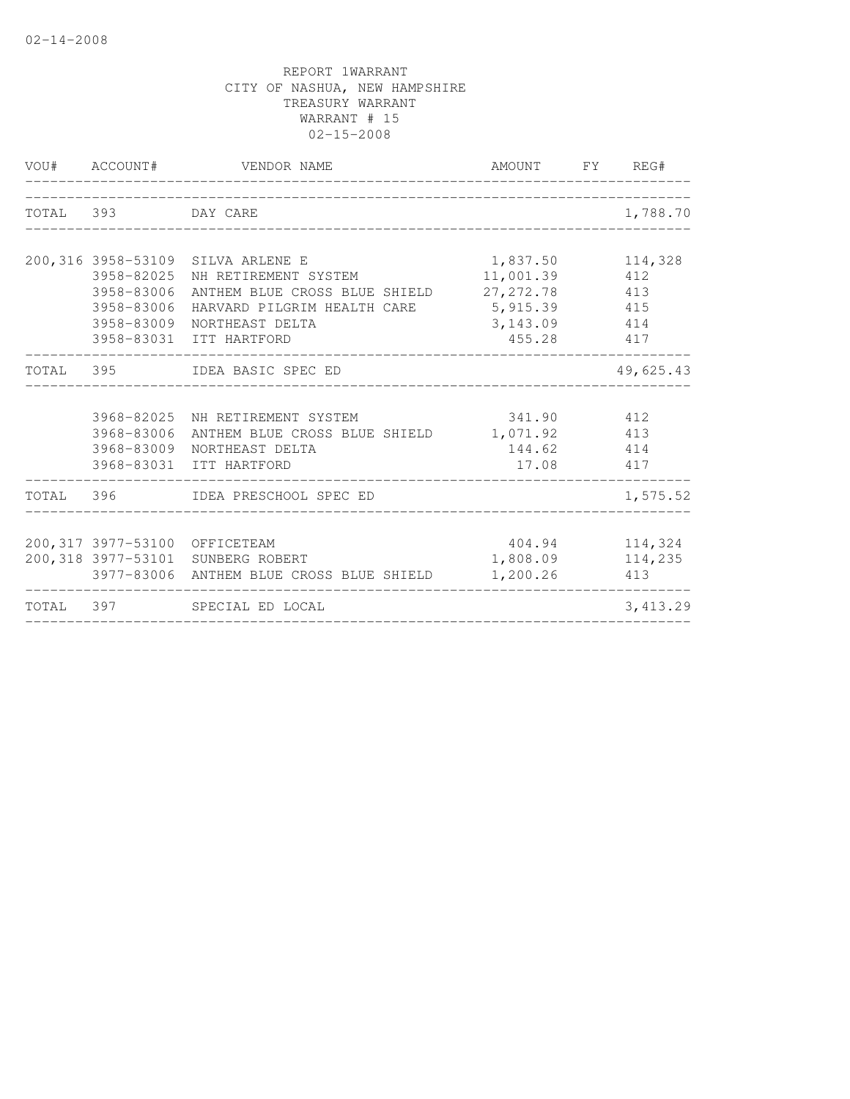| VOU# ACCOUNT#                          | VENDOR NAME                                                                                                                                                                                       | AMOUNT FY REG#                                                |                                  |
|----------------------------------------|---------------------------------------------------------------------------------------------------------------------------------------------------------------------------------------------------|---------------------------------------------------------------|----------------------------------|
| TOTAL 393 DAY CARE                     |                                                                                                                                                                                                   |                                                               | 1,788.70                         |
| 3958-82025<br>3958-83006<br>3958-83006 | 200,316 3958-53109 SILVA ARLENE E<br>NH RETIREMENT SYSTEM<br>ANTHEM BLUE CROSS BLUE SHIELD 27, 272.78 413<br>HARVARD PILGRIM HEALTH CARE<br>3958-83009 NORTHEAST DELTA<br>3958-83031 ITT HARTFORD | 1,837.50<br>11,001.39<br>5, 915.39<br>3, 143.09 414<br>455.28 | 114,328<br>412<br>415<br>417     |
|                                        | TOTAL 395 IDEA BASIC SPEC ED                                                                                                                                                                      | ______________________________________                        | 49,625.43                        |
|                                        | 3968-82025 NH RETIREMENT SYSTEM<br>3968-83006 ANTHEM BLUE CROSS BLUE SHIELD 1,071.92 413<br>3968-83009 NORTHEAST DELTA<br>3968-83031 ITT HARTFORD                                                 | 341.90 412<br>144.62 414<br>17.08 417                         |                                  |
|                                        | TOTAL 396 IDEA PRESCHOOL SPEC ED                                                                                                                                                                  |                                                               | 1,575.52                         |
|                                        | 200,317 3977-53100 OFFICETEAM<br>200,318 3977-53101 SUNBERG ROBERT<br>3977-83006 ANTHEM BLUE CROSS BLUE SHIELD                                                                                    | 1,808.09<br>1,200.26                                          | 404.94 114,324<br>114,235<br>413 |
|                                        | TOTAL 397 SPECIAL ED LOCAL                                                                                                                                                                        |                                                               | 3,413.29                         |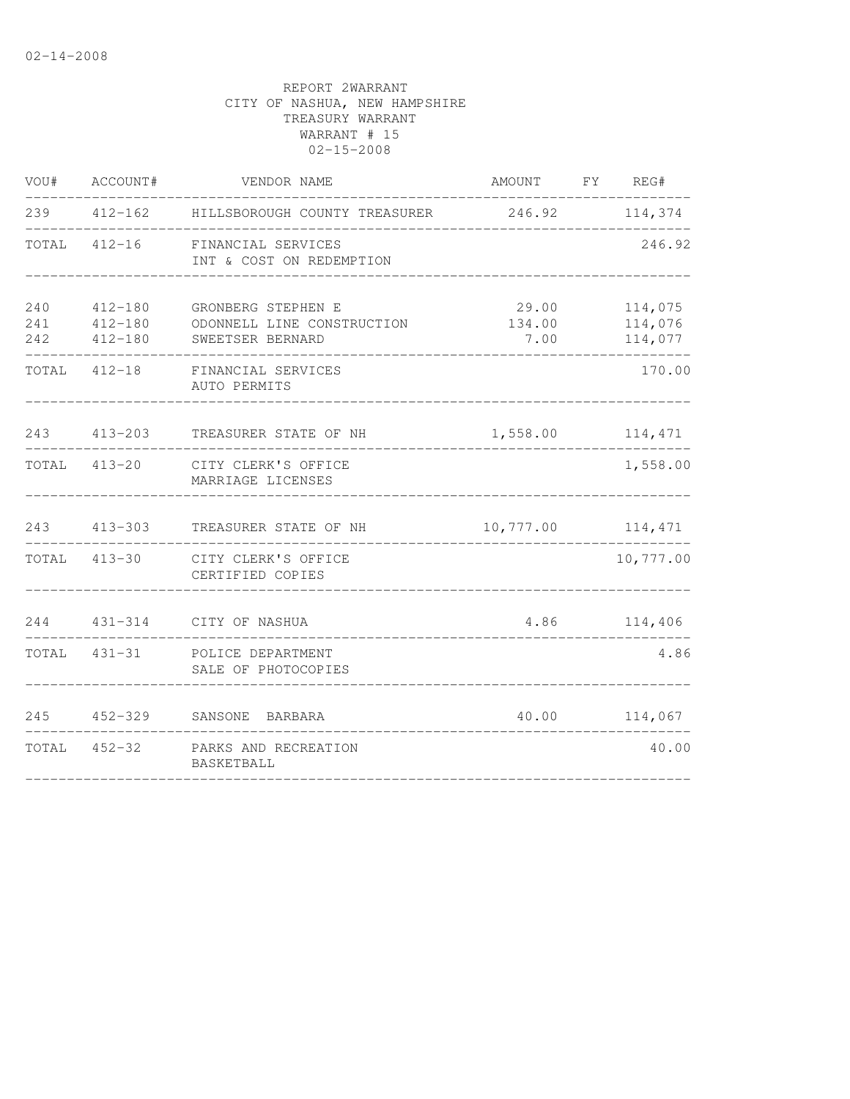|                   | VOU# ACCOUNT#                         | VENDOR NAME                                                          | AMOUNT FY REG#          |                               |
|-------------------|---------------------------------------|----------------------------------------------------------------------|-------------------------|-------------------------------|
|                   |                                       |                                                                      |                         |                               |
|                   | TOTAL 412-16                          | FINANCIAL SERVICES<br>INT & COST ON REDEMPTION                       |                         | 246.92                        |
| 240<br>241<br>242 | 412-180<br>$412 - 180$<br>$412 - 180$ | GRONBERG STEPHEN E<br>ODONNELL LINE CONSTRUCTION<br>SWEETSER BERNARD | 29.00<br>134.00<br>7.00 | 114,075<br>114,076<br>114,077 |
|                   |                                       | TOTAL 412-18 FINANCIAL SERVICES<br>AUTO PERMITS                      |                         | 170.00                        |
| 243               | 413-203                               | TREASURER STATE OF NH                                                | 1,558.00 114,471        |                               |
|                   | TOTAL 413-20                          | CITY CLERK'S OFFICE<br>MARRIAGE LICENSES                             |                         | 1,558.00                      |
|                   | 243 413-303                           | TREASURER STATE OF NH                                                | 10,777.00 114,471       |                               |
|                   | TOTAL 413-30                          | CITY CLERK'S OFFICE<br>CERTIFIED COPIES                              |                         | 10,777.00                     |
|                   |                                       | 244 431-314 CITY OF NASHUA                                           |                         | 4.86 114,406                  |
|                   |                                       | TOTAL 431-31 POLICE DEPARTMENT<br>SALE OF PHOTOCOPIES                |                         | 4.86                          |
| 245               | $452 - 329$                           | SANSONE BARBARA                                                      |                         | 40.00 114,067                 |
|                   |                                       | TOTAL 452-32 PARKS AND RECREATION<br>BASKETBALL                      |                         | 40.00                         |
|                   |                                       |                                                                      |                         |                               |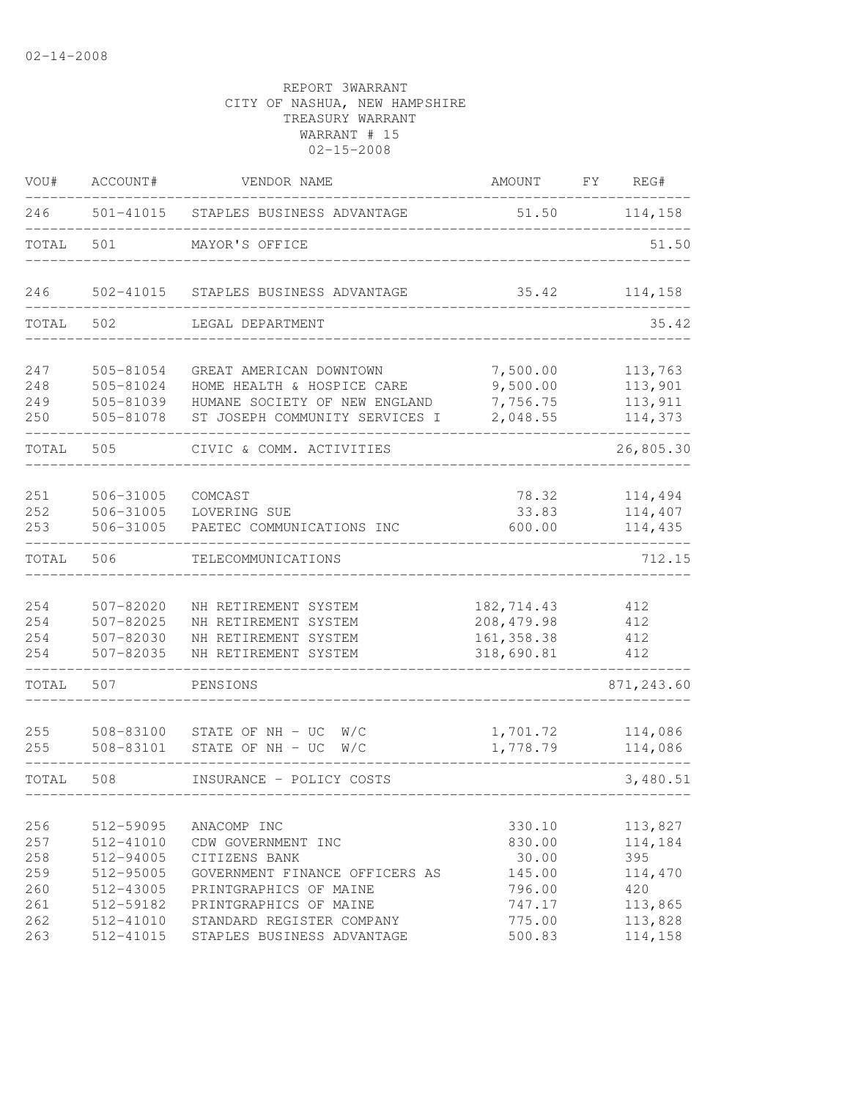| VOU#                     | ACCOUNT#                                         | VENDOR NAME                                                                                                              | AMOUNT                                                 | FY | REG#                                     |
|--------------------------|--------------------------------------------------|--------------------------------------------------------------------------------------------------------------------------|--------------------------------------------------------|----|------------------------------------------|
| 246                      |                                                  | 501-41015 STAPLES BUSINESS ADVANTAGE                                                                                     | 51.50                                                  |    | 114,158                                  |
| TOTAL                    | 501                                              | MAYOR'S OFFICE                                                                                                           |                                                        |    | 51.50                                    |
| 246                      | 502-41015                                        | STAPLES BUSINESS ADVANTAGE                                                                                               | 35.42                                                  |    | 114,158                                  |
| TOTAL                    | 502                                              | LEGAL DEPARTMENT                                                                                                         |                                                        |    | 35.42                                    |
| 247<br>248<br>249<br>250 | 505-81054<br>505-81024<br>505-81039<br>505-81078 | GREAT AMERICAN DOWNTOWN<br>HOME HEALTH & HOSPICE CARE<br>HUMANE SOCIETY OF NEW ENGLAND<br>ST JOSEPH COMMUNITY SERVICES I | 7,500.00<br>9,500.00<br>7,756.75<br>2,048.55           |    | 113,763<br>113,901<br>113,911<br>114,373 |
| TOTAL                    | 505                                              | CIVIC & COMM. ACTIVITIES                                                                                                 |                                                        |    | 26,805.30                                |
| 251<br>252<br>253        | 506-31005<br>506-31005<br>506-31005              | COMCAST<br>LOVERING SUE<br>PAETEC COMMUNICATIONS INC                                                                     | 78.32<br>33.83<br>600.00                               |    | 114,494<br>114,407<br>114,435            |
| TOTAL                    | 506                                              | TELECOMMUNICATIONS                                                                                                       |                                                        |    | 712.15                                   |
| 254<br>254<br>254<br>254 | 507-82020<br>507-82025<br>507-82030<br>507-82035 | NH RETIREMENT SYSTEM<br>NH RETIREMENT SYSTEM<br>NH RETIREMENT SYSTEM<br>NH RETIREMENT SYSTEM                             | 182,714.43<br>208, 479.98<br>161, 358.38<br>318,690.81 |    | 412<br>412<br>412<br>412                 |
| TOTAL                    | 507                                              | PENSIONS                                                                                                                 |                                                        |    | 871, 243.60                              |
| 255<br>255               | 508-83100<br>508-83101                           | STATE OF NH - UC<br>W/C<br>STATE OF NH - UC<br>W/C                                                                       | 1,701.72<br>1,778.79                                   |    | 114,086<br>114,086                       |
| TOTAL                    | 508                                              | INSURANCE - POLICY COSTS                                                                                                 |                                                        |    | 3,480.51                                 |
| 256<br>257<br>258<br>259 | 512-59095<br>512-41010<br>512-94005<br>512-95005 | ANACOMP INC<br>CDW GOVERNMENT INC<br>CITIZENS BANK<br>GOVERNMENT FINANCE OFFICERS AS                                     | 330.10<br>830.00<br>30.00<br>145.00                    |    | 113,827<br>114,184<br>395<br>114,470     |
| 260<br>261<br>262<br>263 | 512-43005<br>512-59182<br>512-41010<br>512-41015 | PRINTGRAPHICS OF MAINE<br>PRINTGRAPHICS OF MAINE<br>STANDARD REGISTER COMPANY<br>STAPLES BUSINESS ADVANTAGE              | 796.00<br>747.17<br>775.00<br>500.83                   |    | 420<br>113,865<br>113,828<br>114,158     |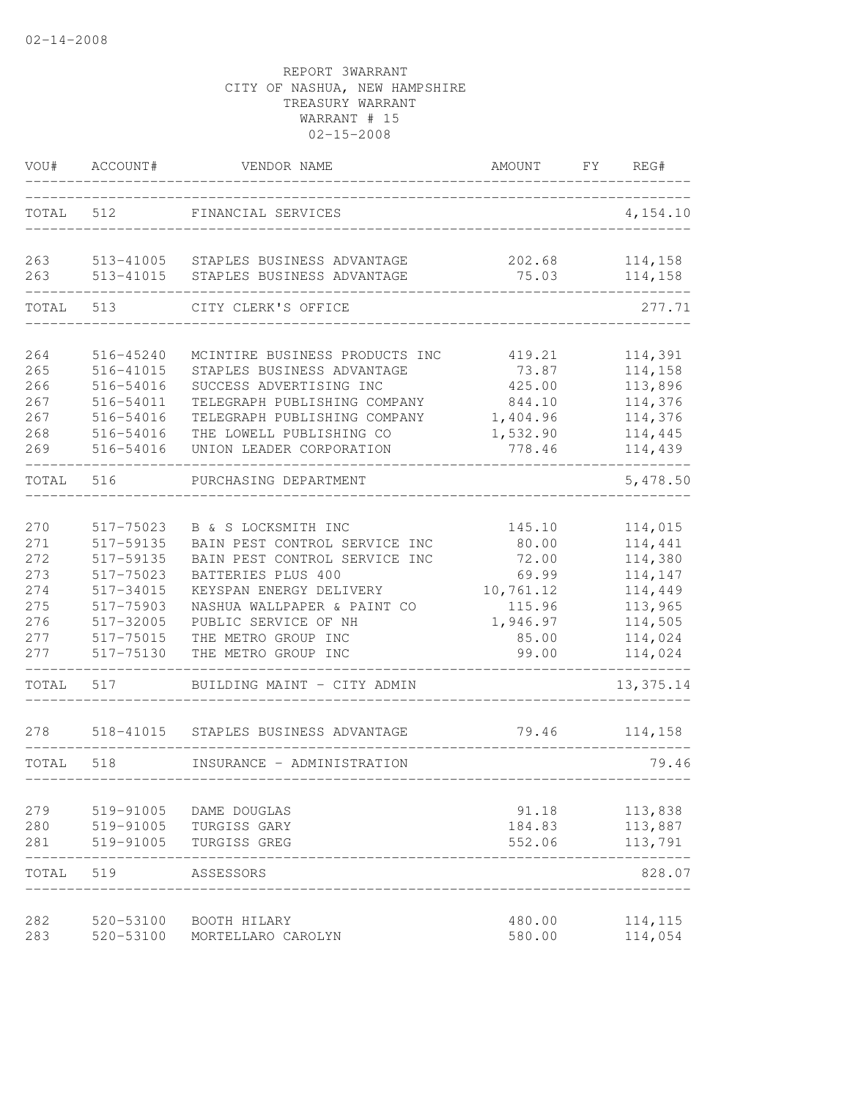| VOU#       | ACCOUNT#               | VENDOR NAME                                              | AMOUNT          | FY | REG#               |
|------------|------------------------|----------------------------------------------------------|-----------------|----|--------------------|
| TOTAL 512  |                        | FINANCIAL SERVICES                                       |                 |    | 4,154.10           |
| 263<br>263 | 513-41005<br>513-41015 | STAPLES BUSINESS ADVANTAGE<br>STAPLES BUSINESS ADVANTAGE | 202.68<br>75.03 |    | 114,158<br>114,158 |
| TOTAL      | 513                    | CITY CLERK'S OFFICE                                      |                 |    | 277.71             |
| 264        | 516-45240              | MCINTIRE BUSINESS PRODUCTS INC                           | 419.21          |    | 114,391            |
| 265        | 516-41015              | STAPLES BUSINESS ADVANTAGE                               | 73.87           |    | 114,158            |
| 266        | 516-54016              | SUCCESS ADVERTISING INC                                  | 425.00          |    | 113,896            |
| 267        | 516-54011              | TELEGRAPH PUBLISHING COMPANY                             | 844.10          |    | 114,376            |
| 267        | 516-54016              | TELEGRAPH PUBLISHING COMPANY                             | 1,404.96        |    | 114,376            |
| 268        | 516-54016              | THE LOWELL PUBLISHING CO                                 | 1,532.90        |    | 114,445            |
| 269        | 516-54016              | UNION LEADER CORPORATION                                 | 778.46          |    | 114,439            |
| TOTAL      | 516                    | PURCHASING DEPARTMENT                                    |                 |    | 5,478.50           |
| 270        | 517-75023              | B & S LOCKSMITH INC                                      | 145.10          |    | 114,015            |
| 271        | 517-59135              | BAIN PEST CONTROL SERVICE INC                            | 80.00           |    | 114,441            |
| 272        | 517-59135              | BAIN PEST CONTROL SERVICE INC                            | 72.00           |    | 114,380            |
| 273        | 517-75023              | BATTERIES PLUS 400                                       | 69.99           |    | 114,147            |
| 274        | 517-34015              | KEYSPAN ENERGY DELIVERY                                  | 10,761.12       |    | 114,449            |
| 275        | 517-75903              | NASHUA WALLPAPER & PAINT CO                              | 115.96          |    | 113,965            |
| 276        | 517-32005              | PUBLIC SERVICE OF NH                                     | 1,946.97        |    | 114,505            |
| 277        | 517-75015              | THE METRO GROUP INC                                      | 85.00           |    | 114,024            |
| 277        | 517-75130              | THE METRO GROUP INC                                      | 99.00           |    | 114,024            |
| TOTAL      | 517                    | BUILDING MAINT - CITY ADMIN                              |                 |    | 13, 375.14         |
| 278        | 518-41015              | STAPLES BUSINESS ADVANTAGE                               | 79.46           |    | 114,158            |
| TOTAL      | 518                    | INSURANCE - ADMINISTRATION                               |                 |    | 79.46              |
| 279        | 519-91005              | DAME DOUGLAS                                             | 91.18           |    | 113,838            |
| 280        | 519-91005              | TURGISS GARY                                             | 184.83          |    | 113,887            |
| 281        | 519-91005              | TURGISS GREG                                             | 552.06          |    | 113,791            |
| TOTAL      | 519                    | ASSESSORS                                                |                 |    | 828.07             |
| 282        | 520-53100              | BOOTH HILARY                                             | 480.00          |    | 114,115            |
| 283        | 520-53100              | MORTELLARO CAROLYN                                       | 580.00          |    | 114,054            |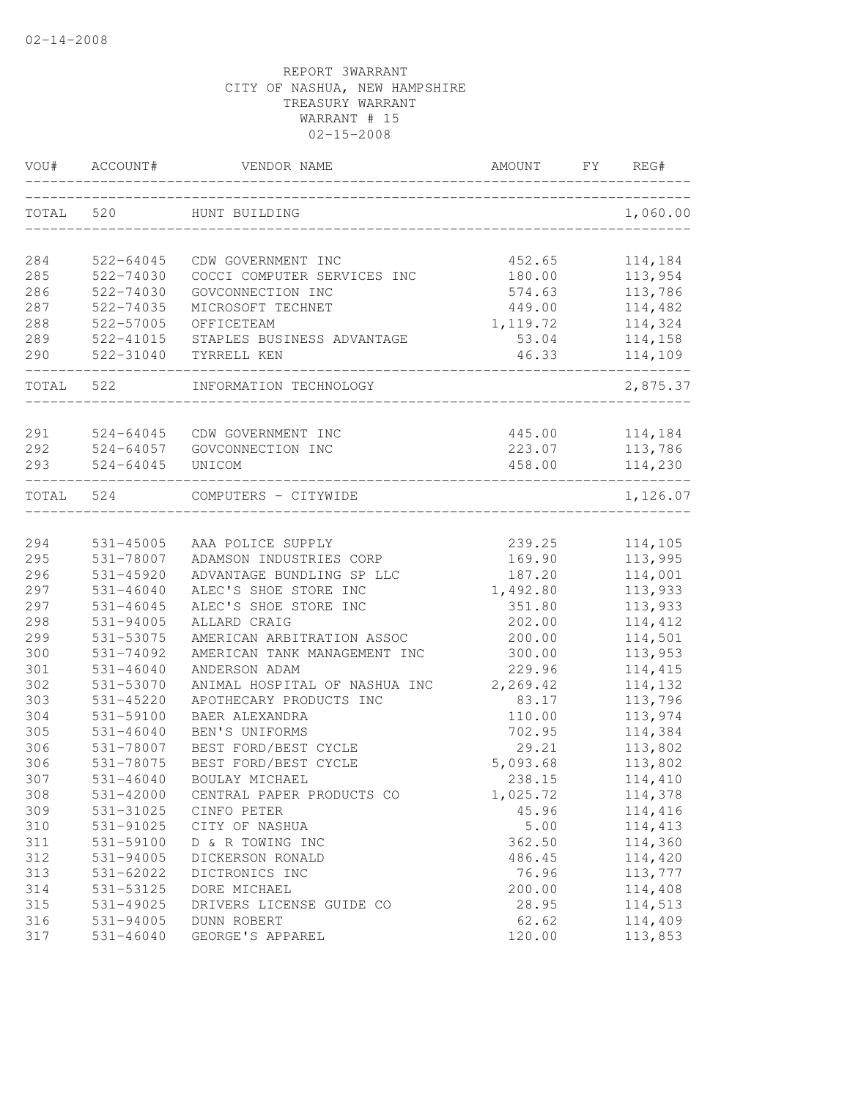| VOU#      | ACCOUNT#                   | VENDOR NAME                     | AMOUNT          | FY | REG#               |
|-----------|----------------------------|---------------------------------|-----------------|----|--------------------|
| TOTAL     | 520                        | HUNT BUILDING                   |                 |    | 1,060.00           |
| 284       | 522-64045                  | CDW GOVERNMENT INC              | 452.65          |    | 114,184            |
| 285       | 522-74030                  | COCCI COMPUTER SERVICES INC     | 180.00          |    | 113,954            |
| 286       | 522-74030                  | GOVCONNECTION INC               | 574.63          |    | 113,786            |
| 287       | 522-74035                  | MICROSOFT TECHNET               | 449.00          |    | 114,482            |
| 288       | 522-57005                  | OFFICETEAM                      | 1,119.72        |    | 114,324            |
| 289       | 522-41015                  | STAPLES BUSINESS ADVANTAGE      | 53.04           |    | 114,158            |
| 290       | 522-31040                  | TYRRELL KEN                     | 46.33           |    | 114,109            |
| TOTAL 522 |                            | INFORMATION TECHNOLOGY          |                 |    | 2,875.37           |
| 291       | 524-64045                  | CDW GOVERNMENT INC              | 445.00          |    | 114,184            |
| 292       | 524-64057                  | GOVCONNECTION INC               | 223.07          |    | 113,786            |
| 293       | $524 - 64045$              | UNICOM                          | 458.00          |    | 114,230            |
| TOTAL     | 524                        | COMPUTERS - CITYWIDE            |                 |    | 1,126.07           |
|           |                            |                                 |                 |    |                    |
| 294       | 531-45005                  | AAA POLICE SUPPLY               | 239.25          |    | 114,105            |
| 295       | 531-78007                  | ADAMSON INDUSTRIES CORP         | 169.90          |    | 113,995            |
| 296       | 531-45920                  | ADVANTAGE BUNDLING SP LLC       | 187.20          |    | 114,001            |
| 297       | $531 - 46040$              | ALEC'S SHOE STORE INC           | 1,492.80        |    | 113,933            |
| 297       | $531 - 46045$              | ALEC'S SHOE STORE INC           | 351.80          |    | 113,933            |
| 298       | 531-94005                  | ALLARD CRAIG                    | 202.00          |    | 114,412            |
| 299       | 531-53075                  | AMERICAN ARBITRATION ASSOC      | 200.00          |    | 114,501            |
| 300       | 531-74092                  | AMERICAN TANK MANAGEMENT INC    | 300.00          |    | 113,953            |
| 301       | $531 - 46040$              | ANDERSON ADAM                   | 229.96          |    | 114,415            |
| 302       | 531-53070                  | ANIMAL HOSPITAL OF NASHUA INC   | 2,269.42        |    | 114,132            |
| 303       | 531-45220                  | APOTHECARY PRODUCTS INC         | 83.17           |    | 113,796            |
| 304       | 531-59100                  | BAER ALEXANDRA                  | 110.00          |    | 113,974            |
| 305       | $531 - 46040$              | BEN'S UNIFORMS                  | 702.95          |    | 114,384            |
| 306       | 531-78007                  | BEST FORD/BEST CYCLE            | 29.21           |    | 113,802            |
| 306       | 531-78075                  | BEST FORD/BEST CYCLE            | 5,093.68        |    | 113,802            |
| 307       | $531 - 46040$              | BOULAY MICHAEL                  | 238.15          |    | 114,410            |
| 308       | 531-42000                  | CENTRAL PAPER PRODUCTS CO       | 1,025.72        |    | 114,378            |
| 309       | 531-31025                  | CINFO PETER                     | 45.96           |    | 114,416            |
| 310       | 531-91025                  | CITY OF NASHUA                  | 5.00            |    | 114,413            |
| 311       | 531-59100                  | D & R TOWING INC                | 362.50          |    | 114,360            |
| 312       | 531-94005                  | DICKERSON RONALD                | 486.45          |    | 114,420            |
| 313       | 531-62022                  | DICTRONICS INC                  | 76.96           |    | 113,777            |
| 314       | 531-53125                  | DORE MICHAEL                    | 200.00          |    | 114,408            |
| 315       | 531-49025                  | DRIVERS LICENSE GUIDE CO        | 28.95           |    | 114,513            |
| 316       | 531-94005<br>$531 - 46040$ | DUNN ROBERT<br>GEORGE'S APPAREL | 62.62<br>120.00 |    | 114,409<br>113,853 |
| 317       |                            |                                 |                 |    |                    |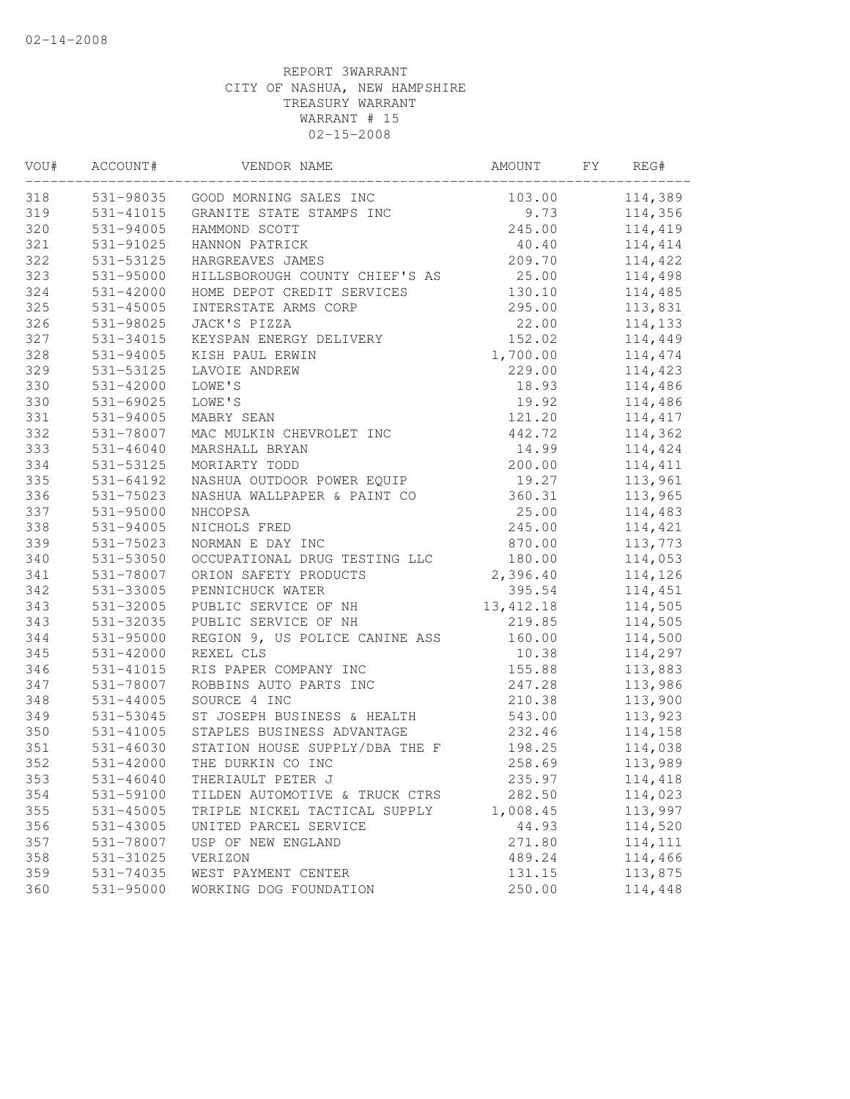| VOU# | ACCOUNT#      | VENDOR NAME                    | AMOUNT     | FY | REG#    |
|------|---------------|--------------------------------|------------|----|---------|
| 318  | 531-98035     | GOOD MORNING SALES INC         | 103.00     |    | 114,389 |
| 319  | 531-41015     | GRANITE STATE STAMPS INC       | 9.73       |    | 114,356 |
| 320  | 531-94005     | HAMMOND SCOTT                  | 245.00     |    | 114,419 |
| 321  | 531-91025     | HANNON PATRICK                 | 40.40      |    | 114,414 |
| 322  | 531-53125     | HARGREAVES JAMES               | 209.70     |    | 114,422 |
| 323  | 531-95000     | HILLSBOROUGH COUNTY CHIEF'S AS | 25.00      |    | 114,498 |
| 324  | 531-42000     | HOME DEPOT CREDIT SERVICES     | 130.10     |    | 114,485 |
| 325  | 531-45005     | INTERSTATE ARMS CORP           | 295.00     |    | 113,831 |
| 326  | 531-98025     | JACK'S PIZZA                   | 22.00      |    | 114,133 |
| 327  | 531-34015     | KEYSPAN ENERGY DELIVERY        | 152.02     |    | 114,449 |
| 328  | 531-94005     | KISH PAUL ERWIN                | 1,700.00   |    | 114,474 |
| 329  | 531-53125     | LAVOIE ANDREW                  | 229.00     |    | 114,423 |
| 330  | 531-42000     | LOWE'S                         | 18.93      |    | 114,486 |
| 330  | 531-69025     | LOWE'S                         | 19.92      |    | 114,486 |
| 331  | 531-94005     | MABRY SEAN                     | 121.20     |    | 114,417 |
| 332  | 531-78007     | MAC MULKIN CHEVROLET INC       | 442.72     |    | 114,362 |
| 333  | $531 - 46040$ | MARSHALL BRYAN                 | 14.99      |    | 114,424 |
| 334  | 531-53125     | MORIARTY TODD                  | 200.00     |    | 114,411 |
| 335  | 531-64192     | NASHUA OUTDOOR POWER EQUIP     | 19.27      |    | 113,961 |
| 336  | 531-75023     | NASHUA WALLPAPER & PAINT CO    | 360.31     |    | 113,965 |
| 337  | 531-95000     | NHCOPSA                        | 25.00      |    | 114,483 |
| 338  | 531-94005     | NICHOLS FRED                   | 245.00     |    | 114,421 |
| 339  | 531-75023     | NORMAN E DAY INC               | 870.00     |    | 113,773 |
| 340  | 531-53050     | OCCUPATIONAL DRUG TESTING LLC  | 180.00     |    | 114,053 |
| 341  | 531-78007     | ORION SAFETY PRODUCTS          | 2,396.40   |    | 114,126 |
| 342  | 531-33005     | PENNICHUCK WATER               | 395.54     |    | 114,451 |
| 343  | 531-32005     | PUBLIC SERVICE OF NH           | 13, 412.18 |    | 114,505 |
| 343  | 531-32035     | PUBLIC SERVICE OF NH           | 219.85     |    | 114,505 |
| 344  | $531 - 95000$ | REGION 9, US POLICE CANINE ASS | 160.00     |    | 114,500 |
| 345  | 531-42000     | REXEL CLS                      | 10.38      |    | 114,297 |
| 346  | 531-41015     | RIS PAPER COMPANY INC          | 155.88     |    | 113,883 |
| 347  | 531-78007     | ROBBINS AUTO PARTS INC         | 247.28     |    | 113,986 |
| 348  | $531 - 44005$ | SOURCE 4 INC                   | 210.38     |    | 113,900 |
| 349  | 531-53045     | ST JOSEPH BUSINESS & HEALTH    | 543.00     |    | 113,923 |
| 350  | 531-41005     | STAPLES BUSINESS ADVANTAGE     | 232.46     |    | 114,158 |
| 351  | 531-46030     | STATION HOUSE SUPPLY/DBA THE F | 198.25     |    | 114,038 |
| 352  | $531 - 42000$ | THE DURKIN CO INC              | 258.69     |    | 113,989 |
| 353  | $531 - 46040$ | THERIAULT PETER J              | 235.97     |    | 114,418 |
| 354  | 531-59100     | TILDEN AUTOMOTIVE & TRUCK CTRS | 282.50     |    | 114,023 |
| 355  | 531-45005     | TRIPLE NICKEL TACTICAL SUPPLY  | 1,008.45   |    | 113,997 |
| 356  | 531-43005     | UNITED PARCEL SERVICE          | 44.93      |    | 114,520 |
| 357  | 531-78007     | USP OF NEW ENGLAND             | 271.80     |    | 114,111 |
| 358  | 531-31025     | VERIZON                        | 489.24     |    | 114,466 |
| 359  | 531-74035     | WEST PAYMENT CENTER            | 131.15     |    | 113,875 |
| 360  | 531-95000     | WORKING DOG FOUNDATION         | 250.00     |    | 114,448 |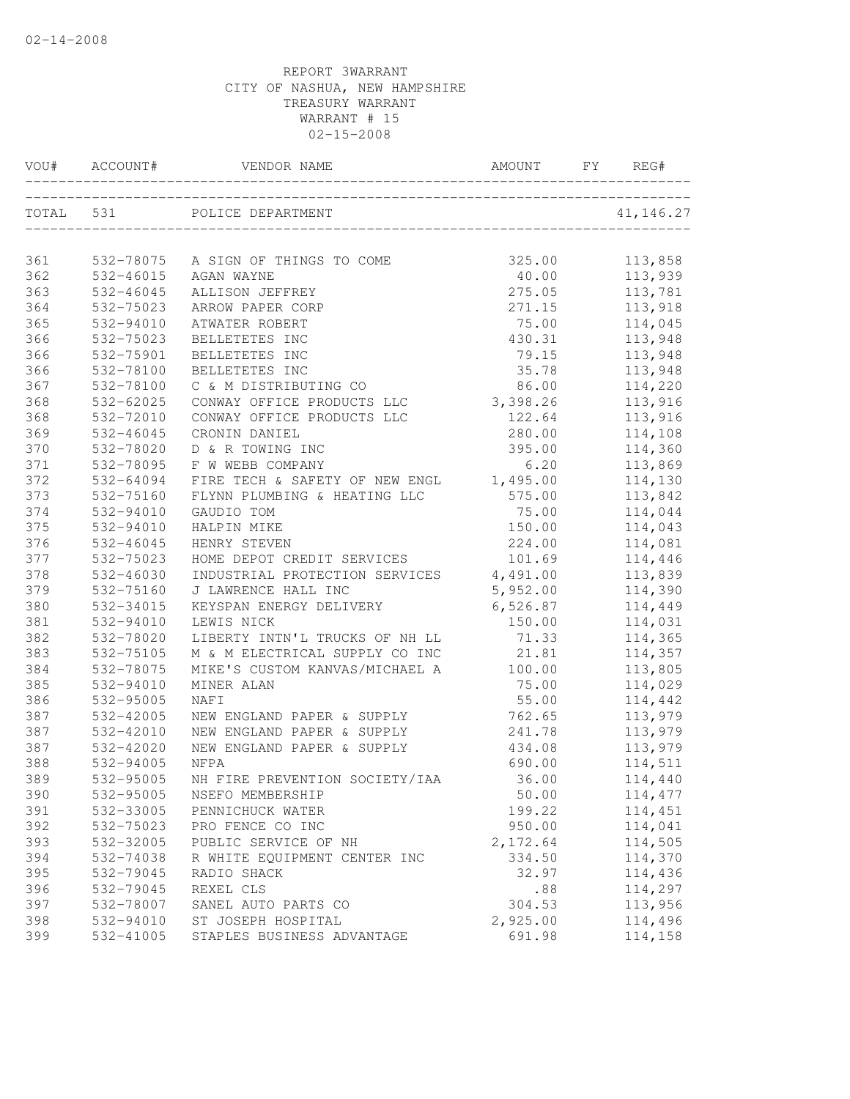| VOU#      | ACCOUNT#  | VENDOR NAME                    | AMOUNT   | FY | REG#       |
|-----------|-----------|--------------------------------|----------|----|------------|
| TOTAL 531 |           | POLICE DEPARTMENT              |          |    | 41, 146.27 |
|           |           |                                |          |    |            |
| 361       | 532-78075 | A SIGN OF THINGS TO COME       | 325.00   |    | 113,858    |
| 362       | 532-46015 | AGAN WAYNE                     | 40.00    |    | 113,939    |
| 363       | 532-46045 | ALLISON JEFFREY                | 275.05   |    | 113,781    |
| 364       | 532-75023 | ARROW PAPER CORP               | 271.15   |    | 113,918    |
| 365       | 532-94010 | ATWATER ROBERT                 | 75.00    |    | 114,045    |
| 366       | 532-75023 | BELLETETES INC                 | 430.31   |    | 113,948    |
| 366       | 532-75901 | BELLETETES INC                 | 79.15    |    | 113,948    |
| 366       | 532-78100 | BELLETETES INC                 | 35.78    |    | 113,948    |
| 367       | 532-78100 | C & M DISTRIBUTING CO          | 86.00    |    | 114,220    |
| 368       | 532-62025 | CONWAY OFFICE PRODUCTS LLC     | 3,398.26 |    | 113,916    |
| 368       | 532-72010 | CONWAY OFFICE PRODUCTS LLC     | 122.64   |    | 113,916    |
| 369       | 532-46045 | CRONIN DANIEL                  | 280.00   |    | 114,108    |
| 370       | 532-78020 | D & R TOWING INC               | 395.00   |    | 114,360    |
| 371       | 532-78095 | F W WEBB COMPANY               | 6.20     |    | 113,869    |
| 372       | 532-64094 | FIRE TECH & SAFETY OF NEW ENGL | 1,495.00 |    | 114,130    |
| 373       | 532-75160 | FLYNN PLUMBING & HEATING LLC   | 575.00   |    | 113,842    |
| 374       | 532-94010 | GAUDIO TOM                     | 75.00    |    | 114,044    |
| 375       | 532-94010 | HALPIN MIKE                    | 150.00   |    | 114,043    |
| 376       | 532-46045 | HENRY STEVEN                   | 224.00   |    | 114,081    |
| 377       | 532-75023 | HOME DEPOT CREDIT SERVICES     | 101.69   |    | 114,446    |
| 378       | 532-46030 | INDUSTRIAL PROTECTION SERVICES | 4,491.00 |    | 113,839    |
| 379       | 532-75160 | J LAWRENCE HALL INC            | 5,952.00 |    | 114,390    |
| 380       | 532-34015 | KEYSPAN ENERGY DELIVERY        | 6,526.87 |    | 114,449    |
| 381       | 532-94010 | LEWIS NICK                     | 150.00   |    | 114,031    |
| 382       | 532-78020 | LIBERTY INTN'L TRUCKS OF NH LL | 71.33    |    | 114,365    |
| 383       | 532-75105 | M & M ELECTRICAL SUPPLY CO INC | 21.81    |    | 114,357    |
| 384       | 532-78075 | MIKE'S CUSTOM KANVAS/MICHAEL A | 100.00   |    | 113,805    |
| 385       | 532-94010 | MINER ALAN                     | 75.00    |    | 114,029    |
| 386       | 532-95005 | NAF I                          | 55.00    |    | 114,442    |
| 387       | 532-42005 | NEW ENGLAND PAPER & SUPPLY     | 762.65   |    | 113,979    |
| 387       | 532-42010 | NEW ENGLAND PAPER & SUPPLY     | 241.78   |    | 113,979    |
| 387       | 532-42020 | NEW ENGLAND PAPER & SUPPLY     | 434.08   |    | 113,979    |
| 388       | 532-94005 | NFPA                           | 690.00   |    | 114,511    |
| 389       | 532-95005 | NH FIRE PREVENTION SOCIETY/IAA | 36.00    |    | 114,440    |
| 390       | 532-95005 | NSEFO MEMBERSHIP               | 50.00    |    | 114,477    |
| 391       | 532-33005 | PENNICHUCK WATER               | 199.22   |    | 114,451    |
| 392       | 532-75023 | PRO FENCE CO INC               | 950.00   |    | 114,041    |
| 393       | 532-32005 | PUBLIC SERVICE OF NH           | 2,172.64 |    | 114,505    |
| 394       | 532-74038 | R WHITE EQUIPMENT CENTER INC   | 334.50   |    | 114,370    |
| 395       | 532-79045 | RADIO SHACK                    | 32.97    |    | 114,436    |
| 396       | 532-79045 | REXEL CLS                      | .88      |    | 114,297    |
| 397       | 532-78007 | SANEL AUTO PARTS CO            | 304.53   |    | 113,956    |
| 398       | 532-94010 | ST JOSEPH HOSPITAL             | 2,925.00 |    | 114,496    |
| 399       | 532-41005 | STAPLES BUSINESS ADVANTAGE     | 691.98   |    | 114,158    |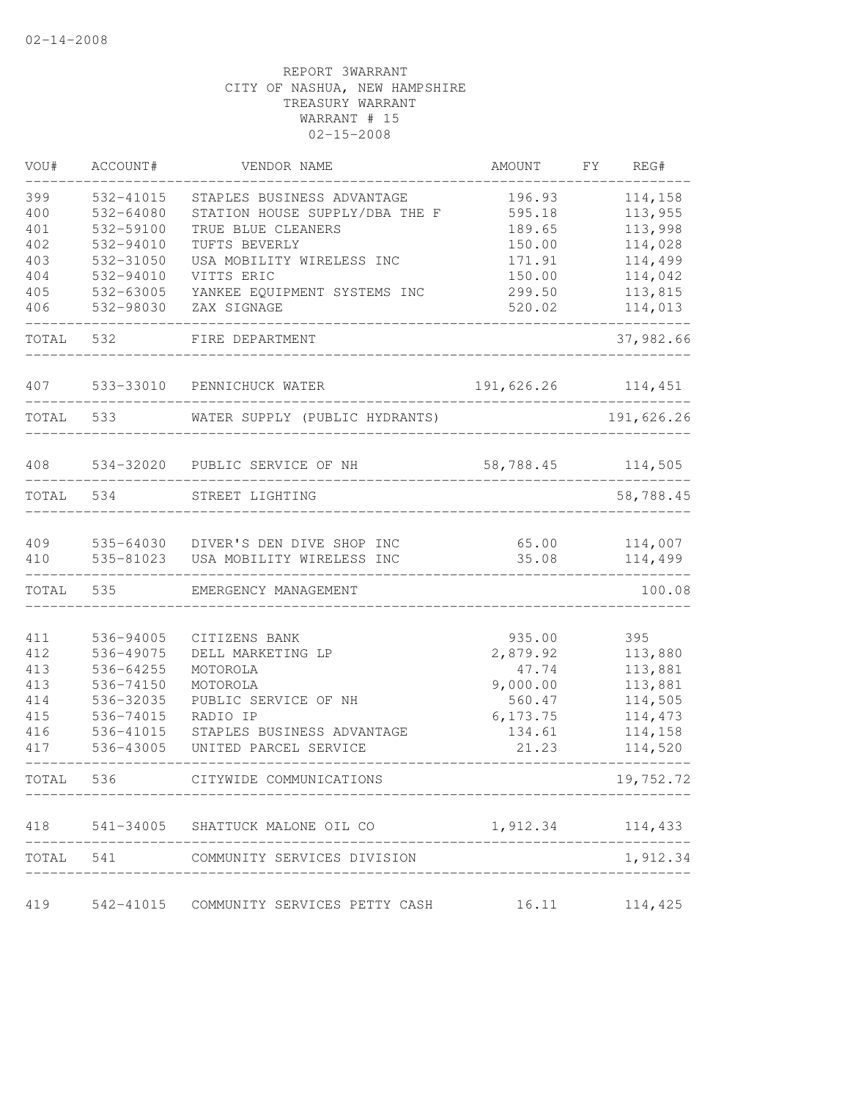| VOU#  | ACCOUNT#  | VENDOR NAME                             | AMOUNT            | FY. | REG#       |
|-------|-----------|-----------------------------------------|-------------------|-----|------------|
| 399   | 532-41015 | STAPLES BUSINESS ADVANTAGE              | 196.93            |     | 114,158    |
| 400   | 532-64080 | STATION HOUSE SUPPLY/DBA THE F          | 595.18            |     | 113,955    |
| 401   | 532-59100 | TRUE BLUE CLEANERS                      | 189.65            |     | 113,998    |
| 402   | 532-94010 | TUFTS BEVERLY                           | 150.00            |     | 114,028    |
| 403   | 532-31050 | USA MOBILITY WIRELESS INC               | 171.91            |     | 114,499    |
| 404   | 532-94010 | VITTS ERIC                              | 150.00            |     | 114,042    |
| 405   | 532-63005 | YANKEE EQUIPMENT SYSTEMS INC            | 299.50            |     | 113,815    |
| 406   | 532-98030 | ZAX SIGNAGE                             | 520.02            |     | 114,013    |
| TOTAL | 532       | FIRE DEPARTMENT                         |                   |     | 37,982.66  |
| 407   | 533-33010 | PENNICHUCK WATER                        | 191,626.26        |     | 114,451    |
| TOTAL | 533       | WATER SUPPLY (PUBLIC HYDRANTS)          |                   |     | 191,626.26 |
| 408   |           | 534-32020 PUBLIC SERVICE OF NH          | 58,788.45         |     | 114,505    |
| TOTAL | 534       | STREET LIGHTING                         |                   |     | 58,788.45  |
|       |           |                                         |                   |     |            |
| 409   | 535-64030 | DIVER'S DEN DIVE SHOP INC               | 65.00             |     | 114,007    |
| 410   | 535-81023 | USA MOBILITY WIRELESS INC               | 35.08             |     | 114,499    |
| TOTAL | 535       | EMERGENCY MANAGEMENT                    |                   |     | 100.08     |
| 411   | 536-94005 | CITIZENS BANK                           | 935.00            |     | 395        |
| 412   | 536-49075 | DELL MARKETING LP                       | 2,879.92          |     | 113,880    |
| 413   | 536-64255 | MOTOROLA                                | 47.74             |     | 113,881    |
| 413   | 536-74150 | MOTOROLA                                | 9,000.00          |     | 113,881    |
| 414   | 536-32035 | PUBLIC SERVICE OF NH                    | 560.47            |     | 114,505    |
| 415   | 536-74015 | RADIO IP                                | 6, 173.75         |     | 114,473    |
| 416   | 536-41015 | STAPLES BUSINESS ADVANTAGE              | 134.61            |     | 114,158    |
| 417   | 536-43005 | UNITED PARCEL SERVICE                   | 21.23             |     | 114,520    |
| TOTAL | 536       | CITYWIDE COMMUNICATIONS                 |                   |     | 19,752.72  |
| 418   |           | 541-34005 SHATTUCK MALONE OIL CO        | 1,912.34          |     | 114,433    |
| TOTAL |           | 541 COMMUNITY SERVICES DIVISION         |                   |     | 1,912.34   |
| 419   |           | 542-41015 COMMUNITY SERVICES PETTY CASH | $16.11$ $114,425$ |     |            |
|       |           |                                         |                   |     |            |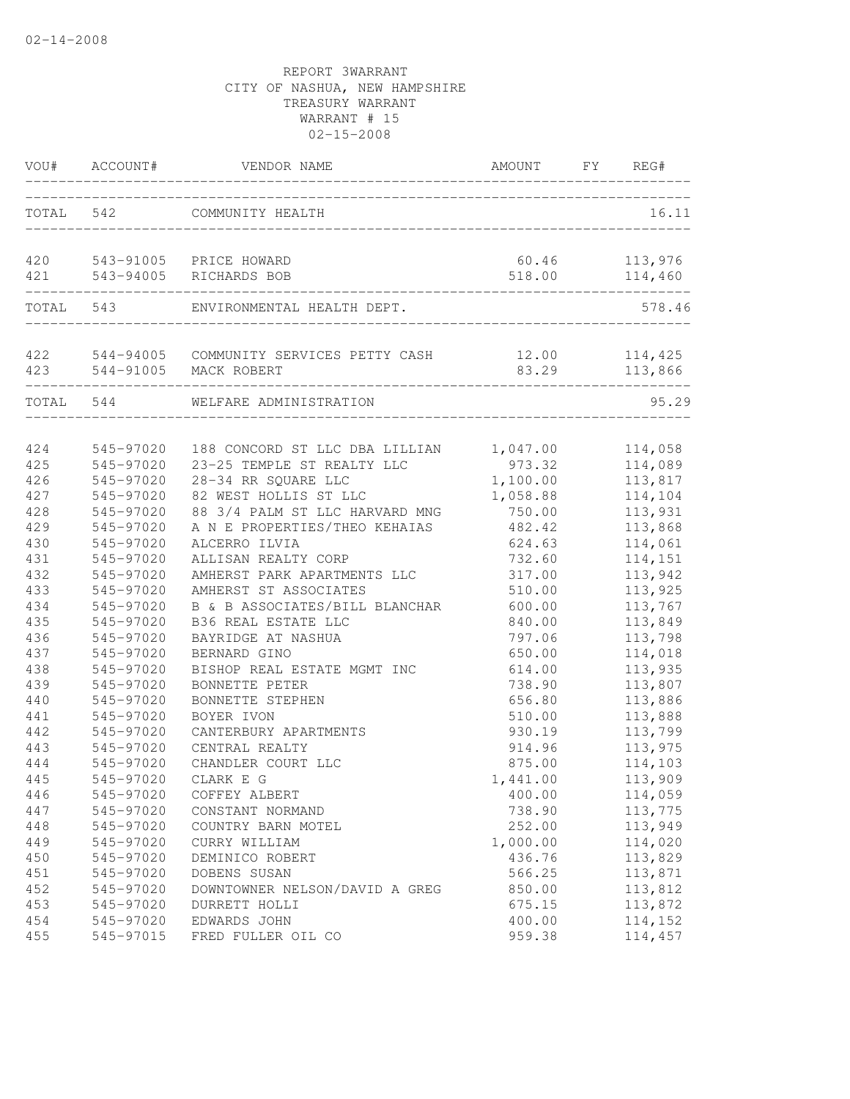| VOU#       | ACCOUNT#               | VENDOR NAME                                                     | AMOUNT           | FY | REG#               |
|------------|------------------------|-----------------------------------------------------------------|------------------|----|--------------------|
| TOTAL      | 542                    | COMMUNITY HEALTH                                                |                  |    | 16.11              |
| 420        |                        | 543-91005 PRICE HOWARD                                          | 60.46            |    | 113,976            |
| 421        |                        | 543-94005 RICHARDS BOB                                          | 518.00           |    | 114,460            |
|            | TOTAL 543              | ENVIRONMENTAL HEALTH DEPT.                                      |                  |    | 578.46             |
| 422        |                        | 544-94005 COMMUNITY SERVICES PETTY CASH                         | 12.00            |    | 114,425            |
|            |                        | 423 544-91005 MACK ROBERT                                       | 83.29            |    | 113,866            |
| TOTAL 544  |                        | WELFARE ADMINISTRATION                                          |                  |    | 95.29              |
| 424        | 545-97020              | 188 CONCORD ST LLC DBA LILLIAN                                  | 1,047.00         |    | 114,058            |
| 425        | 545-97020              | 23-25 TEMPLE ST REALTY LLC                                      | 973.32           |    | 114,089            |
| 426        | 545-97020              | 28-34 RR SQUARE LLC                                             | 1,100.00         |    | 113,817            |
| 427        | 545-97020              | 82 WEST HOLLIS ST LLC                                           | 1,058.88         |    | 114,104            |
| 428<br>429 | 545-97020<br>545-97020 | 88 3/4 PALM ST LLC HARVARD MNG<br>A N E PROPERTIES/THEO KEHAIAS | 750.00<br>482.42 |    | 113,931            |
| 430        | 545-97020              | ALCERRO ILVIA                                                   | 624.63           |    | 113,868<br>114,061 |
| 431        | 545-97020              | ALLISAN REALTY CORP                                             | 732.60           |    | 114,151            |
| 432        | 545-97020              | AMHERST PARK APARTMENTS LLC                                     | 317.00           |    | 113,942            |
| 433        | 545-97020              | AMHERST ST ASSOCIATES                                           | 510.00           |    | 113,925            |
| 434        | 545-97020              | B & B ASSOCIATES/BILL BLANCHAR                                  | 600.00           |    | 113,767            |
| 435        | 545-97020              | B36 REAL ESTATE LLC                                             | 840.00           |    | 113,849            |
| 436        | 545-97020              | BAYRIDGE AT NASHUA                                              | 797.06           |    | 113,798            |
| 437        | 545-97020              | BERNARD GINO                                                    | 650.00           |    | 114,018            |
| 438        | 545-97020              | BISHOP REAL ESTATE MGMT INC                                     | 614.00           |    | 113,935            |
| 439        | 545-97020              | BONNETTE PETER                                                  | 738.90           |    | 113,807            |
| 440        | 545-97020              | BONNETTE STEPHEN                                                | 656.80           |    | 113,886            |
| 441        | 545-97020              | BOYER IVON                                                      | 510.00           |    | 113,888            |
| 442        | 545-97020              | CANTERBURY APARTMENTS                                           | 930.19           |    | 113,799            |
| 443        | 545-97020              | CENTRAL REALTY                                                  | 914.96           |    | 113,975            |
| 444        | 545-97020              | CHANDLER COURT LLC                                              | 875.00           |    | 114,103            |
| 445        | 545-97020              | CLARK E G                                                       | 1,441.00         |    | 113,909            |
| 446        | 545-97020              | COFFEY ALBERT                                                   | 400.00           |    | 114,059            |
| 447        | 545-97020              | CONSTANT NORMAND                                                | 738.90           |    | 113,775            |
| 448        | 545-97020              | COUNTRY BARN MOTEL                                              | 252.00           |    | 113,949            |
| 449        | 545-97020              | CURRY WILLIAM                                                   | 1,000.00         |    | 114,020            |
| 450        | 545-97020              | DEMINICO ROBERT                                                 | 436.76           |    | 113,829            |
| 451        | 545-97020              | DOBENS SUSAN                                                    | 566.25           |    | 113,871            |
| 452        | 545-97020              | DOWNTOWNER NELSON/DAVID A GREG                                  | 850.00           |    | 113,812            |
| 453        | 545-97020              | DURRETT HOLLI                                                   | 675.15           |    | 113,872            |
| 454        | 545-97020              | EDWARDS JOHN                                                    | 400.00           |    | 114,152            |
| 455        | 545-97015              | FRED FULLER OIL CO                                              | 959.38           |    | 114,457            |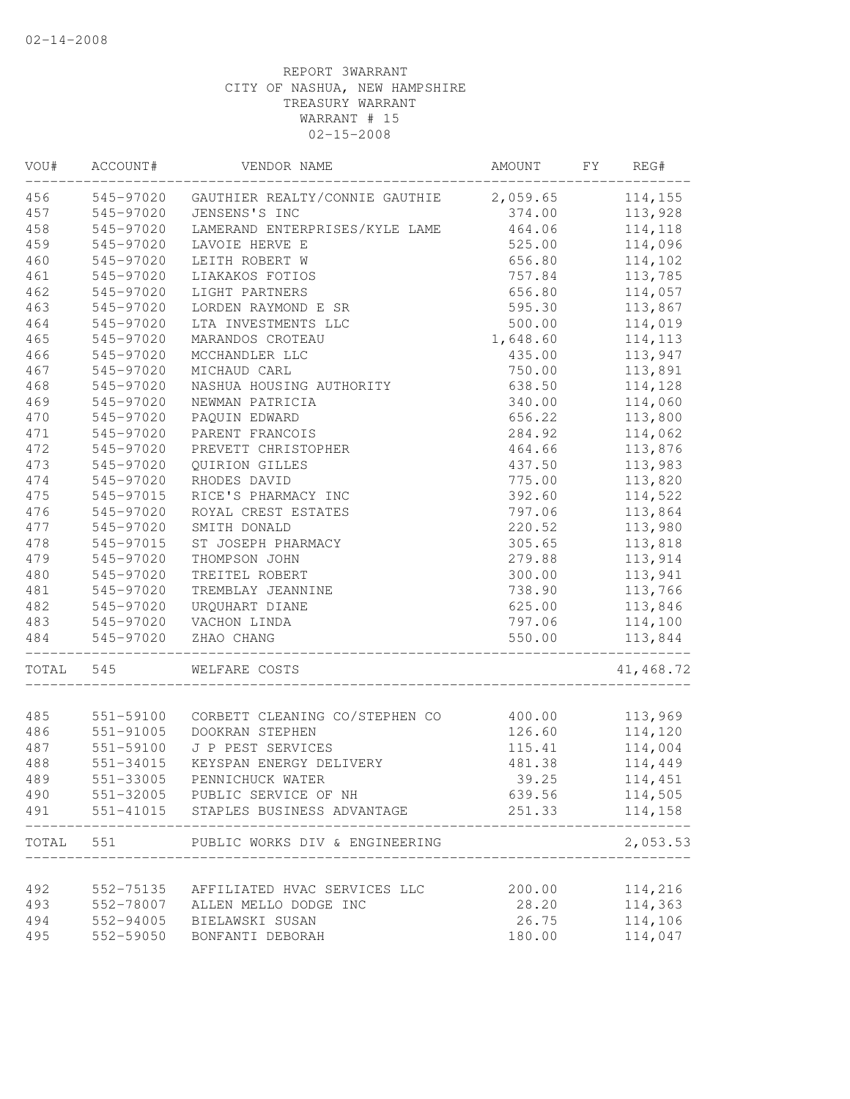| VOU#       | ACCOUNT#               | VENDOR NAME                                       | AMOUNT           | FY | REG#               |
|------------|------------------------|---------------------------------------------------|------------------|----|--------------------|
| 456        | 545-97020              | GAUTHIER REALTY/CONNIE GAUTHIE                    | 2,059.65         |    | 114,155            |
| 457        | 545-97020              | JENSENS'S INC                                     | 374.00           |    | 113,928            |
| 458        | 545-97020              | LAMERAND ENTERPRISES/KYLE LAME                    | 464.06           |    | 114,118            |
| 459        | 545-97020              | LAVOIE HERVE E                                    | 525.00           |    | 114,096            |
| 460        | 545-97020              | LEITH ROBERT W                                    | 656.80           |    | 114,102            |
| 461        | 545-97020              | LIAKAKOS FOTIOS                                   | 757.84           |    | 113,785            |
| 462        | 545-97020              | LIGHT PARTNERS                                    | 656.80           |    | 114,057            |
| 463        | 545-97020              | LORDEN RAYMOND E SR                               | 595.30           |    | 113,867            |
| 464        | 545-97020              | LTA INVESTMENTS LLC                               | 500.00           |    | 114,019            |
| 465        | 545-97020              | MARANDOS CROTEAU                                  | 1,648.60         |    | 114,113            |
| 466        | 545-97020              | MCCHANDLER LLC                                    | 435.00           |    | 113,947            |
| 467        | 545-97020              | MICHAUD CARL                                      | 750.00           |    | 113,891            |
| 468        | 545-97020              | NASHUA HOUSING AUTHORITY                          | 638.50           |    | 114,128            |
| 469        | 545-97020              | NEWMAN PATRICIA                                   | 340.00           |    | 114,060            |
| 470        | 545-97020              | PAQUIN EDWARD                                     | 656.22           |    | 113,800            |
| 471        | 545-97020              | PARENT FRANCOIS                                   | 284.92           |    | 114,062            |
| 472        | 545-97020              | PREVETT CHRISTOPHER                               | 464.66           |    | 113,876            |
| 473        | 545-97020              | QUIRION GILLES                                    | 437.50           |    | 113,983            |
| 474        | 545-97020              | RHODES DAVID                                      | 775.00           |    | 113,820            |
| 475        | 545-97015              | RICE'S PHARMACY INC                               | 392.60           |    | 114,522            |
| 476        | 545-97020              | ROYAL CREST ESTATES                               | 797.06           |    | 113,864            |
| 477        | 545-97020              | SMITH DONALD                                      | 220.52           |    | 113,980            |
| 478        | 545-97015              | ST JOSEPH PHARMACY                                | 305.65           |    | 113,818            |
| 479        | 545-97020              | THOMPSON JOHN                                     | 279.88           |    | 113,914            |
| 480        | 545-97020              | TREITEL ROBERT                                    | 300.00           |    | 113,941            |
| 481        | 545-97020              | TREMBLAY JEANNINE                                 | 738.90           |    | 113,766            |
| 482        | 545-97020              | URQUHART DIANE                                    | 625.00           |    | 113,846            |
| 483        | 545-97020              | VACHON LINDA                                      | 797.06           |    | 114,100            |
| 484        | 545-97020              | ZHAO CHANG                                        | 550.00           |    | 113,844            |
| TOTAL      | 545                    | WELFARE COSTS                                     |                  |    | 41,468.72          |
|            |                        |                                                   |                  |    | 113,969            |
| 485        | 551-59100              | CORBETT CLEANING CO/STEPHEN CO<br>DOOKRAN STEPHEN | 400.00<br>126.60 |    | 114,120            |
| 486<br>487 | 551-91005<br>551-59100 | J P PEST SERVICES                                 | 115.41           |    | 114,004            |
| 488        | 551-34015              | KEYSPAN ENERGY DELIVERY                           | 481.38           |    | 114,449            |
| 489        | 551-33005              | PENNICHUCK WATER                                  | 39.25            |    | 114,451            |
|            |                        | 551-32005 PUBLIC SERVICE OF NH                    |                  |    |                    |
| 490<br>491 |                        | 551-41015 STAPLES BUSINESS ADVANTAGE              | 639.56<br>251.33 |    | 114,505<br>114,158 |
| TOTAL      | 551                    | PUBLIC WORKS DIV & ENGINEERING                    |                  |    | 2,053.53           |
|            |                        |                                                   |                  |    |                    |
| 492        | 552-75135              | AFFILIATED HVAC SERVICES LLC                      | 200.00           |    | 114,216            |
| 493        | 552-78007              | ALLEN MELLO DODGE INC                             | 28.20            |    | 114,363            |
| 494        | 552-94005              | BIELAWSKI SUSAN                                   | 26.75            |    | 114,106            |
| 495        | 552-59050              | BONFANTI DEBORAH                                  | 180.00           |    | 114,047            |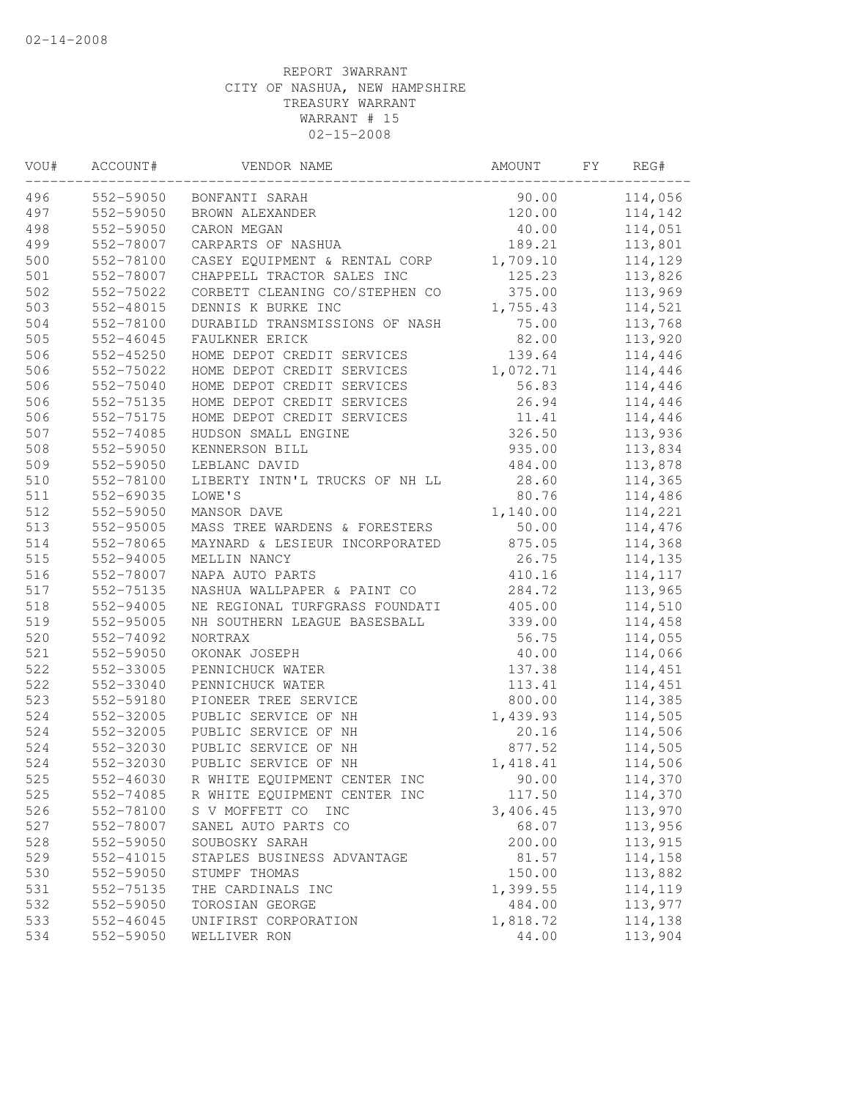| VOU# | ACCOUNT#      | VENDOR NAME                    | AMOUNT   | FY | REG#    |  |
|------|---------------|--------------------------------|----------|----|---------|--|
| 496  | 552-59050     | BONFANTI SARAH                 | 90.00    |    | 114,056 |  |
| 497  | 552-59050     | BROWN ALEXANDER                | 120.00   |    | 114,142 |  |
| 498  | 552-59050     | CARON MEGAN                    | 40.00    |    | 114,051 |  |
| 499  | 552-78007     | CARPARTS OF NASHUA             | 189.21   |    | 113,801 |  |
| 500  | 552-78100     | CASEY EQUIPMENT & RENTAL CORP  | 1,709.10 |    | 114,129 |  |
| 501  | 552-78007     | CHAPPELL TRACTOR SALES INC     | 125.23   |    | 113,826 |  |
| 502  | 552-75022     | CORBETT CLEANING CO/STEPHEN CO | 375.00   |    | 113,969 |  |
| 503  | 552-48015     | DENNIS K BURKE INC             | 1,755.43 |    | 114,521 |  |
| 504  | 552-78100     | DURABILD TRANSMISSIONS OF NASH | 75.00    |    | 113,768 |  |
| 505  | $552 - 46045$ | FAULKNER ERICK                 | 82.00    |    | 113,920 |  |
| 506  | 552-45250     | HOME DEPOT CREDIT SERVICES     | 139.64   |    | 114,446 |  |
| 506  | 552-75022     | HOME DEPOT CREDIT SERVICES     | 1,072.71 |    | 114,446 |  |
| 506  | 552-75040     | HOME DEPOT CREDIT SERVICES     | 56.83    |    | 114,446 |  |
| 506  | 552-75135     | HOME DEPOT CREDIT SERVICES     | 26.94    |    | 114,446 |  |
| 506  | 552-75175     | HOME DEPOT CREDIT SERVICES     | 11.41    |    | 114,446 |  |
| 507  | 552-74085     | HUDSON SMALL ENGINE            | 326.50   |    | 113,936 |  |
| 508  | 552-59050     | KENNERSON BILL                 | 935.00   |    | 113,834 |  |
| 509  | 552-59050     | LEBLANC DAVID                  | 484.00   |    | 113,878 |  |
| 510  | 552-78100     | LIBERTY INTN'L TRUCKS OF NH LL | 28.60    |    | 114,365 |  |
| 511  | 552-69035     | LOWE'S                         | 80.76    |    | 114,486 |  |
| 512  | 552-59050     | MANSOR DAVE                    | 1,140.00 |    | 114,221 |  |
| 513  | 552-95005     | MASS TREE WARDENS & FORESTERS  | 50.00    |    | 114,476 |  |
| 514  | 552-78065     | MAYNARD & LESIEUR INCORPORATED | 875.05   |    | 114,368 |  |
| 515  | 552-94005     | MELLIN NANCY                   | 26.75    |    | 114,135 |  |
| 516  | 552-78007     | NAPA AUTO PARTS                | 410.16   |    | 114,117 |  |
| 517  | 552-75135     | NASHUA WALLPAPER & PAINT CO    | 284.72   |    | 113,965 |  |
| 518  | 552-94005     | NE REGIONAL TURFGRASS FOUNDATI | 405.00   |    | 114,510 |  |
| 519  | 552-95005     | NH SOUTHERN LEAGUE BASESBALL   | 339.00   |    | 114,458 |  |
| 520  | 552-74092     | <b>NORTRAX</b>                 | 56.75    |    | 114,055 |  |
| 521  | 552-59050     | OKONAK JOSEPH                  | 40.00    |    | 114,066 |  |
| 522  | 552-33005     | PENNICHUCK WATER               | 137.38   |    | 114,451 |  |
| 522  | 552-33040     | PENNICHUCK WATER               | 113.41   |    | 114,451 |  |
| 523  | 552-59180     | PIONEER TREE SERVICE           | 800.00   |    | 114,385 |  |
| 524  | 552-32005     | PUBLIC SERVICE OF NH           | 1,439.93 |    | 114,505 |  |
| 524  | 552-32005     | PUBLIC SERVICE OF NH           | 20.16    |    | 114,506 |  |
| 524  | 552-32030     | PUBLIC SERVICE OF NH           | 877.52   |    | 114,505 |  |
| 524  | 552-32030     | PUBLIC SERVICE OF NH           | 1,418.41 |    | 114,506 |  |
| 525  | 552-46030     | R WHITE EQUIPMENT CENTER INC   | 90.00    |    | 114,370 |  |
| 525  | 552-74085     | R WHITE EQUIPMENT CENTER INC   | 117.50   |    | 114,370 |  |
| 526  | 552-78100     | S V MOFFETT CO<br>INC          | 3,406.45 |    | 113,970 |  |
| 527  | 552-78007     | SANEL AUTO PARTS CO            | 68.07    |    | 113,956 |  |
| 528  | 552-59050     | SOUBOSKY SARAH                 | 200.00   |    | 113,915 |  |
| 529  | 552-41015     | STAPLES BUSINESS ADVANTAGE     | 81.57    |    | 114,158 |  |
| 530  | 552-59050     | STUMPF THOMAS                  | 150.00   |    | 113,882 |  |
| 531  | 552-75135     | THE CARDINALS INC              | 1,399.55 |    | 114,119 |  |
| 532  | 552-59050     | TOROSIAN GEORGE                | 484.00   |    | 113,977 |  |
| 533  | 552-46045     | UNIFIRST CORPORATION           | 1,818.72 |    | 114,138 |  |
| 534  | 552-59050     | WELLIVER RON                   | 44.00    |    | 113,904 |  |
|      |               |                                |          |    |         |  |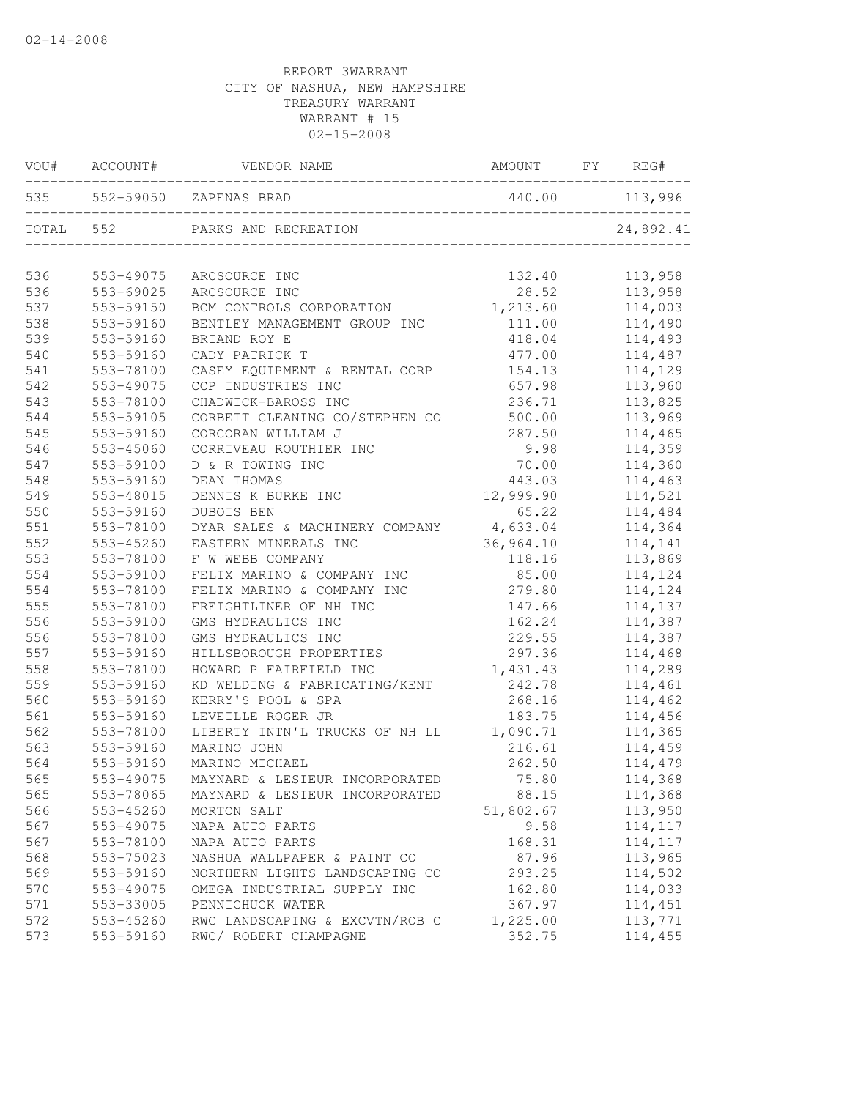|           | VOU# ACCOUNT# | VENDOR NAME                             | AMOUNT    | FY | REG#           |
|-----------|---------------|-----------------------------------------|-----------|----|----------------|
|           |               | 535 552-59050 ZAPENAS BRAD              |           |    | 440.00 113,996 |
| TOTAL 552 |               | PARKS AND RECREATION                    |           |    | 24,892.41      |
| 536       | 553-49075     | ARCSOURCE INC                           | 132.40    |    | 113,958        |
| 536       | 553-69025     | ARCSOURCE INC                           | 28.52     |    | 113,958        |
| 537       | 553-59150     | BCM CONTROLS CORPORATION                | 1,213.60  |    | 114,003        |
| 538       | 553-59160     | BENTLEY MANAGEMENT GROUP INC            | 111.00    |    | 114,490        |
| 539       | 553-59160     | BRIAND ROY E                            | 418.04    |    | 114,493        |
| 540       | 553-59160     | CADY PATRICK T                          | 477.00    |    | 114,487        |
| 541       | 553-78100     | CASEY EQUIPMENT & RENTAL CORP           | 154.13    |    | 114,129        |
| 542       | 553-49075     | CCP INDUSTRIES INC                      | 657.98    |    | 113,960        |
| 543       | 553-78100     | CHADWICK-BAROSS INC                     | 236.71    |    | 113,825        |
| 544       | 553-59105     | CORBETT CLEANING CO/STEPHEN CO          | 500.00    |    | 113,969        |
| 545       | 553-59160     | CORCORAN WILLIAM J                      | 287.50    |    | 114,465        |
| 546       | 553-45060     | CORRIVEAU ROUTHIER INC                  | 9.98      |    | 114,359        |
| 547       | 553-59100     | D & R TOWING INC                        | 70.00     |    | 114,360        |
| 548       | 553-59160     | DEAN THOMAS                             | 443.03    |    | 114,463        |
| 549       | 553-48015     | DENNIS K BURKE INC                      | 12,999.90 |    | 114,521        |
| 550       | 553-59160     | DUBOIS BEN                              | 65.22     |    | 114,484        |
| 551       | 553-78100     | DYAR SALES & MACHINERY COMPANY 4,633.04 |           |    | 114,364        |
| 552       | 553-45260     | EASTERN MINERALS INC                    | 36,964.10 |    | 114,141        |
| 553       | 553-78100     | F W WEBB COMPANY                        | 118.16    |    | 113,869        |
| 554       | 553-59100     | FELIX MARINO & COMPANY INC              | 85.00     |    | 114,124        |
| 554       | 553-78100     | FELIX MARINO & COMPANY INC              | 279.80    |    | 114,124        |
| 555       | 553-78100     | FREIGHTLINER OF NH INC                  | 147.66    |    | 114,137        |
| 556       | 553-59100     | GMS HYDRAULICS INC                      | 162.24    |    | 114,387        |
| 556       | 553-78100     | GMS HYDRAULICS INC                      | 229.55    |    | 114,387        |
| 557       | 553-59160     | HILLSBOROUGH PROPERTIES                 | 297.36    |    | 114,468        |
| 558       | 553-78100     | HOWARD P FAIRFIELD INC                  | 1,431.43  |    | 114,289        |
| 559       | 553-59160     | KD WELDING & FABRICATING/KENT           | 242.78    |    | 114,461        |
| 560       | 553-59160     | KERRY'S POOL & SPA                      | 268.16    |    | 114,462        |
| 561       | 553-59160     | LEVEILLE ROGER JR                       | 183.75    |    | 114,456        |
| 562       | 553-78100     | LIBERTY INTN'L TRUCKS OF NH LL          | 1,090.71  |    | 114,365        |
| 563       | 553-59160     | MARINO JOHN                             | 216.61    |    | 114,459        |
| 564       | 553-59160     | MARINO MICHAEL                          | 262.50    |    | 114,479        |
| 565       | 553-49075     | MAYNARD & LESIEUR INCORPORATED          | 75.80     |    | 114,368        |
| 565       | 553-78065     | MAYNARD & LESIEUR INCORPORATED          | 88.15     |    | 114,368        |
| 566       | 553-45260     | MORTON SALT                             | 51,802.67 |    | 113,950        |
| 567       | 553-49075     | NAPA AUTO PARTS                         | 9.58      |    | 114,117        |
| 567       | 553-78100     | NAPA AUTO PARTS                         | 168.31    |    | 114,117        |
| 568       | 553-75023     | NASHUA WALLPAPER & PAINT CO             | 87.96     |    | 113,965        |
| 569       | 553-59160     | NORTHERN LIGHTS LANDSCAPING CO          | 293.25    |    | 114,502        |
| 570       | 553-49075     | OMEGA INDUSTRIAL SUPPLY INC             | 162.80    |    | 114,033        |
| 571       | 553-33005     | PENNICHUCK WATER                        | 367.97    |    | 114,451        |
| 572       | 553-45260     | RWC LANDSCAPING & EXCVTN/ROB C          | 1,225.00  |    | 113,771        |
| 573       | 553-59160     | RWC/ ROBERT CHAMPAGNE                   | 352.75    |    | 114,455        |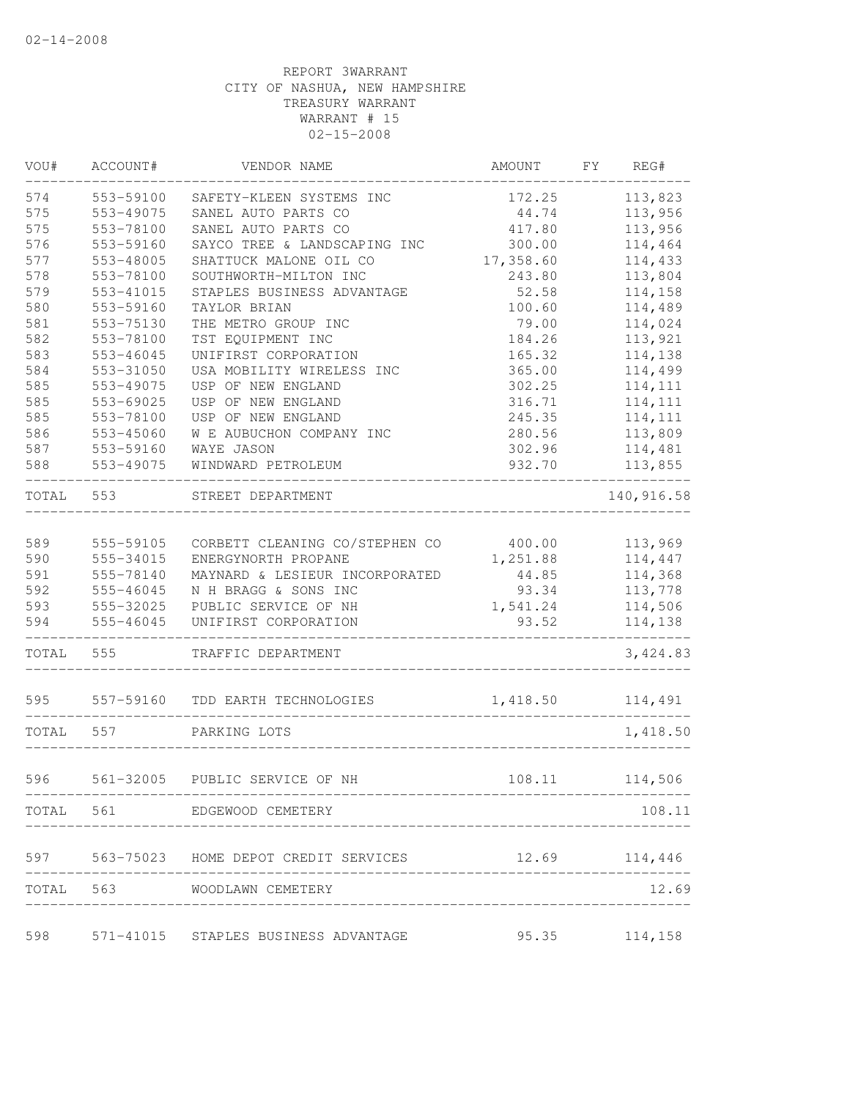| VOU#       | ACCOUNT#               | VENDOR NAME                                            | AMOUNT            | FY | REG#               |
|------------|------------------------|--------------------------------------------------------|-------------------|----|--------------------|
| 574        | 553-59100              | SAFETY-KLEEN SYSTEMS INC                               | 172.25            |    | 113,823            |
| 575        | 553-49075              | SANEL AUTO PARTS CO                                    | 44.74             |    | 113,956            |
| 575        | 553-78100              | SANEL AUTO PARTS CO                                    | 417.80            |    | 113,956            |
| 576        | 553-59160              | SAYCO TREE & LANDSCAPING INC                           | 300.00            |    | 114,464            |
| 577        | 553-48005              | SHATTUCK MALONE OIL CO                                 | 17,358.60         |    | 114,433            |
| 578        | 553-78100              | SOUTHWORTH-MILTON INC                                  | 243.80            |    | 113,804            |
| 579        | 553-41015              | STAPLES BUSINESS ADVANTAGE                             | 52.58             |    | 114,158            |
| 580        | 553-59160              | TAYLOR BRIAN                                           | 100.60            |    | 114,489            |
| 581        | 553-75130              | THE METRO GROUP INC                                    | 79.00             |    | 114,024            |
| 582        | 553-78100              | TST EQUIPMENT INC                                      | 184.26            |    | 113,921            |
| 583        | 553-46045              | UNIFIRST CORPORATION                                   | 165.32            |    | 114,138            |
| 584        | 553-31050              | USA MOBILITY WIRELESS INC                              | 365.00            |    | 114,499            |
| 585        | 553-49075              | USP OF NEW ENGLAND                                     | 302.25            |    | 114, 111           |
| 585        | 553-69025              | USP OF NEW ENGLAND                                     | 316.71            |    | 114, 111           |
| 585        | 553-78100              | USP OF NEW ENGLAND                                     | 245.35            |    | 114,111            |
| 586        | 553-45060              | W E AUBUCHON COMPANY INC                               | 280.56            |    | 113,809            |
| 587        | 553-59160              | WAYE JASON                                             | 302.96            |    | 114,481            |
| 588        | 553-49075              | WINDWARD PETROLEUM                                     | 932.70            |    | 113,855            |
| TOTAL      | 553                    | STREET DEPARTMENT                                      |                   |    | 140, 916.58        |
| 589        |                        | CORBETT CLEANING CO/STEPHEN CO                         | 400.00            |    |                    |
|            | 555-59105              |                                                        |                   |    | 113,969            |
| 590        | 555-34015              | ENERGYNORTH PROPANE                                    | 1,251.88          |    | 114,447            |
| 591<br>592 | 555-78140<br>555-46045 | MAYNARD & LESIEUR INCORPORATED<br>N H BRAGG & SONS INC | 44.85<br>93.34    |    | 114,368            |
| 593        | 555-32025              | PUBLIC SERVICE OF NH                                   |                   |    | 113,778            |
| 594        | 555-46045              | UNIFIRST CORPORATION                                   | 1,541.24<br>93.52 |    | 114,506<br>114,138 |
|            |                        |                                                        |                   |    |                    |
| TOTAL      | 555                    | TRAFFIC DEPARTMENT                                     |                   |    | 3, 424.83          |
| 595        | 557-59160              | TDD EARTH TECHNOLOGIES                                 | 1,418.50          |    | 114,491            |
| TOTAL      | 557                    | PARKING LOTS                                           |                   |    | 1,418.50           |
| 596        | 561-32005              | PUBLIC SERVICE OF NH                                   | 108.11            |    | 114,506            |
|            |                        |                                                        |                   |    | 108.11             |
|            |                        | TOTAL 561 EDGEWOOD CEMETERY                            |                   |    |                    |
|            |                        | 597 563-75023 HOME DEPOT CREDIT SERVICES 12.69 114,446 |                   |    |                    |
|            |                        | TOTAL 563 WOODLAWN CEMETERY                            |                   |    | 12.69              |
| 598        |                        | 571-41015 STAPLES BUSINESS ADVANTAGE 35.35 114,158     |                   |    |                    |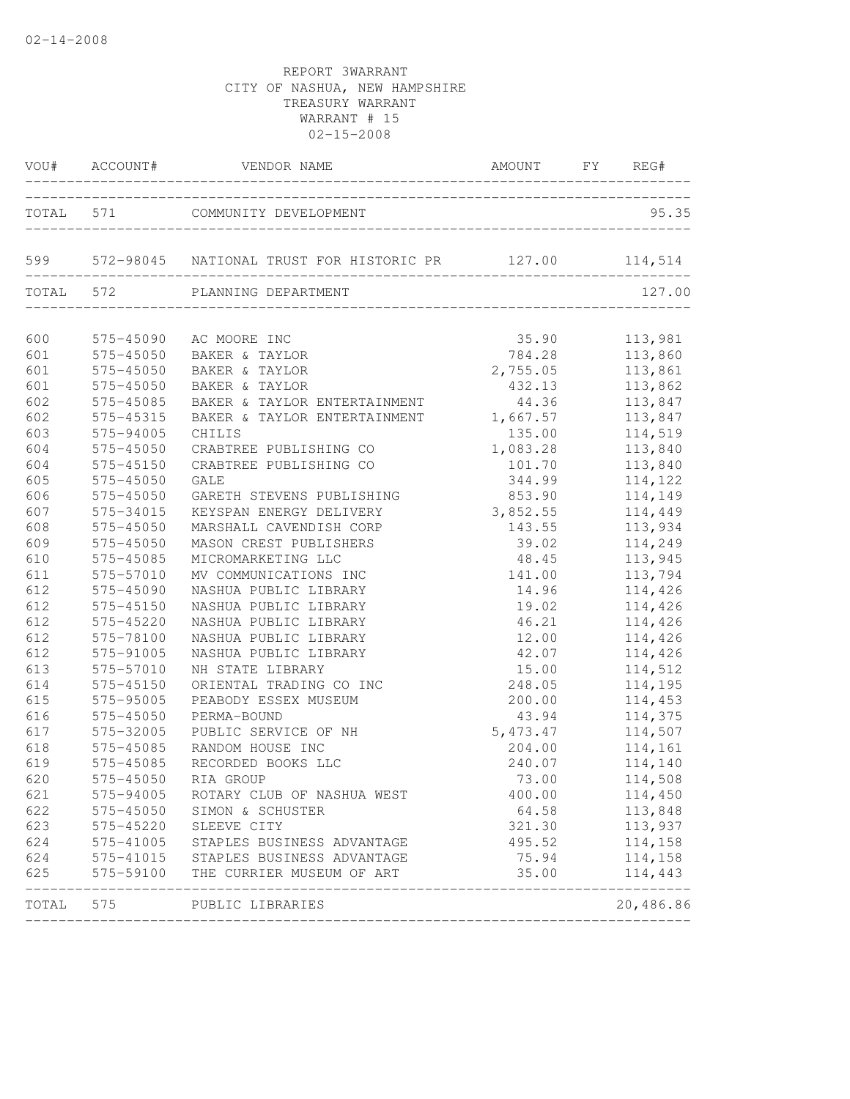|       | VOU# ACCOUNT# | VENDOR NAME                                                 | AMOUNT FY REG#     |                |
|-------|---------------|-------------------------------------------------------------|--------------------|----------------|
|       |               | TOTAL 571 COMMUNITY DEVELOPMENT                             |                    | 95.35          |
|       |               | 599 572-98045 NATIONAL TRUST FOR HISTORIC PR 127.00 114,514 |                    |                |
|       |               | TOTAL 572 PLANNING DEPARTMENT                               |                    | 127.00         |
|       |               |                                                             |                    |                |
| 600   | 575-45090     | AC MOORE INC                                                | 35.90              | 113,981        |
| 601   | 575-45050     | BAKER & TAYLOR                                              | 784.28             | 113,860        |
| 601   | 575-45050     | BAKER & TAYLOR                                              |                    | 113,861        |
| 601   | 575-45050     | BAKER & TAYLOR                                              | 2,755.05<br>432.13 | 113,862        |
| 602   | 575-45085     | BAKER & TAYLOR ENTERTAINMENT                                | 44.36              | 113,847        |
| 602   | 575-45315     | BAKER & TAYLOR ENTERTAINMENT 1,667.57                       |                    | 113,847        |
| 603   | 575-94005     | CHILIS                                                      | 135.00             | 114,519        |
| 604   | 575-45050     | CRABTREE PUBLISHING CO                                      | 1,083.28           | 113,840        |
| 604   | 575-45150     | CRABTREE PUBLISHING CO                                      | 101.70             | 113,840        |
| 605   | 575-45050     | <b>GALE</b>                                                 | 344.99             | 114,122        |
| 606   | 575-45050     | GARETH STEVENS PUBLISHING                                   | 853.90             | 114,149        |
| 607   | 575-34015     | KEYSPAN ENERGY DELIVERY                                     | 3,852.55<br>143.55 | 114,449        |
| 608   | 575-45050     | MARSHALL CAVENDISH CORP                                     |                    | 113,934        |
| 609   | 575-45050     | MASON CREST PUBLISHERS                                      | 39.02              | 114,249        |
| 610   | 575-45085     | MICROMARKETING LLC                                          | 48.45              | 113,945        |
| 611   | 575-57010     | MV COMMUNICATIONS INC                                       | 141.00             | 113,794        |
| 612   | 575-45090     | NASHUA PUBLIC LIBRARY                                       | 14.96              | 114,426        |
| 612   | 575-45150     | NASHUA PUBLIC LIBRARY                                       | 19.02              | 114,426        |
| 612   | 575-45220     | NASHUA PUBLIC LIBRARY                                       | 46.21              | 114,426        |
| 612   | 575-78100     | NASHUA PUBLIC LIBRARY                                       | 12.00              | 114,426        |
| 612   | 575-91005     | NASHUA PUBLIC LIBRARY                                       | 42.07              | 114,426        |
| 613   | 575-57010     | NH STATE LIBRARY                                            | 15.00              | 114,512        |
| 614   | 575-45150     | ORIENTAL TRADING CO INC                                     | 248.05             | 114,195        |
| 615   | 575-95005     | PEABODY ESSEX MUSEUM                                        | 200.00             | 114,453        |
| 616   | 575-45050     | PERMA-BOUND                                                 | 43.94              | 114,375        |
| 617   | 575-32005     | PUBLIC SERVICE OF NH                                        | 5,473.47           | 114,507        |
| 618   | 575-45085     | RANDOM HOUSE INC                                            |                    | 204.00 114,161 |
| 619   | 575-45085     | RECORDED BOOKS LLC                                          | 240.07             | 114,140        |
| 620   |               | 575-45050 RIA GROUP                                         | 73.00              | 114,508        |
| 621   | 575-94005     | ROTARY CLUB OF NASHUA WEST                                  | 400.00             | 114,450        |
| 622   | 575-45050     | SIMON & SCHUSTER                                            | 64.58              | 113,848        |
| 623   | 575-45220     | SLEEVE CITY                                                 | 321.30             | 113,937        |
| 624   |               | 575-41005 STAPLES BUSINESS ADVANTAGE                        | 495.52             | 114,158        |
| 624   |               | 575-41015 STAPLES BUSINESS ADVANTAGE                        | 75.94              | 114,158        |
| 625   | 575-59100     | THE CURRIER MUSEUM OF ART                                   | 35.00              | 114,443        |
| TOTAL | 575           | PUBLIC LIBRARIES                                            |                    | 20,486.86      |
|       |               |                                                             |                    |                |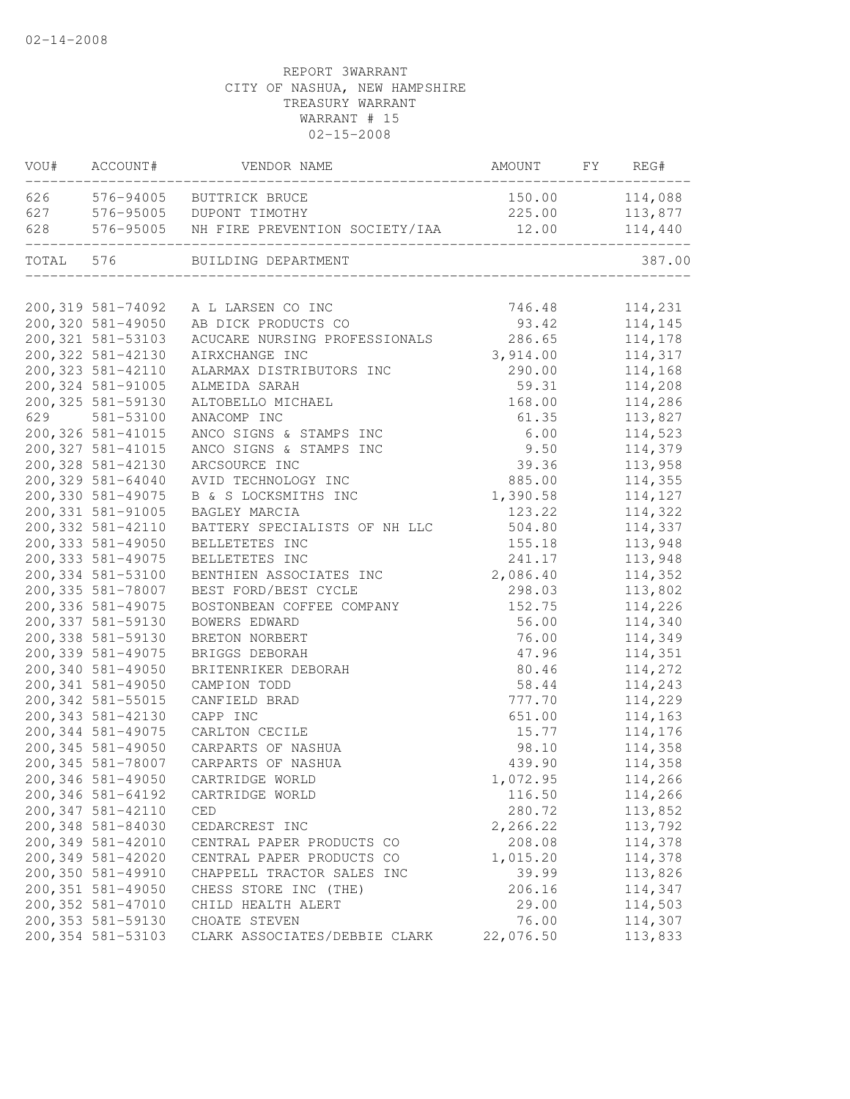| VOU#  | ACCOUNT#                               | VENDOR NAME                              | AMOUNT             | ${\rm F}\,{\rm Y}$ | REG#               |
|-------|----------------------------------------|------------------------------------------|--------------------|--------------------|--------------------|
| 626   | 576-94005                              | BUTTRICK BRUCE                           | 150.00             |                    | 114,088            |
| 627   | 576-95005                              | DUPONT TIMOTHY                           | 225.00             |                    | 113,877            |
| 628   | 576-95005                              | NH FIRE PREVENTION SOCIETY/IAA           | 12.00              |                    | 114,440            |
| TOTAL | 576                                    | BUILDING DEPARTMENT                      |                    |                    | 387.00             |
|       |                                        |                                          |                    |                    |                    |
|       | 200,319 581-74092<br>200,320 581-49050 | A L LARSEN CO INC<br>AB DICK PRODUCTS CO | 746.48<br>93.42    |                    | 114,231            |
|       | 200, 321 581-53103                     | ACUCARE NURSING PROFESSIONALS            |                    |                    | 114,145            |
|       | 200, 322 581-42130                     | AIRXCHANGE INC                           | 286.65<br>3,914.00 |                    | 114,178<br>114,317 |
|       | 200, 323 581-42110                     | ALARMAX DISTRIBUTORS INC                 | 290.00             |                    | 114,168            |
|       | 200, 324 581-91005                     | ALMEIDA SARAH                            | 59.31              |                    |                    |
|       | 200, 325 581-59130                     | ALTOBELLO MICHAEL                        | 168.00             |                    | 114,208            |
| 629   | 581-53100                              | ANACOMP INC                              | 61.35              |                    | 114,286<br>113,827 |
|       | 200, 326 581-41015                     | ANCO SIGNS & STAMPS INC                  | 6.00               |                    | 114,523            |
|       | 200, 327 581-41015                     | ANCO SIGNS & STAMPS INC                  | 9.50               |                    | 114,379            |
|       | 200, 328 581-42130                     | ARCSOURCE INC                            | 39.36              |                    | 113,958            |
|       | 200,329 581-64040                      | AVID TECHNOLOGY INC                      | 885.00             |                    | 114,355            |
|       | 200,330 581-49075                      | B & S LOCKSMITHS INC                     | 1,390.58           |                    | 114,127            |
|       | 200, 331 581-91005                     | BAGLEY MARCIA                            | 123.22             |                    | 114,322            |
|       | 200, 332 581-42110                     | BATTERY SPECIALISTS OF NH LLC            | 504.80             |                    | 114,337            |
|       | 200, 333 581-49050                     | BELLETETES INC                           | 155.18             |                    | 113,948            |
|       | 200, 333 581-49075                     | BELLETETES INC                           | 241.17             |                    | 113,948            |
|       | 200,334 581-53100                      | BENTHIEN ASSOCIATES INC                  | 2,086.40           |                    | 114,352            |
|       | 200,335 581-78007                      | BEST FORD/BEST CYCLE                     | 298.03             |                    | 113,802            |
|       | 200,336 581-49075                      | BOSTONBEAN COFFEE COMPANY                | 152.75             |                    | 114,226            |
|       | 200, 337 581-59130                     | BOWERS EDWARD                            | 56.00              |                    | 114,340            |
|       | 200,338 581-59130                      | BRETON NORBERT                           | 76.00              |                    | 114,349            |
|       | 200,339 581-49075                      | BRIGGS DEBORAH                           | 47.96              |                    | 114,351            |
|       | 200,340 581-49050                      | BRITENRIKER DEBORAH                      | 80.46              |                    | 114,272            |
|       | 200, 341 581-49050                     | CAMPION TODD                             | 58.44              |                    | 114,243            |
|       | 200, 342 581-55015                     | CANFIELD BRAD                            | 777.70             |                    | 114,229            |
|       | 200,343 581-42130                      | CAPP INC                                 | 651.00             |                    | 114,163            |
|       | 200,344 581-49075                      | CARLTON CECILE                           | 15.77              |                    | 114,176            |
|       | 200,345 581-49050                      | CARPARTS OF NASHUA                       | 98.10              |                    | 114,358            |
|       | 200, 345 581-78007                     | CARPARTS OF NASHUA                       | 439.90             |                    | 114,358            |
|       | 200,346 581-49050                      | CARTRIDGE WORLD                          | 1,072.95           |                    | 114,266            |
|       | 200,346 581-64192                      | CARTRIDGE WORLD                          | 116.50             |                    | 114,266            |
|       | 200, 347 581-42110                     | CED                                      | 280.72             |                    | 113,852            |
|       | 200,348 581-84030                      | CEDARCREST INC                           | 2,266.22           |                    | 113,792            |
|       | 200,349 581-42010                      | CENTRAL PAPER PRODUCTS CO                | 208.08             |                    | 114,378            |
|       | 200,349 581-42020                      | CENTRAL PAPER PRODUCTS CO                | 1,015.20           |                    | 114,378            |
|       | 200,350 581-49910                      | CHAPPELL TRACTOR SALES INC               | 39.99              |                    | 113,826            |
|       | 200,351 581-49050                      | CHESS STORE INC (THE)                    | 206.16             |                    | 114,347            |
|       | 200,352 581-47010                      | CHILD HEALTH ALERT                       | 29.00              |                    | 114,503            |
|       | 200, 353 581-59130                     | CHOATE STEVEN                            | 76.00              |                    | 114,307            |
|       | 200, 354 581-53103                     | CLARK ASSOCIATES/DEBBIE CLARK            | 22,076.50          |                    | 113,833            |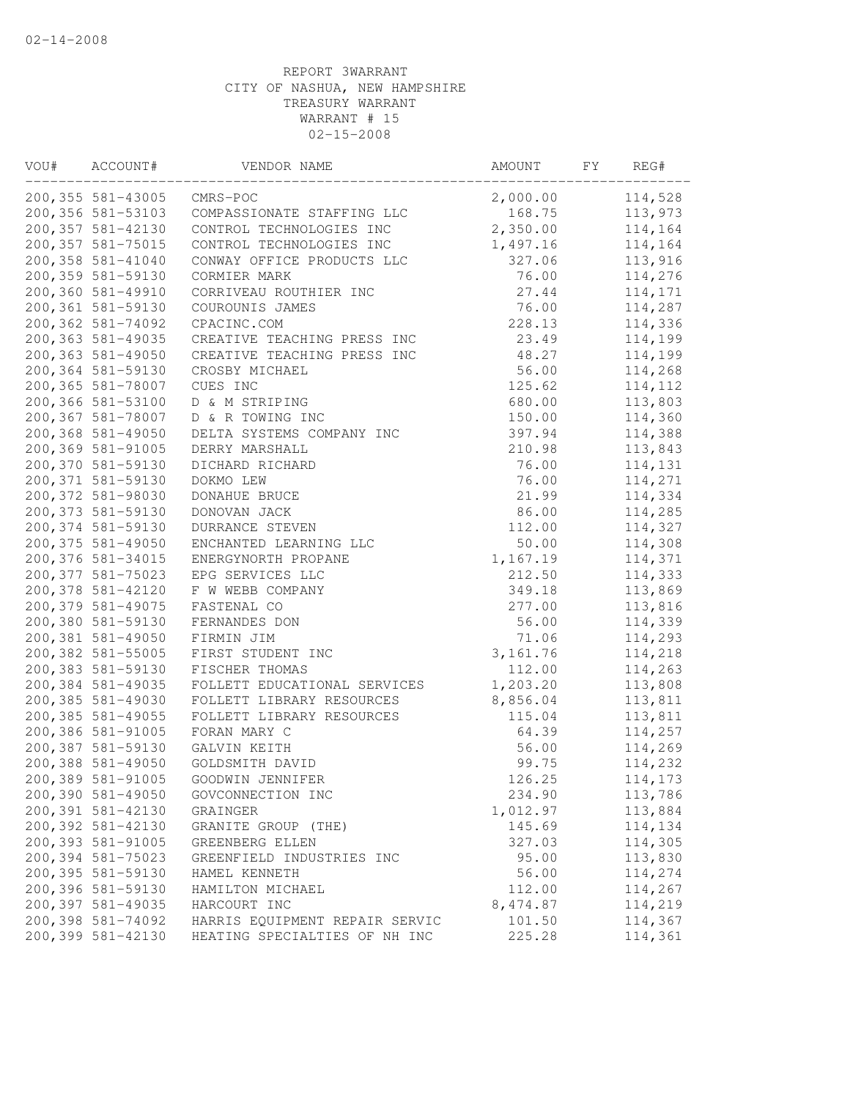| VOU# | ACCOUNT#           | VENDOR NAME                     | AMOUNT    | FΥ | REG#    |
|------|--------------------|---------------------------------|-----------|----|---------|
|      | 200, 355 581-43005 | CMRS-POC                        | 2,000.00  |    | 114,528 |
|      | 200,356 581-53103  | COMPASSIONATE STAFFING LLC      | 168.75    |    | 113,973 |
|      | 200,357 581-42130  | CONTROL TECHNOLOGIES INC        | 2,350.00  |    | 114,164 |
|      | 200, 357 581-75015 | CONTROL TECHNOLOGIES INC        | 1,497.16  |    | 114,164 |
|      | 200,358 581-41040  | CONWAY OFFICE PRODUCTS LLC      | 327.06    |    | 113,916 |
|      | 200,359 581-59130  | CORMIER MARK                    | 76.00     |    | 114,276 |
|      | 200,360 581-49910  | CORRIVEAU ROUTHIER INC          | 27.44     |    | 114,171 |
|      | 200,361 581-59130  | COUROUNIS JAMES                 | 76.00     |    | 114,287 |
|      | 200,362 581-74092  | CPACINC.COM                     | 228.13    |    | 114,336 |
|      | 200,363 581-49035  | CREATIVE TEACHING PRESS INC     | 23.49     |    | 114,199 |
|      | 200,363 581-49050  | CREATIVE TEACHING PRESS INC     | 48.27     |    | 114,199 |
|      | 200,364 581-59130  | CROSBY MICHAEL                  | 56.00     |    | 114,268 |
|      | 200,365 581-78007  | CUES INC                        | 125.62    |    | 114,112 |
|      | 200,366 581-53100  | D & M STRIPING                  | 680.00    |    | 113,803 |
|      | 200,367 581-78007  | D & R TOWING INC                | 150.00    |    | 114,360 |
|      | 200,368 581-49050  | DELTA SYSTEMS COMPANY INC       | 397.94    |    | 114,388 |
|      | 200,369 581-91005  | DERRY MARSHALL                  | 210.98    |    | 113,843 |
|      | 200,370 581-59130  | DICHARD RICHARD                 | 76.00     |    | 114,131 |
|      | 200,371 581-59130  | DOKMO LEW                       | 76.00     |    | 114,271 |
|      | 200,372 581-98030  | DONAHUE BRUCE                   | 21.99     |    | 114,334 |
|      | 200,373 581-59130  | DONOVAN JACK                    | 86.00     |    | 114,285 |
|      | 200,374 581-59130  | <b>DURRANCE STEVEN</b>          | 112.00    |    | 114,327 |
|      | 200,375 581-49050  | ENCHANTED LEARNING LLC          | 50.00     |    | 114,308 |
|      | 200,376 581-34015  | ENERGYNORTH PROPANE             | 1,167.19  |    | 114,371 |
|      | 200,377 581-75023  | EPG SERVICES LLC                | 212.50    |    | 114,333 |
|      | 200,378 581-42120  | F W WEBB COMPANY                | 349.18    |    | 113,869 |
|      | 200,379 581-49075  | FASTENAL CO                     | 277.00    |    | 113,816 |
|      | 200,380 581-59130  | FERNANDES DON                   | 56.00     |    | 114,339 |
|      | 200,381 581-49050  |                                 |           |    |         |
|      | 200,382 581-55005  | FIRMIN JIM<br>FIRST STUDENT INC | 71.06     |    | 114,293 |
|      |                    |                                 | 3, 161.76 |    | 114,218 |
|      | 200,383 581-59130  | FISCHER THOMAS                  | 112.00    |    | 114,263 |
|      | 200,384 581-49035  | FOLLETT EDUCATIONAL SERVICES    | 1,203.20  |    | 113,808 |
|      | 200,385 581-49030  | FOLLETT LIBRARY RESOURCES       | 8,856.04  |    | 113,811 |
|      | 200,385 581-49055  | FOLLETT LIBRARY RESOURCES       | 115.04    |    | 113,811 |
|      | 200,386 581-91005  | FORAN MARY C                    | 64.39     |    | 114,257 |
|      | 200,387 581-59130  | GALVIN KEITH                    | 56.00     |    | 114,269 |
|      | 200,388 581-49050  | GOLDSMITH DAVID                 | 99.75     |    | 114,232 |
|      | 200,389 581-91005  | GOODWIN JENNIFER                | 126.25    |    | 114,173 |
|      | 200,390 581-49050  | GOVCONNECTION INC               | 234.90    |    | 113,786 |
|      | 200,391 581-42130  | GRAINGER                        | 1,012.97  |    | 113,884 |
|      | 200,392 581-42130  | GRANITE GROUP (THE)             | 145.69    |    | 114,134 |
|      | 200,393 581-91005  | GREENBERG ELLEN                 | 327.03    |    | 114,305 |
|      | 200,394 581-75023  | GREENFIELD INDUSTRIES INC       | 95.00     |    | 113,830 |
|      | 200,395 581-59130  | HAMEL KENNETH                   | 56.00     |    | 114,274 |
|      | 200,396 581-59130  | HAMILTON MICHAEL                | 112.00    |    | 114,267 |
|      | 200,397 581-49035  | HARCOURT INC                    | 8,474.87  |    | 114,219 |
|      | 200,398 581-74092  | HARRIS EQUIPMENT REPAIR SERVIC  | 101.50    |    | 114,367 |
|      | 200,399 581-42130  | HEATING SPECIALTIES OF NH INC   | 225.28    |    | 114,361 |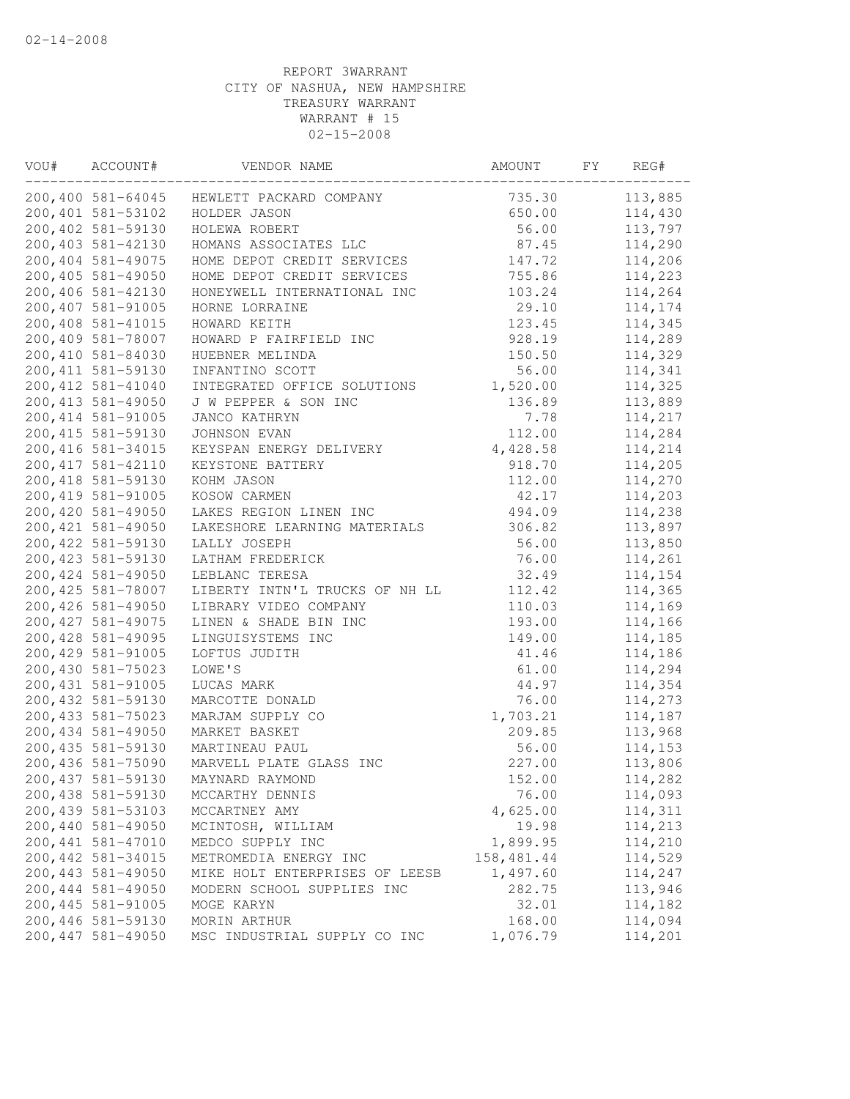| VOU# | ACCOUNT#           | VENDOR NAME                    | AMOUNT      | FY | REG#    |
|------|--------------------|--------------------------------|-------------|----|---------|
|      | 200,400 581-64045  | HEWLETT PACKARD COMPANY        | 735.30      |    | 113,885 |
|      | 200,401 581-53102  | HOLDER JASON                   | 650.00      |    | 114,430 |
|      | 200,402 581-59130  | HOLEWA ROBERT                  | 56.00       |    | 113,797 |
|      | 200,403 581-42130  | HOMANS ASSOCIATES LLC          | 87.45       |    | 114,290 |
|      | 200,404 581-49075  | HOME DEPOT CREDIT SERVICES     | 147.72      |    | 114,206 |
|      | 200,405 581-49050  | HOME DEPOT CREDIT SERVICES     | 755.86      |    | 114,223 |
|      | 200,406 581-42130  | HONEYWELL INTERNATIONAL INC    | 103.24      |    | 114,264 |
|      | 200,407 581-91005  | HORNE LORRAINE                 | 29.10       |    | 114,174 |
|      | 200,408 581-41015  | HOWARD KEITH                   | 123.45      |    | 114,345 |
|      | 200,409 581-78007  | HOWARD P FAIRFIELD INC         | 928.19      |    | 114,289 |
|      | 200,410 581-84030  | HUEBNER MELINDA                | 150.50      |    | 114,329 |
|      | 200, 411 581-59130 | INFANTINO SCOTT                | 56.00       |    | 114,341 |
|      | 200, 412 581-41040 | INTEGRATED OFFICE SOLUTIONS    | 1,520.00    |    | 114,325 |
|      | 200, 413 581-49050 | J W PEPPER & SON INC           | 136.89      |    | 113,889 |
|      | 200, 414 581-91005 | JANCO KATHRYN                  | 7.78        |    | 114,217 |
|      | 200, 415 581-59130 | JOHNSON EVAN                   | 112.00      |    | 114,284 |
|      | 200, 416 581-34015 | KEYSPAN ENERGY DELIVERY        | 4,428.58    |    | 114,214 |
|      | 200, 417 581-42110 | KEYSTONE BATTERY               | 918.70      |    | 114,205 |
|      | 200, 418 581-59130 | KOHM JASON                     | 112.00      |    | 114,270 |
|      | 200, 419 581-91005 | KOSOW CARMEN                   | 42.17       |    | 114,203 |
|      | 200,420 581-49050  | LAKES REGION LINEN INC         | 494.09      |    | 114,238 |
|      | 200, 421 581-49050 | LAKESHORE LEARNING MATERIALS   | 306.82      |    | 113,897 |
|      | 200, 422 581-59130 | LALLY JOSEPH                   | 56.00       |    | 113,850 |
|      | 200, 423 581-59130 | LATHAM FREDERICK               | 76.00       |    | 114,261 |
|      | 200,424 581-49050  | LEBLANC TERESA                 | 32.49       |    | 114,154 |
|      | 200, 425 581-78007 | LIBERTY INTN'L TRUCKS OF NH LL | 112.42      |    | 114,365 |
|      | 200,426 581-49050  | LIBRARY VIDEO COMPANY          | 110.03      |    | 114,169 |
|      | 200, 427 581-49075 | LINEN & SHADE BIN INC          | 193.00      |    | 114,166 |
|      | 200, 428 581-49095 | LINGUISYSTEMS INC              | 149.00      |    | 114,185 |
|      | 200, 429 581-91005 | LOFTUS JUDITH                  | 41.46       |    | 114,186 |
|      | 200,430 581-75023  | LOWE'S                         | 61.00       |    | 114,294 |
|      | 200, 431 581-91005 | LUCAS MARK                     | 44.97       |    | 114,354 |
|      | 200, 432 581-59130 | MARCOTTE DONALD                | 76.00       |    | 114,273 |
|      | 200, 433 581-75023 | MARJAM SUPPLY CO               | 1,703.21    |    | 114,187 |
|      | 200,434 581-49050  | MARKET BASKET                  | 209.85      |    | 113,968 |
|      | 200, 435 581-59130 | MARTINEAU PAUL                 | 56.00       |    | 114,153 |
|      | 200,436 581-75090  | MARVELL PLATE GLASS INC        | 227.00      |    | 113,806 |
|      | 200, 437 581-59130 | MAYNARD RAYMOND                | 152.00      |    | 114,282 |
|      | 200,438 581-59130  | MCCARTHY DENNIS                | 76.00       |    | 114,093 |
|      | 200,439 581-53103  | MCCARTNEY AMY                  | 4,625.00    |    | 114,311 |
|      | 200,440 581-49050  | MCINTOSH, WILLIAM              | 19.98       |    | 114,213 |
|      | 200,441 581-47010  | MEDCO SUPPLY INC               | 1,899.95    |    | 114,210 |
|      | 200,442 581-34015  | METROMEDIA ENERGY INC          | 158, 481.44 |    | 114,529 |
|      | 200,443 581-49050  | MIKE HOLT ENTERPRISES OF LEESB | 1,497.60    |    | 114,247 |
|      | 200,444 581-49050  | MODERN SCHOOL SUPPLIES INC     | 282.75      |    | 113,946 |
|      | 200, 445 581-91005 | MOGE KARYN                     | 32.01       |    | 114,182 |
|      | 200,446 581-59130  | MORIN ARTHUR                   | 168.00      |    | 114,094 |
|      | 200,447 581-49050  | MSC INDUSTRIAL SUPPLY CO INC   | 1,076.79    |    | 114,201 |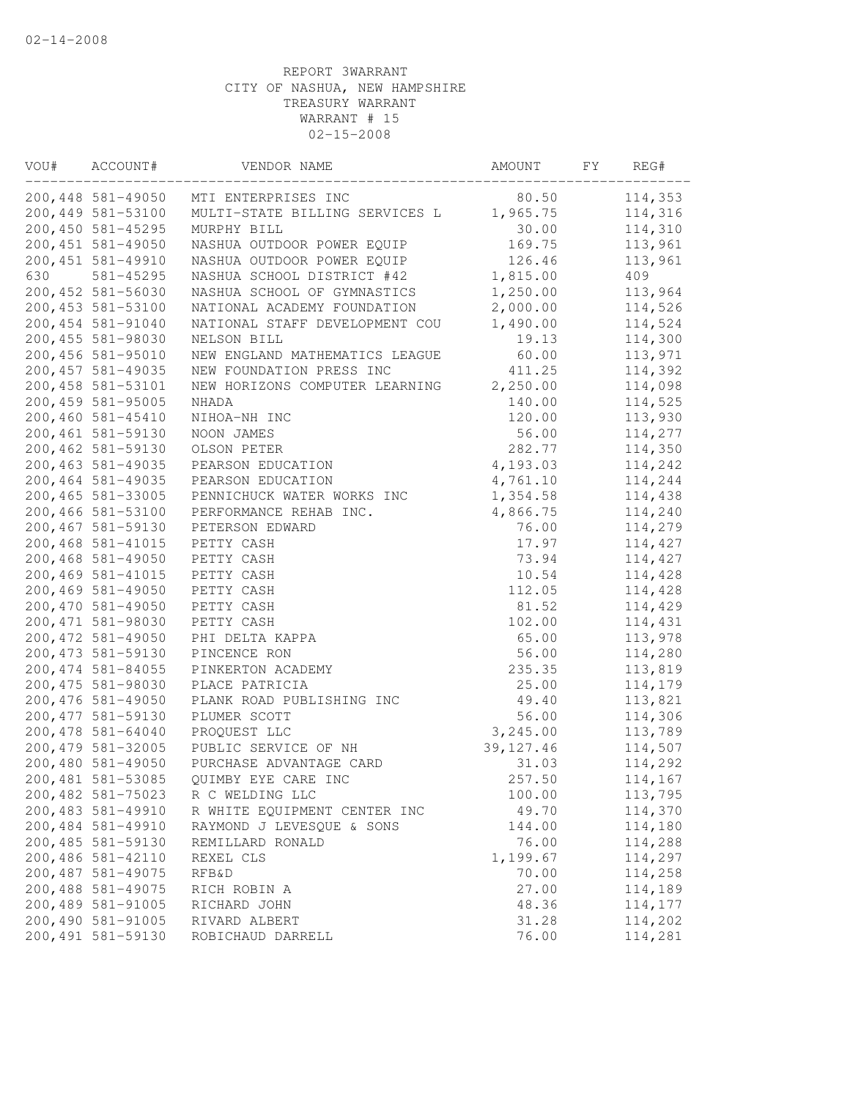| VOU# | ACCOUNT#           | VENDOR NAME                    | AMOUNT     | FΥ | REG#    |
|------|--------------------|--------------------------------|------------|----|---------|
|      | 200,448 581-49050  | MTI ENTERPRISES INC            | 80.50      |    | 114,353 |
|      | 200,449 581-53100  | MULTI-STATE BILLING SERVICES L | 1,965.75   |    | 114,316 |
|      | 200,450 581-45295  | MURPHY BILL                    | 30.00      |    | 114,310 |
|      | 200, 451 581-49050 | NASHUA OUTDOOR POWER EQUIP     | 169.75     |    | 113,961 |
|      | 200, 451 581-49910 | NASHUA OUTDOOR POWER EQUIP     | 126.46     |    | 113,961 |
| 630  | 581-45295          | NASHUA SCHOOL DISTRICT #42     | 1,815.00   |    | 409     |
|      | 200, 452 581-56030 | NASHUA SCHOOL OF GYMNASTICS    | 1,250.00   |    | 113,964 |
|      | 200, 453 581-53100 | NATIONAL ACADEMY FOUNDATION    | 2,000.00   |    | 114,526 |
|      | 200, 454 581-91040 | NATIONAL STAFF DEVELOPMENT COU | 1,490.00   |    | 114,524 |
|      | 200,455 581-98030  | NELSON BILL                    | 19.13      |    | 114,300 |
|      | 200,456 581-95010  | NEW ENGLAND MATHEMATICS LEAGUE | 60.00      |    | 113,971 |
|      | 200, 457 581-49035 | NEW FOUNDATION PRESS INC       | 411.25     |    | 114,392 |
|      | 200, 458 581-53101 | NEW HORIZONS COMPUTER LEARNING | 2,250.00   |    | 114,098 |
|      | 200,459 581-95005  | NHADA                          | 140.00     |    | 114,525 |
|      | 200,460 581-45410  | NIHOA-NH INC                   | 120.00     |    | 113,930 |
|      | 200,461 581-59130  | NOON JAMES                     | 56.00      |    | 114,277 |
|      | 200,462 581-59130  | OLSON PETER                    | 282.77     |    | 114,350 |
|      | 200, 463 581-49035 | PEARSON EDUCATION              | 4,193.03   |    | 114,242 |
|      | 200,464 581-49035  | PEARSON EDUCATION              | 4,761.10   |    | 114,244 |
|      | 200,465 581-33005  | PENNICHUCK WATER WORKS INC     | 1,354.58   |    | 114,438 |
|      | 200,466 581-53100  | PERFORMANCE REHAB INC.         | 4,866.75   |    | 114,240 |
|      | 200,467 581-59130  | PETERSON EDWARD                | 76.00      |    | 114,279 |
|      | 200,468 581-41015  | PETTY CASH                     | 17.97      |    | 114,427 |
|      | 200,468 581-49050  | PETTY CASH                     | 73.94      |    | 114,427 |
|      | 200,469 581-41015  | PETTY CASH                     | 10.54      |    | 114,428 |
|      | 200,469 581-49050  | PETTY CASH                     | 112.05     |    | 114,428 |
|      | 200,470 581-49050  | PETTY CASH                     | 81.52      |    | 114,429 |
|      | 200, 471 581-98030 | PETTY CASH                     | 102.00     |    | 114,431 |
|      | 200, 472 581-49050 | PHI DELTA KAPPA                | 65.00      |    | 113,978 |
|      | 200, 473 581-59130 | PINCENCE RON                   | 56.00      |    | 114,280 |
|      | 200, 474 581-84055 | PINKERTON ACADEMY              | 235.35     |    | 113,819 |
|      | 200, 475 581-98030 | PLACE PATRICIA                 | 25.00      |    | 114,179 |
|      | 200,476 581-49050  | PLANK ROAD PUBLISHING INC      | 49.40      |    | 113,821 |
|      | 200, 477 581-59130 | PLUMER SCOTT                   | 56.00      |    | 114,306 |
|      | 200,478 581-64040  | PROQUEST LLC                   | 3,245.00   |    | 113,789 |
|      | 200, 479 581-32005 | PUBLIC SERVICE OF NH           | 39, 127.46 |    | 114,507 |
|      | 200,480 581-49050  | PURCHASE ADVANTAGE CARD        | 31.03      |    | 114,292 |
|      | 200,481 581-53085  | QUIMBY EYE CARE INC            | 257.50     |    | 114,167 |
|      | 200,482 581-75023  | R C WELDING LLC                | 100.00     |    | 113,795 |
|      | 200,483 581-49910  | R WHITE EQUIPMENT CENTER INC   | 49.70      |    | 114,370 |
|      | 200,484 581-49910  | RAYMOND J LEVESQUE & SONS      | 144.00     |    | 114,180 |
|      | 200,485 581-59130  | REMILLARD RONALD               | 76.00      |    | 114,288 |
|      | 200,486 581-42110  | REXEL CLS                      | 1,199.67   |    | 114,297 |
|      | 200,487 581-49075  | <b>RFB&amp;D</b>               | 70.00      |    | 114,258 |
|      | 200,488 581-49075  | RICH ROBIN A                   | 27.00      |    | 114,189 |
|      | 200,489 581-91005  | RICHARD JOHN                   | 48.36      |    | 114,177 |
|      | 200,490 581-91005  | RIVARD ALBERT                  | 31.28      |    | 114,202 |
|      | 200,491 581-59130  | ROBICHAUD DARRELL              | 76.00      |    | 114,281 |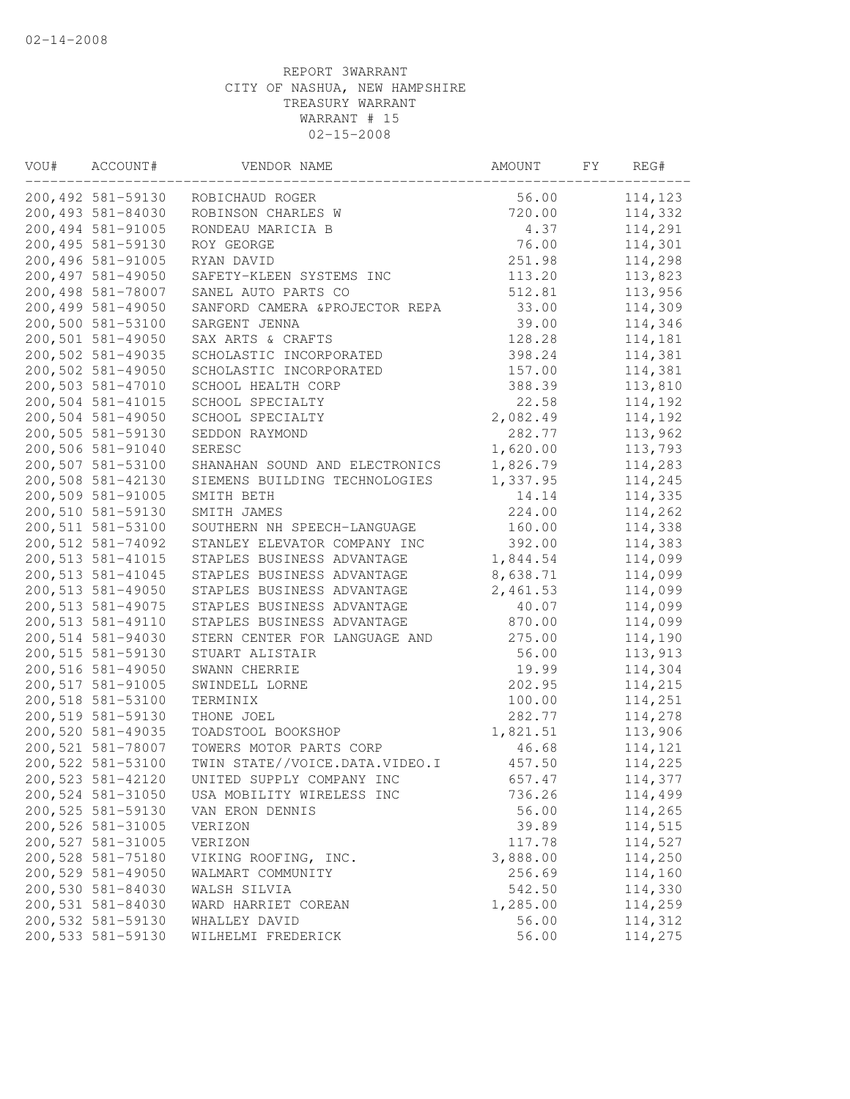| VOU# | ACCOUNT#           | VENDOR NAME                     | AMOUNT   | FΥ | REG#    |
|------|--------------------|---------------------------------|----------|----|---------|
|      | 200,492 581-59130  | ROBICHAUD ROGER                 | 56.00    |    | 114,123 |
|      | 200,493 581-84030  | ROBINSON CHARLES W              | 720.00   |    | 114,332 |
|      | 200,494 581-91005  | RONDEAU MARICIA B               | 4.37     |    | 114,291 |
|      | 200,495 581-59130  | ROY GEORGE                      | 76.00    |    | 114,301 |
|      | 200,496 581-91005  | RYAN DAVID                      | 251.98   |    | 114,298 |
|      | 200,497 581-49050  | SAFETY-KLEEN SYSTEMS INC        | 113.20   |    | 113,823 |
|      | 200,498 581-78007  | SANEL AUTO PARTS CO             | 512.81   |    | 113,956 |
|      | 200,499 581-49050  | SANFORD CAMERA & PROJECTOR REPA | 33.00    |    | 114,309 |
|      | 200,500 581-53100  | SARGENT JENNA                   | 39.00    |    | 114,346 |
|      | 200,501 581-49050  | SAX ARTS & CRAFTS               | 128.28   |    | 114,181 |
|      | 200,502 581-49035  | SCHOLASTIC INCORPORATED         | 398.24   |    | 114,381 |
|      | 200,502 581-49050  | SCHOLASTIC INCORPORATED         | 157.00   |    | 114,381 |
|      | 200,503 581-47010  | SCHOOL HEALTH CORP              | 388.39   |    | 113,810 |
|      | 200,504 581-41015  | SCHOOL SPECIALTY                | 22.58    |    | 114,192 |
|      | 200,504 581-49050  | SCHOOL SPECIALTY                | 2,082.49 |    | 114,192 |
|      | 200,505 581-59130  | SEDDON RAYMOND                  | 282.77   |    | 113,962 |
|      | 200,506 581-91040  | <b>SERESC</b>                   | 1,620.00 |    | 113,793 |
|      | 200,507 581-53100  | SHANAHAN SOUND AND ELECTRONICS  | 1,826.79 |    | 114,283 |
|      | 200,508 581-42130  | SIEMENS BUILDING TECHNOLOGIES   | 1,337.95 |    | 114,245 |
|      | 200,509 581-91005  | SMITH BETH                      | 14.14    |    | 114,335 |
|      | 200,510 581-59130  | SMITH JAMES                     | 224.00   |    | 114,262 |
|      | 200,511 581-53100  | SOUTHERN NH SPEECH-LANGUAGE     | 160.00   |    | 114,338 |
|      | 200,512 581-74092  | STANLEY ELEVATOR COMPANY INC    | 392.00   |    | 114,383 |
|      | 200,513 581-41015  | STAPLES BUSINESS ADVANTAGE      | 1,844.54 |    | 114,099 |
|      | 200, 513 581-41045 | STAPLES BUSINESS ADVANTAGE      | 8,638.71 |    | 114,099 |
|      | 200,513 581-49050  | STAPLES BUSINESS ADVANTAGE      | 2,461.53 |    | 114,099 |
|      | 200, 513 581-49075 | STAPLES BUSINESS ADVANTAGE      | 40.07    |    | 114,099 |
|      | 200,513 581-49110  | STAPLES BUSINESS ADVANTAGE      | 870.00   |    | 114,099 |
|      | 200,514 581-94030  | STERN CENTER FOR LANGUAGE AND   | 275.00   |    | 114,190 |
|      | 200,515 581-59130  | STUART ALISTAIR                 | 56.00    |    | 113,913 |
|      | 200,516 581-49050  | SWANN CHERRIE                   | 19.99    |    | 114,304 |
|      | 200,517 581-91005  | SWINDELL LORNE                  | 202.95   |    | 114,215 |
|      | 200,518 581-53100  | TERMINIX                        | 100.00   |    | 114,251 |
|      | 200,519 581-59130  | THONE JOEL                      | 282.77   |    | 114,278 |
|      | 200,520 581-49035  | TOADSTOOL BOOKSHOP              | 1,821.51 |    | 113,906 |
|      | 200,521 581-78007  | TOWERS MOTOR PARTS CORP         | 46.68    |    | 114,121 |
|      | 200,522 581-53100  | TWIN STATE//VOICE.DATA.VIDEO.I  | 457.50   |    | 114,225 |
|      | 200,523 581-42120  | UNITED SUPPLY COMPANY INC       | 657.47   |    | 114,377 |
|      | 200,524 581-31050  | USA MOBILITY WIRELESS INC       | 736.26   |    | 114,499 |
|      | 200,525 581-59130  | VAN ERON DENNIS                 | 56.00    |    | 114,265 |
|      | 200,526 581-31005  | VERIZON                         | 39.89    |    | 114,515 |
|      | 200,527 581-31005  | VERIZON                         | 117.78   |    | 114,527 |
|      | 200,528 581-75180  | VIKING ROOFING, INC.            | 3,888.00 |    | 114,250 |
|      | 200,529 581-49050  | WALMART COMMUNITY               | 256.69   |    | 114,160 |
|      | 200,530 581-84030  | WALSH SILVIA                    | 542.50   |    | 114,330 |
|      | 200,531 581-84030  | WARD HARRIET COREAN             | 1,285.00 |    | 114,259 |
|      | 200,532 581-59130  | WHALLEY DAVID                   | 56.00    |    | 114,312 |
|      | 200,533 581-59130  | WILHELMI FREDERICK              | 56.00    |    | 114,275 |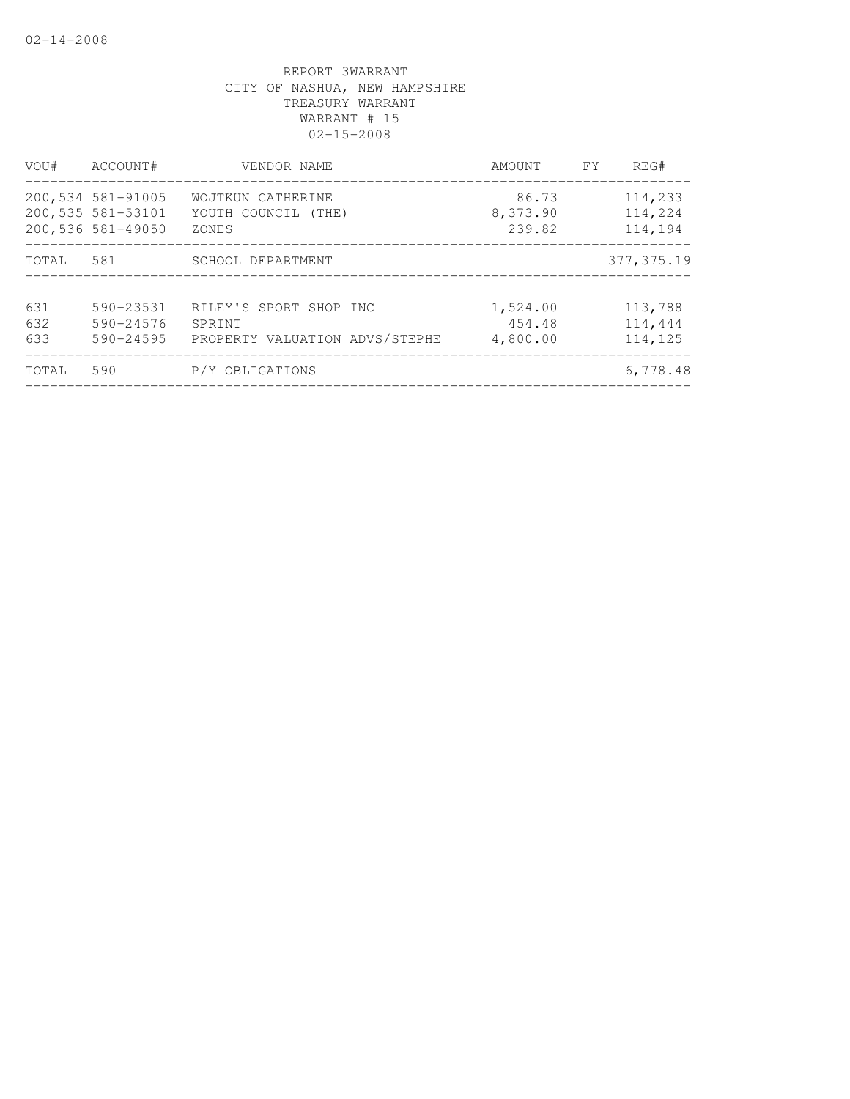| VOU#              | ACCOUNT#                                                    | VENDOR NAME                                                        | AMOUNT                         | <b>FY</b> | REG#                          |
|-------------------|-------------------------------------------------------------|--------------------------------------------------------------------|--------------------------------|-----------|-------------------------------|
|                   | 200,534 581-91005<br>200,535 581-53101<br>200,536 581-49050 | WOJTKUN CATHERINE<br>YOUTH COUNCIL (THE)<br>ZONES                  | 86.73<br>8,373.90<br>239.82    |           | 114,233<br>114,224<br>114,194 |
| TOTAL             | 581                                                         | SCHOOL DEPARTMENT                                                  |                                |           | 377, 375.19                   |
| 631<br>632<br>633 | $590 - 23531$<br>590-24576<br>590-24595                     | RILEY'S SPORT SHOP INC<br>SPRINT<br>PROPERTY VALUATION ADVS/STEPHE | 1,524.00<br>454.48<br>4,800.00 |           | 113,788<br>114,444<br>114,125 |
| TOTAL             | 590                                                         | P/Y OBLIGATIONS                                                    |                                |           | 6,778.48                      |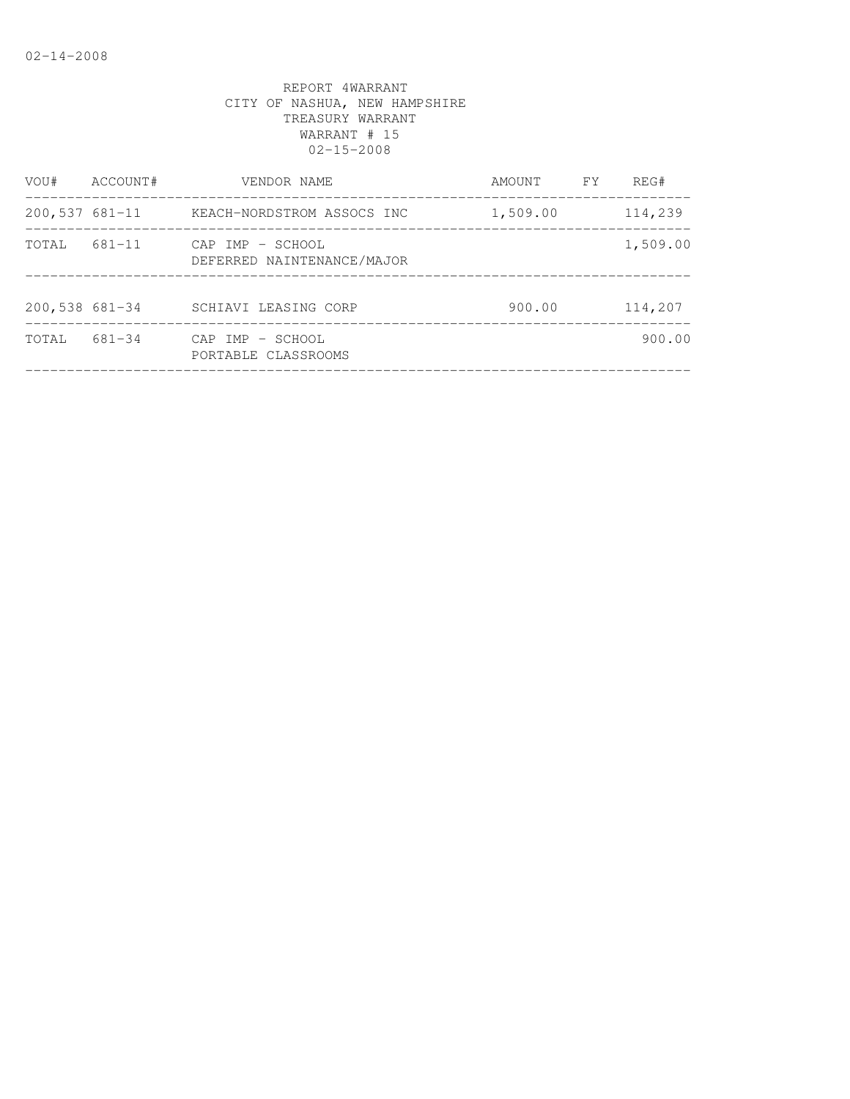| VOU#             | ACCOUNT#   | VENDOR NAME                                    | AMOUNT   | FY | REG#     |
|------------------|------------|------------------------------------------------|----------|----|----------|
| $200,537$ 681-11 |            | KEACH-NORDSTROM ASSOCS INC                     | 1,509.00 |    | 114,239  |
| TOTAL            | 681-11     | CAP IMP - SCHOOL<br>DEFERRED NAINTENANCE/MAJOR |          |    | 1,509.00 |
| $200,538$ 681-34 |            | SCHIAVI LEASING CORP                           | 900.00   |    | 114,207  |
| TOTAL            | $681 - 34$ | CAP IMP - SCHOOL<br>PORTABLE CLASSROOMS        |          |    | 900.00   |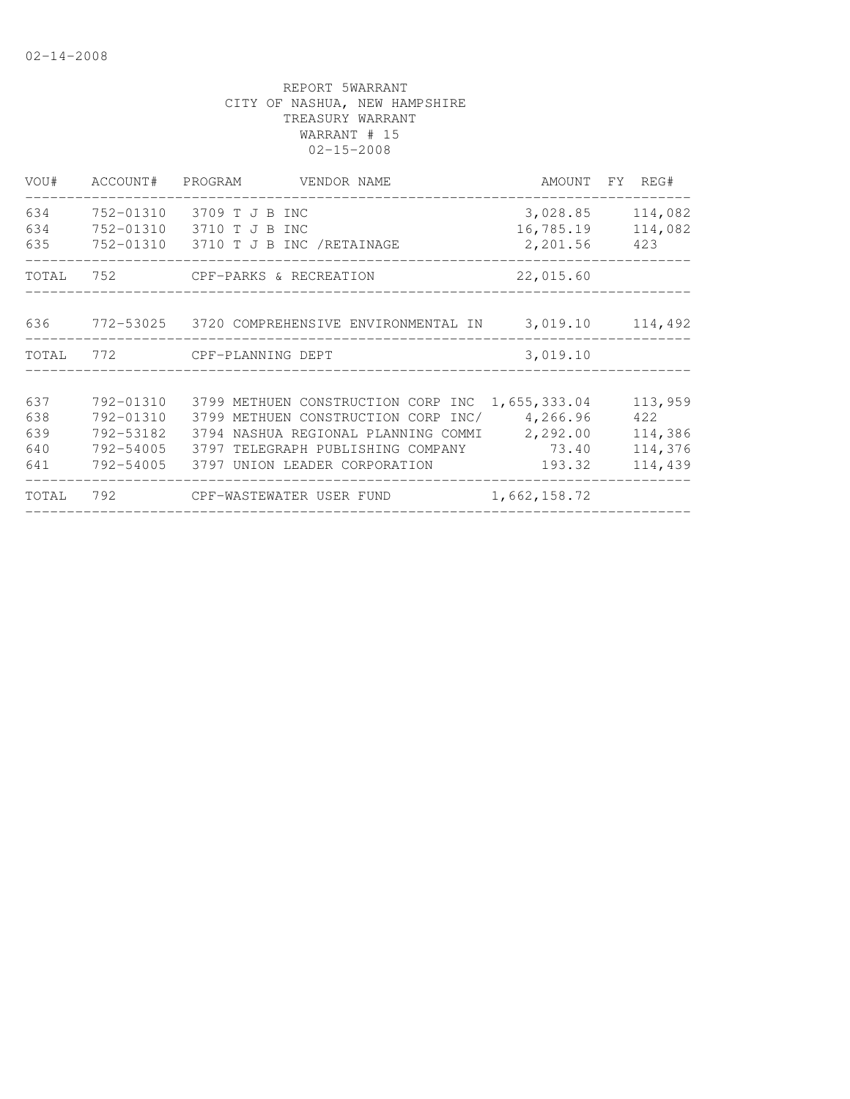| VOU#  | ACCOUNT# PROGRAM | VENDOR NAME                                      | AMOUNT FY REG#   |         |
|-------|------------------|--------------------------------------------------|------------------|---------|
| 634   | 752-01310        | 3709 T J B INC                                   | 3,028.85         | 114,082 |
| 634   |                  | 752-01310 3710 T J B INC                         | 16,785.19        | 114,082 |
| 635   |                  | 752-01310 3710 T J B INC /RETAINAGE              | 2,201.56         | 423     |
| TOTAL |                  |                                                  | 22,015.60        |         |
|       |                  |                                                  |                  |         |
| 636   |                  | 772-53025    3720 COMPREHENSIVE ENVIRONMENTAL IN | 3,019.10 114,492 |         |
| TOTAL |                  | 772 CPF-PLANNING DEPT                            | 3,019.10         |         |
|       |                  |                                                  |                  |         |
| 637   | 792-01310        | 3799 METHUEN CONSTRUCTION CORP INC 1,655,333.04  |                  | 113,959 |
| 638   | 792-01310        | 3799 METHUEN CONSTRUCTION CORP INC/ 4,266.96     |                  | 422     |
| 639   | 792-53182        | 3794 NASHUA REGIONAL PLANNING COMMI              | 2,292.00         | 114,386 |
| 640   | 792-54005        | 3797 TELEGRAPH PUBLISHING COMPANY                | 73.40            | 114,376 |
| 641   |                  | 792-54005 3797 UNION LEADER CORPORATION          | 193.32           | 114,439 |
| TOTAL |                  |                                                  | 1,662,158.72     |         |
|       |                  |                                                  |                  |         |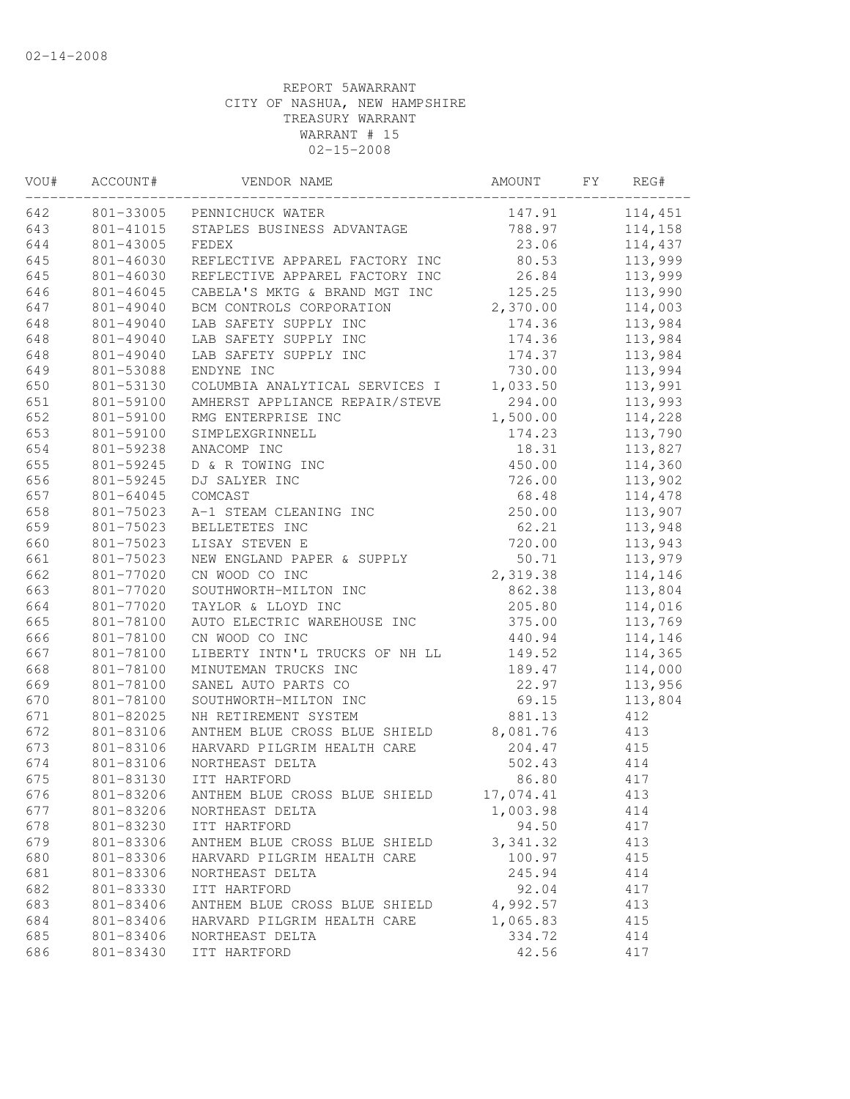| VOU# | ACCOUNT#  | VENDOR NAME                    | AMOUNT    | FY. | REG#    |
|------|-----------|--------------------------------|-----------|-----|---------|
| 642  | 801-33005 | PENNICHUCK WATER               | 147.91    |     | 114,451 |
| 643  | 801-41015 | STAPLES BUSINESS ADVANTAGE     | 788.97    |     | 114,158 |
| 644  | 801-43005 | FEDEX                          | 23.06     |     | 114,437 |
| 645  | 801-46030 | REFLECTIVE APPAREL FACTORY INC | 80.53     |     | 113,999 |
| 645  | 801-46030 | REFLECTIVE APPAREL FACTORY INC | 26.84     |     | 113,999 |
| 646  | 801-46045 | CABELA'S MKTG & BRAND MGT INC  | 125.25    |     | 113,990 |
| 647  | 801-49040 | BCM CONTROLS CORPORATION       | 2,370.00  |     | 114,003 |
| 648  | 801-49040 | LAB SAFETY SUPPLY INC          | 174.36    |     | 113,984 |
| 648  | 801-49040 | LAB SAFETY SUPPLY INC          | 174.36    |     | 113,984 |
| 648  | 801-49040 | LAB SAFETY SUPPLY INC          | 174.37    |     | 113,984 |
| 649  | 801-53088 | ENDYNE INC                     | 730.00    |     | 113,994 |
| 650  | 801-53130 | COLUMBIA ANALYTICAL SERVICES I | 1,033.50  |     | 113,991 |
| 651  | 801-59100 | AMHERST APPLIANCE REPAIR/STEVE | 294.00    |     | 113,993 |
| 652  | 801-59100 | RMG ENTERPRISE INC             | 1,500.00  |     | 114,228 |
| 653  | 801-59100 | SIMPLEXGRINNELL                | 174.23    |     | 113,790 |
| 654  | 801-59238 | ANACOMP INC                    | 18.31     |     | 113,827 |
| 655  | 801-59245 | D & R TOWING INC               | 450.00    |     | 114,360 |
| 656  | 801-59245 | DJ SALYER INC                  | 726.00    |     | 113,902 |
| 657  | 801-64045 | COMCAST                        | 68.48     |     | 114,478 |
| 658  | 801-75023 | A-1 STEAM CLEANING INC         | 250.00    |     | 113,907 |
| 659  | 801-75023 | BELLETETES INC                 | 62.21     |     | 113,948 |
| 660  | 801-75023 | LISAY STEVEN E                 | 720.00    |     | 113,943 |
| 661  | 801-75023 | NEW ENGLAND PAPER & SUPPLY     | 50.71     |     | 113,979 |
| 662  | 801-77020 | CN WOOD CO INC                 | 2,319.38  |     | 114,146 |
| 663  | 801-77020 | SOUTHWORTH-MILTON INC          | 862.38    |     | 113,804 |
| 664  | 801-77020 | TAYLOR & LLOYD INC             | 205.80    |     | 114,016 |
| 665  | 801-78100 | AUTO ELECTRIC WAREHOUSE INC    | 375.00    |     | 113,769 |
| 666  | 801-78100 | CN WOOD CO INC                 | 440.94    |     | 114,146 |
| 667  | 801-78100 | LIBERTY INTN'L TRUCKS OF NH LL | 149.52    |     | 114,365 |
| 668  | 801-78100 | MINUTEMAN TRUCKS INC           | 189.47    |     | 114,000 |
| 669  | 801-78100 | SANEL AUTO PARTS CO            | 22.97     |     | 113,956 |
| 670  | 801-78100 | SOUTHWORTH-MILTON INC          | 69.15     |     | 113,804 |
| 671  | 801-82025 | NH RETIREMENT SYSTEM           | 881.13    |     | 412     |
| 672  | 801-83106 | ANTHEM BLUE CROSS BLUE SHIELD  | 8,081.76  |     | 413     |
| 673  | 801-83106 | HARVARD PILGRIM HEALTH CARE    | 204.47    |     | 415     |
| 674  | 801-83106 | NORTHEAST DELTA                | 502.43    |     | 414     |
| 675  | 801-83130 | ITT HARTFORD                   | 86.80     |     | 417     |
| 676  | 801-83206 | ANTHEM BLUE CROSS BLUE SHIELD  | 17,074.41 |     | 413     |
| 677  | 801-83206 | NORTHEAST DELTA                | 1,003.98  |     | 414     |
| 678  | 801-83230 | ITT HARTFORD                   | 94.50     |     | 417     |
| 679  | 801-83306 | ANTHEM BLUE CROSS BLUE SHIELD  | 3, 341.32 |     | 413     |
| 680  | 801-83306 | HARVARD PILGRIM HEALTH CARE    | 100.97    |     | 415     |
| 681  | 801-83306 | NORTHEAST DELTA                | 245.94    |     | 414     |
| 682  | 801-83330 | ITT HARTFORD                   | 92.04     |     | 417     |
| 683  | 801-83406 | ANTHEM BLUE CROSS BLUE SHIELD  | 4,992.57  |     | 413     |
| 684  | 801-83406 | HARVARD PILGRIM HEALTH CARE    | 1,065.83  |     | 415     |
| 685  | 801-83406 | NORTHEAST DELTA                | 334.72    |     | 414     |
| 686  | 801-83430 | ITT HARTFORD                   | 42.56     |     | 417     |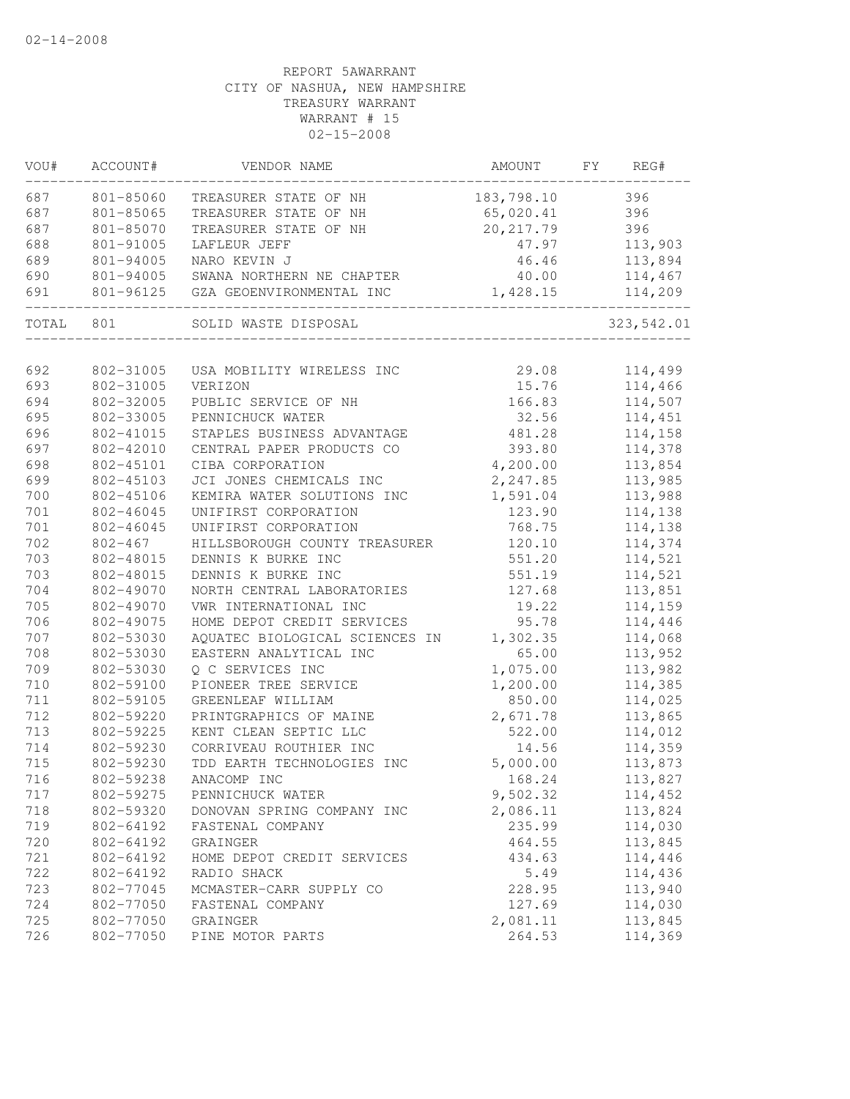| WOU#  | ACCOUNT#    | VENDOR NAME                    | AMOUNT     | FY | REG#       |
|-------|-------------|--------------------------------|------------|----|------------|
| 687   | 801-85060   | TREASURER STATE OF NH          | 183,798.10 |    | 396        |
| 687   | 801-85065   | TREASURER STATE OF NH          | 65,020.41  |    | 396        |
| 687   | 801-85070   | TREASURER STATE OF NH          | 20, 217.79 |    | 396        |
| 688   | 801-91005   | LAFLEUR JEFF                   | 47.97      |    | 113,903    |
| 689   | 801-94005   | NARO KEVIN J                   | 46.46      |    | 113,894    |
| 690   | 801-94005   | SWANA NORTHERN NE CHAPTER      | 40.00      |    | 114,467    |
| 691   | 801-96125   | GZA GEOENVIRONMENTAL INC       | 1,428.15   |    | 114,209    |
| TOTAL | 801         | SOLID WASTE DISPOSAL           |            |    | 323,542.01 |
|       |             |                                |            |    |            |
| 692   | 802-31005   | USA MOBILITY WIRELESS INC      | 29.08      |    | 114,499    |
| 693   | 802-31005   | VERIZON                        | 15.76      |    | 114,466    |
| 694   | 802-32005   | PUBLIC SERVICE OF NH           | 166.83     |    | 114,507    |
| 695   | 802-33005   | PENNICHUCK WATER               | 32.56      |    | 114,451    |
| 696   | 802-41015   | STAPLES BUSINESS ADVANTAGE     | 481.28     |    | 114,158    |
| 697   | 802-42010   | CENTRAL PAPER PRODUCTS CO      | 393.80     |    | 114,378    |
| 698   | 802-45101   | CIBA CORPORATION               | 4,200.00   |    | 113,854    |
| 699   | 802-45103   | JCI JONES CHEMICALS INC        | 2,247.85   |    | 113,985    |
| 700   | 802-45106   | KEMIRA WATER SOLUTIONS INC     | 1,591.04   |    | 113,988    |
| $701$ | 802-46045   | UNIFIRST CORPORATION           | 123.90     |    | 114,138    |
| $701$ | 802-46045   | UNIFIRST CORPORATION           | 768.75     |    | 114,138    |
| 702   | $802 - 467$ | HILLSBOROUGH COUNTY TREASURER  | 120.10     |    | 114,374    |
| 703   | 802-48015   | DENNIS K BURKE INC             | 551.20     |    | 114,521    |
| 703   | 802-48015   | DENNIS K BURKE INC             | 551.19     |    | 114,521    |
| 704   | 802-49070   | NORTH CENTRAL LABORATORIES     | 127.68     |    | 113,851    |
| 705   | 802-49070   | VWR INTERNATIONAL INC          | 19.22      |    | 114,159    |
| 706   | 802-49075   | HOME DEPOT CREDIT SERVICES     | 95.78      |    | 114,446    |
| 707   | 802-53030   | AQUATEC BIOLOGICAL SCIENCES IN | 1,302.35   |    | 114,068    |
| 708   | 802-53030   | EASTERN ANALYTICAL INC         | 65.00      |    | 113,952    |
| 709   | 802-53030   | Q C SERVICES INC               | 1,075.00   |    | 113,982    |
| 710   | 802-59100   | PIONEER TREE SERVICE           | 1,200.00   |    | 114,385    |
| 711   | 802-59105   | GREENLEAF WILLIAM              | 850.00     |    | 114,025    |
| 712   | 802-59220   | PRINTGRAPHICS OF MAINE         | 2,671.78   |    | 113,865    |
| 713   | 802-59225   | KENT CLEAN SEPTIC LLC          | 522.00     |    | 114,012    |
| 714   | 802-59230   | CORRIVEAU ROUTHIER INC         | 14.56      |    | 114,359    |
| 715   | 802-59230   | TDD EARTH TECHNOLOGIES INC     | 5,000.00   |    | 113,873    |
| 716   | 802-59238   | ANACOMP INC                    | 168.24     |    | 113,827    |
| 717   | 802-59275   | PENNICHUCK WATER               | 9,502.32   |    | 114,452    |
| 718   | 802-59320   | DONOVAN SPRING COMPANY INC     | 2,086.11   |    | 113,824    |
| 719   | 802-64192   | FASTENAL COMPANY               | 235.99     |    | 114,030    |
| 720   | 802-64192   | GRAINGER                       | 464.55     |    | 113,845    |
| 721   | 802-64192   | HOME DEPOT CREDIT SERVICES     | 434.63     |    | 114,446    |
| 722   | 802-64192   | RADIO SHACK                    | 5.49       |    | 114,436    |
| 723   | 802-77045   | MCMASTER-CARR SUPPLY CO        | 228.95     |    | 113,940    |
| 724   | 802-77050   | FASTENAL COMPANY               | 127.69     |    | 114,030    |
| 725   | 802-77050   | GRAINGER                       | 2,081.11   |    | 113,845    |
| 726   | 802-77050   | PINE MOTOR PARTS               | 264.53     |    | 114,369    |
|       |             |                                |            |    |            |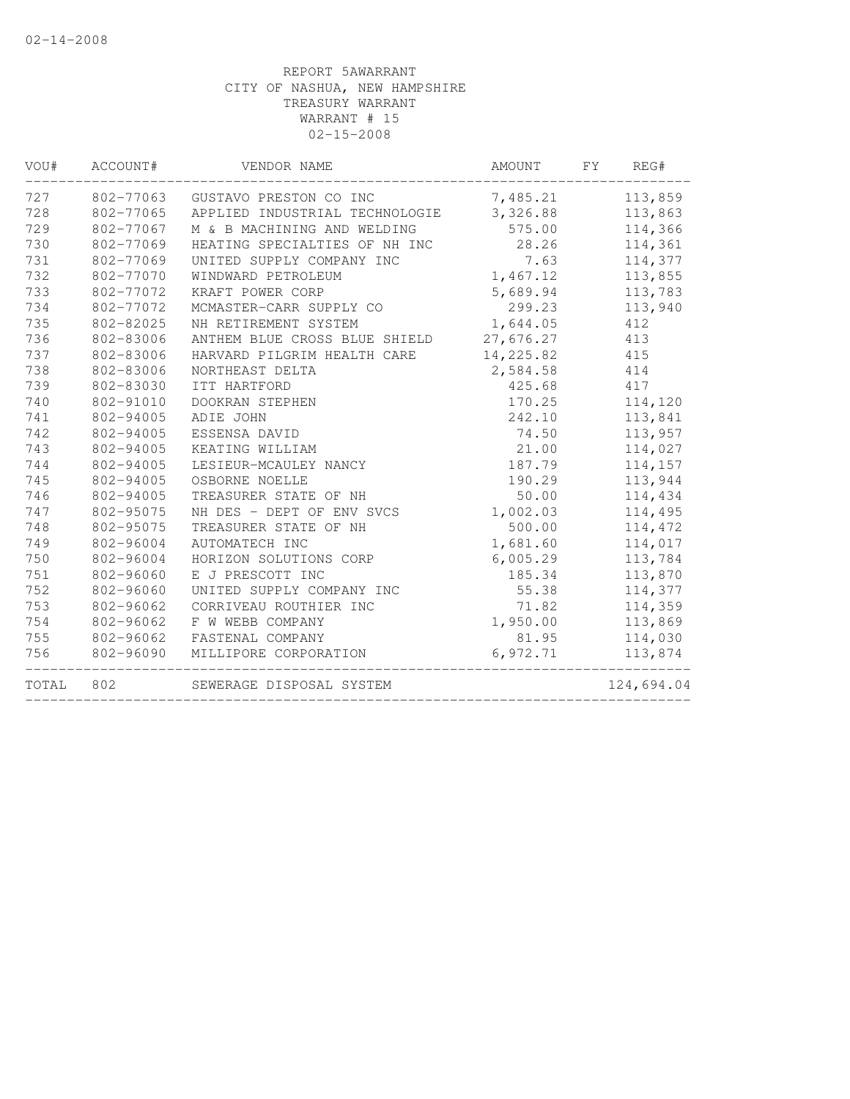| VOU#  | ACCOUNT#  | VENDOR NAME                             | AMOUNT    | FY | REG#       |
|-------|-----------|-----------------------------------------|-----------|----|------------|
| 727   | 802-77063 | GUSTAVO PRESTON CO INC                  | 7,485.21  |    | 113,859    |
| 728   | 802-77065 | APPLIED INDUSTRIAL TECHNOLOGIE 3,326.88 |           |    | 113,863    |
| 729   | 802-77067 | M & B MACHINING AND WELDING             | 575.00    |    | 114,366    |
| 730   | 802-77069 | HEATING SPECIALTIES OF NH INC           | 28.26     |    | 114,361    |
| 731   | 802-77069 | UNITED SUPPLY COMPANY INC               | 7.63      |    | 114,377    |
| 732   | 802-77070 | WINDWARD PETROLEUM                      | 1,467.12  |    | 113,855    |
| 733   | 802-77072 | KRAFT POWER CORP                        | 5,689.94  |    | 113,783    |
| 734   | 802-77072 | MCMASTER-CARR SUPPLY CO                 | 299.23    |    | 113,940    |
| 735   | 802-82025 | NH RETIREMENT SYSTEM                    | 1,644.05  |    | 412        |
| 736   | 802-83006 | ANTHEM BLUE CROSS BLUE SHIELD 27,676.27 |           |    | 413        |
| 737   | 802-83006 | HARVARD PILGRIM HEALTH CARE             | 14,225.82 |    | 415        |
| 738   | 802-83006 | NORTHEAST DELTA                         | 2,584.58  |    | 414        |
| 739   | 802-83030 | ITT HARTFORD                            | 425.68    |    | 417        |
| 740   | 802-91010 | DOOKRAN STEPHEN                         | 170.25    |    | 114,120    |
| 741   | 802-94005 | ADIE JOHN                               | 242.10    |    | 113,841    |
| 742   | 802-94005 | ESSENSA DAVID                           | 74.50     |    | 113,957    |
| 743   | 802-94005 | KEATING WILLIAM                         | 21.00     |    | 114,027    |
| 744   | 802-94005 | LESIEUR-MCAULEY NANCY                   | 187.79    |    | 114,157    |
| 745   | 802-94005 | OSBORNE NOELLE                          | 190.29    |    | 113,944    |
| 746   | 802-94005 | TREASURER STATE OF NH                   | 50.00     |    | 114,434    |
| 747   | 802-95075 | NH DES - DEPT OF ENV SVCS               | 1,002.03  |    | 114,495    |
| 748   | 802-95075 | TREASURER STATE OF NH                   | 500.00    |    | 114,472    |
| 749   | 802-96004 | AUTOMATECH INC                          | 1,681.60  |    | 114,017    |
| 750   | 802-96004 | HORIZON SOLUTIONS CORP                  | 6,005.29  |    | 113,784    |
| 751   | 802-96060 | E J PRESCOTT INC                        | 185.34    |    | 113,870    |
| 752   | 802-96060 | UNITED SUPPLY COMPANY INC               | 55.38     |    | 114,377    |
| 753   | 802-96062 | CORRIVEAU ROUTHIER INC                  | 71.82     |    | 114,359    |
| 754   | 802-96062 | F W WEBB COMPANY                        | 1,950.00  |    | 113,869    |
| 755   | 802-96062 | FASTENAL COMPANY                        | 81.95     |    | 114,030    |
| 756   | 802-96090 | MILLIPORE CORPORATION                   | 6,972.71  |    | 113,874    |
| TOTAL | 802       | SEWERAGE DISPOSAL SYSTEM                |           |    | 124,694.04 |
|       |           |                                         |           |    |            |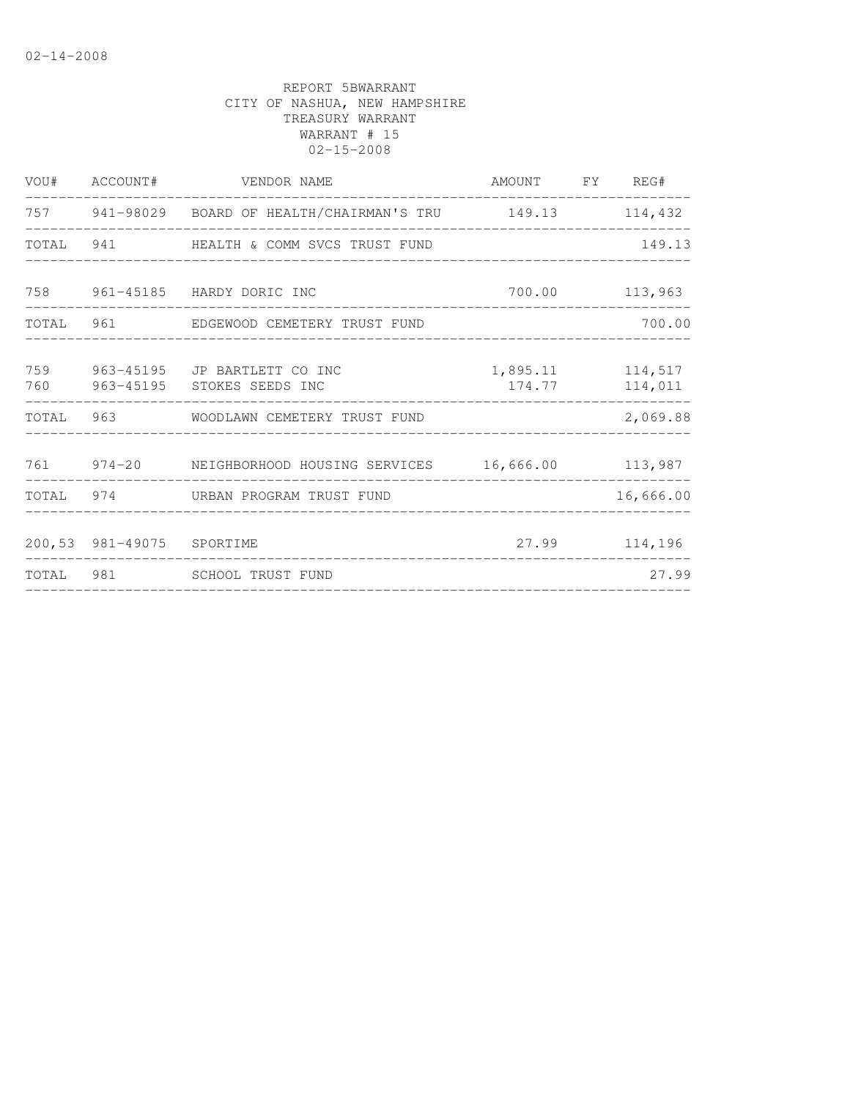|                           | VOU# ACCOUNT# VENDOR NAME                                          | AMOUNT FY REG#   |                |
|---------------------------|--------------------------------------------------------------------|------------------|----------------|
|                           | 757 941-98029 BOARD OF HEALTH/CHAIRMAN'S TRU 149.13 114,432        |                  |                |
|                           | TOTAL 941 HEALTH & COMM SVCS TRUST FUND                            |                  | 149.13         |
|                           | 758 961-45185 HARDY DORIC INC                                      |                  | 700.00 113,963 |
|                           | TOTAL 961 EDGEWOOD CEMETERY TRUST FUND                             |                  | 700.00         |
|                           | 759 963-45195 JP BARTLETT CO INC<br>760 963-45195 STOKES SEEDS INC | 1,895.11 114,517 | 174.77 114,011 |
|                           | TOTAL 963 WOODLAWN CEMETERY TRUST FUND                             |                  | 2,069.88       |
|                           | 761 974-20 NEIGHBORHOOD HOUSING SERVICES 16,666.00 113,987         |                  |                |
|                           | TOTAL 974 URBAN PROGRAM TRUST FUND                                 |                  | 16,666.00      |
| 200,53 981-49075 SPORTIME | ____________________________________                               |                  | 27.99 114,196  |
|                           | TOTAL 981 SCHOOL TRUST FUND                                        |                  | 27.99          |
|                           |                                                                    |                  |                |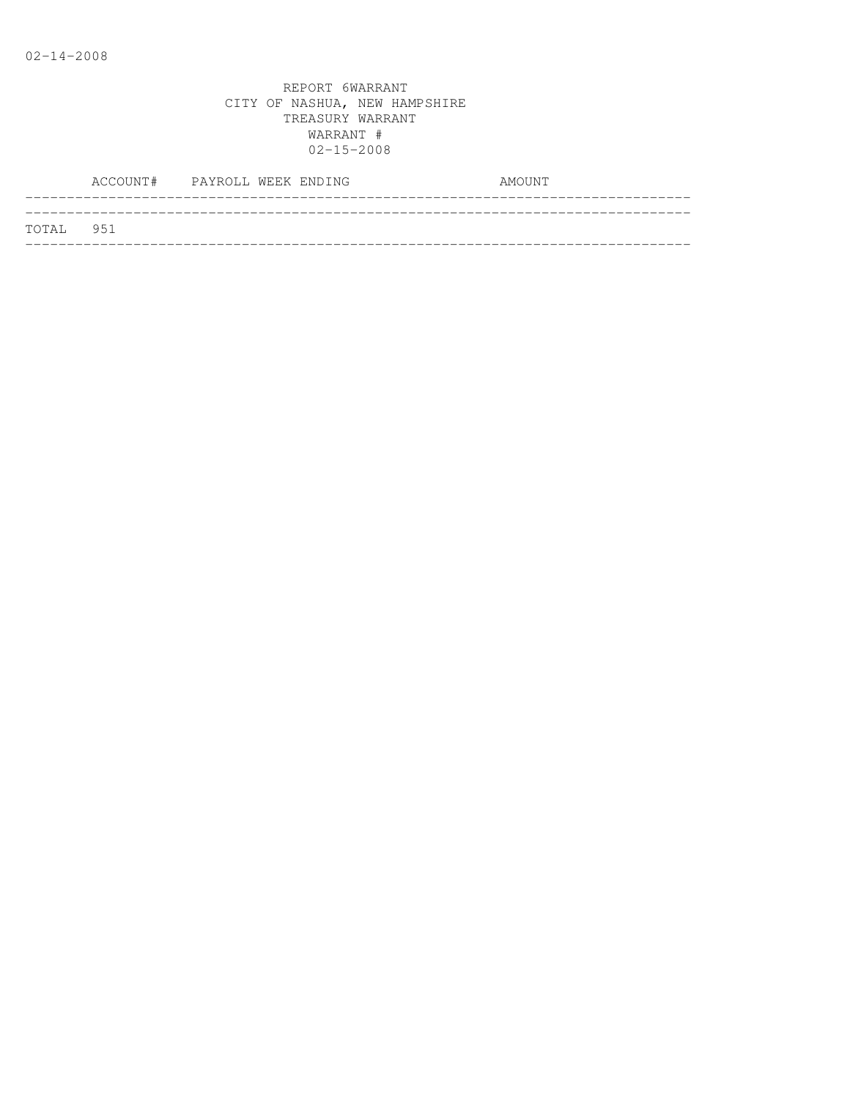|           | ACCOUNT# PAYROLL WEEK ENDING |  |  | AMOUNT |  |
|-----------|------------------------------|--|--|--------|--|
| TOTAL 951 |                              |  |  |        |  |
|           |                              |  |  |        |  |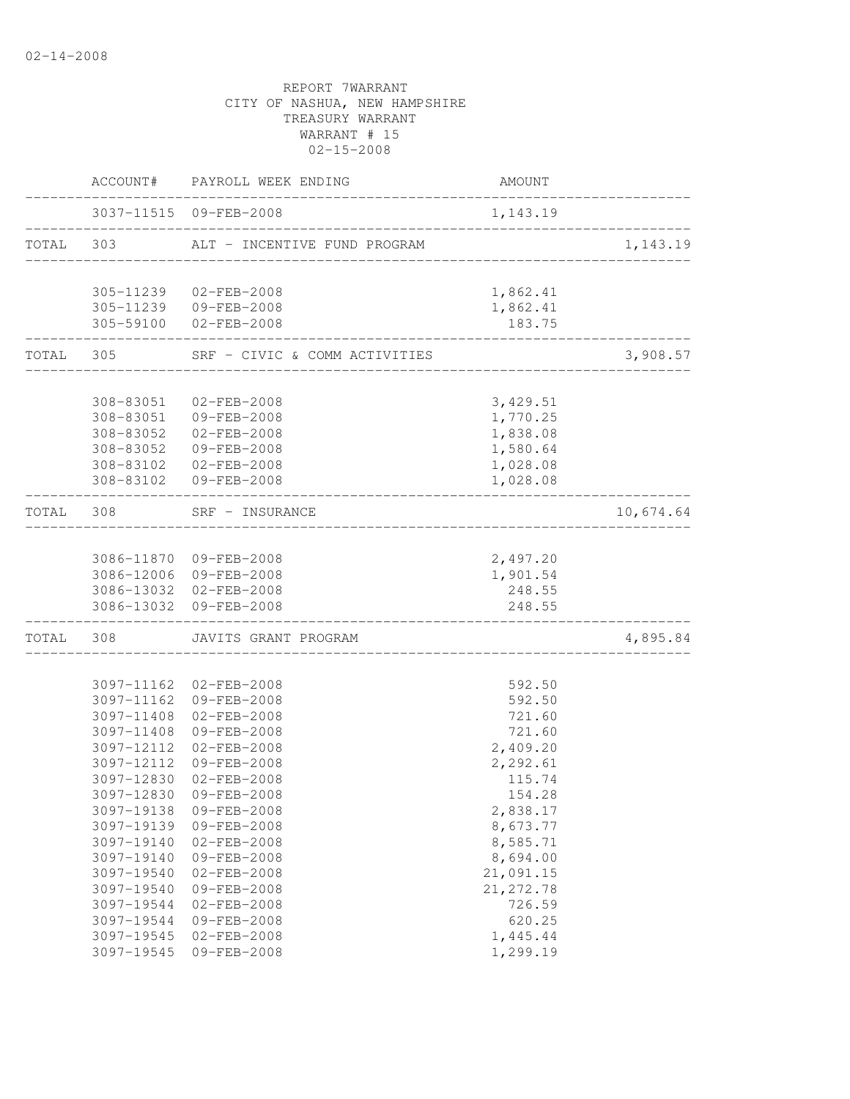|       |            | ACCOUNT# PAYROLL WEEK ENDING                     | AMOUNT             |           |
|-------|------------|--------------------------------------------------|--------------------|-----------|
|       |            | 3037-11515 09-FEB-2008                           | 1,143.19           |           |
|       | TOTAL 303  | ALT - INCENTIVE FUND PROGRAM                     |                    | 1,143.19  |
|       |            | 305-11239 02-FEB-2008                            | 1,862.41           |           |
|       |            | 305-11239 09-FEB-2008<br>305-59100 02-FEB-2008   | 1,862.41<br>183.75 |           |
| TOTAL | 305        | SRF - CIVIC & COMM ACTIVITIES                    |                    | 3,908.57  |
|       |            |                                                  |                    |           |
|       | 308-83051  | 02-FEB-2008                                      | 3,429.51           |           |
|       |            | 308-83051 09-FEB-2008                            | 1,770.25           |           |
|       |            | 308-83052 02-FEB-2008                            | 1,838.08           |           |
|       |            | 308-83052 09-FEB-2008                            | 1,580.64           |           |
|       |            | 308-83102 02-FEB-2008                            | 1,028.08           |           |
|       |            | 308-83102 09-FEB-2008                            | 1,028.08           |           |
|       | TOTAL 308  | SRF - INSURANCE<br>___________________           |                    | 10,674.64 |
|       |            |                                                  |                    |           |
|       |            | 3086-11870 09-FEB-2008                           | 2,497.20           |           |
|       |            | 3086-12006 09-FEB-2008                           | 1,901.54           |           |
|       |            | 3086-13032 02-FEB-2008<br>3086-13032 09-FEB-2008 | 248.55<br>248.55   |           |
| TOTAL | 308        | JAVITS GRANT PROGRAM                             |                    | 4,895.84  |
|       |            |                                                  |                    |           |
|       |            | 3097-11162 02-FEB-2008                           | 592.50             |           |
|       |            | 3097-11162 09-FEB-2008                           | 592.50             |           |
|       | 3097-11408 | $02 - FEB - 2008$                                | 721.60             |           |
|       | 3097-11408 | 09-FEB-2008                                      | 721.60             |           |
|       |            | 3097-12112 02-FEB-2008                           | 2,409.20           |           |
|       |            | 3097-12112 09-FEB-2008                           | 2,292.61           |           |
|       | 3097-12830 | $02 - FEB - 2008$                                | 115.74             |           |
|       |            | 3097-12830 09-FEB-2008                           | 154.28             |           |
|       | 3097-19138 | 09-FEB-2008                                      | 2,838.17           |           |
|       | 3097-19139 | 09-FEB-2008                                      | 8,673.77           |           |
|       | 3097-19140 | $02 - FEB - 2008$                                | 8,585.71           |           |
|       | 3097-19140 | 09-FEB-2008                                      | 8,694.00           |           |
|       | 3097-19540 | $02 - FEB - 2008$                                | 21,091.15          |           |
|       | 3097-19540 | 09-FEB-2008                                      | 21, 272.78         |           |
|       | 3097-19544 | $02 - FEB - 2008$                                | 726.59             |           |
|       | 3097-19544 | 09-FEB-2008                                      | 620.25             |           |
|       | 3097-19545 | $02 - FEB - 2008$                                | 1,445.44           |           |
|       | 3097-19545 | 09-FEB-2008                                      | 1,299.19           |           |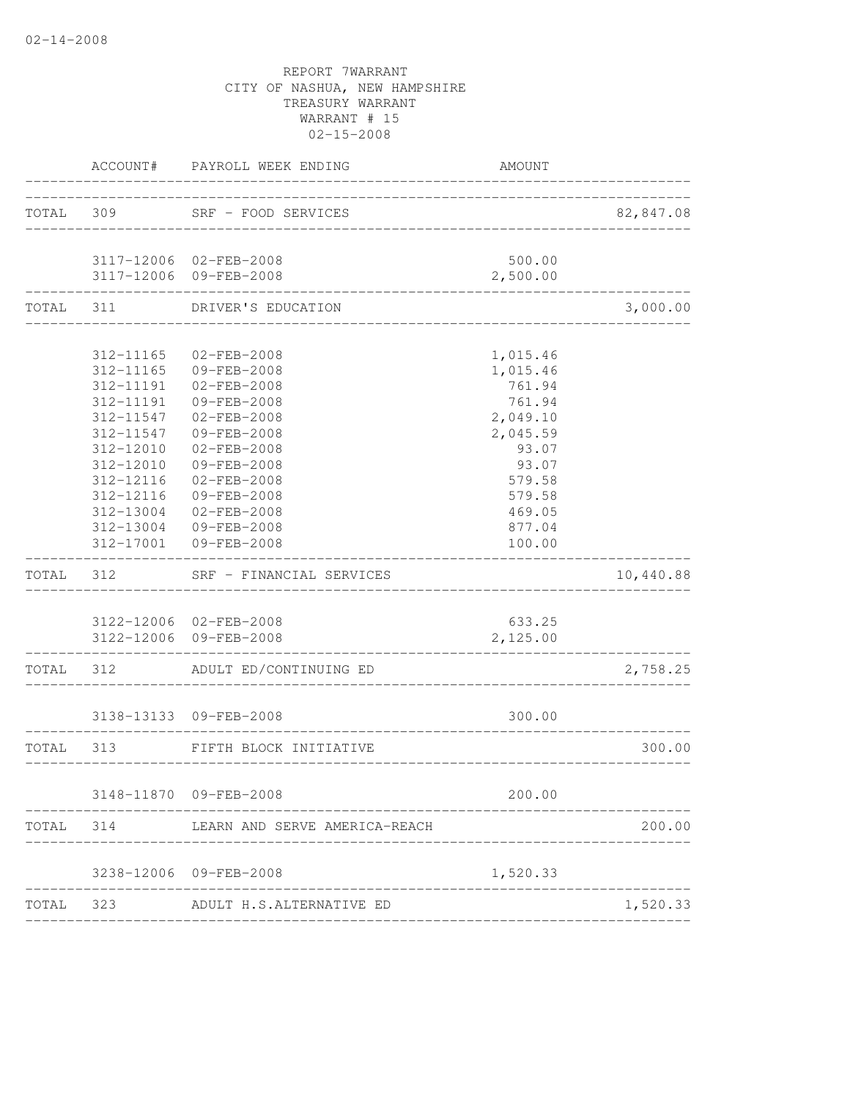| TOTAL 309<br>SRF - FOOD SERVICES<br>____________________<br>500.00<br>3117-12006 02-FEB-2008<br>3117-12006 09-FEB-2008<br>2,500.00<br>TOTAL 311<br>DRIVER'S EDUCATION                                                                                                                                                                                                                                                                                                                                 | 82,847.08 |
|-------------------------------------------------------------------------------------------------------------------------------------------------------------------------------------------------------------------------------------------------------------------------------------------------------------------------------------------------------------------------------------------------------------------------------------------------------------------------------------------------------|-----------|
|                                                                                                                                                                                                                                                                                                                                                                                                                                                                                                       |           |
|                                                                                                                                                                                                                                                                                                                                                                                                                                                                                                       |           |
|                                                                                                                                                                                                                                                                                                                                                                                                                                                                                                       | 3,000.00  |
| 312-11165 02-FEB-2008<br>1,015.46<br>312-11165 09-FEB-2008<br>1,015.46<br>312-11191  02-FEB-2008<br>761.94<br>312-11191 09-FEB-2008<br>761.94<br>312-11547 02-FEB-2008<br>2,049.10<br>09-FEB-2008<br>312-11547<br>2,045.59<br>312-12010<br>$02 - FEB - 2008$<br>93.07<br>09-FEB-2008<br>312-12010<br>93.07<br>02-FEB-2008<br>312-12116<br>579.58<br>312-12116<br>09-FEB-2008<br>579.58<br>312-13004<br>469.05<br>02-FEB-2008<br>312-13004<br>09-FEB-2008<br>877.04<br>312-17001 09-FEB-2008<br>100.00 |           |
| TOTAL 312<br>SRF - FINANCIAL SERVICES                                                                                                                                                                                                                                                                                                                                                                                                                                                                 | 10,440.88 |
| 3122-12006 02-FEB-2008<br>633.25<br>3122-12006 09-FEB-2008<br>2,125.00                                                                                                                                                                                                                                                                                                                                                                                                                                |           |
| TOTAL 312 ADULT ED/CONTINUING ED                                                                                                                                                                                                                                                                                                                                                                                                                                                                      | 2,758.25  |
| 300.00<br>3138-13133 09-FEB-2008                                                                                                                                                                                                                                                                                                                                                                                                                                                                      |           |
| TOTAL 313<br>FIFTH BLOCK INITIATIVE                                                                                                                                                                                                                                                                                                                                                                                                                                                                   | 300.00    |
| 200.00<br>3148-11870 09-FEB-2008                                                                                                                                                                                                                                                                                                                                                                                                                                                                      |           |
|                                                                                                                                                                                                                                                                                                                                                                                                                                                                                                       | 200.00    |
| 3238-12006 09-FEB-2008<br>1,520.33                                                                                                                                                                                                                                                                                                                                                                                                                                                                    |           |
| TOTAL 323 ADULT H.S.ALTERNATIVE ED                                                                                                                                                                                                                                                                                                                                                                                                                                                                    | 1,520.33  |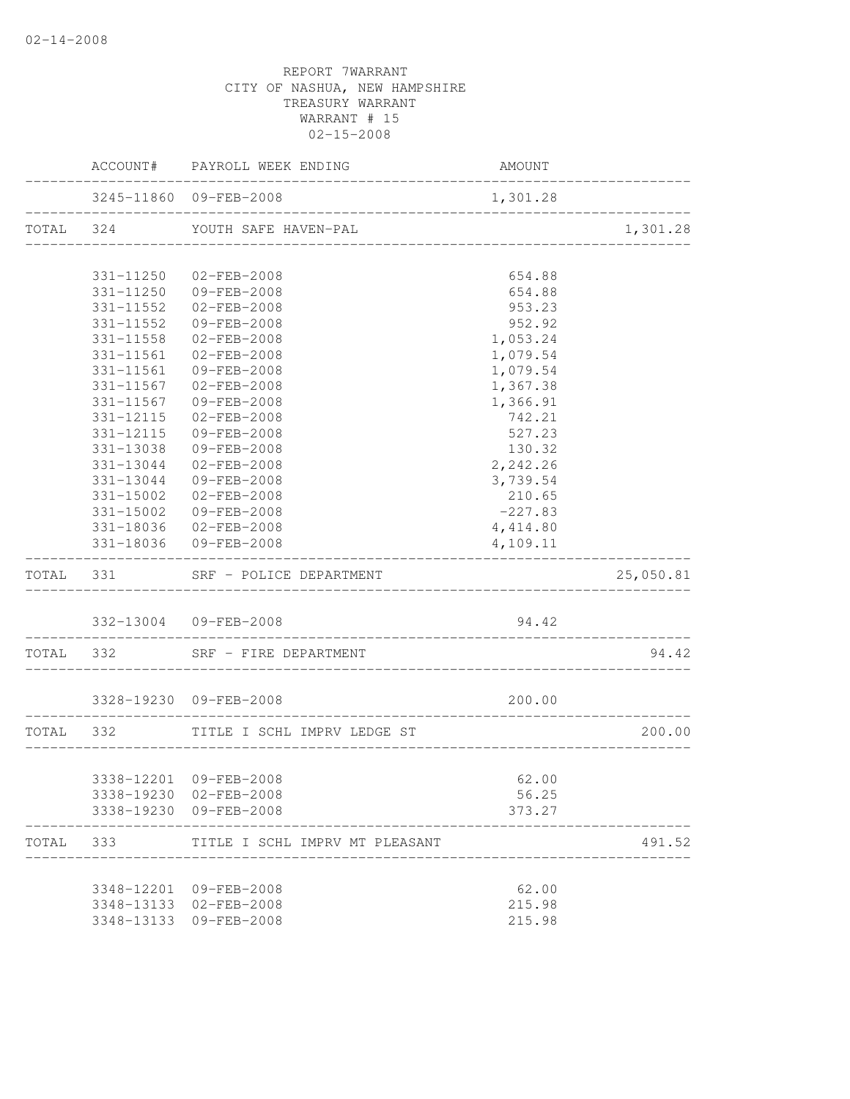|           |           | ACCOUNT# PAYROLL WEEK ENDING          | AMOUNT                           |                 |
|-----------|-----------|---------------------------------------|----------------------------------|-----------------|
|           |           | 3245-11860 09-FEB-2008                | 1,301.28                         | --------------- |
|           |           | TOTAL 324 YOUTH SAFE HAVEN-PAL        |                                  | 1,301.28        |
|           |           |                                       |                                  |                 |
|           |           | 331-11250 02-FEB-2008                 | 654.88                           |                 |
|           |           | 331-11250 09-FEB-2008                 | 654.88                           |                 |
|           |           | 331-11552 02-FEB-2008                 | 953.23                           |                 |
|           |           | 331-11552 09-FEB-2008                 | 952.92                           |                 |
|           | 331-11558 | $02 - FEB - 2008$                     | 1,053.24                         |                 |
|           |           | 331-11561 02-FEB-2008                 | 1,079.54                         |                 |
|           |           | 331-11561 09-FEB-2008                 | 1,079.54                         |                 |
|           | 331-11567 | 02-FEB-2008                           | 1,367.38                         |                 |
|           | 331-11567 | 09-FEB-2008                           | 1,366.91                         |                 |
|           | 331-12115 | 02-FEB-2008                           | 742.21                           |                 |
|           | 331-12115 | 09-FEB-2008                           | 527.23                           |                 |
|           | 331-13038 | 09-FEB-2008                           | 130.32                           |                 |
|           | 331-13044 | 02-FEB-2008                           | 2,242.26                         |                 |
|           | 331-13044 | 09-FEB-2008                           | 3,739.54                         |                 |
|           | 331-15002 | 02-FEB-2008                           | 210.65                           |                 |
|           |           | 331-15002 09-FEB-2008                 | $-227.83$                        |                 |
|           |           | 331-18036 02-FEB-2008                 | 4,414.80                         |                 |
|           |           | 331-18036 09-FEB-2008                 | 4,109.11                         |                 |
|           |           | TOTAL 331 SRF - POLICE DEPARTMENT     |                                  | 25,050.81       |
|           |           | 332-13004 09-FEB-2008                 | 94.42                            |                 |
|           |           | TOTAL 332 SRF - FIRE DEPARTMENT       |                                  | 94.42           |
|           |           | 3328-19230 09-FEB-2008                | 200.00                           |                 |
|           |           |                                       |                                  |                 |
|           |           | TOTAL 332 TITLE I SCHL IMPRV LEDGE ST | ________________________________ | 200.00          |
|           |           |                                       |                                  |                 |
|           |           | 3338-12201 09-FEB-2008                | 62.00                            |                 |
|           |           | 3338-19230 02-FEB-2008                | 56.25                            |                 |
|           |           | 3338-19230 09-FEB-2008                | 373.27                           |                 |
| TOTAL 333 |           | TITLE I SCHL IMPRV MT PLEASANT        |                                  | 491.52          |
|           |           |                                       |                                  |                 |
|           |           | 3348-12201 09-FEB-2008                | 62.00                            |                 |
|           |           | 3348-13133 02-FEB-2008                | 215.98                           |                 |
|           |           | 3348-13133 09-FEB-2008                | 215.98                           |                 |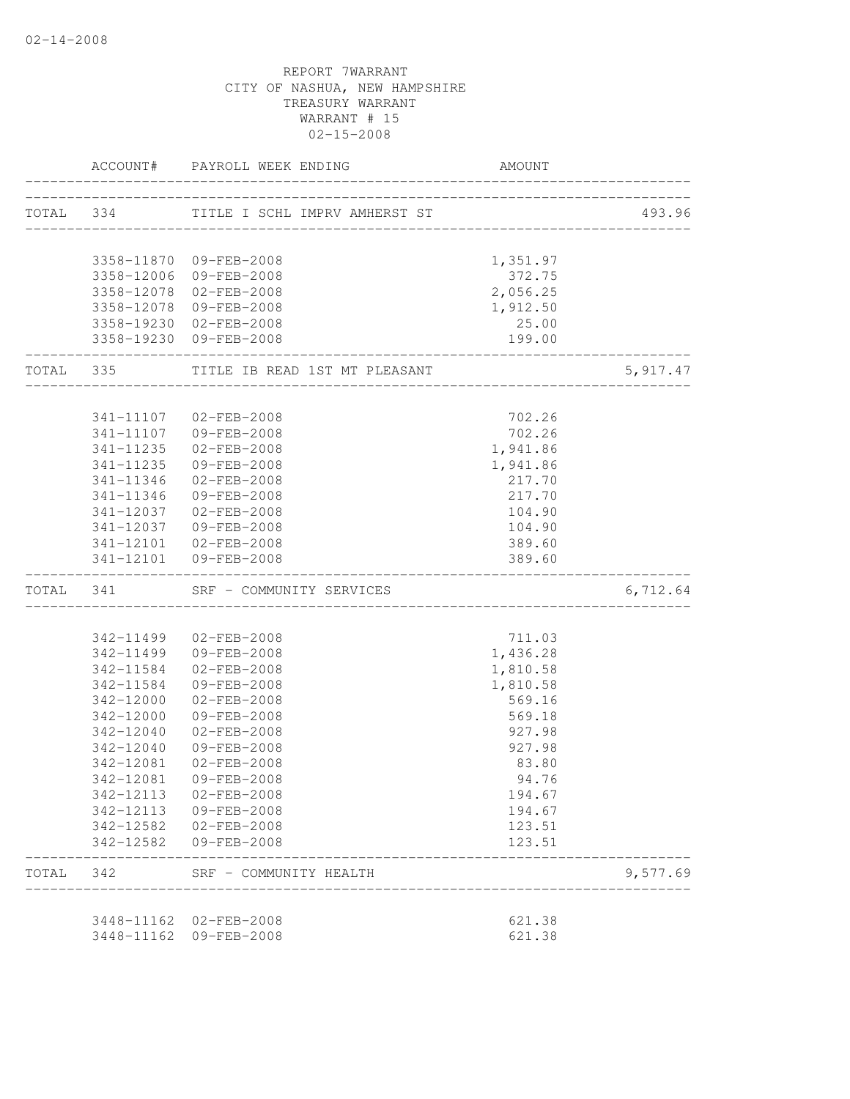|           |                        | ACCOUNT# PAYROLL WEEK ENDING                             | <b>AMOUNT</b>                      |          |
|-----------|------------------------|----------------------------------------------------------|------------------------------------|----------|
|           | TOTAL 334              | TITLE I SCHL IMPRV AMHERST ST                            |                                    | 493.96   |
|           |                        |                                                          |                                    |          |
|           |                        | 3358-11870 09-FEB-2008                                   | 1,351.97                           |          |
|           |                        | 3358-12006 09-FEB-2008                                   | 372.75                             |          |
|           |                        | 3358-12078 02-FEB-2008                                   | 2,056.25                           |          |
|           |                        | 3358-12078 09-FEB-2008<br>3358-19230 02-FEB-2008         | 1,912.50<br>25.00                  |          |
|           |                        | 3358-19230 09-FEB-2008                                   | 199.00                             |          |
| TOTAL 335 |                        | _______________________<br>TITLE IB READ 1ST MT PLEASANT |                                    | 5,917.47 |
|           |                        |                                                          |                                    |          |
|           |                        | 341-11107 02-FEB-2008                                    | 702.26<br>702.26                   |          |
|           | 341-11235              | 341-11107 09-FEB-2008<br>$02 - FEB - 2008$               | 1,941.86                           |          |
|           | 341-11235              | 09-FEB-2008                                              | 1,941.86                           |          |
|           |                        | 341-11346 02-FEB-2008                                    | 217.70                             |          |
|           |                        | 341-11346 09-FEB-2008                                    | 217.70                             |          |
|           |                        | 341-12037 02-FEB-2008                                    | 104.90                             |          |
|           |                        | 341-12037 09-FEB-2008                                    | 104.90                             |          |
|           |                        | 341-12101 02-FEB-2008                                    | 389.60                             |          |
|           |                        | 341-12101 09-FEB-2008                                    | 389.60                             |          |
|           | TOTAL 341              | SRF - COMMUNITY SERVICES                                 |                                    | 6,712.64 |
|           |                        |                                                          |                                    |          |
|           |                        | 342-11499 02-FEB-2008                                    | 711.03                             |          |
|           |                        | 342-11499 09-FEB-2008                                    | 1,436.28                           |          |
|           | 342-11584              | 02-FEB-2008                                              | 1,810.58                           |          |
|           | 342-11584              | 09-FEB-2008                                              | 1,810.58                           |          |
|           | 342-12000              | $02 - FEB - 2008$                                        | 569.16                             |          |
|           | 342-12000              | 09-FEB-2008                                              | 569.18                             |          |
|           | 342-12040              | $02 - FEB - 2008$                                        | 927.98                             |          |
|           | 342-12040              | 09-FEB-2008                                              | 927.98                             |          |
|           | 342-12081              | 02-FEB-2008                                              | 83.80                              |          |
|           | 342-12081              | 09-FEB-2008                                              | 94.76                              |          |
|           | 342-12113<br>342-12113 | 02-FEB-2008<br>09-FEB-2008                               | 194.67<br>194.67                   |          |
|           |                        | 342-12582 02-FEB-2008                                    | 123.51                             |          |
|           | 342-12582              | 09-FEB-2008                                              | 123.51                             |          |
| TOTAL 342 |                        | SRF - COMMUNITY HEALTH                                   | __________________________________ | 9,577.69 |
|           |                        | 3448-11162 02-FEB-2008                                   | 621.38                             |          |
|           |                        | 3448-11162 09-FEB-2008                                   | 621.38                             |          |
|           |                        |                                                          |                                    |          |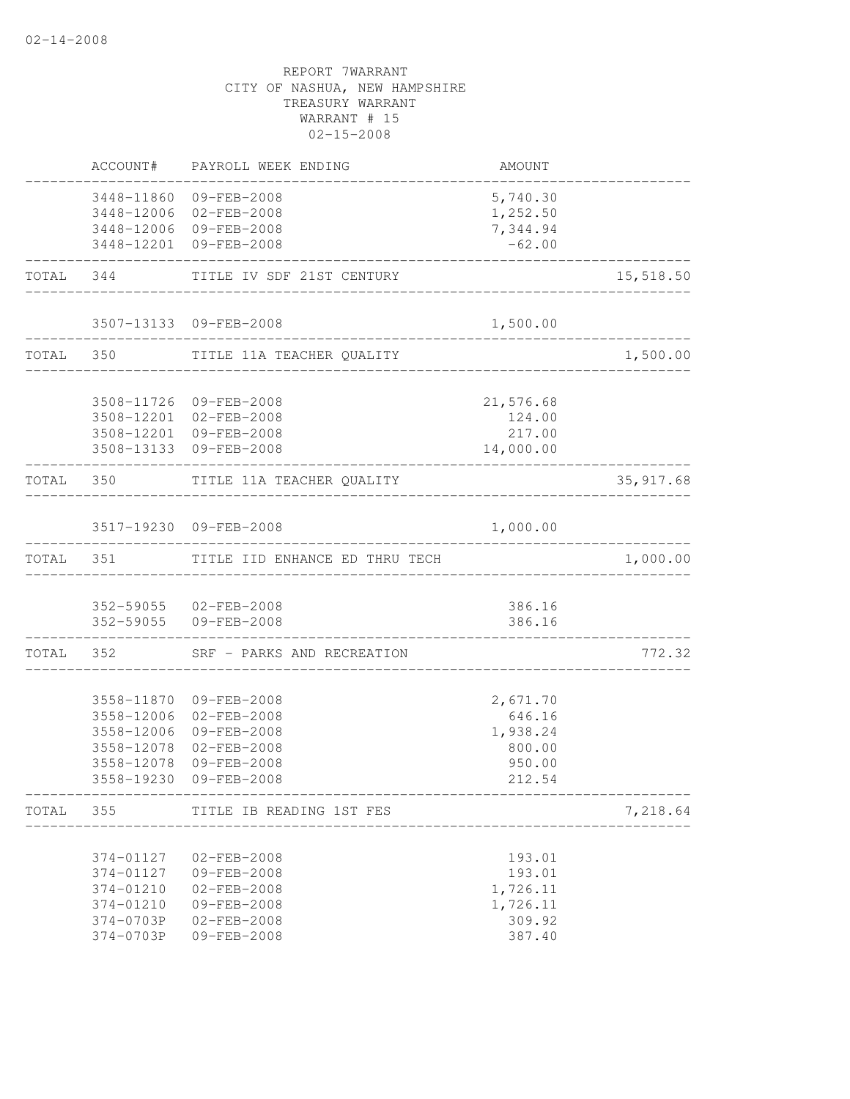|           |                        | ACCOUNT# PAYROLL WEEK ENDING                     | AMOUNT                                            |            |
|-----------|------------------------|--------------------------------------------------|---------------------------------------------------|------------|
|           |                        | 3448-11860 09-FEB-2008<br>3448-12006 02-FEB-2008 | 5,740.30<br>1,252.50                              |            |
|           |                        | 3448-12006 09-FEB-2008                           | 7,344.94                                          |            |
|           |                        | 3448-12201 09-FEB-2008                           | $-62.00$                                          |            |
|           |                        | TOTAL 344 TITLE IV SDF 21ST CENTURY              | __________________________________                | 15,518.50  |
|           |                        | 3507-13133 09-FEB-2008<br>____________           | 1,500.00                                          |            |
|           |                        | TOTAL 350 TITLE 11A TEACHER QUALITY              |                                                   | 1,500.00   |
|           |                        | 3508-11726 09-FEB-2008                           | 21,576.68                                         |            |
|           |                        | 3508-12201 02-FEB-2008                           | 124.00                                            |            |
|           |                        | 3508-12201 09-FEB-2008                           | 217.00                                            |            |
|           |                        | 3508-13133 09-FEB-2008                           | 14,000.00                                         |            |
|           |                        | TOTAL 350 TITLE 11A TEACHER QUALITY              |                                                   | 35, 917.68 |
|           |                        | 3517-19230 09-FEB-2008                           | 1,000.00                                          |            |
| TOTAL 351 |                        | TITLE IID ENHANCE ED THRU TECH                   |                                                   | 1,000.00   |
|           |                        | 352-59055 02-FEB-2008                            | 386.16                                            |            |
|           |                        | 352-59055 09-FEB-2008                            | 386.16                                            |            |
|           |                        | TOTAL 352 SRF - PARKS AND RECREATION             |                                                   | 772.32     |
|           |                        | 3558-11870 09-FEB-2008                           | 2,671.70                                          |            |
|           |                        | 3558-12006 02-FEB-2008                           | 646.16                                            |            |
|           |                        | 3558-12006 09-FEB-2008                           | 1,938.24                                          |            |
|           | 3558-12078             | 02-FEB-2008                                      | 800.00                                            |            |
|           | 3558-12078             | 09-FEB-2008<br>3558-19230 09-FEB-2008            | 950.00<br>212.54                                  |            |
|           |                        | TOTAL 355 TITLE IB READING 1ST FES               | ____________________________<br>_________________ | 7,218.64   |
|           |                        |                                                  |                                                   |            |
|           | 374-01127              | 02-FEB-2008                                      | 193.01                                            |            |
|           | 374-01127<br>374-01210 | 09-FEB-2008<br>$02 - FEB - 2008$                 | 193.01<br>1,726.11                                |            |
|           | 374-01210              | 09-FEB-2008                                      | 1,726.11                                          |            |
|           | 374-0703P              | 02-FEB-2008                                      | 309.92                                            |            |
|           | 374-0703P              | 09-FEB-2008                                      | 387.40                                            |            |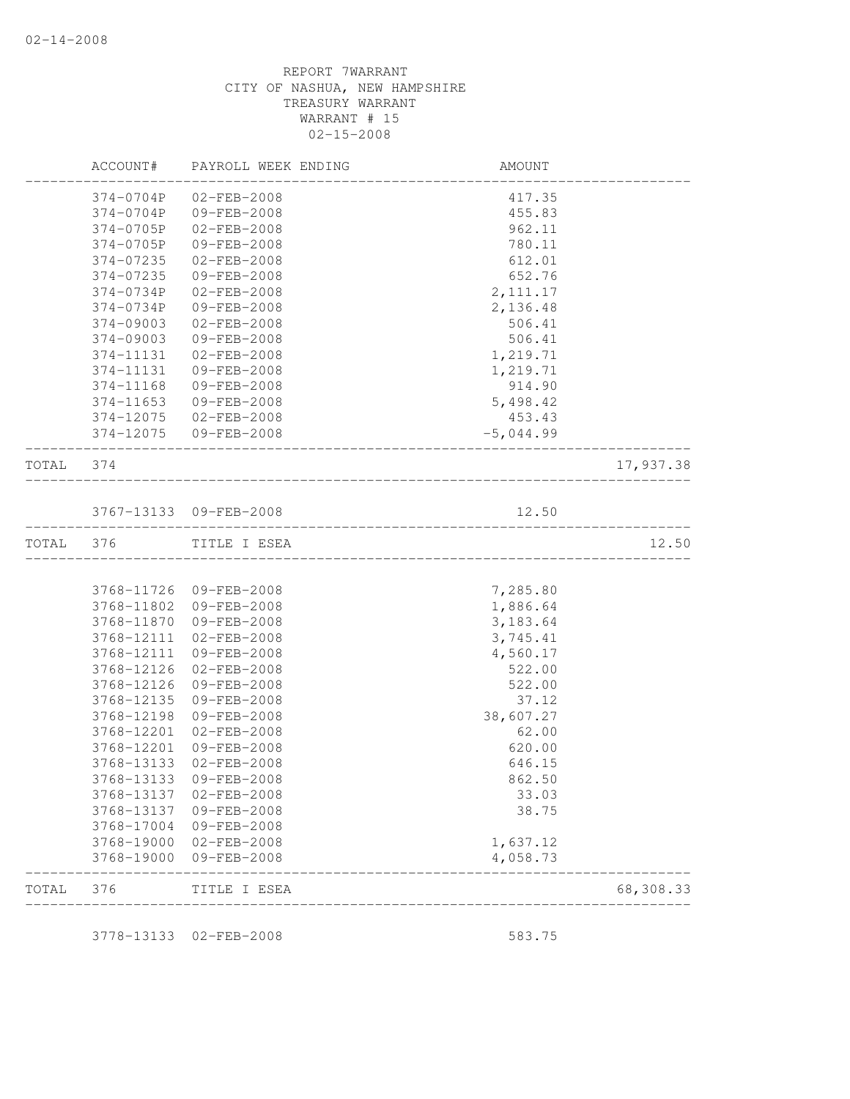|           | <b>AMOUNT</b>        | PAYROLL WEEK ENDING        | ACCOUNT#                 |       |
|-----------|----------------------|----------------------------|--------------------------|-------|
|           | 417.35               | $02 - FEB - 2008$          | 374-0704P                |       |
|           | 455.83               | 09-FEB-2008                | 374-0704P                |       |
|           | 962.11               | $02 - FEB - 2008$          | 374-0705P                |       |
|           | 780.11               | 09-FEB-2008                | 374-0705P                |       |
|           | 612.01               | 02-FEB-2008                | 374-07235                |       |
|           | 652.76               | 09-FEB-2008                | 374-07235                |       |
|           | 2, 111.17            | $02 - FEB - 2008$          | 374-0734P                |       |
|           | 2,136.48             | 09-FEB-2008                | 374-0734P                |       |
|           | 506.41               | 02-FEB-2008                | 374-09003                |       |
|           | 506.41               | 09-FEB-2008                | $374 - 09003$            |       |
|           | 1,219.71             | $02 - FEB - 2008$          | 374-11131                |       |
|           | 1,219.71             | 09-FEB-2008                | 374-11131                |       |
|           | 914.90               | 09-FEB-2008                | 374-11168                |       |
|           | 5,498.42             | 09-FEB-2008                | 374-11653                |       |
|           | 453.43               | 02-FEB-2008                | 374-12075                |       |
|           | $-5,044.99$          | 09-FEB-2008                | 374-12075                |       |
| 17,937.38 |                      |                            | 374                      | TOTAL |
|           | 12.50                | 3767-13133 09-FEB-2008     |                          |       |
|           |                      |                            |                          |       |
| 12.50     |                      | TITLE I ESEA               | 376                      | TOTAL |
|           |                      |                            |                          |       |
|           | 7,285.80             | 3768-11726 09-FEB-2008     |                          |       |
|           | 1,886.64             | 09-FEB-2008                | 3768-11802               |       |
|           | 3,183.64             | 09-FEB-2008                | 3768-11870               |       |
|           | 3,745.41             | $02 - FEB - 2008$          | 3768-12111               |       |
|           | 4,560.17             | 09-FEB-2008                | 3768-12111               |       |
|           | 522.00               | 02-FEB-2008                | 3768-12126               |       |
|           | 522.00               | 09-FEB-2008                | 3768-12126               |       |
|           | 37.12                | 09-FEB-2008                | 3768-12135               |       |
|           | 38,607.27            | 09-FEB-2008                | 3768-12198               |       |
|           | 62.00                | $02 - FEB - 2008$          | 3768-12201               |       |
|           | 620.00               | 09-FEB-2008                | 3768-12201               |       |
|           | 646.15               | $02 - FEB - 2008$          | 3768-13133               |       |
|           | 862.50               | $09 - FEB - 2008$          | 3768-13133               |       |
|           | 33.03                | 02-FEB-2008                | 3768-13137               |       |
|           | 38.75                | 09-FEB-2008                | 3768-13137               |       |
|           |                      | 09-FEB-2008                | 3768-17004               |       |
|           | 1,637.12<br>4,058.73 | 02-FEB-2008<br>09-FEB-2008 | 3768-19000<br>3768-19000 |       |
|           |                      |                            |                          |       |

3778-13133 02-FEB-2008 583.75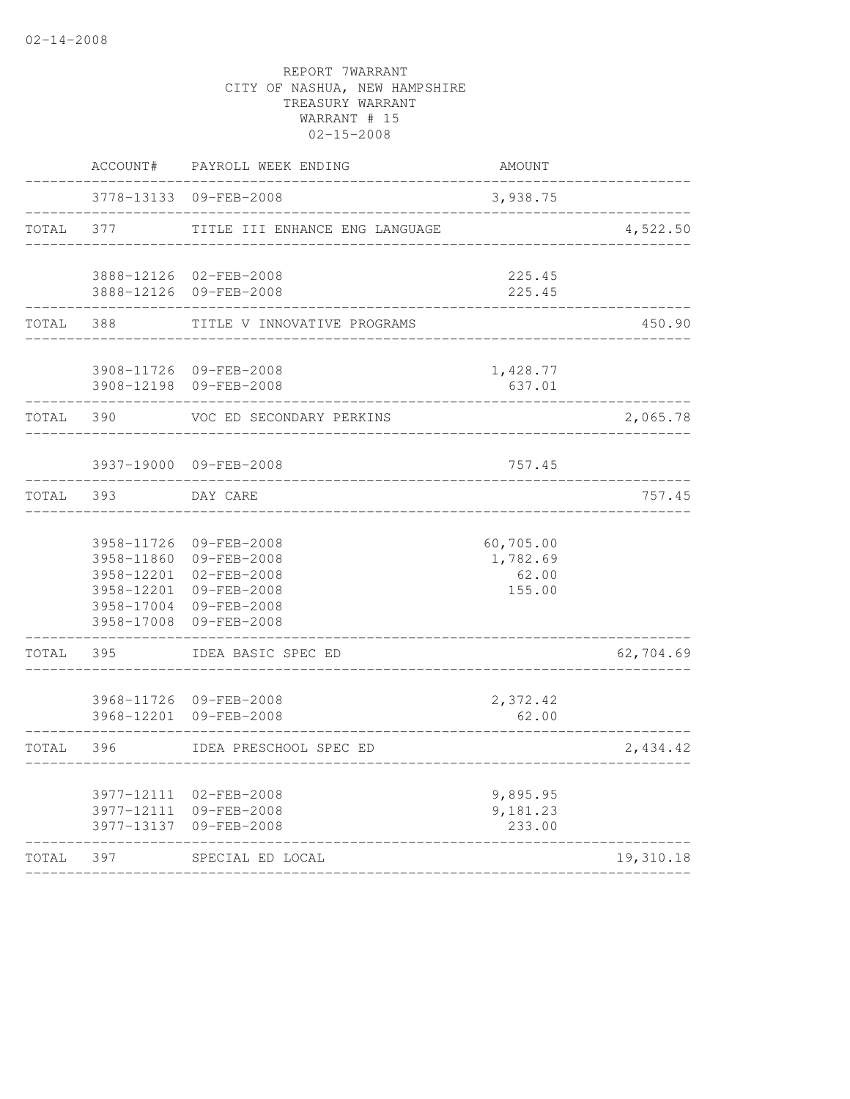|       | ACCOUNT#                                             | PAYROLL WEEK ENDING                                                                                          | <b>AMOUNT</b>                            |           |
|-------|------------------------------------------------------|--------------------------------------------------------------------------------------------------------------|------------------------------------------|-----------|
|       | 3778-13133                                           | 09-FEB-2008                                                                                                  | 3,938.75                                 |           |
| TOTAL | 377                                                  | TITLE III ENHANCE ENG LANGUAGE                                                                               |                                          | 4,522.50  |
|       | 3888-12126                                           | 3888-12126 02-FEB-2008<br>09-FEB-2008                                                                        | 225.45<br>225.45                         |           |
| TOTAL | 388                                                  | TITLE V INNOVATIVE PROGRAMS                                                                                  |                                          | 450.90    |
|       | 3908-12198                                           | 3908-11726 09-FEB-2008<br>09-FEB-2008                                                                        | 1,428.77<br>637.01                       |           |
| TOTAL | 390                                                  | VOC ED SECONDARY PERKINS                                                                                     |                                          | 2,065.78  |
|       |                                                      | 3937-19000 09-FEB-2008                                                                                       | 757.45                                   |           |
| TOTAL | 393                                                  | DAY CARE                                                                                                     |                                          | 757.45    |
|       | 3958-11726<br>3958-11860<br>3958-17004<br>3958-17008 | 09-FEB-2008<br>09-FEB-2008<br>3958-12201 02-FEB-2008<br>3958-12201 09-FEB-2008<br>09-FEB-2008<br>09-FEB-2008 | 60,705.00<br>1,782.69<br>62.00<br>155.00 |           |
| TOTAL | 395                                                  | IDEA BASIC SPEC ED                                                                                           |                                          | 62,704.69 |
|       | 3968-12201                                           | 3968-11726 09-FEB-2008<br>09-FEB-2008                                                                        | 2,372.42<br>62.00                        |           |
| TOTAL | 396                                                  | IDEA PRESCHOOL SPEC ED                                                                                       |                                          | 2,434.42  |
|       |                                                      | 3977-12111 02-FEB-2008<br>3977-12111 09-FEB-2008<br>3977-13137 09-FEB-2008                                   | 9,895.95<br>9,181.23<br>233.00           |           |
| TOTAL | 397                                                  | SPECIAL ED LOCAL                                                                                             |                                          | 19,310.18 |
|       |                                                      |                                                                                                              |                                          |           |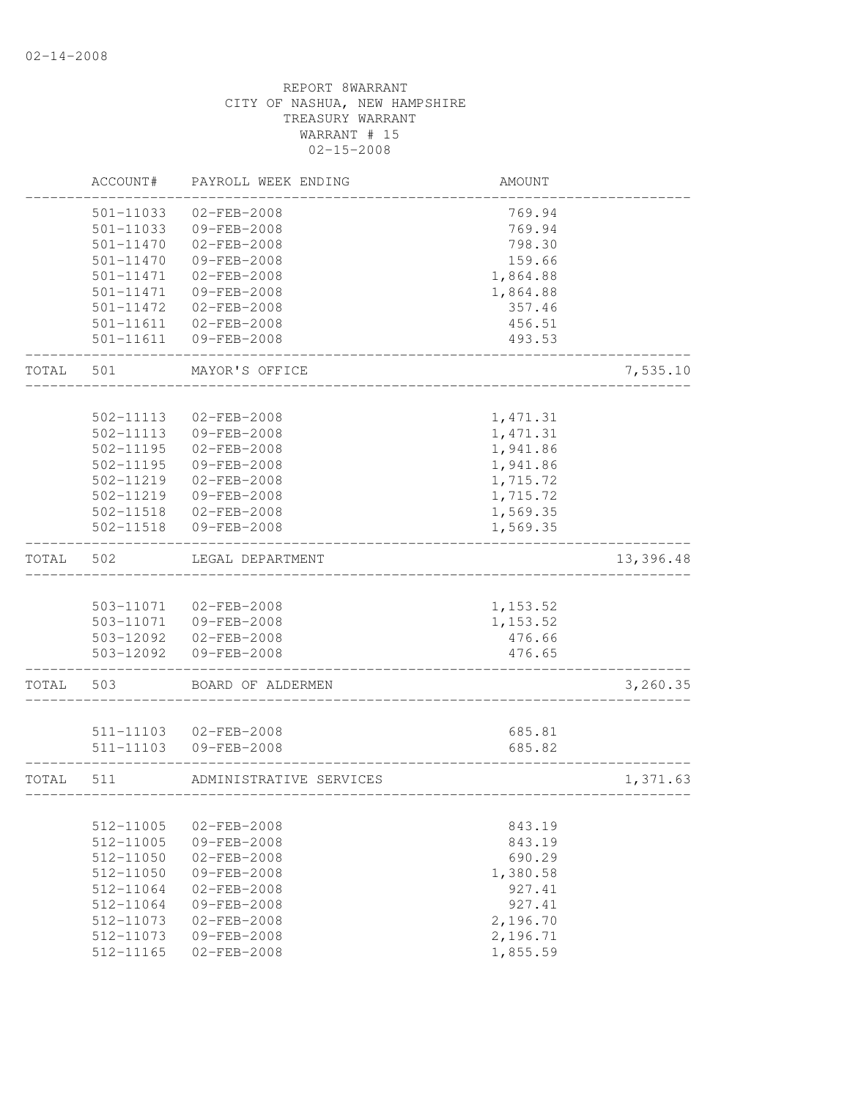|       | ACCOUNT#      | PAYROLL WEEK ENDING     | AMOUNT        |           |
|-------|---------------|-------------------------|---------------|-----------|
|       | 501-11033     | $02 - FEB - 2008$       | 769.94        |           |
|       | 501-11033     | 09-FEB-2008             | 769.94        |           |
|       | 501-11470     | $02 - FEB - 2008$       | 798.30        |           |
|       | $501 - 11470$ | 09-FEB-2008             | 159.66        |           |
|       | 501-11471     | $02 - FEB - 2008$       | 1,864.88      |           |
|       | 501-11471     | 09-FEB-2008             | 1,864.88      |           |
|       | 501-11472     | $02 - FEB - 2008$       | 357.46        |           |
|       | 501-11611     | $02 - FEB - 2008$       | 456.51        |           |
|       | 501-11611     | 09-FEB-2008             | 493.53        |           |
| TOTAL | 501           | MAYOR'S OFFICE          |               | 7,535.10  |
|       |               |                         |               |           |
|       | 502-11113     | 02-FEB-2008             | 1,471.31      |           |
|       | 502-11113     | 09-FEB-2008             | 1, 471.31     |           |
|       | $502 - 11195$ | $02 - FEB - 2008$       | 1,941.86      |           |
|       | $502 - 11195$ | 09-FEB-2008             | 1,941.86      |           |
|       | 502-11219     | $02 - FEB - 2008$       | 1,715.72      |           |
|       | 502-11219     | 09-FEB-2008             | 1,715.72      |           |
|       | 502-11518     | $02 - FEB - 2008$       | 1,569.35      |           |
|       | 502-11518     | 09-FEB-2008             | 1,569.35      |           |
| TOTAL | 502           | LEGAL DEPARTMENT        |               | 13,396.48 |
|       |               |                         |               |           |
|       | 503-11071     | $02 - FEB - 2008$       | 1,153.52      |           |
|       | 503-11071     | 09-FEB-2008             | 1,153.52      |           |
|       |               | 503-12092 02-FEB-2008   | 476.66        |           |
|       | 503-12092     | 09-FEB-2008             | 476.65        |           |
| TOTAL | 503           | BOARD OF ALDERMEN       |               | 3,260.35  |
|       |               |                         |               |           |
|       | 511-11103     | 02-FEB-2008             | 685.81        |           |
|       | 511-11103     | 09-FEB-2008             | 685.82        |           |
| TOTAL | 511           | ADMINISTRATIVE SERVICES | _____________ | 1,371.63  |
|       | 512-11005     | $02 - FEB - 2008$       | 843.19        |           |
|       | 512-11005     | 09-FEB-2008             | 843.19        |           |
|       | 512-11050     | $02 - FEB - 2008$       | 690.29        |           |
|       | 512-11050     | $09 - FEB - 2008$       | 1,380.58      |           |
|       | $512 - 11064$ | $02 - FEB - 2008$       | 927.41        |           |
|       | 512-11064     | 09-FEB-2008             | 927.41        |           |
|       | $512 - 11073$ | $02 - FEB - 2008$       | 2,196.70      |           |
|       | 512-11073     | 09-FEB-2008             | 2,196.71      |           |
|       | 512-11165     | $02 - FEB - 2008$       | 1,855.59      |           |
|       |               |                         |               |           |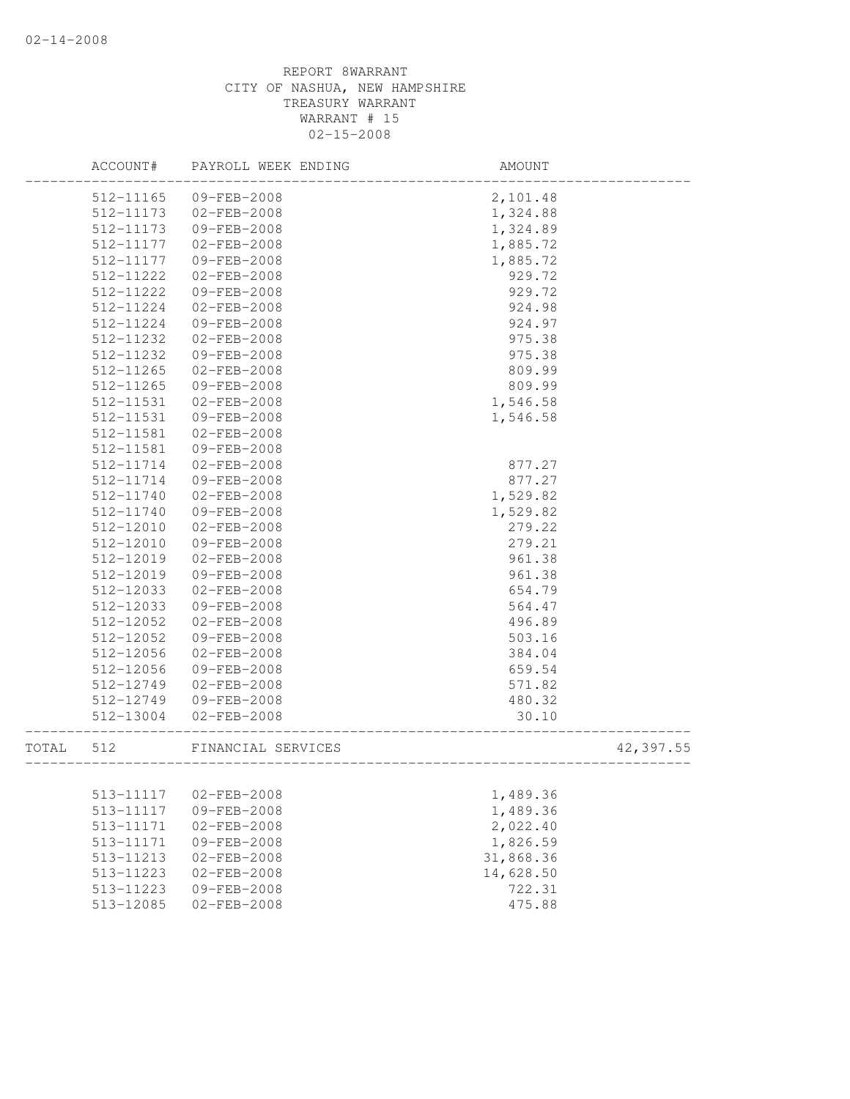|       | ACCOUNT#               | PAYROLL WEEK ENDING | AMOUNT           |           |
|-------|------------------------|---------------------|------------------|-----------|
|       | 512-11165              | 09-FEB-2008         | 2,101.48         |           |
|       | 512-11173              | $02 - FEB - 2008$   | 1,324.88         |           |
|       | 512-11173              | 09-FEB-2008         | 1,324.89         |           |
|       | 512-11177              | $02 - FEB - 2008$   | 1,885.72         |           |
|       | 512-11177              | 09-FEB-2008         | 1,885.72         |           |
|       | 512-11222              | $02 - FEB - 2008$   | 929.72           |           |
|       | 512-11222              | 09-FEB-2008         | 929.72           |           |
|       | 512-11224              | $02 - FEB - 2008$   | 924.98           |           |
|       | 512-11224              | 09-FEB-2008         | 924.97           |           |
|       | 512-11232              | $02 - FEB - 2008$   | 975.38           |           |
|       | 512-11232              | 09-FEB-2008         | 975.38           |           |
|       | 512-11265              | $02 - FEB - 2008$   | 809.99           |           |
|       | 512-11265              | 09-FEB-2008         | 809.99           |           |
|       | 512-11531              | $02 - FEB - 2008$   | 1,546.58         |           |
|       | 512-11531              | 09-FEB-2008         | 1,546.58         |           |
|       | 512-11581              | $02 - FEB - 2008$   |                  |           |
|       | 512-11581              | 09-FEB-2008         |                  |           |
|       | 512-11714              | $02 - FEB - 2008$   | 877.27           |           |
|       | $512 - 11714$          | 09-FEB-2008         | 877.27           |           |
|       | 512-11740              | $02 - FEB - 2008$   | 1,529.82         |           |
|       | 512-11740              | 09-FEB-2008         | 1,529.82         |           |
|       | 512-12010              | $02 - FEB - 2008$   | 279.22           |           |
|       | 512-12010              | 09-FEB-2008         | 279.21           |           |
|       | 512-12019              | $02 - FEB - 2008$   | 961.38           |           |
|       |                        | 09-FEB-2008         |                  |           |
|       | 512-12019<br>512-12033 | $02 - FEB - 2008$   | 961.38<br>654.79 |           |
|       |                        | 09-FEB-2008         |                  |           |
|       | 512-12033<br>512-12052 | $02 - FEB - 2008$   | 564.47<br>496.89 |           |
|       |                        |                     |                  |           |
|       | 512-12052              | 09-FEB-2008         | 503.16           |           |
|       | 512-12056              | $02 - FEB - 2008$   | 384.04           |           |
|       | 512-12056              | 09-FEB-2008         | 659.54           |           |
|       | 512-12749              | $02 - FEB - 2008$   | 571.82           |           |
|       | 512-12749              | 09-FEB-2008         | 480.32           |           |
|       | 512-13004              | 02-FEB-2008         | 30.10            |           |
| TOTAL | 512                    | FINANCIAL SERVICES  |                  | 42,397.55 |
|       |                        |                     |                  |           |
|       | 513-11117              | $02 - FEB - 2008$   | 1,489.36         |           |
|       | 513-11117              | 09-FEB-2008         | 1,489.36         |           |
|       | 513-11171              | 02-FEB-2008         | 2,022.40         |           |
|       | 513-11171              | 09-FEB-2008         | 1,826.59         |           |
|       | 513-11213              | 02-FEB-2008         | 31,868.36        |           |
|       | 513-11223              | $02 - FEB - 2008$   | 14,628.50        |           |
|       | 513-11223              | 09-FEB-2008         | 722.31           |           |
|       | 513-12085              | 02-FEB-2008         | 475.88           |           |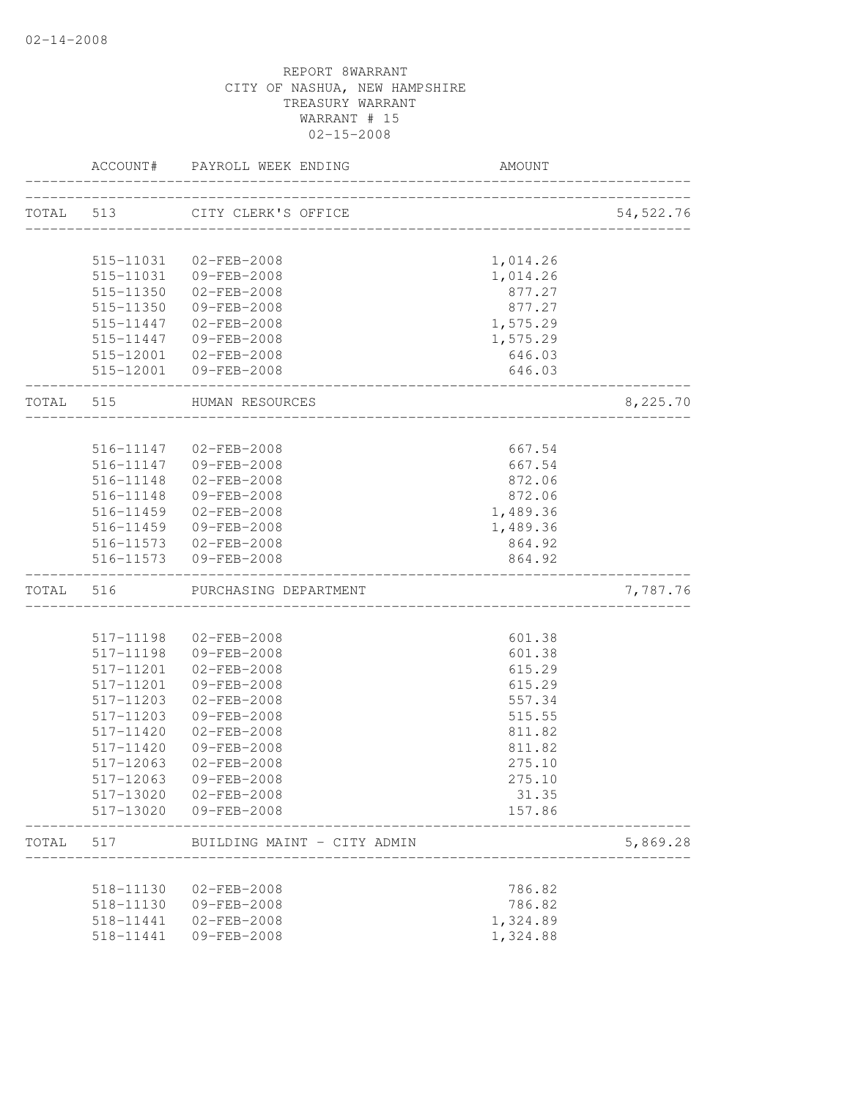|           | ACCOUNT#  | PAYROLL WEEK ENDING                            | AMOUNT                            |            |
|-----------|-----------|------------------------------------------------|-----------------------------------|------------|
| TOTAL 513 |           | CITY CLERK'S OFFICE                            |                                   | 54, 522.76 |
|           |           |                                                | _________________________________ |            |
|           | 515-11031 | 02-FEB-2008                                    | 1,014.26                          |            |
|           | 515-11031 | 09-FEB-2008                                    | 1,014.26                          |            |
|           | 515-11350 | 02-FEB-2008                                    | 877.27                            |            |
|           |           | 515-11350 09-FEB-2008                          | 877.27                            |            |
|           |           | 515-11447 02-FEB-2008                          | 1,575.29                          |            |
|           |           | 515-11447 09-FEB-2008                          | 1,575.29                          |            |
|           |           | 515-12001 02-FEB-2008                          | 646.03                            |            |
|           |           | 515-12001 09-FEB-2008                          | 646.03                            |            |
| TOTAL 515 |           | HUMAN RESOURCES<br>__________________          |                                   | 8,225.70   |
|           |           |                                                |                                   |            |
|           |           | 516-11147 02-FEB-2008                          | 667.54                            |            |
|           | 516-11147 | 09-FEB-2008                                    | 667.54                            |            |
|           | 516-11148 | $02 - FEB - 2008$                              | 872.06                            |            |
|           |           | 516-11148 09-FEB-2008                          | 872.06                            |            |
|           |           | 516-11459 02-FEB-2008                          | 1,489.36                          |            |
|           |           | 516-11459 09-FEB-2008                          | 1,489.36                          |            |
|           |           | 516-11573 02-FEB-2008<br>516-11573 09-FEB-2008 | 864.92<br>864.92                  |            |
| TOTAL     | 516       | PURCHASING DEPARTMENT                          |                                   | 7,787.76   |
|           |           |                                                |                                   |            |
|           | 517-11198 | $02 - FEB - 2008$                              | 601.38                            |            |
|           | 517-11198 | 09-FEB-2008                                    | 601.38                            |            |
|           | 517-11201 | $02 - FEB - 2008$                              | 615.29                            |            |
|           | 517-11201 | 09-FEB-2008                                    | 615.29                            |            |
|           | 517-11203 | $02 - FEB - 2008$                              | 557.34                            |            |
|           | 517-11203 | 09-FEB-2008                                    | 515.55                            |            |
|           | 517-11420 | $02 - FEB - 2008$                              | 811.82                            |            |
|           | 517-11420 | 09-FEB-2008                                    | 811.82                            |            |
|           | 517-12063 | $02 - FEB - 2008$                              | 275.10                            |            |
|           | 517-12063 | 09-FEB-2008                                    | 275.10                            |            |
|           | 517-13020 | 02-FEB-2008                                    | 31.35                             |            |
|           | 517-13020 | 09-FEB-2008                                    | 157.86                            |            |
| TOTAL     | 517       | BUILDING MAINT - CITY ADMIN                    |                                   | 5,869.28   |
|           | 518-11130 | $02 - FEB - 2008$                              | 786.82                            |            |
|           | 518-11130 | 09-FEB-2008                                    | 786.82                            |            |
|           | 518-11441 | $02 - FEB - 2008$                              | 1,324.89                          |            |
|           | 518-11441 | 09-FEB-2008                                    | 1,324.88                          |            |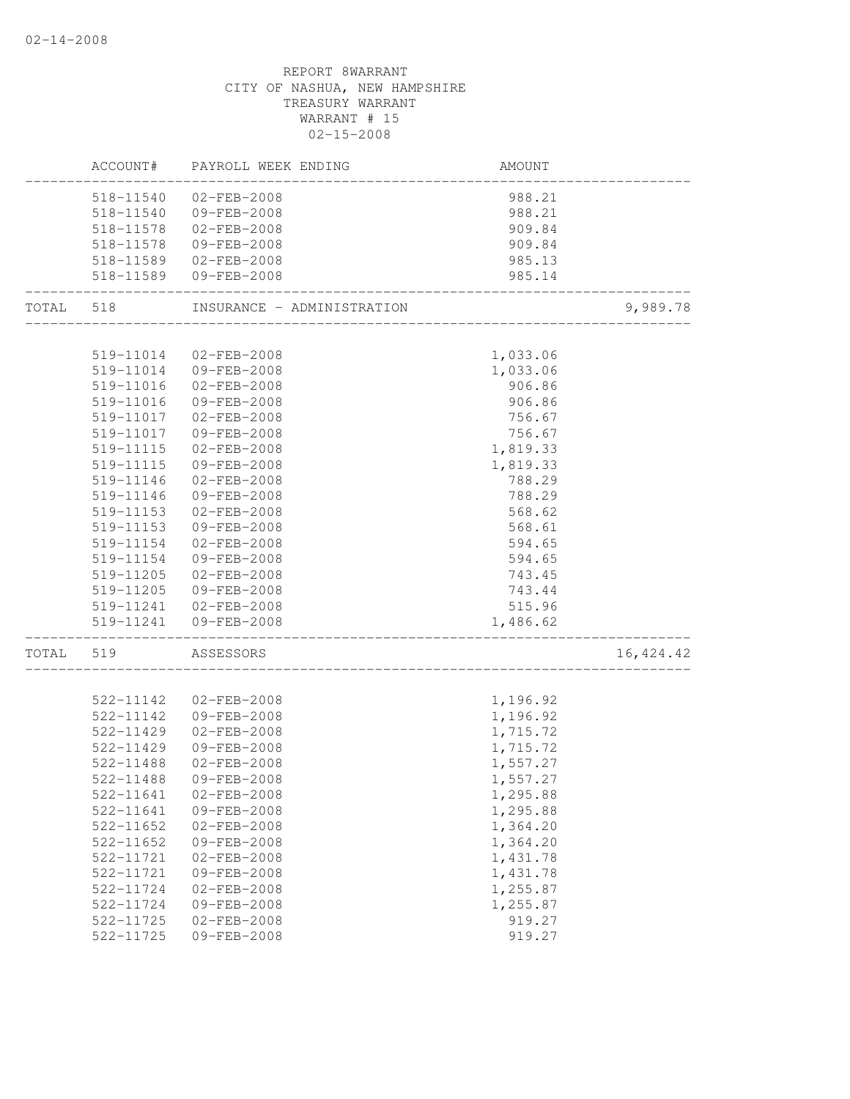|       |                        | ACCOUNT# PAYROLL WEEK ENDING     | AMOUNT               |            |
|-------|------------------------|----------------------------------|----------------------|------------|
|       |                        | 518-11540 02-FEB-2008            | 988.21               |            |
|       |                        | 518-11540 09-FEB-2008            | 988.21               |            |
|       |                        | 518-11578 02-FEB-2008            | 909.84               |            |
|       | 518-11578              | 09-FEB-2008                      | 909.84               |            |
|       |                        | 518-11589 02-FEB-2008            | 985.13               |            |
|       |                        | 518-11589 09-FEB-2008            | 985.14               |            |
|       | TOTAL 518              | INSURANCE - ADMINISTRATION       |                      | 9,989.78   |
|       |                        |                                  |                      |            |
|       | 519-11014              | $02 - FEB - 2008$                | 1,033.06             |            |
|       |                        | 519-11014 09-FEB-2008            | 1,033.06             |            |
|       | 519-11016              | 02-FEB-2008                      | 906.86               |            |
|       | 519-11016              | 09-FEB-2008                      | 906.86               |            |
|       | 519-11017              | 02-FEB-2008                      | 756.67               |            |
|       | 519-11017              | 09-FEB-2008                      | 756.67               |            |
|       | 519-11115              | $02 - FEB - 2008$                | 1,819.33             |            |
|       | 519-11115              | 09-FEB-2008                      | 1,819.33             |            |
|       | 519-11146              | $02 - FEB - 2008$                | 788.29               |            |
|       | 519-11146<br>519-11153 | 09-FEB-2008                      | 788.29<br>568.62     |            |
|       |                        | $02 - FEB - 2008$                |                      |            |
|       | 519-11153<br>519-11154 | 09-FEB-2008<br>02-FEB-2008       | 568.61<br>594.65     |            |
|       |                        | 09-FEB-2008                      |                      |            |
|       | 519-11154<br>519-11205 | $02 - FEB - 2008$                | 594.65<br>743.45     |            |
|       |                        | 519-11205 09-FEB-2008            | 743.44               |            |
|       |                        | 519-11241 02-FEB-2008            | 515.96               |            |
|       |                        | 519-11241 09-FEB-2008            | 1,486.62             |            |
| TOTAL | 519                    | ASSESSORS                        |                      | 16, 424.42 |
|       |                        |                                  |                      |            |
|       | 522-11142              | $02 - FEB - 2008$                | 1,196.92             |            |
|       | 522-11142              | 09-FEB-2008                      | 1,196.92             |            |
|       | 522-11429              | $02 - FEB - 2008$                | 1,715.72             |            |
|       | 522-11429<br>522-11488 | 09-FEB-2008<br>$02 - FEB - 2008$ | 1,715.72             |            |
|       |                        |                                  | 1,557.27<br>1,557.27 |            |
|       | 522-11488              | 09-FEB-2008                      |                      |            |
|       | 522-11641              | $02 - FEB - 2008$                | 1,295.88             |            |
|       | 522-11641<br>522-11652 | $09 - FEB - 2008$                | 1,295.88             |            |
|       | 522-11652              | $02 - FEB - 2008$<br>09-FEB-2008 | 1,364.20<br>1,364.20 |            |
|       | 522-11721              | $02 - FEB - 2008$                | 1,431.78             |            |
|       | 522-11721              | 09-FEB-2008                      | 1,431.78             |            |
|       | 522-11724              | $02 - FEB - 2008$                | 1,255.87             |            |
|       | 522-11724              | 09-FEB-2008                      | 1,255.87             |            |
|       | 522-11725              | 02-FEB-2008                      | 919.27               |            |
|       | 522-11725              | 09-FEB-2008                      | 919.27               |            |
|       |                        |                                  |                      |            |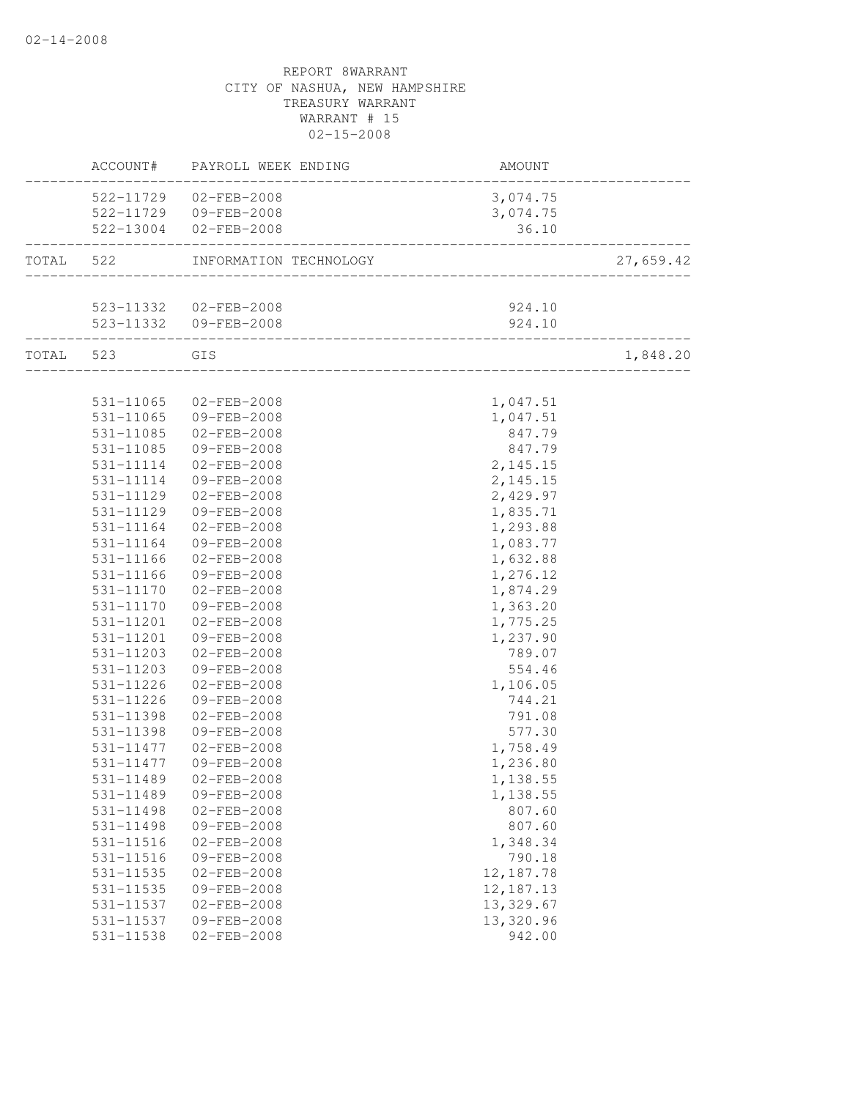|                        | ACCOUNT# PAYROLL WEEK ENDING                                | AMOUNT               |           |
|------------------------|-------------------------------------------------------------|----------------------|-----------|
|                        | 522-11729 02-FEB-2008                                       | 3,074.75             |           |
|                        | 522-11729 09-FEB-2008                                       | 3,074.75             |           |
|                        | 522-13004 02-FEB-2008                                       | 36.10                |           |
|                        | TOTAL 522 INFORMATION TECHNOLOGY                            |                      | 27,659.42 |
|                        |                                                             |                      |           |
|                        | 523-11332 02-FEB-2008                                       | 924.10               |           |
|                        | 523-11332 09-FEB-2008<br>---------------------------------- | 924.10               |           |
| TOTAL 523 GIS          |                                                             |                      | 1,848.20  |
|                        |                                                             |                      |           |
|                        | 531-11065 02-FEB-2008                                       | 1,047.51             |           |
| 531-11065              | 09-FEB-2008                                                 | 1,047.51             |           |
| 531-11085              | $02 - FEB - 2008$                                           | 847.79               |           |
| 531-11085              | 09-FEB-2008                                                 | 847.79               |           |
|                        | 531-11114 02-FEB-2008                                       | 2, 145. 15           |           |
|                        | 531-11114 09-FEB-2008                                       | 2,145.15             |           |
| 531-11129              | $02 - FEB - 2008$                                           | 2,429.97             |           |
| 531-11129              | 09-FEB-2008                                                 | 1,835.71             |           |
| 531-11164              | $02 - FEB - 2008$                                           | 1,293.88             |           |
| 531-11164              | 09-FEB-2008                                                 | 1,083.77             |           |
| 531-11166              | 02-FEB-2008                                                 | 1,632.88             |           |
| 531-11166              | 09-FEB-2008                                                 | 1,276.12             |           |
| 531-11170              | $02 - FEB - 2008$                                           | 1,874.29             |           |
| 531-11170              | 09-FEB-2008                                                 | 1,363.20             |           |
| 531-11201              | $02 - FEB - 2008$                                           | 1,775.25             |           |
| 531-11201              | 09-FEB-2008                                                 | 1,237.90             |           |
| 531-11203              | $02 - FEB - 2008$<br>09-FEB-2008                            | 789.07               |           |
| 531-11203<br>531-11226 |                                                             | 554.46               |           |
| 531-11226              | $02 - FEB - 2008$<br>09-FEB-2008                            | 1,106.05<br>744.21   |           |
| 531-11398              | 02-FEB-2008                                                 | 791.08               |           |
|                        |                                                             |                      |           |
| 531-11398              | 09-FEB-2008<br>531-11477  02-FEB-2008                       | 577.30               |           |
| 531-11477              | 09-FEB-2008                                                 | 1,758.49<br>1,236.80 |           |
|                        |                                                             |                      |           |
| 531-11489<br>531-11489 | 02-FEB-2008<br>09-FEB-2008                                  | 1,138.55             |           |
| 531-11498              | $02 - FEB - 2008$                                           | 1,138.55<br>807.60   |           |
| 531-11498              | 09-FEB-2008                                                 | 807.60               |           |
| 531-11516              | $02 - FEB - 2008$                                           | 1,348.34             |           |
| 531-11516              | 09-FEB-2008                                                 | 790.18               |           |
| 531-11535              | $02 - FEB - 2008$                                           | 12,187.78            |           |
| 531-11535              | 09-FEB-2008                                                 | 12, 187. 13          |           |
| 531-11537              | 02-FEB-2008                                                 | 13,329.67            |           |
| 531-11537              | 09-FEB-2008                                                 | 13,320.96            |           |
| 531-11538              | 02-FEB-2008                                                 | 942.00               |           |
|                        |                                                             |                      |           |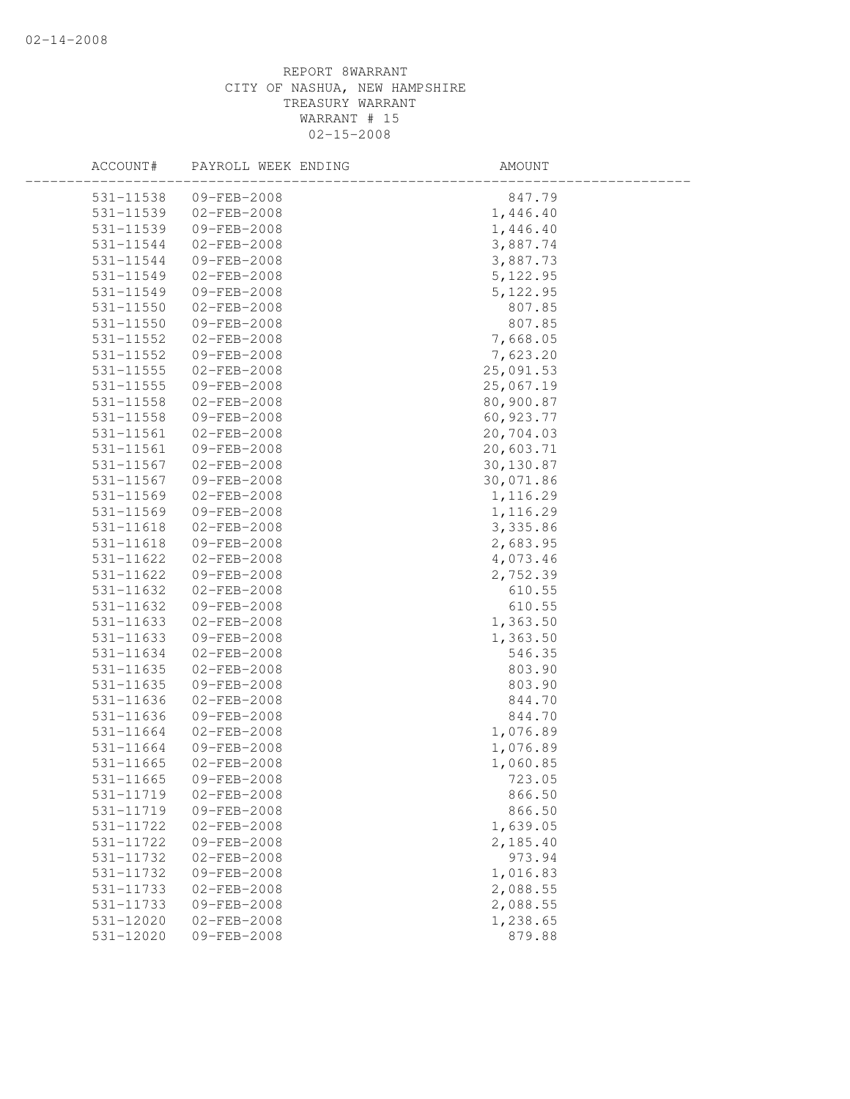| ACCOUNT#<br>PAYROLL WEEK ENDING | AMOUNT    |  |
|---------------------------------|-----------|--|
| 531-11538<br>$09 - FEB - 2008$  | 847.79    |  |
| 531-11539<br>$02 - FEB - 2008$  | 1,446.40  |  |
| 531-11539<br>09-FEB-2008        | 1,446.40  |  |
| 531-11544<br>02-FEB-2008        | 3,887.74  |  |
| 531-11544<br>09-FEB-2008        | 3,887.73  |  |
| 531-11549<br>$02 - FEB - 2008$  | 5, 122.95 |  |
| 531-11549<br>09-FEB-2008        | 5,122.95  |  |
| 02-FEB-2008<br>531-11550        | 807.85    |  |
| 531-11550<br>09-FEB-2008        | 807.85    |  |
| 531-11552<br>$02 - FEB - 2008$  | 7,668.05  |  |
| 531-11552<br>09-FEB-2008        | 7,623.20  |  |
| 531-11555<br>$02 - FEB - 2008$  | 25,091.53 |  |
| 531-11555<br>09-FEB-2008        | 25,067.19 |  |
| 531-11558<br>02-FEB-2008        | 80,900.87 |  |
| 531-11558<br>09-FEB-2008        | 60,923.77 |  |
| 531-11561<br>$02 - FEB - 2008$  | 20,704.03 |  |
| 09-FEB-2008<br>531-11561        | 20,603.71 |  |
| 531-11567<br>$02 - FEB - 2008$  | 30,130.87 |  |
| 531-11567<br>09-FEB-2008        | 30,071.86 |  |
| 531-11569<br>$02 - FEB - 2008$  | 1,116.29  |  |
| 531-11569<br>09-FEB-2008        | 1,116.29  |  |
| $531 - 11618$<br>02-FEB-2008    | 3,335.86  |  |
| $531 - 11618$<br>09-FEB-2008    | 2,683.95  |  |
| 531-11622<br>$02 - FEB - 2008$  | 4,073.46  |  |
| 531-11622<br>09-FEB-2008        | 2,752.39  |  |
| $02 - FEB - 2008$<br>531-11632  | 610.55    |  |
| 531-11632<br>09-FEB-2008        | 610.55    |  |
| $02 - FEB - 2008$<br>531-11633  | 1,363.50  |  |
| 531-11633<br>09-FEB-2008        | 1,363.50  |  |
| 531-11634<br>$02 - FEB - 2008$  | 546.35    |  |
| 531-11635<br>02-FEB-2008        | 803.90    |  |
| 531-11635<br>09-FEB-2008        | 803.90    |  |
| 531-11636<br>02-FEB-2008        | 844.70    |  |
| 531-11636<br>09-FEB-2008        | 844.70    |  |
| $02 - FEB - 2008$<br>531-11664  | 1,076.89  |  |
| 531-11664<br>$09 - FEB - 2008$  | 1,076.89  |  |
| 531-11665<br>$02 - FEB - 2008$  | 1,060.85  |  |
| 09-FEB-2008<br>531-11665        | 723.05    |  |
| 531-11719<br>02-FEB-2008        | 866.50    |  |
| 531-11719<br>$09 - FEB - 2008$  | 866.50    |  |
| 531-11722<br>$02 - FEB - 2008$  | 1,639.05  |  |
| 531-11722<br>$09 - FEB - 2008$  | 2,185.40  |  |
| $02 - FEB - 2008$<br>531-11732  | 973.94    |  |
| 09-FEB-2008<br>531-11732        | 1,016.83  |  |
| $02 - FEB - 2008$<br>531-11733  | 2,088.55  |  |
| 531-11733<br>09-FEB-2008        | 2,088.55  |  |
| 531-12020<br>$02 - FEB - 2008$  | 1,238.65  |  |
| 09-FEB-2008<br>531-12020        | 879.88    |  |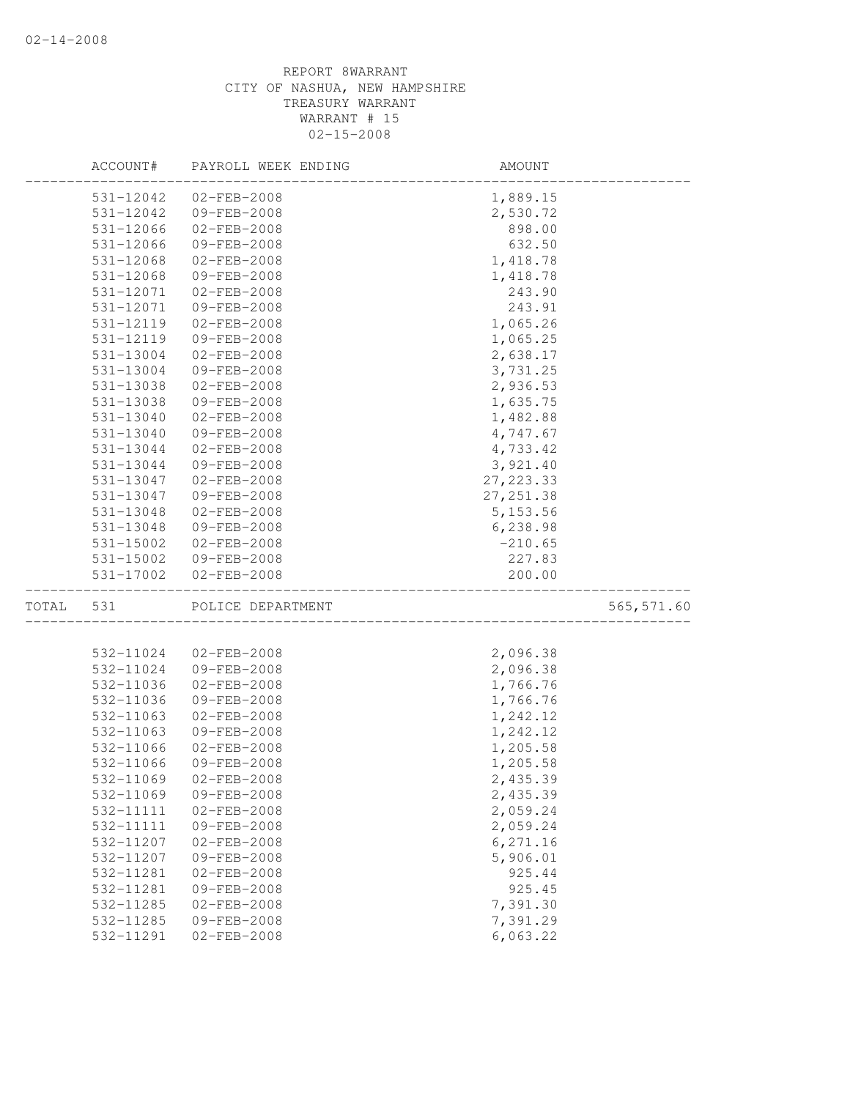|       | ACCOUNT#  | PAYROLL WEEK ENDING | AMOUNT     |             |
|-------|-----------|---------------------|------------|-------------|
|       | 531-12042 | $02 - FEB - 2008$   | 1,889.15   |             |
|       | 531-12042 | 09-FEB-2008         | 2,530.72   |             |
|       | 531-12066 | $02 - FEB - 2008$   | 898.00     |             |
|       | 531-12066 | 09-FEB-2008         | 632.50     |             |
|       | 531-12068 | 02-FEB-2008         | 1,418.78   |             |
|       | 531-12068 | 09-FEB-2008         | 1,418.78   |             |
|       | 531-12071 | $02 - FEB - 2008$   | 243.90     |             |
|       | 531-12071 | $09 - FEB - 2008$   | 243.91     |             |
|       | 531-12119 | $02 - FEB - 2008$   | 1,065.26   |             |
|       | 531-12119 | 09-FEB-2008         | 1,065.25   |             |
|       | 531-13004 | $02 - FEB - 2008$   | 2,638.17   |             |
|       | 531-13004 | 09-FEB-2008         | 3,731.25   |             |
|       | 531-13038 | $02-FEB-2008$       | 2,936.53   |             |
|       | 531-13038 | 09-FEB-2008         | 1,635.75   |             |
|       | 531-13040 | $02 - FEB - 2008$   | 1,482.88   |             |
|       | 531-13040 | 09-FEB-2008         | 4,747.67   |             |
|       | 531-13044 | $02 - FEB - 2008$   | 4,733.42   |             |
|       | 531-13044 | 09-FEB-2008         | 3,921.40   |             |
|       | 531-13047 | $02 - FEB - 2008$   | 27, 223.33 |             |
|       | 531-13047 | 09-FEB-2008         | 27, 251.38 |             |
|       | 531-13048 | $02 - FEB - 2008$   | 5, 153.56  |             |
|       | 531-13048 | 09-FEB-2008         | 6,238.98   |             |
|       | 531-15002 | 02-FEB-2008         | $-210.65$  |             |
|       | 531-15002 | 09-FEB-2008         | 227.83     |             |
|       | 531-17002 | $02 - FEB - 2008$   | 200.00     |             |
| TOTAL | 531       | POLICE DEPARTMENT   |            | 565, 571.60 |
|       |           |                     |            |             |
|       | 532-11024 | $02 - FEB - 2008$   | 2,096.38   |             |
|       | 532-11024 | 09-FEB-2008         | 2,096.38   |             |
|       | 532-11036 | 02-FEB-2008         | 1,766.76   |             |
|       | 532-11036 | 09-FEB-2008         | 1,766.76   |             |
|       | 532-11063 | $02 - FEB - 2008$   | 1,242.12   |             |
|       | 532-11063 | 09-FEB-2008         | 1,242.12   |             |
|       | 532-11066 | 02-FEB-2008         | 1,205.58   |             |
|       | 532-11066 | 09-FEB-2008         | 1,205.58   |             |
|       | 532-11069 | $02 - FEB - 2008$   | 2,435.39   |             |
|       | 532-11069 | 09-FEB-2008         | 2,435.39   |             |
|       | 532-11111 | 02-FEB-2008         | 2,059.24   |             |
|       | 532-11111 | 09-FEB-2008         | 2,059.24   |             |
|       | 532-11207 | $02 - FEB - 2008$   | 6,271.16   |             |
|       | 532-11207 | 09-FEB-2008         | 5,906.01   |             |
|       | 532-11281 | $02 - FEB - 2008$   | 925.44     |             |
|       | 532-11281 | 09-FEB-2008         | 925.45     |             |
|       | 532-11285 | $02 - FEB - 2008$   | 7,391.30   |             |
|       | 532-11285 | 09-FEB-2008         | 7,391.29   |             |
|       | 532-11291 | 02-FEB-2008         | 6,063.22   |             |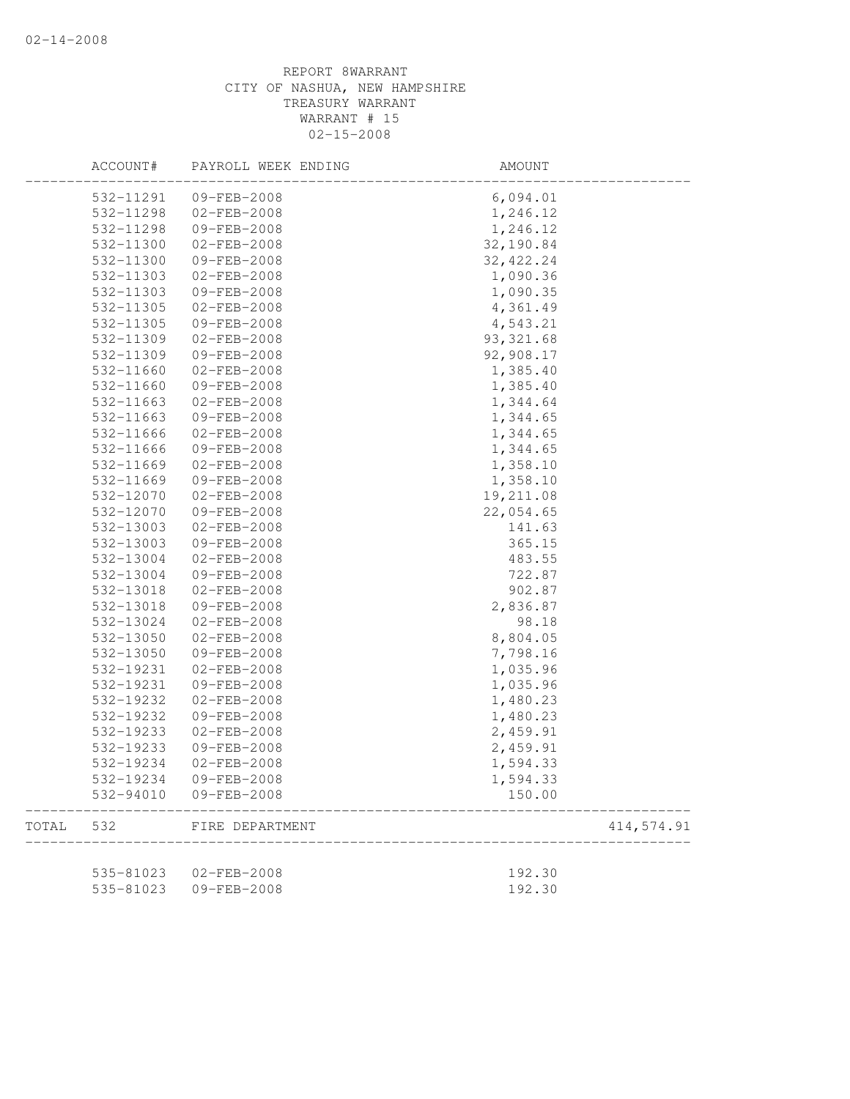|       | ACCOUNT#  | PAYROLL WEEK ENDING | AMOUNT     |            |
|-------|-----------|---------------------|------------|------------|
|       | 532-11291 | $09 - FEB - 2008$   | 6,094.01   |            |
|       | 532-11298 | $02 - FEB - 2008$   | 1,246.12   |            |
|       | 532-11298 | 09-FEB-2008         | 1,246.12   |            |
|       | 532-11300 | $02 - FEB - 2008$   | 32,190.84  |            |
|       | 532-11300 | 09-FEB-2008         | 32, 422.24 |            |
|       | 532-11303 | $02 - FEB - 2008$   | 1,090.36   |            |
|       | 532-11303 | 09-FEB-2008         | 1,090.35   |            |
|       | 532-11305 | $02 - FEB - 2008$   | 4,361.49   |            |
|       | 532-11305 | 09-FEB-2008         | 4,543.21   |            |
|       | 532-11309 | $02 - FEB - 2008$   | 93, 321.68 |            |
|       | 532-11309 | 09-FEB-2008         | 92,908.17  |            |
|       | 532-11660 | $02 - FEB - 2008$   | 1,385.40   |            |
|       | 532-11660 | 09-FEB-2008         | 1,385.40   |            |
|       | 532-11663 | 02-FEB-2008         | 1,344.64   |            |
|       | 532-11663 | 09-FEB-2008         | 1,344.65   |            |
|       | 532-11666 | $02 - FEB - 2008$   | 1,344.65   |            |
|       | 532-11666 | 09-FEB-2008         | 1,344.65   |            |
|       | 532-11669 | $02 - FEB - 2008$   | 1,358.10   |            |
|       | 532-11669 | 09-FEB-2008         | 1,358.10   |            |
|       | 532-12070 | $02 - FEB - 2008$   | 19,211.08  |            |
|       | 532-12070 | 09-FEB-2008         | 22,054.65  |            |
|       | 532-13003 | $02 - FEB - 2008$   | 141.63     |            |
|       | 532-13003 | 09-FEB-2008         | 365.15     |            |
|       | 532-13004 | $02 - FEB - 2008$   | 483.55     |            |
|       | 532-13004 | 09-FEB-2008         | 722.87     |            |
|       | 532-13018 | 02-FEB-2008         | 902.87     |            |
|       | 532-13018 | 09-FEB-2008         | 2,836.87   |            |
|       | 532-13024 | 02-FEB-2008         | 98.18      |            |
|       | 532-13050 | $02 - FEB - 2008$   | 8,804.05   |            |
|       | 532-13050 | 09-FEB-2008         | 7,798.16   |            |
|       | 532-19231 | $02 - FEB - 2008$   | 1,035.96   |            |
|       | 532-19231 | 09-FEB-2008         | 1,035.96   |            |
|       | 532-19232 | 02-FEB-2008         | 1,480.23   |            |
|       | 532-19232 | 09-FEB-2008         | 1,480.23   |            |
|       | 532-19233 | $02 - FEB - 2008$   | 2,459.91   |            |
|       | 532-19233 | 09-FEB-2008         | 2,459.91   |            |
|       | 532-19234 | $02 - FEB - 2008$   | 1,594.33   |            |
|       | 532-19234 | $09 - FEB - 2008$   | 1,594.33   |            |
|       | 532-94010 | 09-FEB-2008         | 150.00     |            |
| TOTAL | 532       | FIRE DEPARTMENT     |            | 414,574.91 |
|       | 535-81023 | $02 - FEB - 2008$   | 192.30     |            |
|       | 535-81023 | 09-FEB-2008         | 192.30     |            |
|       |           |                     |            |            |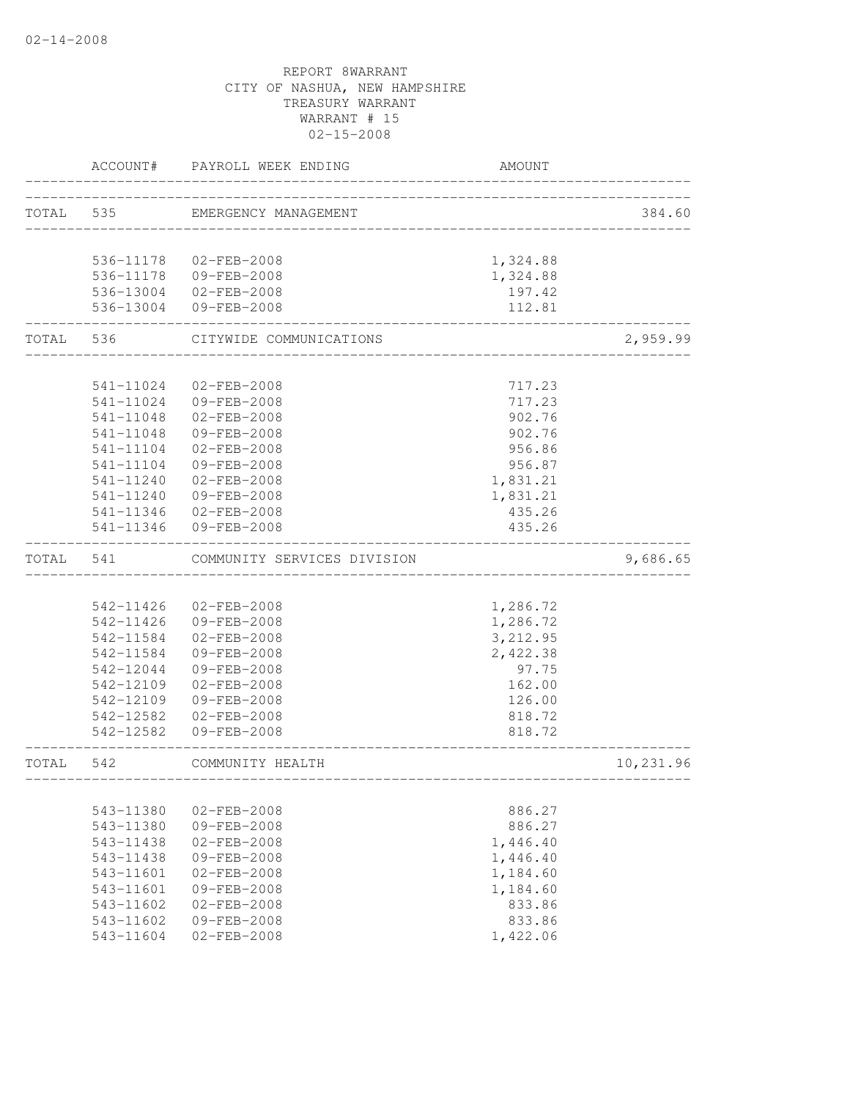|           | ACCOUNT#      | PAYROLL WEEK ENDING                             | <b>AMOUNT</b>                 |           |
|-----------|---------------|-------------------------------------------------|-------------------------------|-----------|
|           |               | TOTAL 535 EMERGENCY MANAGEMENT                  | _____________________________ | 384.60    |
|           |               |                                                 |                               |           |
|           |               | 536-11178 02-FEB-2008                           | 1,324.88                      |           |
|           |               | 536-11178  09-FEB-2008<br>536-13004 02-FEB-2008 | 1,324.88<br>197.42            |           |
|           |               | 536-13004 09-FEB-2008                           | 112.81                        |           |
| TOTAL     | 536           | CITYWIDE COMMUNICATIONS                         | __________                    | 2,959.99  |
|           | 541-11024     | $02 - FEB - 2008$                               | 717.23                        |           |
|           |               | 541-11024 09-FEB-2008                           | 717.23                        |           |
|           |               | 541-11048 02-FEB-2008                           | 902.76                        |           |
|           | 541-11048     | 09-FEB-2008                                     | 902.76                        |           |
|           | 541-11104     | $02 - FEB - 2008$                               | 956.86                        |           |
|           | 541-11104     | 09-FEB-2008                                     | 956.87                        |           |
|           | 541-11240     | $02 - FEB - 2008$                               | 1,831.21                      |           |
|           |               | 541-11240 09-FEB-2008                           | 1,831.21                      |           |
|           |               | 541-11346 02-FEB-2008                           | 435.26                        |           |
|           |               | 541-11346 09-FEB-2008                           | 435.26                        |           |
| TOTAL 541 |               | COMMUNITY SERVICES DIVISION                     |                               | 9,686.65  |
|           |               |                                                 |                               |           |
|           |               | 542-11426 02-FEB-2008                           | 1,286.72                      |           |
|           |               | 542-11426 09-FEB-2008                           | 1,286.72                      |           |
|           |               | 542-11584 02-FEB-2008                           | 3,212.95                      |           |
|           |               | 542-11584 09-FEB-2008                           | 2,422.38                      |           |
|           |               | 542-12044 09-FEB-2008                           | 97.75                         |           |
|           |               | 542-12109 02-FEB-2008                           | 162.00                        |           |
|           | 542-12109     | 09-FEB-2008                                     | 126.00                        |           |
|           |               | 542-12582 02-FEB-2008<br>542-12582 09-FEB-2008  | 818.72<br>818.72              |           |
| TOTAL     | 542           | COMMUNITY HEALTH                                |                               | 10,231.96 |
|           |               | _________                                       |                               |           |
|           | 543-11380     | $02 - FEB - 2008$                               | 886.27                        |           |
|           | 543-11380     | 09-FEB-2008                                     | 886.27                        |           |
|           | 543-11438     | $02 - FEB - 2008$                               | 1,446.40                      |           |
|           | 543-11438     | 09-FEB-2008                                     | 1,446.40                      |           |
|           | 543-11601     | $02 - FEB - 2008$                               | 1,184.60                      |           |
|           | 543-11601     | $09 - FEB - 2008$                               | 1,184.60                      |           |
|           | $543 - 11602$ | $02 - FEB - 2008$                               | 833.86                        |           |
|           | $543 - 11602$ | 09-FEB-2008                                     | 833.86                        |           |
|           | 543-11604     | $02 - FEB - 2008$                               | 1,422.06                      |           |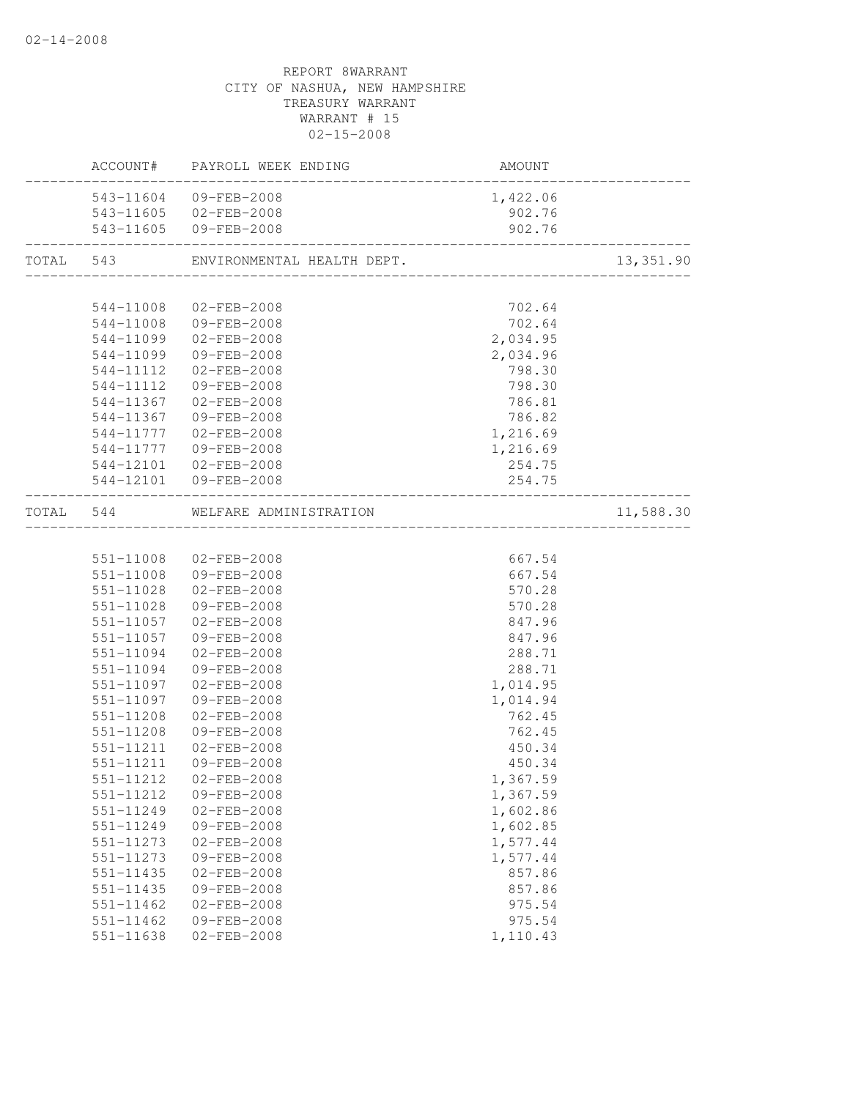|                            | ACCOUNT# PAYROLL WEEK ENDING                                | AMOUNT                              |           |
|----------------------------|-------------------------------------------------------------|-------------------------------------|-----------|
|                            | 543-11604 09-FEB-2008                                       | 1,422.06                            |           |
|                            | 543-11605 02-FEB-2008                                       | 902.76                              |           |
|                            | 543-11605 09-FEB-2008                                       | 902.76                              |           |
|                            | TOTAL 543 ENVIRONMENTAL HEALTH DEPT.                        |                                     | 13,351.90 |
|                            |                                                             |                                     |           |
| 544-11008                  | 02-FEB-2008                                                 | 702.64                              |           |
|                            | 544-11008 09-FEB-2008                                       | 702.64                              |           |
| 544-11099                  | $02 - FEB - 2008$                                           | 2,034.95                            |           |
| 544-11099                  | 09-FEB-2008                                                 | 2,034.96                            |           |
|                            | 544-11112 02-FEB-2008                                       | 798.30                              |           |
| 544-11112                  | 09-FEB-2008                                                 | 798.30                              |           |
| 544-11367                  | 02-FEB-2008                                                 | 786.81                              |           |
| 544-11367                  | 09-FEB-2008                                                 | 786.82                              |           |
| 544-11777                  | $02 - FEB - 2008$                                           | 1,216.69                            |           |
| 544-11777                  | 09-FEB-2008                                                 | 1,216.69                            |           |
|                            | 544-12101 02-FEB-2008                                       | 254.75                              |           |
|                            | 544-12101 09-FEB-2008<br>__________________________________ | 254.75                              |           |
|                            | TOTAL 544 WELFARE ADMINISTRATION                            | ___________________________________ | 11,588.30 |
|                            |                                                             |                                     |           |
|                            | 551-11008 02-FEB-2008                                       | 667.54                              |           |
|                            | 551-11008 09-FEB-2008                                       | 667.54                              |           |
| 551-11028                  | $02 - FEB - 2008$                                           | 570.28                              |           |
| 551-11028                  | 09-FEB-2008                                                 | 570.28                              |           |
| 551-11057                  | 02-FEB-2008                                                 | 847.96                              |           |
| 551-11057                  | 09-FEB-2008                                                 | 847.96                              |           |
| 551-11094                  | 02-FEB-2008                                                 | 288.71                              |           |
| 551-11094                  | 09-FEB-2008                                                 | 288.71                              |           |
| 551-11097                  | 02-FEB-2008                                                 | 1,014.95                            |           |
| 551-11097                  | 09-FEB-2008                                                 | 1,014.94                            |           |
| 551-11208                  | $02 - FEB - 2008$                                           | 762.45                              |           |
| 551-11208                  | 09-FEB-2008                                                 | 762.45                              |           |
| 551-11211                  | 02-FEB-2008                                                 | 450.34                              |           |
| 551-11211                  | 09-FEB-2008                                                 | 450.34                              |           |
| 551-11212                  | 02-FEB-2008                                                 | 1,367.59                            |           |
| 551-11212                  | 09-FEB-2008                                                 | 1,367.59                            |           |
| 551-11249                  | 02-FEB-2008                                                 | 1,602.86                            |           |
| 551-11249                  | 09-FEB-2008                                                 | 1,602.85                            |           |
| 551-11273                  | 02-FEB-2008                                                 | 1,577.44                            |           |
| 551-11273                  | 09-FEB-2008                                                 | 1,577.44                            |           |
| $551 - 11435$              | $02 - FEB - 2008$                                           | 857.86                              |           |
| 551-11435                  | 09-FEB-2008                                                 | 857.86                              |           |
| 551-11462                  | 02-FEB-2008                                                 | 975.54                              |           |
| 551-11462<br>$551 - 11638$ | 09-FEB-2008                                                 | 975.54                              |           |
|                            | $02 - FEB - 2008$                                           | 1,110.43                            |           |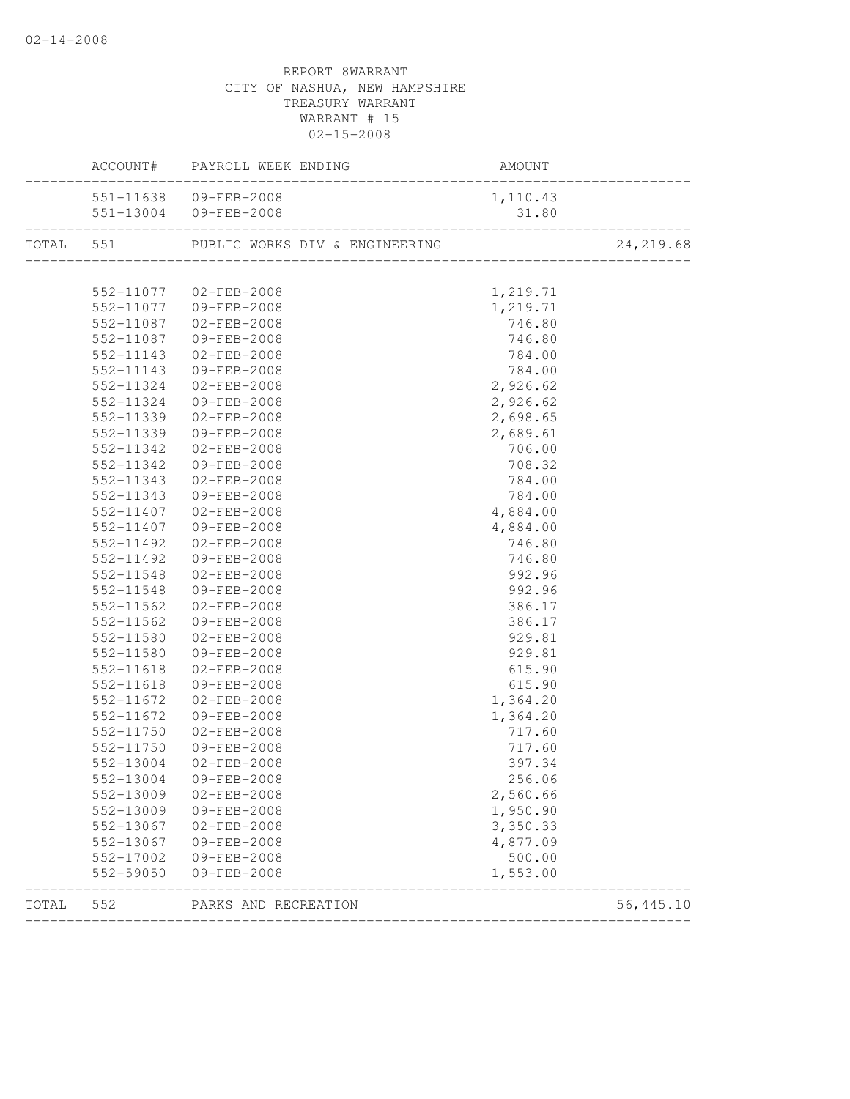|       |           | ACCOUNT# PAYROLL WEEK ENDING                       | AMOUNT   |           |
|-------|-----------|----------------------------------------------------|----------|-----------|
|       |           | 551-11638 09-FEB-2008                              | 1,110.43 |           |
|       |           | $31.80$<br>31.80<br>551-13004 09-FEB-2008          |          |           |
|       |           | TOTAL 551 PUBLIC WORKS DIV & ENGINEERING 24,219.68 |          |           |
|       |           |                                                    |          |           |
|       |           | 552-11077 02-FEB-2008                              | 1,219.71 |           |
|       |           | 552-11077 09-FEB-2008                              | 1,219.71 |           |
|       |           | 552-11087 02-FEB-2008                              | 746.80   |           |
|       | 552-11087 | 09-FEB-2008                                        | 746.80   |           |
|       | 552-11143 | $02 - FEB - 2008$                                  | 784.00   |           |
|       | 552-11143 | 09-FEB-2008                                        | 784.00   |           |
|       | 552-11324 | 02-FEB-2008                                        | 2,926.62 |           |
|       | 552-11324 | 09-FEB-2008                                        | 2,926.62 |           |
|       | 552-11339 | 02-FEB-2008                                        | 2,698.65 |           |
|       |           | 552-11339 09-FEB-2008                              | 2,689.61 |           |
|       | 552-11342 | 02-FEB-2008                                        | 706.00   |           |
|       | 552-11342 | 09-FEB-2008                                        | 708.32   |           |
|       | 552-11343 | $02 - FEB - 2008$                                  | 784.00   |           |
|       | 552-11343 | 09-FEB-2008                                        | 784.00   |           |
|       | 552-11407 | 02-FEB-2008                                        | 4,884.00 |           |
|       | 552-11407 | 09-FEB-2008                                        | 4,884.00 |           |
|       | 552-11492 | 02-FEB-2008                                        | 746.80   |           |
|       | 552-11492 | 09-FEB-2008                                        | 746.80   |           |
|       | 552-11548 | 02-FEB-2008                                        | 992.96   |           |
|       | 552-11548 | 09-FEB-2008                                        | 992.96   |           |
|       | 552-11562 | 02-FEB-2008                                        | 386.17   |           |
|       | 552-11562 | 09-FEB-2008                                        | 386.17   |           |
|       | 552-11580 | 02-FEB-2008                                        | 929.81   |           |
|       | 552-11580 | 09-FEB-2008                                        | 929.81   |           |
|       | 552-11618 | 02-FEB-2008                                        | 615.90   |           |
|       | 552-11618 | 09-FEB-2008                                        | 615.90   |           |
|       | 552-11672 | 02-FEB-2008                                        | 1,364.20 |           |
|       | 552-11672 | 09-FEB-2008                                        | 1,364.20 |           |
|       |           | 552-11750 02-FEB-2008                              | 717.60   |           |
|       | 552-11750 | 09-FEB-2008                                        | 717.60   |           |
|       | 552-13004 | $02 - FEB - 2008$                                  | 397.34   |           |
|       |           | 552-13004 09-FEB-2008                              | 256.06   |           |
|       | 552-13009 | 02-FEB-2008                                        | 2,560.66 |           |
|       | 552-13009 | 09-FEB-2008                                        | 1,950.90 |           |
|       | 552-13067 | 02-FEB-2008                                        | 3,350.33 |           |
|       | 552-13067 | 09-FEB-2008                                        | 4,877.09 |           |
|       | 552-17002 | 09-FEB-2008                                        | 500.00   |           |
|       | 552-59050 | 09-FEB-2008                                        | 1,553.00 |           |
| TOTAL | 552       | PARKS AND RECREATION<br>_____________________      |          | 56,445.10 |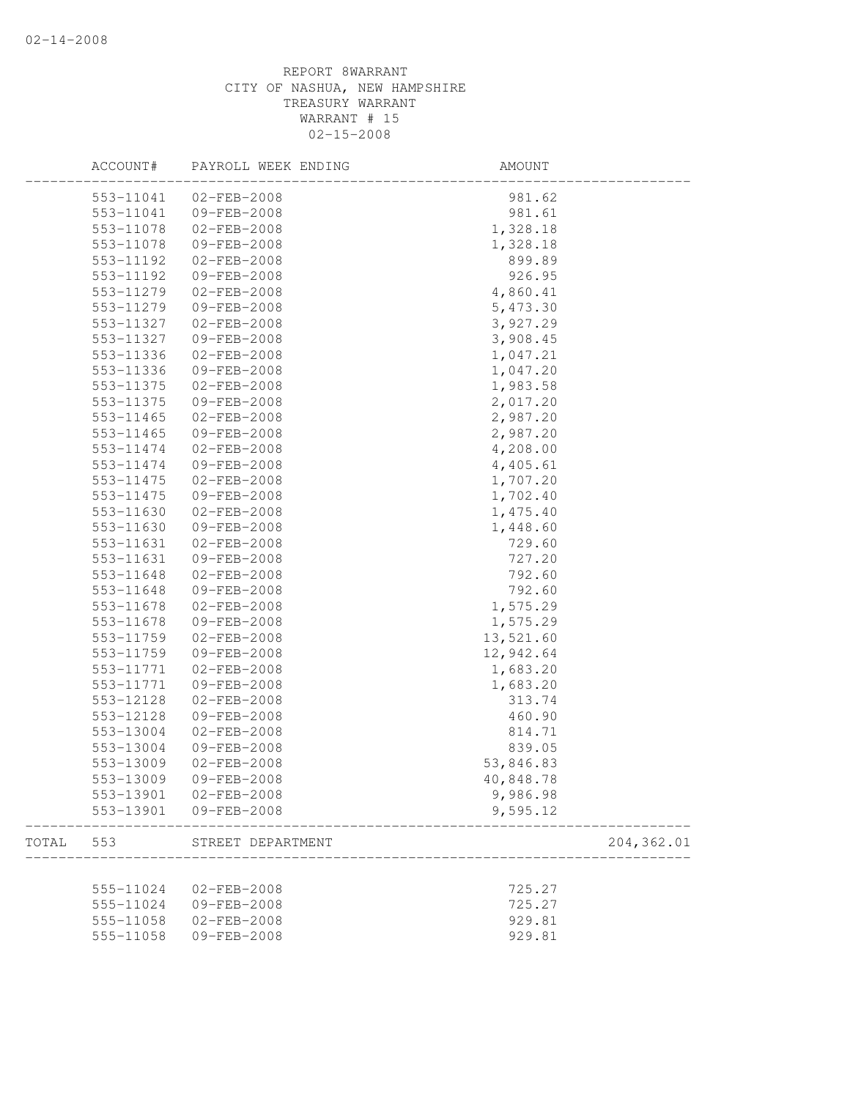|       | ACCOUNT#  | PAYROLL WEEK ENDING | AMOUNT    |            |
|-------|-----------|---------------------|-----------|------------|
|       | 553-11041 | 02-FEB-2008         | 981.62    |            |
|       | 553-11041 | 09-FEB-2008         | 981.61    |            |
|       | 553-11078 | $02 - FEB - 2008$   | 1,328.18  |            |
|       | 553-11078 | 09-FEB-2008         | 1,328.18  |            |
|       | 553-11192 | 02-FEB-2008         | 899.89    |            |
|       | 553-11192 | 09-FEB-2008         | 926.95    |            |
|       | 553-11279 | $02 - FEB - 2008$   | 4,860.41  |            |
|       | 553-11279 | 09-FEB-2008         | 5,473.30  |            |
|       | 553-11327 | 02-FEB-2008         | 3,927.29  |            |
|       | 553-11327 | 09-FEB-2008         | 3,908.45  |            |
|       | 553-11336 | $02 - FEB - 2008$   | 1,047.21  |            |
|       | 553-11336 | 09-FEB-2008         | 1,047.20  |            |
|       | 553-11375 | 02-FEB-2008         | 1,983.58  |            |
|       | 553-11375 | 09-FEB-2008         | 2,017.20  |            |
|       | 553-11465 | 02-FEB-2008         | 2,987.20  |            |
|       | 553-11465 | 09-FEB-2008         | 2,987.20  |            |
|       | 553-11474 | 02-FEB-2008         | 4,208.00  |            |
|       | 553-11474 | 09-FEB-2008         | 4,405.61  |            |
|       | 553-11475 | $02 - FEB - 2008$   | 1,707.20  |            |
|       | 553-11475 | 09-FEB-2008         | 1,702.40  |            |
|       | 553-11630 | $02 - FEB - 2008$   | 1,475.40  |            |
|       | 553-11630 | 09-FEB-2008         | 1,448.60  |            |
|       | 553-11631 | 02-FEB-2008         | 729.60    |            |
|       | 553-11631 | 09-FEB-2008         | 727.20    |            |
|       | 553-11648 | $02 - FEB - 2008$   | 792.60    |            |
|       | 553-11648 | 09-FEB-2008         | 792.60    |            |
|       | 553-11678 | 02-FEB-2008         | 1,575.29  |            |
|       | 553-11678 | 09-FEB-2008         | 1,575.29  |            |
|       | 553-11759 | $02 - FEB - 2008$   | 13,521.60 |            |
|       | 553-11759 | 09-FEB-2008         | 12,942.64 |            |
|       | 553-11771 | $02 - FEB - 2008$   | 1,683.20  |            |
|       | 553-11771 | 09-FEB-2008         | 1,683.20  |            |
|       | 553-12128 | 02-FEB-2008         | 313.74    |            |
|       | 553-12128 | 09-FEB-2008         | 460.90    |            |
|       | 553-13004 | $02 - FEB - 2008$   | 814.71    |            |
|       | 553-13004 | 09-FEB-2008         | 839.05    |            |
|       | 553-13009 | $02 - FEB - 2008$   | 53,846.83 |            |
|       | 553-13009 | 09-FEB-2008         | 40,848.78 |            |
|       | 553-13901 | $02 - FEB - 2008$   | 9,986.98  |            |
|       | 553-13901 | 09-FEB-2008         | 9,595.12  |            |
| TOTAL | 553       | STREET DEPARTMENT   |           | 204,362.01 |
|       |           |                     |           |            |
|       | 555-11024 | $02 - FEB - 2008$   | 725.27    |            |
|       | 555-11024 | 09-FEB-2008         | 725.27    |            |
|       | 555-11058 | $02 - FEB - 2008$   | 929.81    |            |
|       | 555-11058 | 09-FEB-2008         | 929.81    |            |
|       |           |                     |           |            |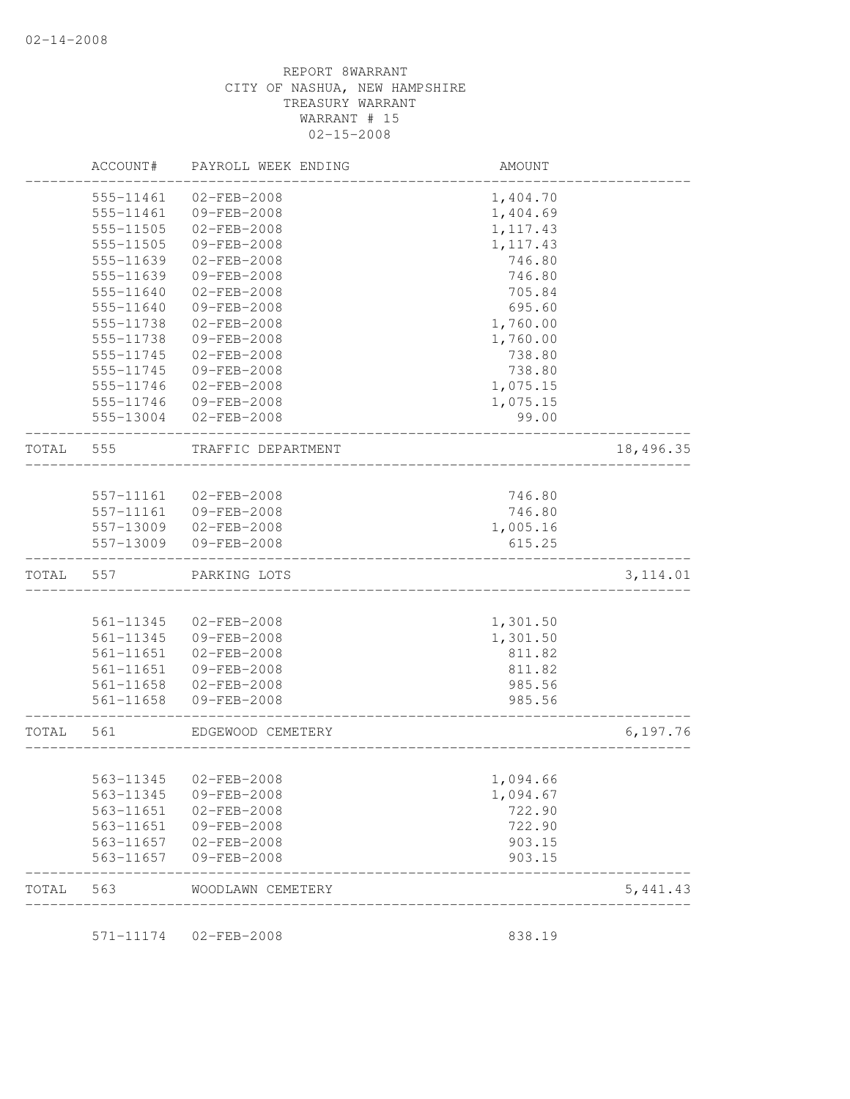|       | ACCOUNT#  | PAYROLL WEEK ENDING   | AMOUNT    |           |
|-------|-----------|-----------------------|-----------|-----------|
|       | 555-11461 | $02 - FEB - 2008$     | 1,404.70  |           |
|       | 555-11461 | 09-FEB-2008           | 1,404.69  |           |
|       | 555-11505 | $02 - FEB - 2008$     | 1, 117.43 |           |
|       | 555-11505 | $09 - FEB - 2008$     | 1, 117.43 |           |
|       | 555-11639 | 02-FEB-2008           | 746.80    |           |
|       | 555-11639 | 09-FEB-2008           | 746.80    |           |
|       | 555-11640 | $02 - FEB - 2008$     | 705.84    |           |
|       | 555-11640 | 09-FEB-2008           | 695.60    |           |
|       | 555-11738 | $02 - FEB - 2008$     | 1,760.00  |           |
|       | 555-11738 | 09-FEB-2008           | 1,760.00  |           |
|       | 555-11745 | $02 - FEB - 2008$     | 738.80    |           |
|       | 555-11745 | 09-FEB-2008           | 738.80    |           |
|       | 555-11746 | 02-FEB-2008           | 1,075.15  |           |
|       | 555-11746 | 09-FEB-2008           | 1,075.15  |           |
|       | 555-13004 | $02 - FEB - 2008$     | 99.00     |           |
| TOTAL | 555       | TRAFFIC DEPARTMENT    |           | 18,496.35 |
|       |           |                       |           |           |
|       | 557-11161 | $02 - FEB - 2008$     | 746.80    |           |
|       | 557-11161 | 09-FEB-2008           | 746.80    |           |
|       | 557-13009 | 02-FEB-2008           | 1,005.16  |           |
|       | 557-13009 | 09-FEB-2008           | 615.25    |           |
| TOTAL | 557       | PARKING LOTS          |           | 3, 114.01 |
|       |           |                       |           |           |
|       | 561-11345 | $02 - FEB - 2008$     | 1,301.50  |           |
|       | 561-11345 | 09-FEB-2008           | 1,301.50  |           |
|       | 561-11651 | $02 - FEB - 2008$     | 811.82    |           |
|       | 561-11651 | 09-FEB-2008           | 811.82    |           |
|       | 561-11658 | $02 - FEB - 2008$     | 985.56    |           |
|       | 561-11658 | 09-FEB-2008           | 985.56    |           |
| TOTAL | 561       | EDGEWOOD CEMETERY     |           | 6, 197.76 |
|       |           | 563-11345 02-FEB-2008 | 1,094.66  |           |
|       | 563-11345 | 09-FEB-2008           | 1,094.67  |           |
|       | 563-11651 | 02-FEB-2008           | 722.90    |           |
|       | 563-11651 | 09-FEB-2008           | 722.90    |           |
|       | 563-11657 | 02-FEB-2008           | 903.15    |           |
|       | 563-11657 | 09-FEB-2008           | 903.15    |           |
| TOTAL | 563       | WOODLAWN CEMETERY     |           | 5,441.43  |

571-11174 02-FEB-2008 838.19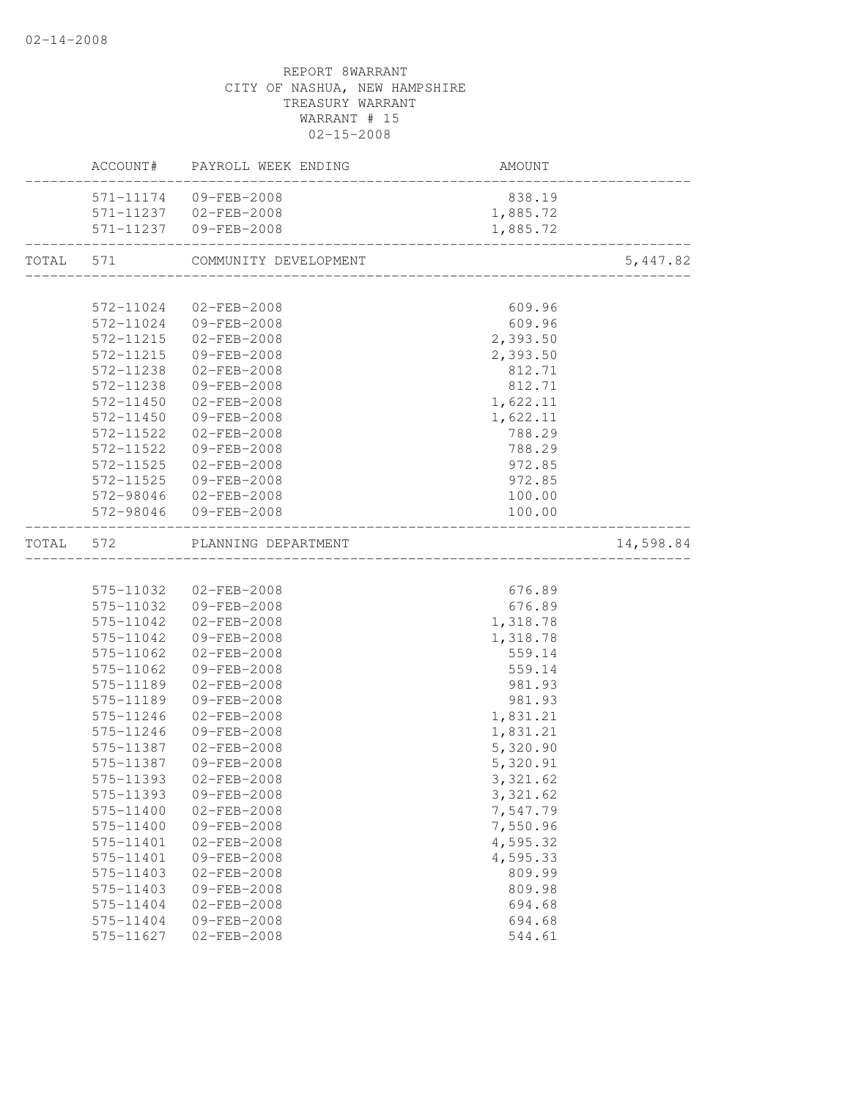|           |           | ACCOUNT# PAYROLL WEEK ENDING | AMOUNT                               |           |
|-----------|-----------|------------------------------|--------------------------------------|-----------|
|           |           | 571-11174 09-FEB-2008        | 838.19                               |           |
|           |           | 571-11237 02-FEB-2008        | 1,885.72                             |           |
|           |           | 571-11237 09-FEB-2008        | 1,885.72                             |           |
| TOTAL 571 |           | COMMUNITY DEVELOPMENT        | ____________________________________ | 5,447.82  |
|           |           |                              |                                      |           |
|           |           | 572-11024 02-FEB-2008        | 609.96                               |           |
|           |           | 572-11024 09-FEB-2008        | 609.96                               |           |
|           |           | 572-11215 02-FEB-2008        | 2,393.50                             |           |
|           | 572-11215 | 09-FEB-2008                  | 2,393.50                             |           |
|           |           | 572-11238 02-FEB-2008        | 812.71                               |           |
|           | 572-11238 | 09-FEB-2008                  | 812.71                               |           |
|           | 572-11450 | 02-FEB-2008                  | 1,622.11                             |           |
|           | 572-11450 | 09-FEB-2008                  | 1,622.11                             |           |
|           | 572-11522 | $02 - FEB - 2008$            | 788.29                               |           |
|           | 572-11522 | 09-FEB-2008                  | 788.29                               |           |
|           | 572-11525 | 02-FEB-2008                  | 972.85                               |           |
|           | 572-11525 | 09-FEB-2008                  | 972.85                               |           |
|           |           | 572-98046 02-FEB-2008        | 100.00                               |           |
|           |           | 572-98046 09-FEB-2008        | 100.00                               |           |
| TOTAL 572 |           | PLANNING DEPARTMENT          |                                      | 14,598.84 |
|           |           |                              |                                      |           |
|           |           | 575-11032 02-FEB-2008        | 676.89                               |           |
|           |           | 575-11032 09-FEB-2008        | 676.89                               |           |
|           | 575-11042 | 02-FEB-2008                  | 1,318.78                             |           |
|           | 575-11042 | 09-FEB-2008                  | 1,318.78                             |           |
|           | 575-11062 | 02-FEB-2008                  | 559.14                               |           |
|           | 575-11062 | 09-FEB-2008                  | 559.14                               |           |
|           | 575-11189 | 02-FEB-2008                  | 981.93                               |           |
|           | 575-11189 | 09-FEB-2008                  | 981.93                               |           |
|           | 575-11246 | $02 - FEB - 2008$            | 1,831.21                             |           |
|           | 575-11246 | 09-FEB-2008                  | 1,831.21                             |           |
|           | 575-11387 | 02-FEB-2008                  | 5,320.90                             |           |
|           | 575-11387 | 09-FEB-2008                  | 5,320.91                             |           |
|           |           | 575-11393 02-FEB-2008        | 3,321.62                             |           |
|           | 575-11393 | $09 - FEB - 2008$            | 3,321.62                             |           |
|           | 575-11400 | $02 - FEB - 2008$            | 7,547.79                             |           |
|           | 575-11400 | 09-FEB-2008                  | 7,550.96                             |           |
|           | 575-11401 | $02 - FEB - 2008$            | 4,595.32                             |           |
|           | 575-11401 | 09-FEB-2008                  | 4,595.33                             |           |
|           | 575-11403 | $02 - FEB - 2008$            | 809.99                               |           |
|           | 575-11403 | 09-FEB-2008                  | 809.98                               |           |
|           | 575-11404 | $02 - FEB - 2008$            | 694.68                               |           |
|           | 575-11404 | $09 - FEB - 2008$            | 694.68                               |           |
|           | 575-11627 | $02 - FEB - 2008$            | 544.61                               |           |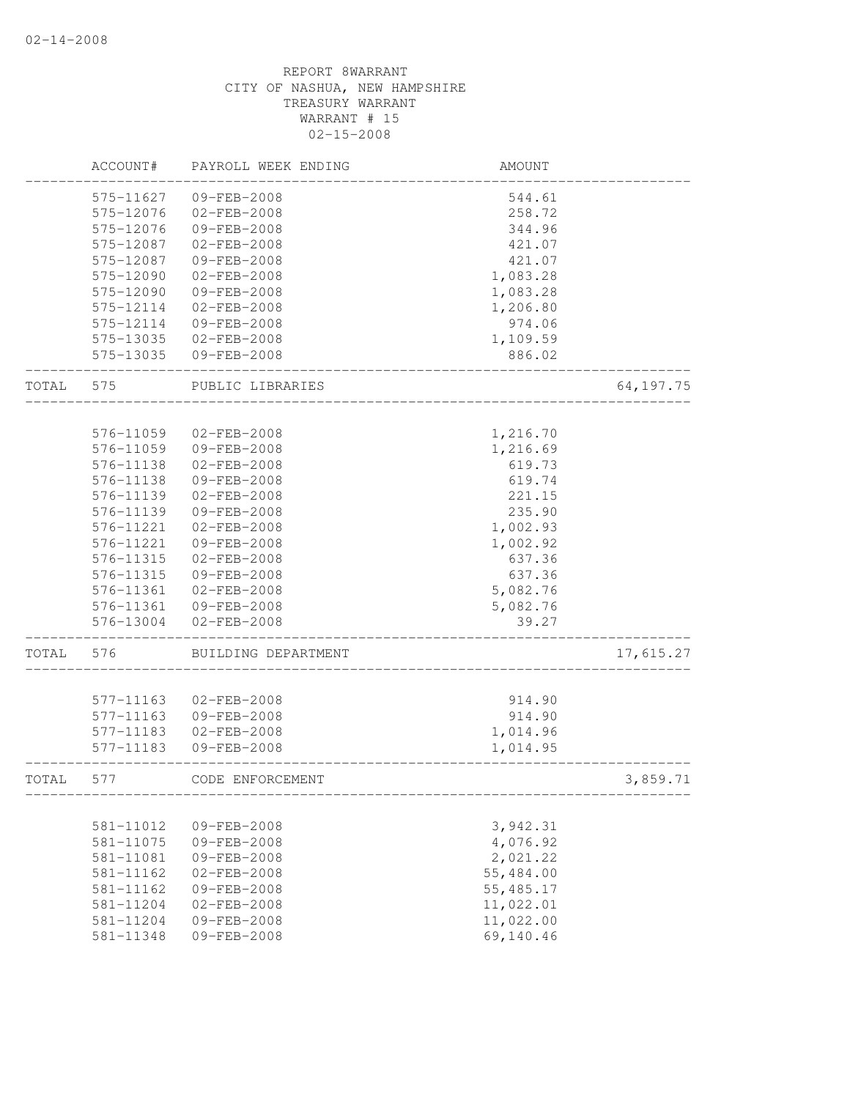|       | ACCOUNT#  | PAYROLL WEEK ENDING | AMOUNT    |             |
|-------|-----------|---------------------|-----------|-------------|
|       | 575-11627 | 09-FEB-2008         | 544.61    |             |
|       | 575-12076 | $02 - FEB - 2008$   | 258.72    |             |
|       | 575-12076 | 09-FEB-2008         | 344.96    |             |
|       | 575-12087 | $02 - FEB - 2008$   | 421.07    |             |
|       | 575-12087 | 09-FEB-2008         | 421.07    |             |
|       | 575-12090 | $02 - FEB - 2008$   | 1,083.28  |             |
|       | 575-12090 | 09-FEB-2008         | 1,083.28  |             |
|       | 575-12114 | $02 - FEB - 2008$   | 1,206.80  |             |
|       | 575-12114 | 09-FEB-2008         | 974.06    |             |
|       | 575-13035 | $02 - FEB - 2008$   | 1,109.59  |             |
|       | 575-13035 | 09-FEB-2008         | 886.02    |             |
| TOTAL | 575       | PUBLIC LIBRARIES    |           | 64, 197. 75 |
|       |           |                     |           |             |
|       | 576-11059 | $02 - FEB - 2008$   | 1,216.70  |             |
|       | 576-11059 | 09-FEB-2008         | 1,216.69  |             |
|       | 576-11138 | $02 - FEB - 2008$   | 619.73    |             |
|       | 576-11138 | 09-FEB-2008         | 619.74    |             |
|       | 576-11139 | $02 - FEB - 2008$   | 221.15    |             |
|       | 576-11139 | 09-FEB-2008         | 235.90    |             |
|       | 576-11221 | 02-FEB-2008         | 1,002.93  |             |
|       | 576-11221 | 09-FEB-2008         | 1,002.92  |             |
|       | 576-11315 | $02 - FEB - 2008$   | 637.36    |             |
|       | 576-11315 | 09-FEB-2008         | 637.36    |             |
|       | 576-11361 | $02 - FEB - 2008$   | 5,082.76  |             |
|       | 576-11361 | 09-FEB-2008         | 5,082.76  |             |
|       | 576-13004 | $02 - FEB - 2008$   | 39.27     |             |
| TOTAL | 576       | BUILDING DEPARTMENT |           | 17,615.27   |
|       |           |                     |           |             |
|       | 577-11163 | $02 - FEB - 2008$   | 914.90    |             |
|       | 577-11163 | 09-FEB-2008         | 914.90    |             |
|       | 577-11183 | $02 - FEB - 2008$   | 1,014.96  |             |
|       | 577-11183 | 09-FEB-2008         | 1,014.95  |             |
| TOTAL | 577       | CODE ENFORCEMENT    |           | 3,859.71    |
|       |           |                     |           |             |
|       | 581-11012 | 09-FEB-2008         | 3,942.31  |             |
|       | 581-11075 | 09-FEB-2008         | 4,076.92  |             |
|       | 581-11081 | 09-FEB-2008         | 2,021.22  |             |
|       | 581-11162 | $02 - FEB - 2008$   | 55,484.00 |             |
|       | 581-11162 | 09-FEB-2008         | 55,485.17 |             |
|       | 581-11204 | $02 - FEB - 2008$   | 11,022.01 |             |
|       | 581-11204 | 09-FEB-2008         | 11,022.00 |             |
|       | 581-11348 | 09-FEB-2008         | 69,140.46 |             |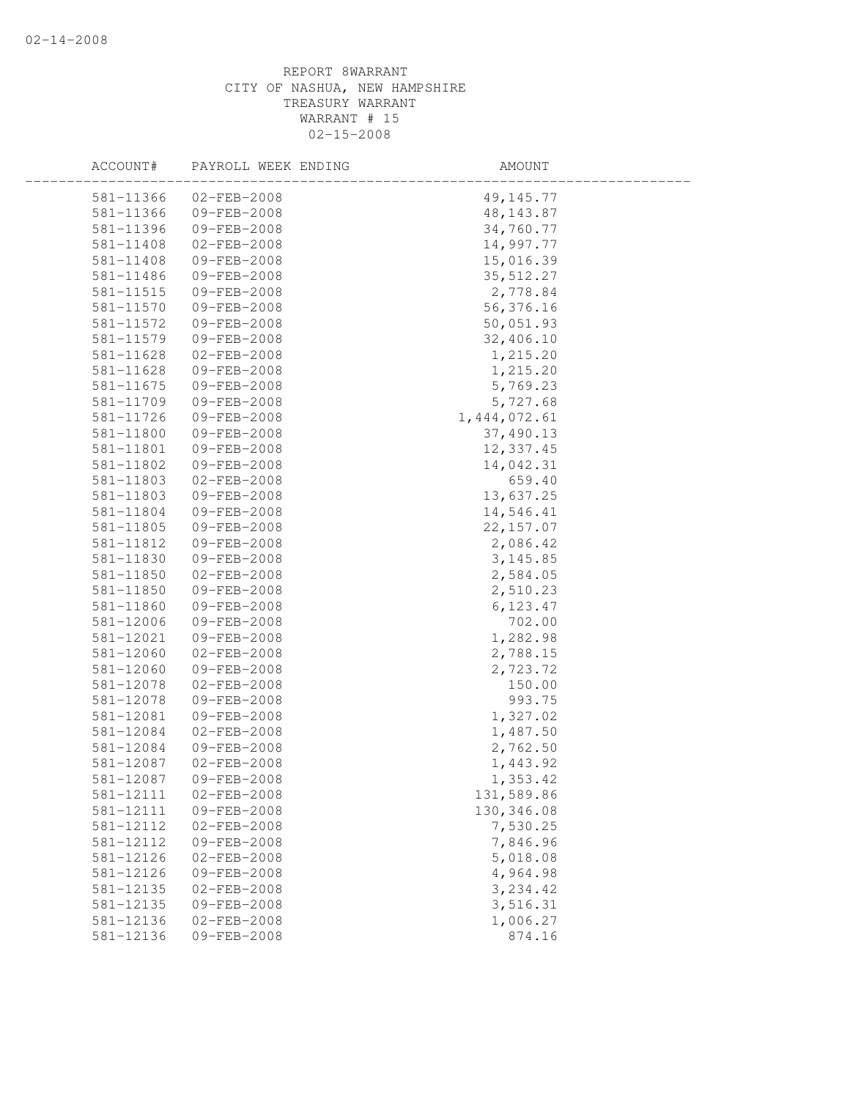| ACCOUNT#  | PAYROLL WEEK ENDING | AMOUNT         |  |
|-----------|---------------------|----------------|--|
| 581-11366 | $02 - FEB - 2008$   | 49, 145. 77    |  |
| 581-11366 | 09-FEB-2008         | 48, 143.87     |  |
| 581-11396 | 09-FEB-2008         | 34,760.77      |  |
| 581-11408 | 02-FEB-2008         | 14,997.77      |  |
| 581-11408 | 09-FEB-2008         | 15,016.39      |  |
| 581-11486 | 09-FEB-2008         | 35, 512.27     |  |
| 581-11515 | 09-FEB-2008         | 2,778.84       |  |
| 581-11570 | 09-FEB-2008         | 56, 376.16     |  |
| 581-11572 | 09-FEB-2008         | 50,051.93      |  |
| 581-11579 | 09-FEB-2008         | 32,406.10      |  |
| 581-11628 | $02 - FEB - 2008$   | 1,215.20       |  |
| 581-11628 | 09-FEB-2008         | 1,215.20       |  |
| 581-11675 | 09-FEB-2008         | 5,769.23       |  |
| 581-11709 | 09-FEB-2008         | 5,727.68       |  |
| 581-11726 | 09-FEB-2008         | 1, 444, 072.61 |  |
| 581-11800 | 09-FEB-2008         | 37,490.13      |  |
| 581-11801 | 09-FEB-2008         | 12,337.45      |  |
| 581-11802 | 09-FEB-2008         | 14,042.31      |  |
| 581-11803 | $02 - FEB - 2008$   | 659.40         |  |
| 581-11803 | 09-FEB-2008         | 13,637.25      |  |
| 581-11804 | 09-FEB-2008         | 14,546.41      |  |
| 581-11805 | 09-FEB-2008         | 22, 157.07     |  |
| 581-11812 | 09-FEB-2008         | 2,086.42       |  |
| 581-11830 | 09-FEB-2008         | 3, 145.85      |  |
| 581-11850 | $02 - FEB - 2008$   | 2,584.05       |  |
| 581-11850 | 09-FEB-2008         | 2,510.23       |  |
| 581-11860 | 09-FEB-2008         | 6,123.47       |  |
| 581-12006 | 09-FEB-2008         | 702.00         |  |
| 581-12021 | 09-FEB-2008         | 1,282.98       |  |
| 581-12060 | $02 - FEB - 2008$   | 2,788.15       |  |
| 581-12060 | 09-FEB-2008         | 2,723.72       |  |
| 581-12078 | 02-FEB-2008         | 150.00         |  |
| 581-12078 | 09-FEB-2008         | 993.75         |  |
| 581-12081 | $09 - FEB - 2008$   | 1,327.02       |  |
| 581-12084 | $02 - FEB - 2008$   | 1,487.50       |  |
| 581-12084 | 09-FEB-2008         | 2,762.50       |  |
| 581-12087 | $02 - FEB - 2008$   | 1,443.92       |  |
| 581-12087 | 09-FEB-2008         | 1,353.42       |  |
| 581-12111 | $02 - FEB - 2008$   | 131,589.86     |  |
| 581-12111 | 09-FEB-2008         | 130,346.08     |  |
| 581-12112 | $02 - FEB - 2008$   | 7,530.25       |  |
| 581-12112 | 09-FEB-2008         | 7,846.96       |  |
| 581-12126 | 02-FEB-2008         | 5,018.08       |  |
| 581-12126 | 09-FEB-2008         | 4,964.98       |  |
| 581-12135 | $02 - FEB - 2008$   | 3,234.42       |  |
| 581-12135 | 09-FEB-2008         | 3,516.31       |  |
| 581-12136 | 02-FEB-2008         | 1,006.27       |  |
| 581-12136 | 09-FEB-2008         | 874.16         |  |
|           |                     |                |  |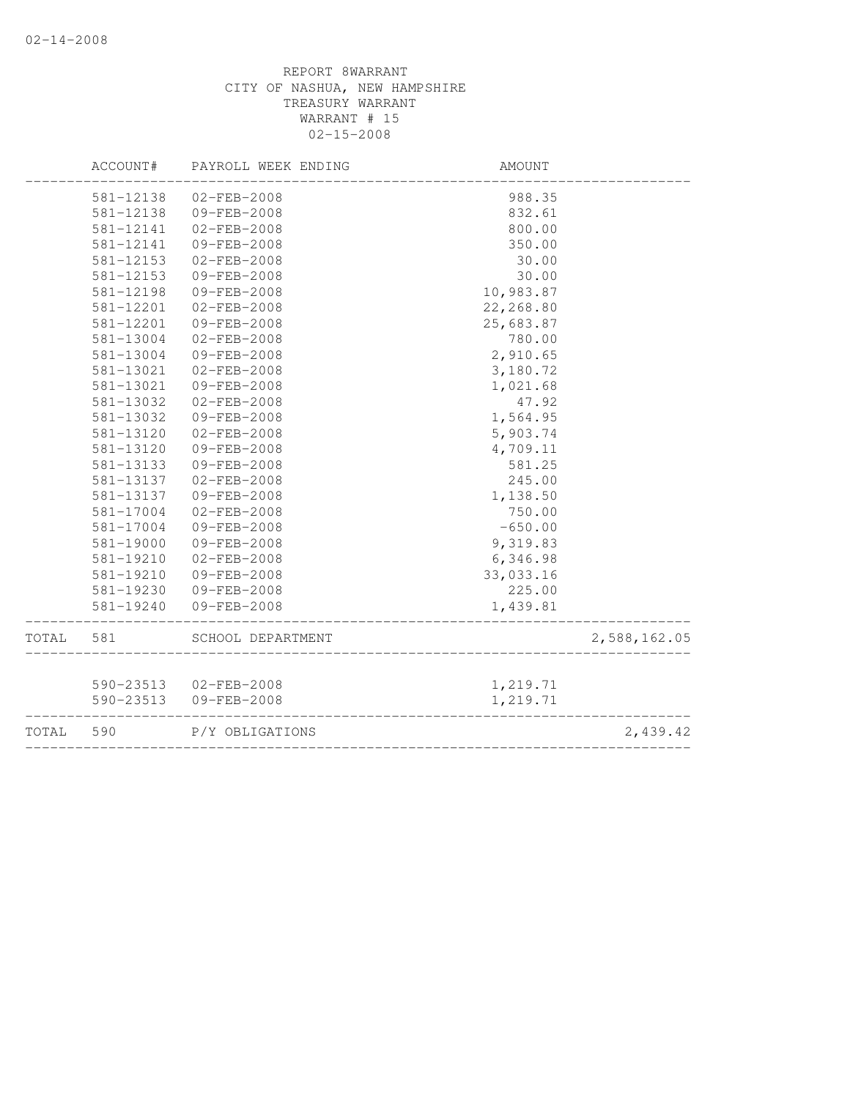|       | ACCOUNT#  | PAYROLL WEEK ENDING   | AMOUNT    |              |
|-------|-----------|-----------------------|-----------|--------------|
|       | 581-12138 | $02 - FEB - 2008$     | 988.35    |              |
|       | 581-12138 | 09-FEB-2008           | 832.61    |              |
|       | 581-12141 | $02 - FEB - 2008$     | 800.00    |              |
|       | 581-12141 | $09 - FEB - 2008$     | 350.00    |              |
|       | 581-12153 | $02 - FEB - 2008$     | 30.00     |              |
|       | 581-12153 | 09-FEB-2008           | 30.00     |              |
|       | 581-12198 | $09 - FEB - 2008$     | 10,983.87 |              |
|       | 581-12201 | $02 - FEB - 2008$     | 22,268.80 |              |
|       | 581-12201 | 09-FEB-2008           | 25,683.87 |              |
|       | 581-13004 | $02 - FEB - 2008$     | 780.00    |              |
|       | 581-13004 | 09-FEB-2008           | 2,910.65  |              |
|       | 581-13021 | $02 - FEB - 2008$     | 3,180.72  |              |
|       | 581-13021 | 09-FEB-2008           | 1,021.68  |              |
|       | 581-13032 | $02 - FEB - 2008$     | 47.92     |              |
|       | 581-13032 | 09-FEB-2008           | 1,564.95  |              |
|       | 581-13120 | $02 - FEB - 2008$     | 5,903.74  |              |
|       | 581-13120 | 09-FEB-2008           | 4,709.11  |              |
|       | 581-13133 | 09-FEB-2008           | 581.25    |              |
|       | 581-13137 | $02 - FEB - 2008$     | 245.00    |              |
|       | 581-13137 | 09-FEB-2008           | 1,138.50  |              |
|       | 581-17004 | $02 - FEB - 2008$     | 750.00    |              |
|       | 581-17004 | 09-FEB-2008           | $-650.00$ |              |
|       | 581-19000 | 09-FEB-2008           | 9,319.83  |              |
|       | 581-19210 | $02 - FEB - 2008$     | 6,346.98  |              |
|       | 581-19210 | 09-FEB-2008           | 33,033.16 |              |
|       | 581-19230 | 09-FEB-2008           | 225.00    |              |
|       | 581-19240 | 09-FEB-2008           | 1,439.81  |              |
| TOTAL | 581       | SCHOOL DEPARTMENT     |           | 2,588,162.05 |
|       |           |                       |           |              |
|       |           | 590-23513 02-FEB-2008 | 1,219.71  |              |
|       | 590-23513 | 09-FEB-2008           | 1,219.71  |              |
| TOTAL | 590       | P/Y OBLIGATIONS       |           | 2,439.42     |
|       |           |                       |           |              |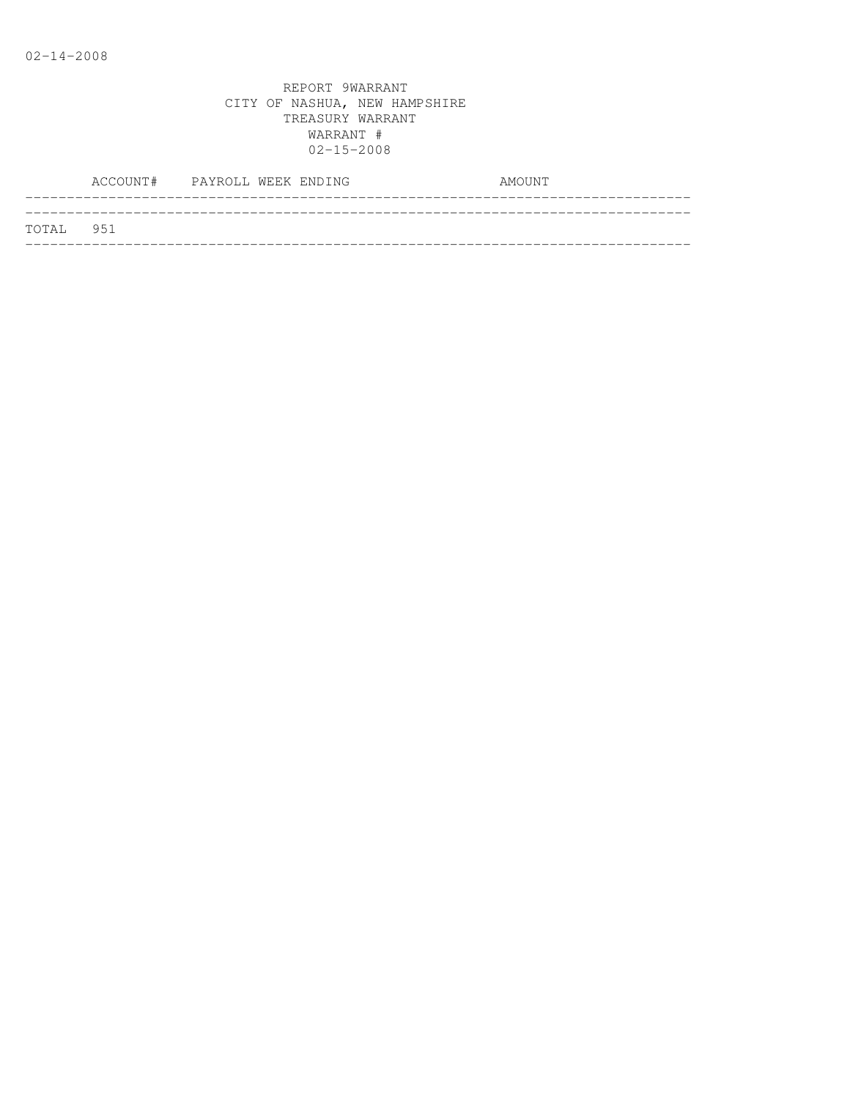|           | ACCOUNT# PAYROLL WEEK ENDING |  |  | AMOUNT |
|-----------|------------------------------|--|--|--------|
| TOTAL 951 |                              |  |  |        |
|           |                              |  |  |        |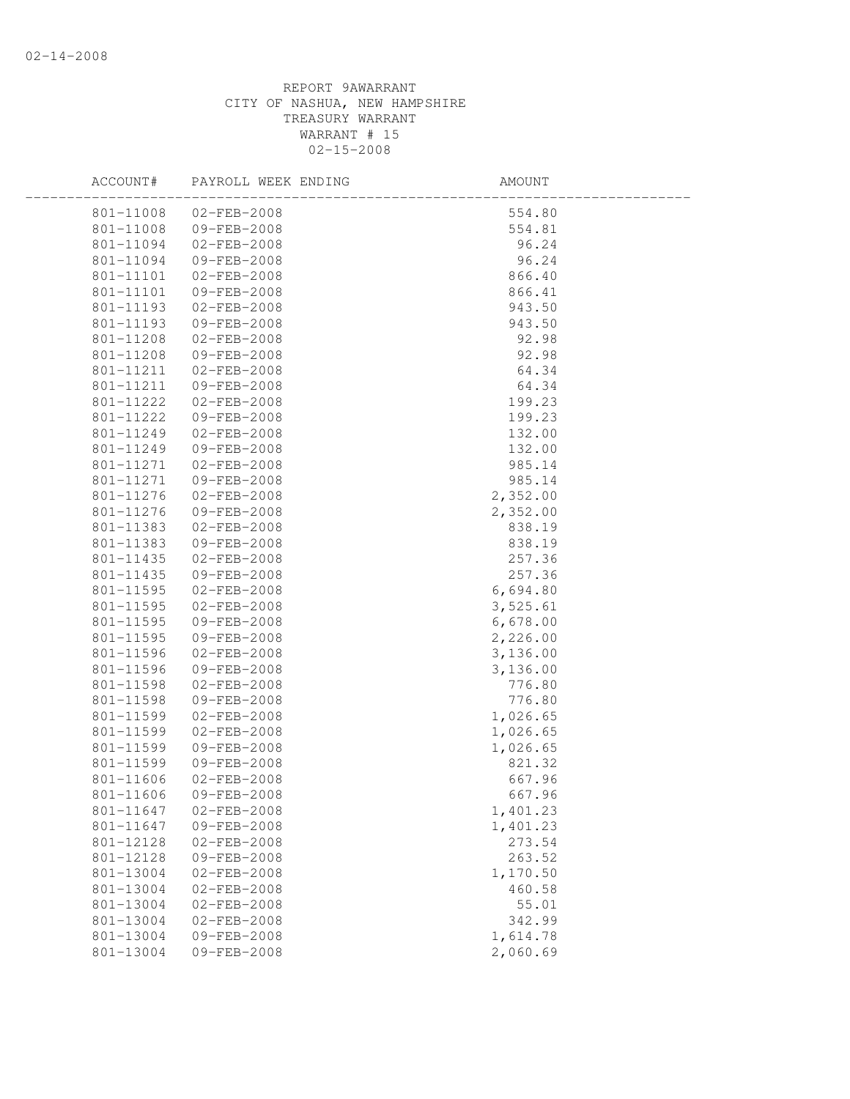| ACCOUNT#  | PAYROLL WEEK ENDING   | AMOUNT   |  |
|-----------|-----------------------|----------|--|
|           | 801-11008 02-FEB-2008 | 554.80   |  |
| 801-11008 | 09-FEB-2008           | 554.81   |  |
| 801-11094 | $02 - FEB - 2008$     | 96.24    |  |
| 801-11094 | 09-FEB-2008           | 96.24    |  |
| 801-11101 | $02 - FEB - 2008$     | 866.40   |  |
| 801-11101 | 09-FEB-2008           | 866.41   |  |
| 801-11193 | $02 - FEB - 2008$     | 943.50   |  |
| 801-11193 | 09-FEB-2008           | 943.50   |  |
| 801-11208 | 02-FEB-2008           | 92.98    |  |
|           | 801-11208 09-FEB-2008 | 92.98    |  |
| 801-11211 | $02 - FEB - 2008$     | 64.34    |  |
| 801-11211 | 09-FEB-2008           | 64.34    |  |
| 801-11222 | 02-FEB-2008           | 199.23   |  |
| 801-11222 | 09-FEB-2008           | 199.23   |  |
| 801-11249 | $02 - FEB - 2008$     | 132.00   |  |
| 801-11249 | 09-FEB-2008           | 132.00   |  |
| 801-11271 | $02 - FEB - 2008$     | 985.14   |  |
| 801-11271 | 09-FEB-2008           | 985.14   |  |
| 801-11276 | 02-FEB-2008           | 2,352.00 |  |
| 801-11276 | 09-FEB-2008           | 2,352.00 |  |
| 801-11383 | 02-FEB-2008           | 838.19   |  |
| 801-11383 | 09-FEB-2008           | 838.19   |  |
| 801-11435 | $02 - FEB - 2008$     | 257.36   |  |
| 801-11435 | 09-FEB-2008           | 257.36   |  |
| 801-11595 | $02 - FEB - 2008$     | 6,694.80 |  |
| 801-11595 | 02-FEB-2008           | 3,525.61 |  |
| 801-11595 | 09-FEB-2008           | 6,678.00 |  |
| 801-11595 | 09-FEB-2008           | 2,226.00 |  |
| 801-11596 | $02 - FEB - 2008$     | 3,136.00 |  |
| 801-11596 | 09-FEB-2008           | 3,136.00 |  |
| 801-11598 | 02-FEB-2008           | 776.80   |  |
| 801-11598 | 09-FEB-2008           | 776.80   |  |
| 801-11599 | $02 - FEB - 2008$     | 1,026.65 |  |
| 801-11599 | $02 - FEB - 2008$     | 1,026.65 |  |
| 801-11599 | 09-FEB-2008           | 1,026.65 |  |
| 801-11599 | 09-FEB-2008           | 821.32   |  |
| 801-11606 | $02 - FEB - 2008$     | 667.96   |  |
| 801-11606 | 09-FEB-2008           | 667.96   |  |
| 801-11647 | $02 - FEB - 2008$     | 1,401.23 |  |
| 801-11647 | 09-FEB-2008           | 1,401.23 |  |
| 801-12128 | $02 - FEB - 2008$     | 273.54   |  |
| 801-12128 | 09-FEB-2008           | 263.52   |  |
| 801-13004 | $02 - FEB - 2008$     | 1,170.50 |  |
| 801-13004 | $02 - FEB - 2008$     | 460.58   |  |
| 801-13004 | $02 - FEB - 2008$     | 55.01    |  |
| 801-13004 | $02 - FEB - 2008$     | 342.99   |  |
| 801-13004 | 09-FEB-2008           | 1,614.78 |  |
| 801-13004 | 09-FEB-2008           | 2,060.69 |  |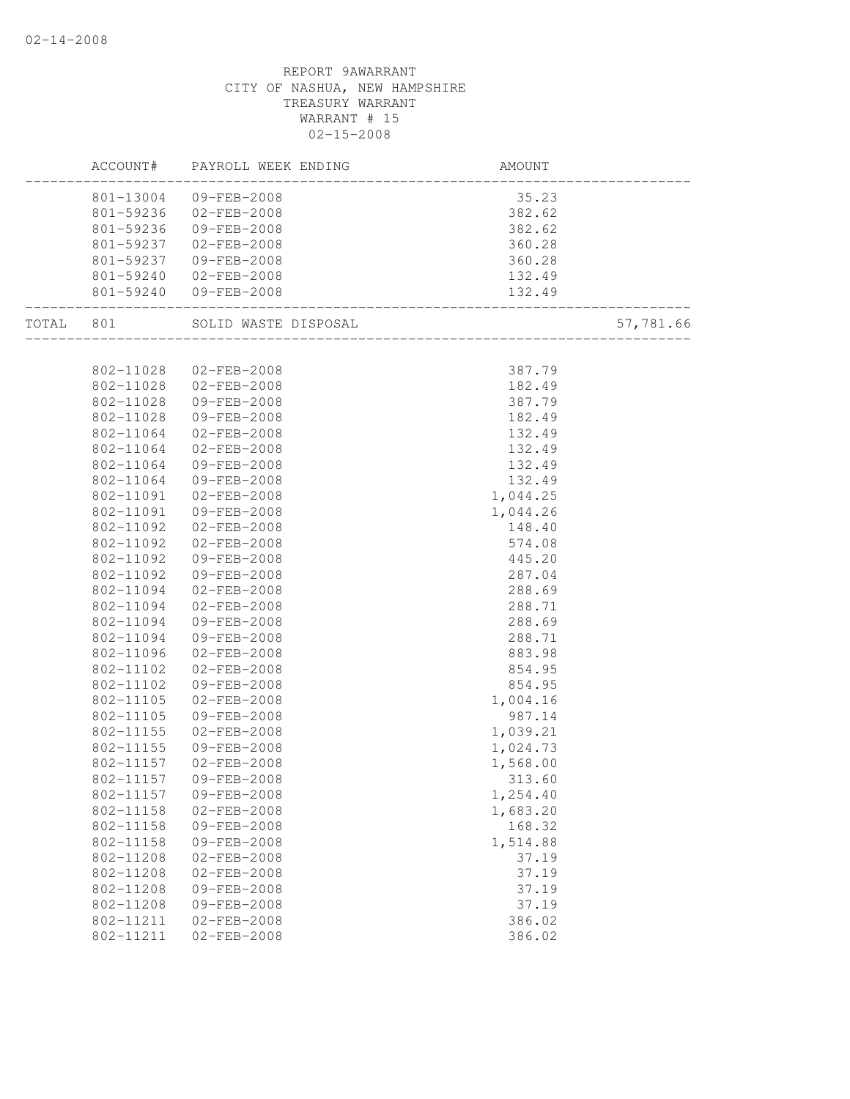|       | ACCOUNT#  | PAYROLL WEEK ENDING   | AMOUNT                 |           |
|-------|-----------|-----------------------|------------------------|-----------|
|       |           | 801-13004 09-FEB-2008 | 35.23                  |           |
|       | 801-59236 | 02-FEB-2008           | 382.62                 |           |
|       | 801-59236 | 09-FEB-2008           | 382.62                 |           |
|       | 801-59237 | 02-FEB-2008           | 360.28                 |           |
|       | 801-59237 | 09-FEB-2008           | 360.28                 |           |
|       | 801-59240 | 02-FEB-2008           | 132.49                 |           |
|       | 801-59240 | 09-FEB-2008           | 132.49<br>----------   |           |
| TOTAL | 801       | SOLID WASTE DISPOSAL  | ______________________ | 57,781.66 |
|       |           |                       |                        |           |
|       | 802-11028 | 02-FEB-2008           | 387.79                 |           |
|       | 802-11028 | 02-FEB-2008           | 182.49                 |           |
|       | 802-11028 | 09-FEB-2008           | 387.79                 |           |
|       | 802-11028 | 09-FEB-2008           | 182.49                 |           |
|       | 802-11064 | 02-FEB-2008           | 132.49                 |           |
|       | 802-11064 | 02-FEB-2008           | 132.49                 |           |
|       | 802-11064 | 09-FEB-2008           | 132.49                 |           |
|       | 802-11064 | 09-FEB-2008           | 132.49                 |           |
|       | 802-11091 | $02 - FEB - 2008$     | 1,044.25               |           |
|       | 802-11091 | 09-FEB-2008           | 1,044.26               |           |
|       | 802-11092 | $02 - FEB - 2008$     | 148.40                 |           |
|       | 802-11092 | 02-FEB-2008           | 574.08                 |           |
|       | 802-11092 | 09-FEB-2008           | 445.20                 |           |
|       | 802-11092 | 09-FEB-2008           | 287.04                 |           |
|       | 802-11094 | 02-FEB-2008           | 288.69                 |           |
|       | 802-11094 | 02-FEB-2008           | 288.71                 |           |
|       | 802-11094 | 09-FEB-2008           | 288.69                 |           |
|       | 802-11094 | 09-FEB-2008           | 288.71                 |           |
|       | 802-11096 | $02 - FEB - 2008$     | 883.98                 |           |
|       | 802-11102 | $02 - FEB - 2008$     | 854.95                 |           |
|       | 802-11102 | 09-FEB-2008           | 854.95                 |           |
|       | 802-11105 | $02 - FEB - 2008$     | 1,004.16               |           |
|       | 802-11105 | 09-FEB-2008           | 987.14                 |           |
|       | 802-11155 | $02 - FEB - 2008$     | 1,039.21               |           |
|       | 802-11155 | 09-FEB-2008           | 1,024.73               |           |
|       | 802-11157 | $02 - FEB - 2008$     | 1,568.00               |           |
|       | 802-11157 | 09-FEB-2008           | 313.60                 |           |
|       | 802-11157 | 09-FEB-2008           | 1,254.40               |           |
|       | 802-11158 | $02 - FEB - 2008$     | 1,683.20               |           |
|       | 802-11158 | 09-FEB-2008           | 168.32                 |           |
|       | 802-11158 | 09-FEB-2008           | 1,514.88               |           |
|       | 802-11208 | $02 - FEB - 2008$     | 37.19                  |           |
|       | 802-11208 | $02 - FEB - 2008$     | 37.19                  |           |
|       | 802-11208 | 09-FEB-2008           | 37.19                  |           |
|       | 802-11208 | 09-FEB-2008           | 37.19                  |           |
|       | 802-11211 | $02 - FEB - 2008$     | 386.02                 |           |
|       | 802-11211 | $02 - FEB - 2008$     | 386.02                 |           |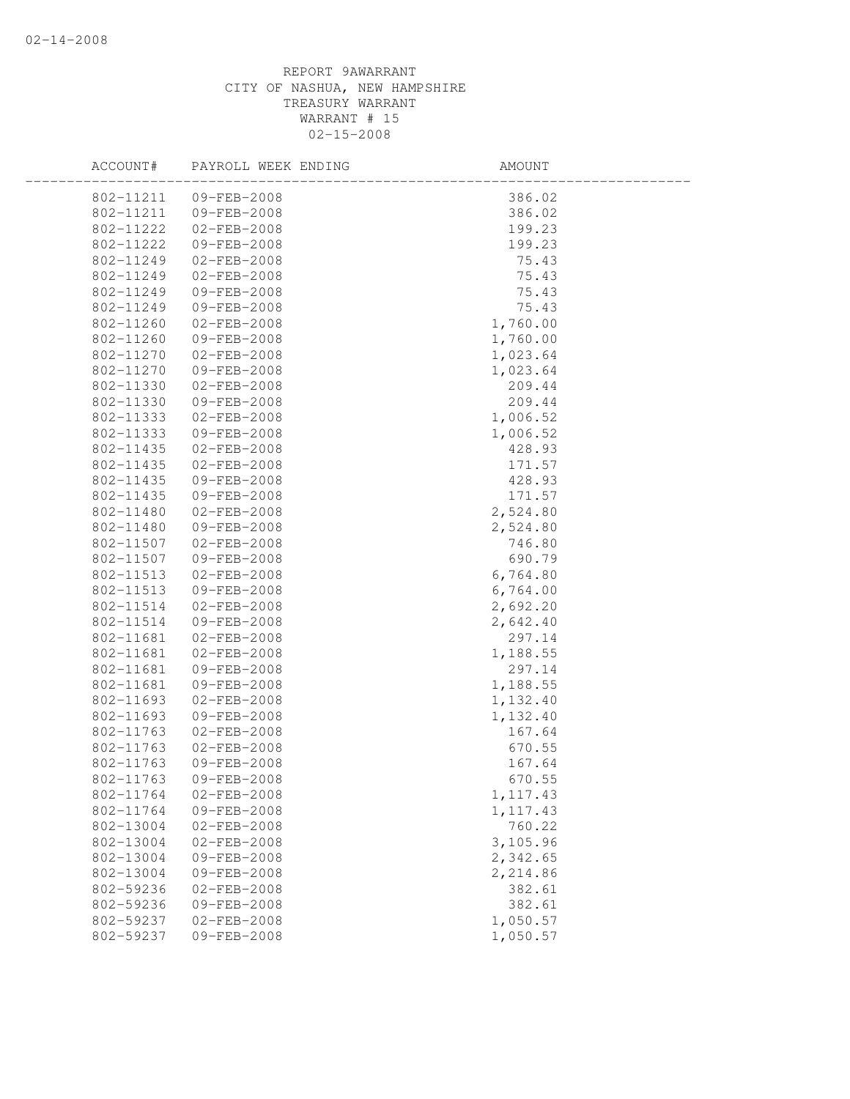| ACCOUNT#  | PAYROLL WEEK ENDING | AMOUNT    |
|-----------|---------------------|-----------|
| 802-11211 | 09-FEB-2008         | 386.02    |
| 802-11211 | 09-FEB-2008         | 386.02    |
| 802-11222 | $02 - FEB - 2008$   | 199.23    |
| 802-11222 | 09-FEB-2008         | 199.23    |
| 802-11249 | 02-FEB-2008         | 75.43     |
| 802-11249 | $02 - FEB - 2008$   | 75.43     |
| 802-11249 | 09-FEB-2008         | 75.43     |
| 802-11249 | 09-FEB-2008         | 75.43     |
| 802-11260 | $02 - FEB - 2008$   | 1,760.00  |
| 802-11260 | 09-FEB-2008         | 1,760.00  |
| 802-11270 | 02-FEB-2008         | 1,023.64  |
| 802-11270 | 09-FEB-2008         | 1,023.64  |
| 802-11330 | $02 - FEB - 2008$   | 209.44    |
| 802-11330 | 09-FEB-2008         | 209.44    |
| 802-11333 | $02 - FEB - 2008$   | 1,006.52  |
| 802-11333 | 09-FEB-2008         | 1,006.52  |
| 802-11435 | $02 - FEB - 2008$   | 428.93    |
| 802-11435 | $02 - FEB - 2008$   | 171.57    |
| 802-11435 | 09-FEB-2008         | 428.93    |
| 802-11435 | 09-FEB-2008         | 171.57    |
| 802-11480 | $02 - FEB - 2008$   | 2,524.80  |
| 802-11480 | 09-FEB-2008         | 2,524.80  |
| 802-11507 | 02-FEB-2008         | 746.80    |
| 802-11507 | 09-FEB-2008         | 690.79    |
| 802-11513 | $02 - FEB - 2008$   | 6,764.80  |
| 802-11513 | 09-FEB-2008         | 6,764.00  |
| 802-11514 | $02 - FEB - 2008$   | 2,692.20  |
| 802-11514 | 09-FEB-2008         | 2,642.40  |
| 802-11681 | $02 - FEB - 2008$   | 297.14    |
| 802-11681 | $02 - FEB - 2008$   | 1,188.55  |
| 802-11681 | 09-FEB-2008         | 297.14    |
| 802-11681 | 09-FEB-2008         | 1,188.55  |
| 802-11693 | $02 - FEB - 2008$   | 1,132.40  |
| 802-11693 | 09-FEB-2008         | 1,132.40  |
| 802-11763 | $02 - FEB - 2008$   | 167.64    |
| 802-11763 | $02 - FEB - 2008$   | 670.55    |
| 802-11763 | 09-FEB-2008         | 167.64    |
| 802-11763 | 09-FEB-2008         | 670.55    |
| 802-11764 | $02 - FEB - 2008$   | 1, 117.43 |
| 802-11764 | 09-FEB-2008         | 1, 117.43 |
| 802-13004 | $02 - FEB - 2008$   | 760.22    |
| 802-13004 | $02 - FEB - 2008$   | 3,105.96  |
| 802-13004 | 09-FEB-2008         | 2,342.65  |
| 802-13004 | 09-FEB-2008         | 2,214.86  |
| 802-59236 | $02 - FEB - 2008$   | 382.61    |
| 802-59236 | $09 - FEB - 2008$   | 382.61    |
| 802-59237 | $02 - FEB - 2008$   | 1,050.57  |
| 802-59237 | 09-FEB-2008         | 1,050.57  |
|           |                     |           |